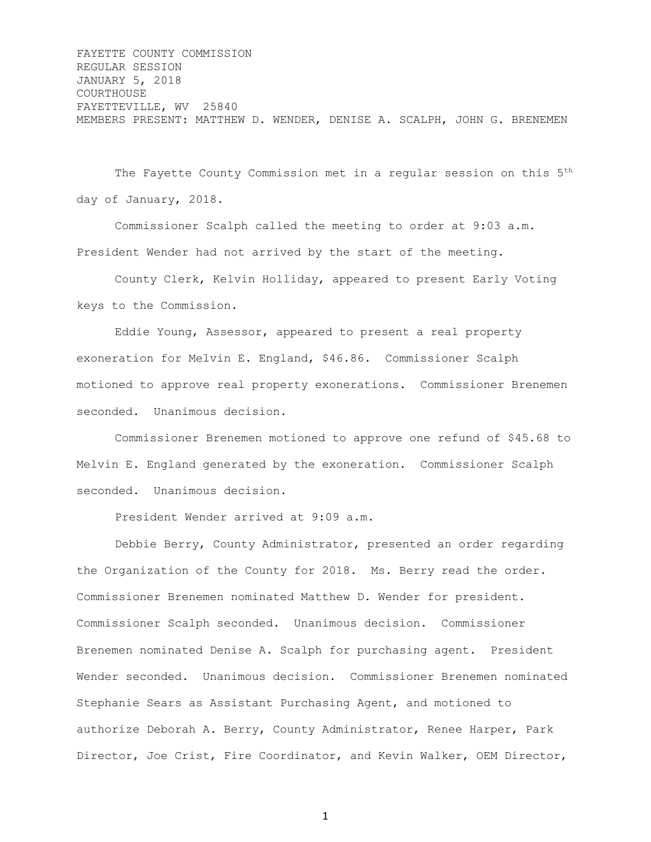FAYETTE COUNTY COMMISSION REGULAR SESSION JANUARY 5, 2018 COURTHOUSE FAYETTEVILLE, WV 25840 MEMBERS PRESENT: MATTHEW D. WENDER, DENISE A. SCALPH, JOHN G. BRENEMEN

The Fayette County Commission met in a regular session on this 5th day of January, 2018.

Commissioner Scalph called the meeting to order at 9:03 a.m. President Wender had not arrived by the start of the meeting.

County Clerk, Kelvin Holliday, appeared to present Early Voting keys to the Commission.

Eddie Young, Assessor, appeared to present a real property exoneration for Melvin E. England, \$46.86. Commissioner Scalph motioned to approve real property exonerations. Commissioner Brenemen seconded. Unanimous decision.

Commissioner Brenemen motioned to approve one refund of \$45.68 to Melvin E. England generated by the exoneration. Commissioner Scalph seconded. Unanimous decision.

President Wender arrived at 9:09 a.m.

Debbie Berry, County Administrator, presented an order regarding the Organization of the County for 2018. Ms. Berry read the order. Commissioner Brenemen nominated Matthew D. Wender for president. Commissioner Scalph seconded. Unanimous decision. Commissioner Brenemen nominated Denise A. Scalph for purchasing agent. President Wender seconded. Unanimous decision. Commissioner Brenemen nominated Stephanie Sears as Assistant Purchasing Agent, and motioned to authorize Deborah A. Berry, County Administrator, Renee Harper, Park Director, Joe Crist, Fire Coordinator, and Kevin Walker, OEM Director,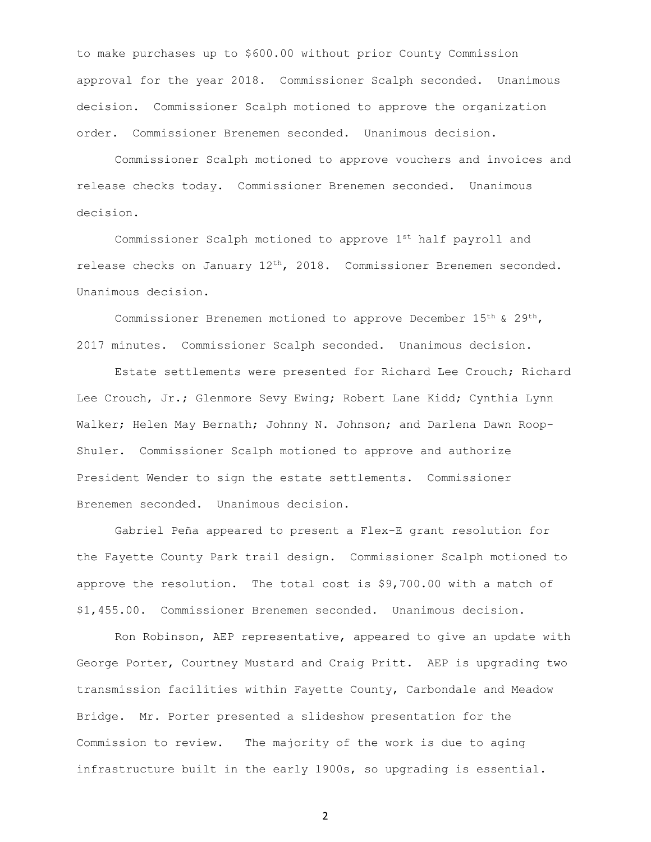to make purchases up to \$600.00 without prior County Commission approval for the year 2018. Commissioner Scalph seconded. Unanimous decision. Commissioner Scalph motioned to approve the organization order. Commissioner Brenemen seconded. Unanimous decision.

Commissioner Scalph motioned to approve vouchers and invoices and release checks today. Commissioner Brenemen seconded. Unanimous decision.

Commissioner Scalph motioned to approve 1st half payroll and release checks on January  $12<sup>th</sup>$ , 2018. Commissioner Brenemen seconded. Unanimous decision.

Commissioner Brenemen motioned to approve December 15th & 29th, 2017 minutes. Commissioner Scalph seconded. Unanimous decision.

Estate settlements were presented for Richard Lee Crouch; Richard Lee Crouch, Jr.; Glenmore Sevy Ewing; Robert Lane Kidd; Cynthia Lynn Walker; Helen May Bernath; Johnny N. Johnson; and Darlena Dawn Roop-Shuler. Commissioner Scalph motioned to approve and authorize President Wender to sign the estate settlements. Commissioner Brenemen seconded. Unanimous decision.

Gabriel Peña appeared to present a Flex-E grant resolution for the Fayette County Park trail design. Commissioner Scalph motioned to approve the resolution. The total cost is \$9,700.00 with a match of \$1,455.00. Commissioner Brenemen seconded. Unanimous decision.

Ron Robinson, AEP representative, appeared to give an update with George Porter, Courtney Mustard and Craig Pritt. AEP is upgrading two transmission facilities within Fayette County, Carbondale and Meadow Bridge. Mr. Porter presented a slideshow presentation for the Commission to review. The majority of the work is due to aging infrastructure built in the early 1900s, so upgrading is essential.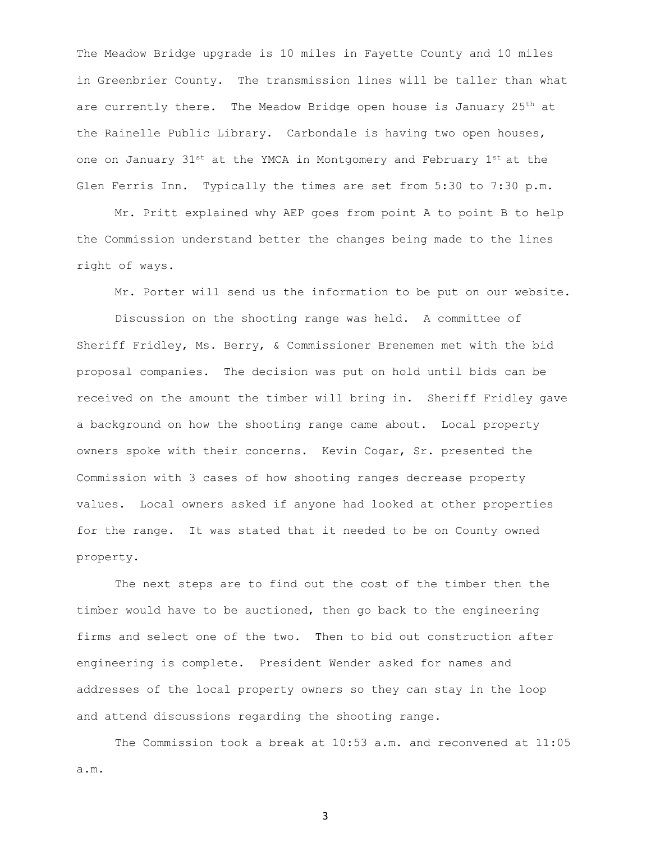The Meadow Bridge upgrade is 10 miles in Fayette County and 10 miles in Greenbrier County. The transmission lines will be taller than what are currently there. The Meadow Bridge open house is January  $25<sup>th</sup>$  at the Rainelle Public Library. Carbondale is having two open houses, one on January  $31^{st}$  at the YMCA in Montgomery and February  $1^{st}$  at the Glen Ferris Inn. Typically the times are set from 5:30 to 7:30 p.m.

Mr. Pritt explained why AEP goes from point A to point B to help the Commission understand better the changes being made to the lines right of ways.

Mr. Porter will send us the information to be put on our website.

Discussion on the shooting range was held. A committee of Sheriff Fridley, Ms. Berry, & Commissioner Brenemen met with the bid proposal companies. The decision was put on hold until bids can be received on the amount the timber will bring in. Sheriff Fridley gave a background on how the shooting range came about. Local property owners spoke with their concerns. Kevin Cogar, Sr. presented the Commission with 3 cases of how shooting ranges decrease property values. Local owners asked if anyone had looked at other properties for the range. It was stated that it needed to be on County owned property.

The next steps are to find out the cost of the timber then the timber would have to be auctioned, then go back to the engineering firms and select one of the two. Then to bid out construction after engineering is complete. President Wender asked for names and addresses of the local property owners so they can stay in the loop and attend discussions regarding the shooting range.

The Commission took a break at 10:53 a.m. and reconvened at 11:05 a.m.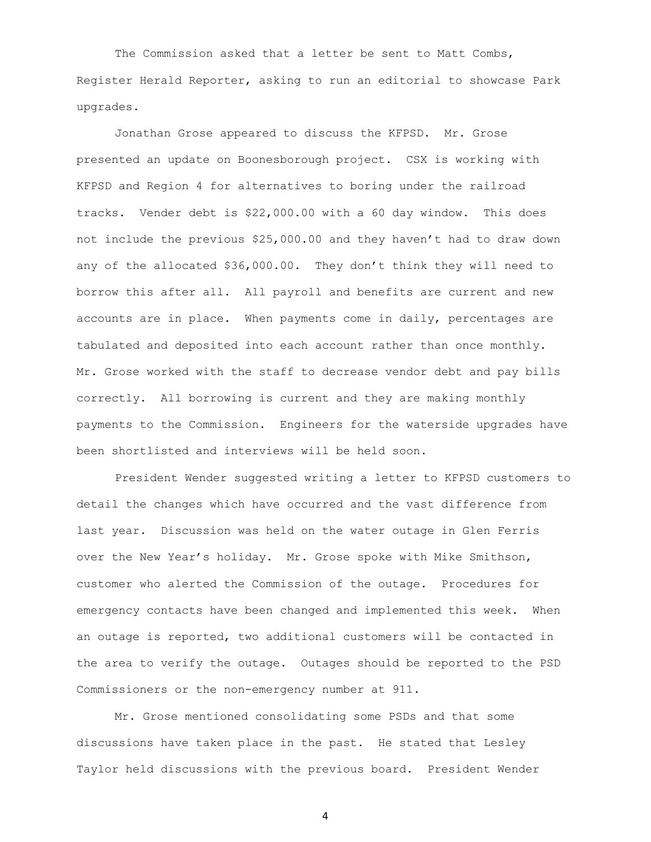The Commission asked that a letter be sent to Matt Combs, Register Herald Reporter, asking to run an editorial to showcase Park upgrades.

Jonathan Grose appeared to discuss the KFPSD. Mr. Grose presented an update on Boonesborough project. CSX is working with KFPSD and Region 4 for alternatives to boring under the railroad tracks. Vender debt is \$22,000.00 with a 60 day window. This does not include the previous \$25,000.00 and they haven't had to draw down any of the allocated \$36,000.00. They don't think they will need to borrow this after all. All payroll and benefits are current and new accounts are in place. When payments come in daily, percentages are tabulated and deposited into each account rather than once monthly. Mr. Grose worked with the staff to decrease vendor debt and pay bills correctly. All borrowing is current and they are making monthly payments to the Commission. Engineers for the waterside upgrades have been shortlisted and interviews will be held soon.

President Wender suggested writing a letter to KFPSD customers to detail the changes which have occurred and the vast difference from last year. Discussion was held on the water outage in Glen Ferris over the New Year's holiday. Mr. Grose spoke with Mike Smithson, customer who alerted the Commission of the outage. Procedures for emergency contacts have been changed and implemented this week. When an outage is reported, two additional customers will be contacted in the area to verify the outage. Outages should be reported to the PSD Commissioners or the non-emergency number at 911.

Mr. Grose mentioned consolidating some PSDs and that some discussions have taken place in the past. He stated that Lesley Taylor held discussions with the previous board. President Wender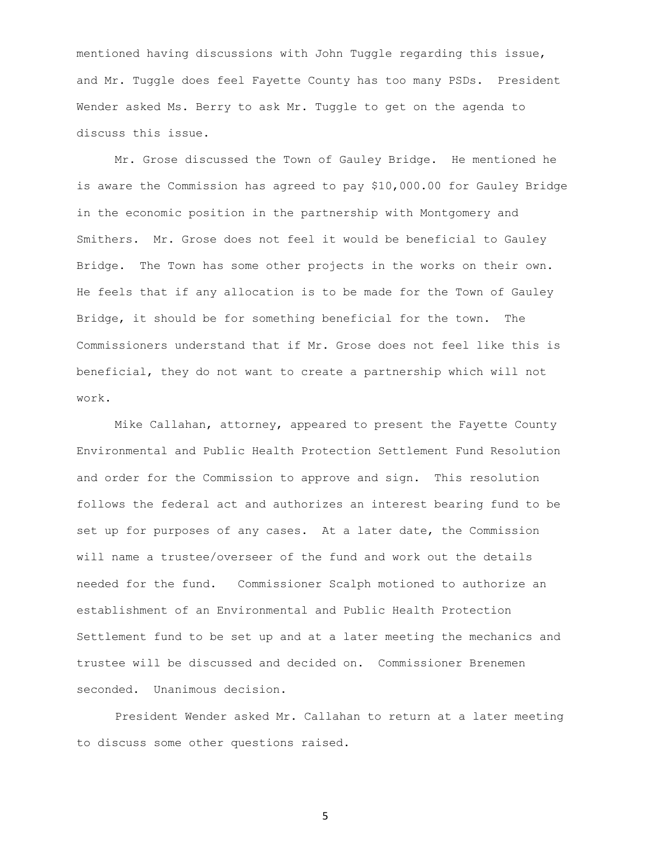mentioned having discussions with John Tuggle regarding this issue, and Mr. Tuggle does feel Fayette County has too many PSDs. President Wender asked Ms. Berry to ask Mr. Tuggle to get on the agenda to discuss this issue.

Mr. Grose discussed the Town of Gauley Bridge. He mentioned he is aware the Commission has agreed to pay \$10,000.00 for Gauley Bridge in the economic position in the partnership with Montgomery and Smithers. Mr. Grose does not feel it would be beneficial to Gauley Bridge. The Town has some other projects in the works on their own. He feels that if any allocation is to be made for the Town of Gauley Bridge, it should be for something beneficial for the town. The Commissioners understand that if Mr. Grose does not feel like this is beneficial, they do not want to create a partnership which will not work.

Mike Callahan, attorney, appeared to present the Fayette County Environmental and Public Health Protection Settlement Fund Resolution and order for the Commission to approve and sign. This resolution follows the federal act and authorizes an interest bearing fund to be set up for purposes of any cases. At a later date, the Commission will name a trustee/overseer of the fund and work out the details needed for the fund. Commissioner Scalph motioned to authorize an establishment of an Environmental and Public Health Protection Settlement fund to be set up and at a later meeting the mechanics and trustee will be discussed and decided on. Commissioner Brenemen seconded. Unanimous decision.

President Wender asked Mr. Callahan to return at a later meeting to discuss some other questions raised.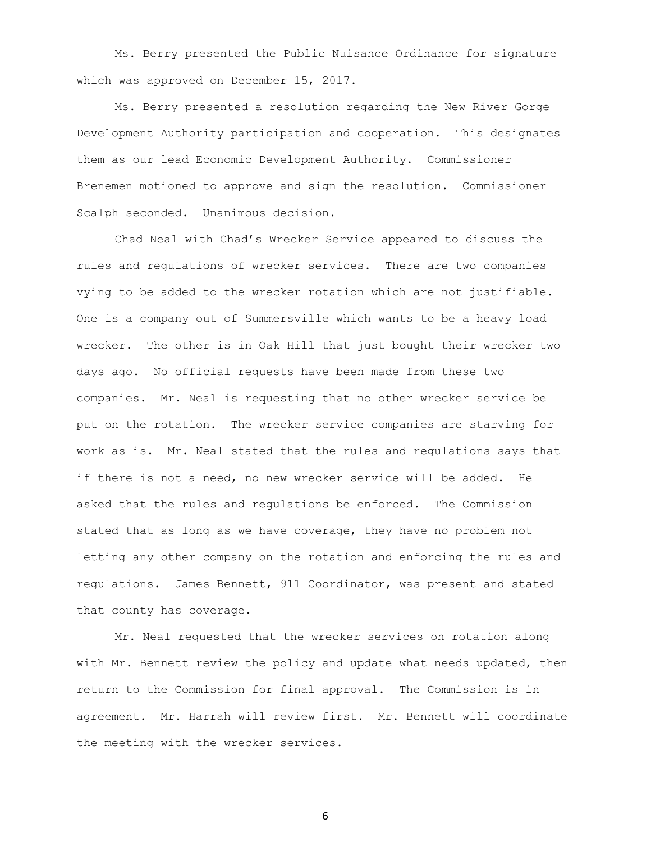Ms. Berry presented the Public Nuisance Ordinance for signature which was approved on December 15, 2017.

Ms. Berry presented a resolution regarding the New River Gorge Development Authority participation and cooperation. This designates them as our lead Economic Development Authority. Commissioner Brenemen motioned to approve and sign the resolution. Commissioner Scalph seconded. Unanimous decision.

Chad Neal with Chad's Wrecker Service appeared to discuss the rules and regulations of wrecker services. There are two companies vying to be added to the wrecker rotation which are not justifiable. One is a company out of Summersville which wants to be a heavy load wrecker. The other is in Oak Hill that just bought their wrecker two days ago. No official requests have been made from these two companies. Mr. Neal is requesting that no other wrecker service be put on the rotation. The wrecker service companies are starving for work as is. Mr. Neal stated that the rules and regulations says that if there is not a need, no new wrecker service will be added. He asked that the rules and regulations be enforced. The Commission stated that as long as we have coverage, they have no problem not letting any other company on the rotation and enforcing the rules and regulations. James Bennett, 911 Coordinator, was present and stated that county has coverage.

Mr. Neal requested that the wrecker services on rotation along with Mr. Bennett review the policy and update what needs updated, then return to the Commission for final approval. The Commission is in agreement. Mr. Harrah will review first. Mr. Bennett will coordinate the meeting with the wrecker services.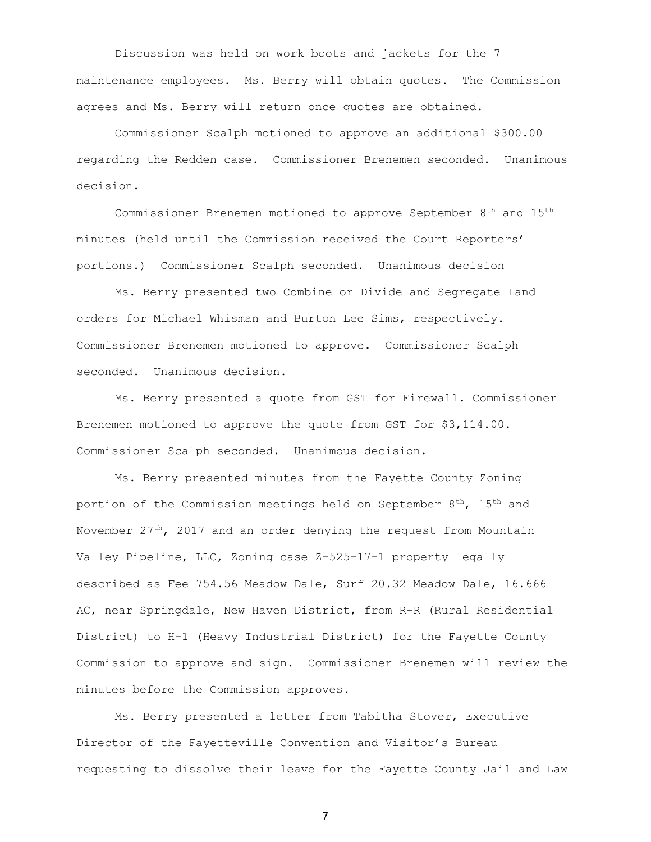Discussion was held on work boots and jackets for the 7 maintenance employees. Ms. Berry will obtain quotes. The Commission agrees and Ms. Berry will return once quotes are obtained.

Commissioner Scalph motioned to approve an additional \$300.00 regarding the Redden case. Commissioner Brenemen seconded. Unanimous decision.

Commissioner Brenemen motioned to approve September 8th and 15th minutes (held until the Commission received the Court Reporters' portions.) Commissioner Scalph seconded. Unanimous decision

Ms. Berry presented two Combine or Divide and Segregate Land orders for Michael Whisman and Burton Lee Sims, respectively. Commissioner Brenemen motioned to approve. Commissioner Scalph seconded. Unanimous decision.

Ms. Berry presented a quote from GST for Firewall. Commissioner Brenemen motioned to approve the quote from GST for \$3,114.00. Commissioner Scalph seconded. Unanimous decision.

Ms. Berry presented minutes from the Fayette County Zoning portion of the Commission meetings held on September 8<sup>th</sup>, 15<sup>th</sup> and November  $27<sup>th</sup>$ , 2017 and an order denying the request from Mountain Valley Pipeline, LLC, Zoning case Z-525-17-1 property legally described as Fee 754.56 Meadow Dale, Surf 20.32 Meadow Dale, 16.666 AC, near Springdale, New Haven District, from R-R (Rural Residential District) to H-1 (Heavy Industrial District) for the Fayette County Commission to approve and sign. Commissioner Brenemen will review the minutes before the Commission approves.

Ms. Berry presented a letter from Tabitha Stover, Executive Director of the Fayetteville Convention and Visitor's Bureau requesting to dissolve their leave for the Fayette County Jail and Law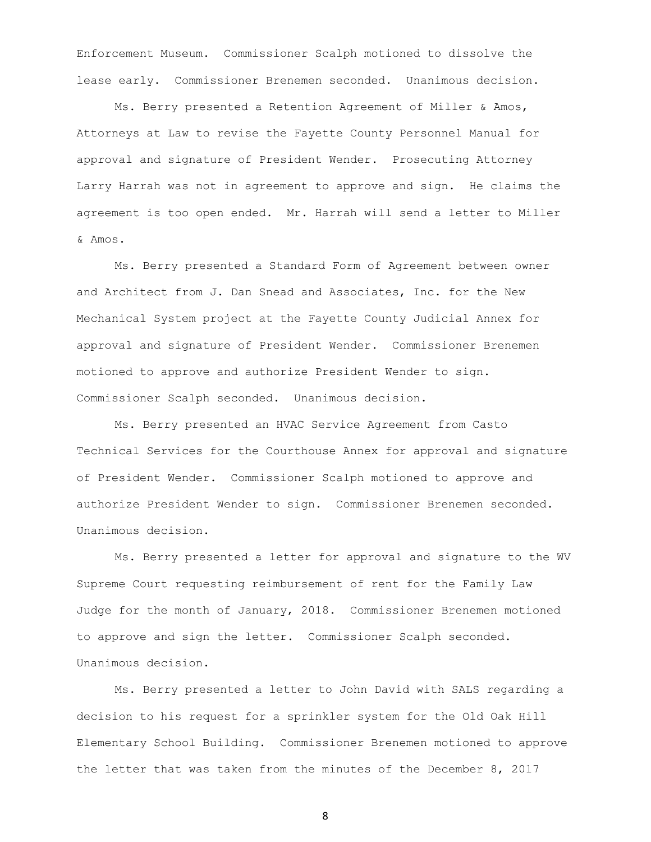Enforcement Museum. Commissioner Scalph motioned to dissolve the lease early. Commissioner Brenemen seconded. Unanimous decision.

Ms. Berry presented a Retention Agreement of Miller & Amos, Attorneys at Law to revise the Fayette County Personnel Manual for approval and signature of President Wender. Prosecuting Attorney Larry Harrah was not in agreement to approve and sign. He claims the agreement is too open ended. Mr. Harrah will send a letter to Miller & Amos.

Ms. Berry presented a Standard Form of Agreement between owner and Architect from J. Dan Snead and Associates, Inc. for the New Mechanical System project at the Fayette County Judicial Annex for approval and signature of President Wender. Commissioner Brenemen motioned to approve and authorize President Wender to sign. Commissioner Scalph seconded. Unanimous decision.

Ms. Berry presented an HVAC Service Agreement from Casto Technical Services for the Courthouse Annex for approval and signature of President Wender. Commissioner Scalph motioned to approve and authorize President Wender to sign. Commissioner Brenemen seconded. Unanimous decision.

Ms. Berry presented a letter for approval and signature to the WV Supreme Court requesting reimbursement of rent for the Family Law Judge for the month of January, 2018. Commissioner Brenemen motioned to approve and sign the letter. Commissioner Scalph seconded. Unanimous decision.

Ms. Berry presented a letter to John David with SALS regarding a decision to his request for a sprinkler system for the Old Oak Hill Elementary School Building. Commissioner Brenemen motioned to approve the letter that was taken from the minutes of the December 8, 2017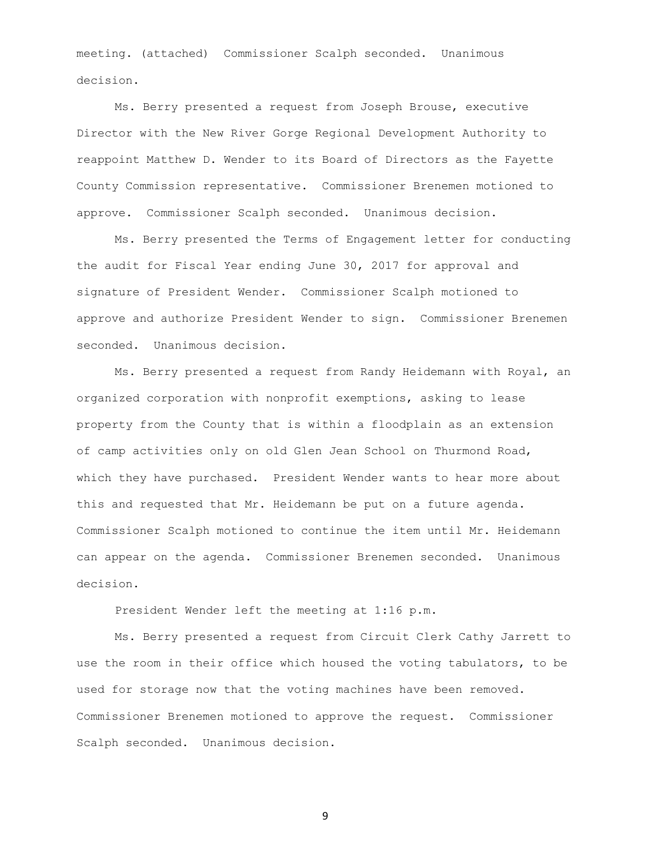meeting. (attached) Commissioner Scalph seconded. Unanimous decision.

Ms. Berry presented a request from Joseph Brouse, executive Director with the New River Gorge Regional Development Authority to reappoint Matthew D. Wender to its Board of Directors as the Fayette County Commission representative. Commissioner Brenemen motioned to approve. Commissioner Scalph seconded. Unanimous decision.

Ms. Berry presented the Terms of Engagement letter for conducting the audit for Fiscal Year ending June 30, 2017 for approval and signature of President Wender. Commissioner Scalph motioned to approve and authorize President Wender to sign. Commissioner Brenemen seconded. Unanimous decision.

Ms. Berry presented a request from Randy Heidemann with Royal, an organized corporation with nonprofit exemptions, asking to lease property from the County that is within a floodplain as an extension of camp activities only on old Glen Jean School on Thurmond Road, which they have purchased. President Wender wants to hear more about this and requested that Mr. Heidemann be put on a future agenda. Commissioner Scalph motioned to continue the item until Mr. Heidemann can appear on the agenda. Commissioner Brenemen seconded. Unanimous decision.

President Wender left the meeting at 1:16 p.m.

Ms. Berry presented a request from Circuit Clerk Cathy Jarrett to use the room in their office which housed the voting tabulators, to be used for storage now that the voting machines have been removed. Commissioner Brenemen motioned to approve the request. Commissioner Scalph seconded. Unanimous decision.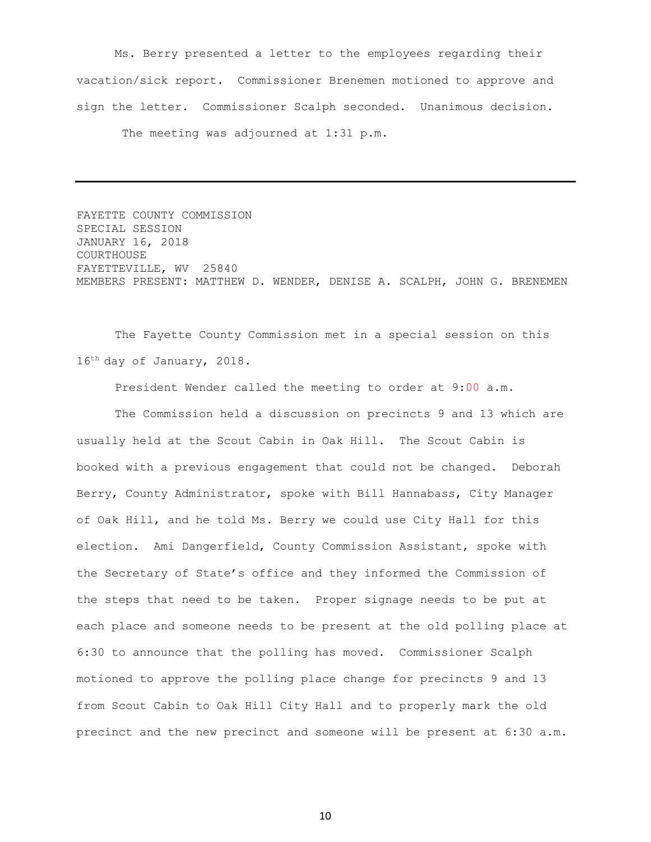Ms. Berry presented a letter to the employees regarding their vacation/sick report. Commissioner Brenemen motioned to approve and sign the letter. Commissioner Scalph seconded. Unanimous decision. The meeting was adjourned at 1:31 p.m.

FAYETTE COUNTY COMMISSION SPECIAL SESSION JANUARY 16, 2018 COURTHOUSE FAYETTEVILLE, WV 25840 MEMBERS PRESENT: MATTHEW D. WENDER, DENISE A. SCALPH, JOHN G. BRENEMEN

The Fayette County Commission met in a special session on this 16th day of January, 2018.

President Wender called the meeting to order at 9:00 a.m.

The Commission held a discussion on precincts 9 and 13 which are usually held at the Scout Cabin in Oak Hill. The Scout Cabin is booked with a previous engagement that could not be changed. Deborah Berry, County Administrator, spoke with Bill Hannabass, City Manager of Oak Hill, and he told Ms. Berry we could use City Hall for this election. Ami Dangerfield, County Commission Assistant, spoke with the Secretary of State's office and they informed the Commission of the steps that need to be taken. Proper signage needs to be put at each place and someone needs to be present at the old polling place at 6:30 to announce that the polling has moved. Commissioner Scalph motioned to approve the polling place change for precincts 9 and 13 from Scout Cabin to Oak Hill City Hall and to properly mark the old precinct and the new precinct and someone will be present at 6:30 a.m.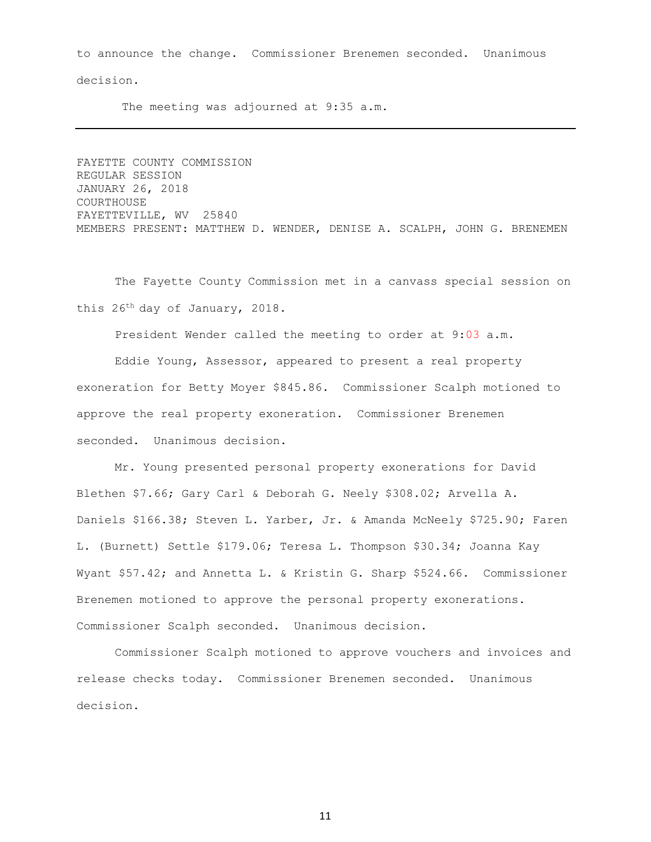to announce the change. Commissioner Brenemen seconded. Unanimous decision.

The meeting was adjourned at 9:35 a.m.

FAYETTE COUNTY COMMISSION REGULAR SESSION JANUARY 26, 2018 COURTHOUSE FAYETTEVILLE, WV 25840 MEMBERS PRESENT: MATTHEW D. WENDER, DENISE A. SCALPH, JOHN G. BRENEMEN

The Fayette County Commission met in a canvass special session on this 26th day of January, 2018.

President Wender called the meeting to order at 9:03 a.m.

Eddie Young, Assessor, appeared to present a real property exoneration for Betty Moyer \$845.86. Commissioner Scalph motioned to approve the real property exoneration. Commissioner Brenemen seconded. Unanimous decision.

Mr. Young presented personal property exonerations for David Blethen \$7.66; Gary Carl & Deborah G. Neely \$308.02; Arvella A. Daniels \$166.38; Steven L. Yarber, Jr. & Amanda McNeely \$725.90; Faren L. (Burnett) Settle \$179.06; Teresa L. Thompson \$30.34; Joanna Kay Wyant \$57.42; and Annetta L. & Kristin G. Sharp \$524.66. Commissioner Brenemen motioned to approve the personal property exonerations. Commissioner Scalph seconded. Unanimous decision.

Commissioner Scalph motioned to approve vouchers and invoices and release checks today. Commissioner Brenemen seconded. Unanimous decision.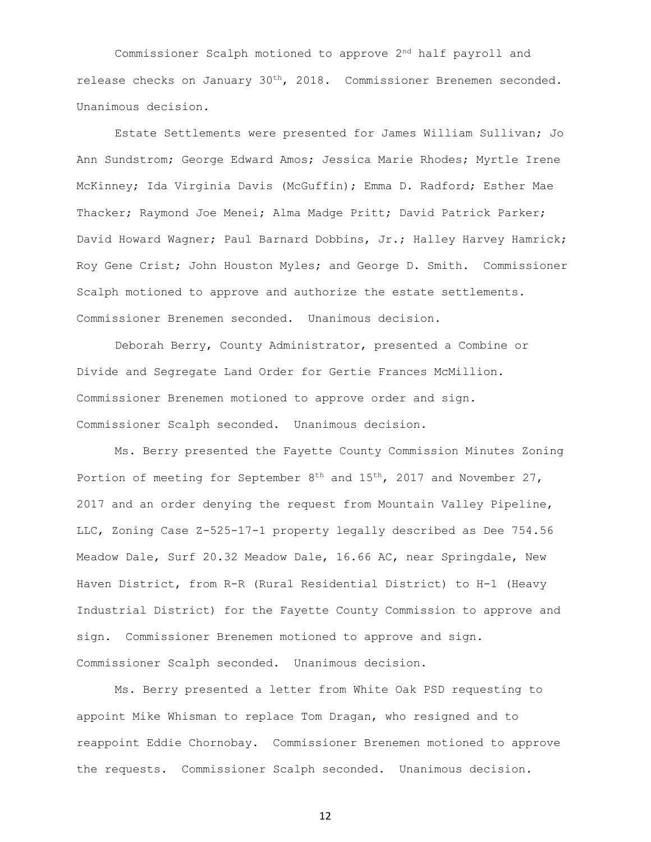Commissioner Scalph motioned to approve 2nd half payroll and release checks on January  $30<sup>th</sup>$ , 2018. Commissioner Brenemen seconded. Unanimous decision.

Estate Settlements were presented for James William Sullivan; Jo Ann Sundstrom; George Edward Amos; Jessica Marie Rhodes; Myrtle Irene McKinney; Ida Virginia Davis (McGuffin); Emma D. Radford; Esther Mae Thacker; Raymond Joe Menei; Alma Madge Pritt; David Patrick Parker; David Howard Wagner; Paul Barnard Dobbins, Jr.; Halley Harvey Hamrick; Roy Gene Crist; John Houston Myles; and George D. Smith. Commissioner Scalph motioned to approve and authorize the estate settlements. Commissioner Brenemen seconded. Unanimous decision.

Deborah Berry, County Administrator, presented a Combine or Divide and Segregate Land Order for Gertie Frances McMillion. Commissioner Brenemen motioned to approve order and sign. Commissioner Scalph seconded. Unanimous decision.

Ms. Berry presented the Fayette County Commission Minutes Zoning Portion of meeting for September 8<sup>th</sup> and 15<sup>th</sup>, 2017 and November 27, 2017 and an order denying the request from Mountain Valley Pipeline, LLC, Zoning Case Z-525-17-1 property legally described as Dee 754.56 Meadow Dale, Surf 20.32 Meadow Dale, 16.66 AC, near Springdale, New Haven District, from R-R (Rural Residential District) to H-1 (Heavy Industrial District) for the Fayette County Commission to approve and sign. Commissioner Brenemen motioned to approve and sign. Commissioner Scalph seconded. Unanimous decision.

Ms. Berry presented a letter from White Oak PSD requesting to appoint Mike Whisman to replace Tom Dragan, who resigned and to reappoint Eddie Chornobay. Commissioner Brenemen motioned to approve the requests. Commissioner Scalph seconded. Unanimous decision.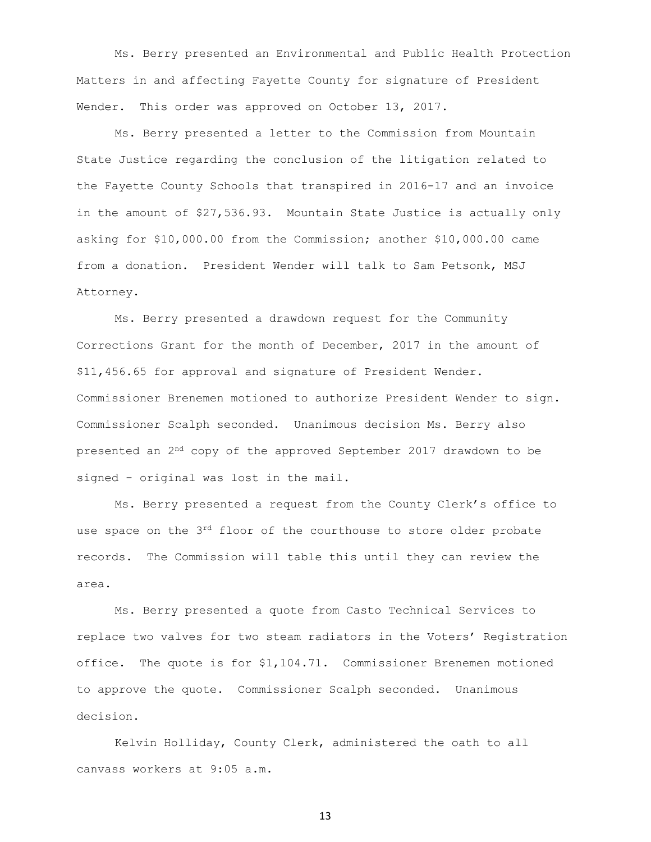Ms. Berry presented an Environmental and Public Health Protection Matters in and affecting Fayette County for signature of President Wender. This order was approved on October 13, 2017.

Ms. Berry presented a letter to the Commission from Mountain State Justice regarding the conclusion of the litigation related to the Fayette County Schools that transpired in 2016-17 and an invoice in the amount of \$27,536.93. Mountain State Justice is actually only asking for \$10,000.00 from the Commission; another \$10,000.00 came from a donation. President Wender will talk to Sam Petsonk, MSJ Attorney.

Ms. Berry presented a drawdown request for the Community Corrections Grant for the month of December, 2017 in the amount of \$11,456.65 for approval and signature of President Wender. Commissioner Brenemen motioned to authorize President Wender to sign. Commissioner Scalph seconded. Unanimous decision Ms. Berry also presented an 2nd copy of the approved September 2017 drawdown to be signed - original was lost in the mail.

Ms. Berry presented a request from the County Clerk's office to use space on the  $3<sup>rd</sup>$  floor of the courthouse to store older probate records. The Commission will table this until they can review the area.

Ms. Berry presented a quote from Casto Technical Services to replace two valves for two steam radiators in the Voters' Registration office. The quote is for \$1,104.71. Commissioner Brenemen motioned to approve the quote. Commissioner Scalph seconded. Unanimous decision.

Kelvin Holliday, County Clerk, administered the oath to all canvass workers at 9:05 a.m.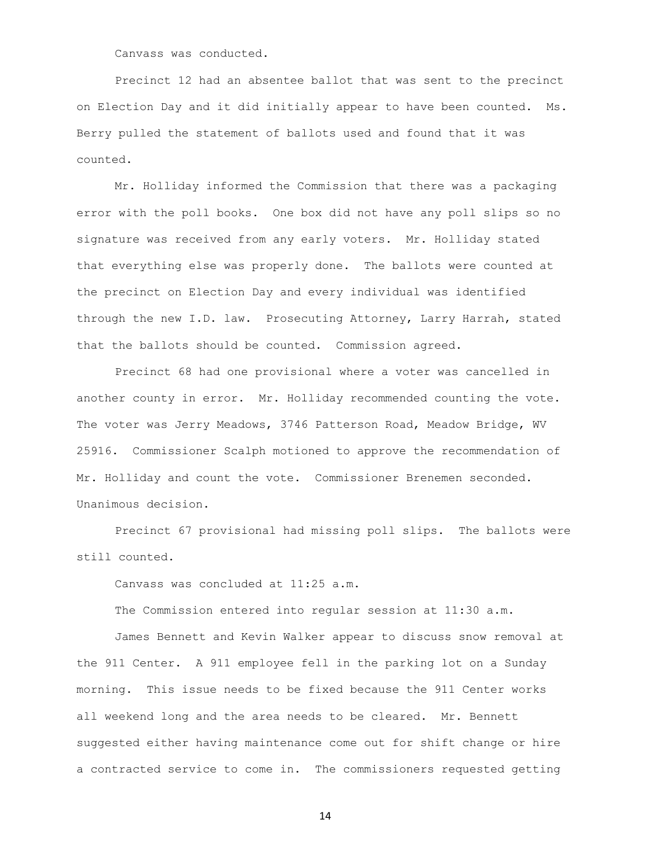Canvass was conducted.

Precinct 12 had an absentee ballot that was sent to the precinct on Election Day and it did initially appear to have been counted. Ms. Berry pulled the statement of ballots used and found that it was counted.

Mr. Holliday informed the Commission that there was a packaging error with the poll books. One box did not have any poll slips so no signature was received from any early voters. Mr. Holliday stated that everything else was properly done. The ballots were counted at the precinct on Election Day and every individual was identified through the new I.D. law. Prosecuting Attorney, Larry Harrah, stated that the ballots should be counted. Commission agreed.

Precinct 68 had one provisional where a voter was cancelled in another county in error. Mr. Holliday recommended counting the vote. The voter was Jerry Meadows, 3746 Patterson Road, Meadow Bridge, WV 25916. Commissioner Scalph motioned to approve the recommendation of Mr. Holliday and count the vote. Commissioner Brenemen seconded. Unanimous decision.

Precinct 67 provisional had missing poll slips. The ballots were still counted.

Canvass was concluded at 11:25 a.m.

The Commission entered into regular session at 11:30 a.m.

James Bennett and Kevin Walker appear to discuss snow removal at the 911 Center. A 911 employee fell in the parking lot on a Sunday morning. This issue needs to be fixed because the 911 Center works all weekend long and the area needs to be cleared. Mr. Bennett suggested either having maintenance come out for shift change or hire a contracted service to come in. The commissioners requested getting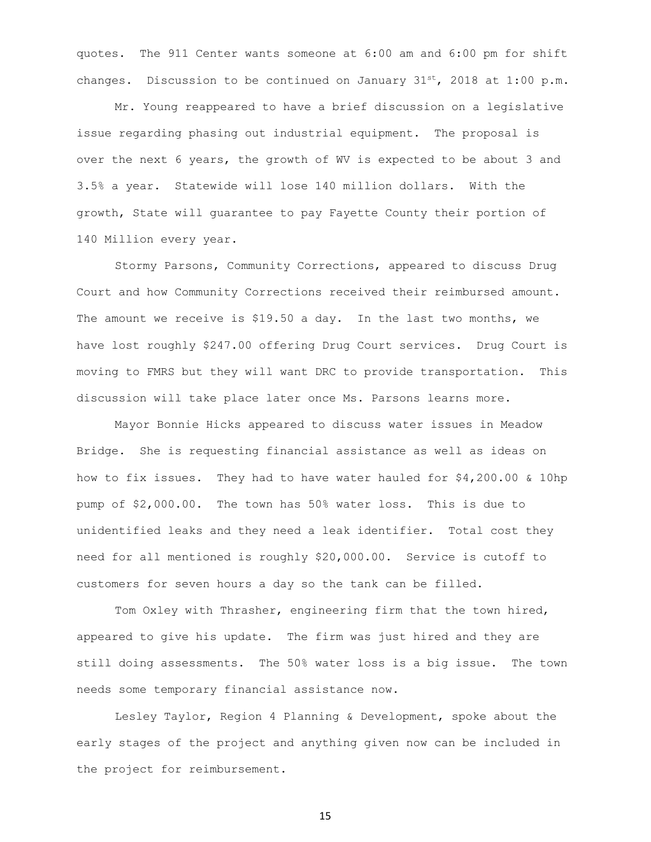quotes. The 911 Center wants someone at 6:00 am and 6:00 pm for shift changes. Discussion to be continued on January  $31^{st}$ , 2018 at 1:00 p.m.

Mr. Young reappeared to have a brief discussion on a legislative issue regarding phasing out industrial equipment. The proposal is over the next 6 years, the growth of WV is expected to be about 3 and 3.5% a year. Statewide will lose 140 million dollars. With the growth, State will guarantee to pay Fayette County their portion of 140 Million every year.

Stormy Parsons, Community Corrections, appeared to discuss Drug Court and how Community Corrections received their reimbursed amount. The amount we receive is \$19.50 a day. In the last two months, we have lost roughly \$247.00 offering Drug Court services. Drug Court is moving to FMRS but they will want DRC to provide transportation. This discussion will take place later once Ms. Parsons learns more.

Mayor Bonnie Hicks appeared to discuss water issues in Meadow Bridge. She is requesting financial assistance as well as ideas on how to fix issues. They had to have water hauled for \$4,200.00 & 10hp pump of \$2,000.00. The town has 50% water loss. This is due to unidentified leaks and they need a leak identifier. Total cost they need for all mentioned is roughly \$20,000.00. Service is cutoff to customers for seven hours a day so the tank can be filled.

Tom Oxley with Thrasher, engineering firm that the town hired, appeared to give his update. The firm was just hired and they are still doing assessments. The 50% water loss is a big issue. The town needs some temporary financial assistance now.

Lesley Taylor, Region 4 Planning & Development, spoke about the early stages of the project and anything given now can be included in the project for reimbursement.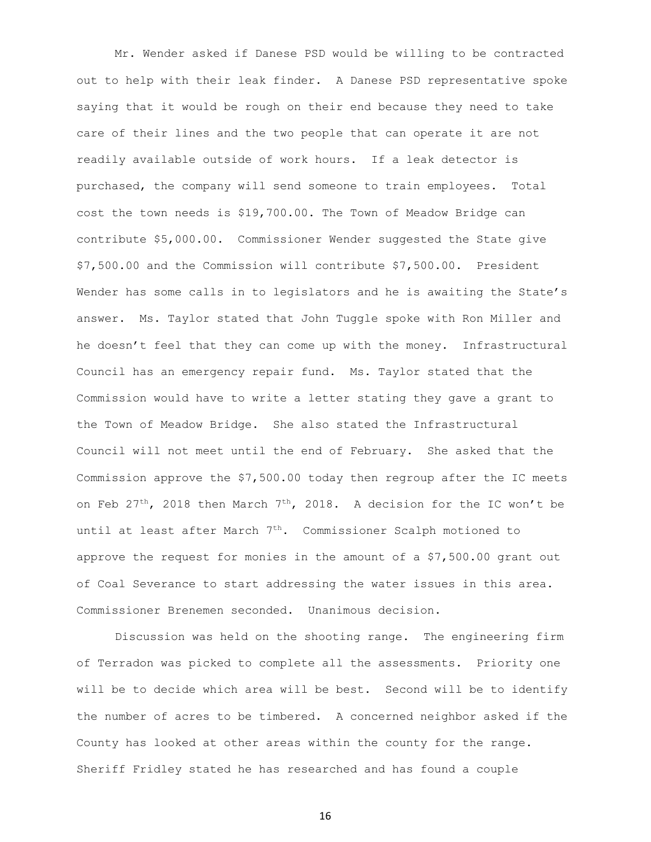Mr. Wender asked if Danese PSD would be willing to be contracted out to help with their leak finder. A Danese PSD representative spoke saying that it would be rough on their end because they need to take care of their lines and the two people that can operate it are not readily available outside of work hours. If a leak detector is purchased, the company will send someone to train employees. Total cost the town needs is \$19,700.00. The Town of Meadow Bridge can contribute \$5,000.00. Commissioner Wender suggested the State give \$7,500.00 and the Commission will contribute \$7,500.00. President Wender has some calls in to legislators and he is awaiting the State's answer. Ms. Taylor stated that John Tuggle spoke with Ron Miller and he doesn't feel that they can come up with the money. Infrastructural Council has an emergency repair fund. Ms. Taylor stated that the Commission would have to write a letter stating they gave a grant to the Town of Meadow Bridge. She also stated the Infrastructural Council will not meet until the end of February. She asked that the Commission approve the \$7,500.00 today then regroup after the IC meets on Feb 27<sup>th</sup>, 2018 then March 7<sup>th</sup>, 2018. A decision for the IC won't be until at least after March 7<sup>th</sup>. Commissioner Scalph motioned to approve the request for monies in the amount of a \$7,500.00 grant out of Coal Severance to start addressing the water issues in this area. Commissioner Brenemen seconded. Unanimous decision.

Discussion was held on the shooting range. The engineering firm of Terradon was picked to complete all the assessments. Priority one will be to decide which area will be best. Second will be to identify the number of acres to be timbered. A concerned neighbor asked if the County has looked at other areas within the county for the range. Sheriff Fridley stated he has researched and has found a couple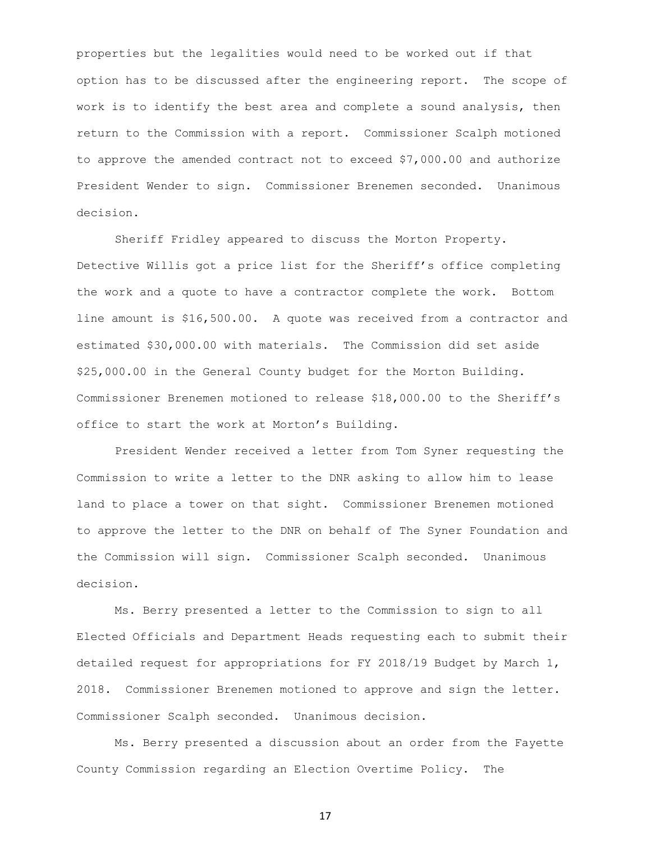properties but the legalities would need to be worked out if that option has to be discussed after the engineering report. The scope of work is to identify the best area and complete a sound analysis, then return to the Commission with a report. Commissioner Scalph motioned to approve the amended contract not to exceed \$7,000.00 and authorize President Wender to sign. Commissioner Brenemen seconded. Unanimous decision.

Sheriff Fridley appeared to discuss the Morton Property. Detective Willis got a price list for the Sheriff's office completing the work and a quote to have a contractor complete the work. Bottom line amount is \$16,500.00. A quote was received from a contractor and estimated \$30,000.00 with materials. The Commission did set aside \$25,000.00 in the General County budget for the Morton Building. Commissioner Brenemen motioned to release \$18,000.00 to the Sheriff's office to start the work at Morton's Building.

President Wender received a letter from Tom Syner requesting the Commission to write a letter to the DNR asking to allow him to lease land to place a tower on that sight. Commissioner Brenemen motioned to approve the letter to the DNR on behalf of The Syner Foundation and the Commission will sign. Commissioner Scalph seconded. Unanimous decision.

Ms. Berry presented a letter to the Commission to sign to all Elected Officials and Department Heads requesting each to submit their detailed request for appropriations for FY 2018/19 Budget by March 1, 2018. Commissioner Brenemen motioned to approve and sign the letter. Commissioner Scalph seconded. Unanimous decision.

Ms. Berry presented a discussion about an order from the Fayette County Commission regarding an Election Overtime Policy. The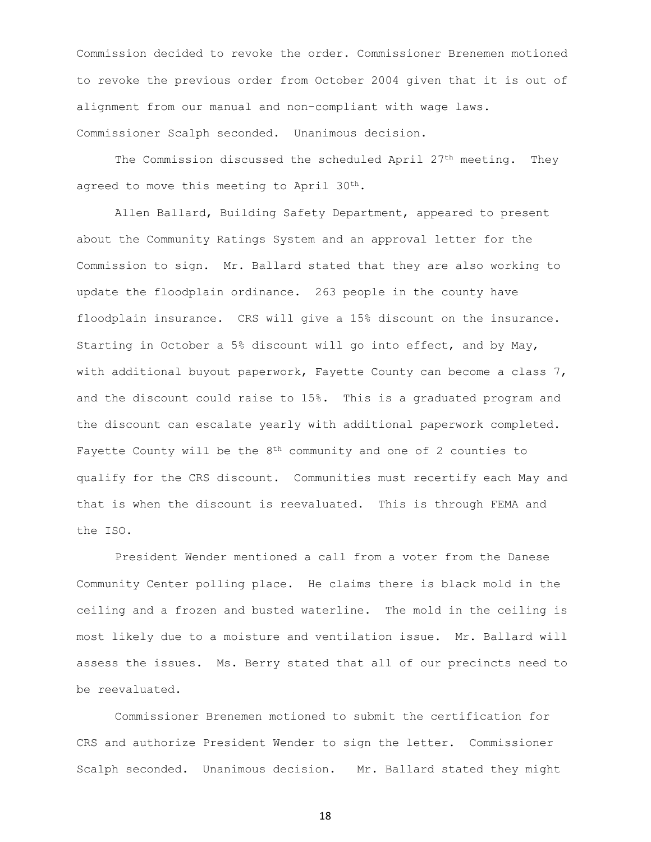Commission decided to revoke the order. Commissioner Brenemen motioned to revoke the previous order from October 2004 given that it is out of alignment from our manual and non-compliant with wage laws. Commissioner Scalph seconded. Unanimous decision.

The Commission discussed the scheduled April  $27<sup>th</sup>$  meeting. They agreed to move this meeting to April 30<sup>th</sup>.

Allen Ballard, Building Safety Department, appeared to present about the Community Ratings System and an approval letter for the Commission to sign. Mr. Ballard stated that they are also working to update the floodplain ordinance. 263 people in the county have floodplain insurance. CRS will give a 15% discount on the insurance. Starting in October a 5% discount will go into effect, and by May, with additional buyout paperwork, Fayette County can become a class 7, and the discount could raise to 15%. This is a graduated program and the discount can escalate yearly with additional paperwork completed. Fayette County will be the 8th community and one of 2 counties to qualify for the CRS discount. Communities must recertify each May and that is when the discount is reevaluated. This is through FEMA and the ISO.

President Wender mentioned a call from a voter from the Danese Community Center polling place. He claims there is black mold in the ceiling and a frozen and busted waterline. The mold in the ceiling is most likely due to a moisture and ventilation issue. Mr. Ballard will assess the issues. Ms. Berry stated that all of our precincts need to be reevaluated.

Commissioner Brenemen motioned to submit the certification for CRS and authorize President Wender to sign the letter. Commissioner Scalph seconded. Unanimous decision. Mr. Ballard stated they might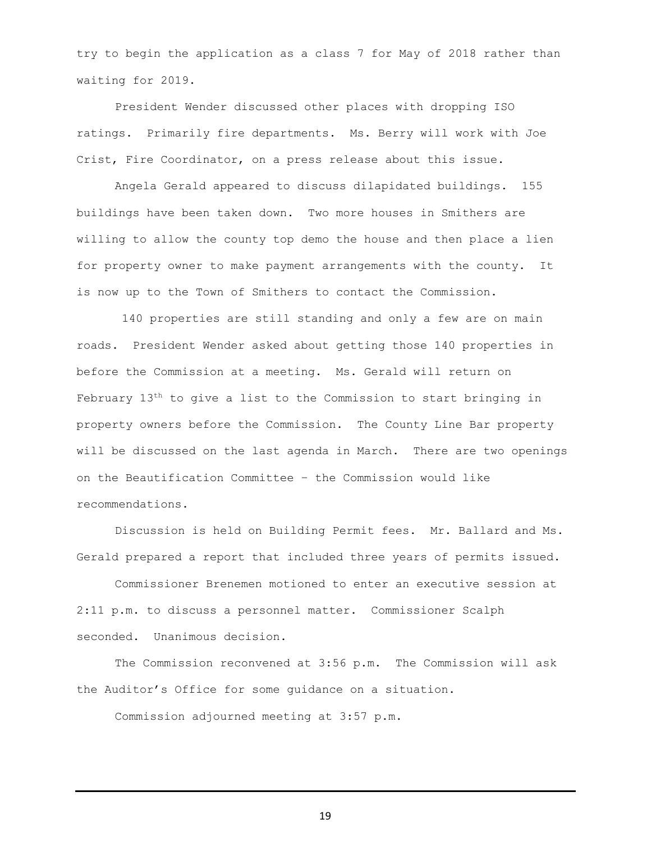try to begin the application as a class 7 for May of 2018 rather than waiting for 2019.

President Wender discussed other places with dropping ISO ratings. Primarily fire departments. Ms. Berry will work with Joe Crist, Fire Coordinator, on a press release about this issue.

Angela Gerald appeared to discuss dilapidated buildings. 155 buildings have been taken down. Two more houses in Smithers are willing to allow the county top demo the house and then place a lien for property owner to make payment arrangements with the county. It is now up to the Town of Smithers to contact the Commission.

140 properties are still standing and only a few are on main roads. President Wender asked about getting those 140 properties in before the Commission at a meeting. Ms. Gerald will return on February 13th to give a list to the Commission to start bringing in property owners before the Commission. The County Line Bar property will be discussed on the last agenda in March. There are two openings on the Beautification Committee – the Commission would like recommendations.

Discussion is held on Building Permit fees. Mr. Ballard and Ms. Gerald prepared a report that included three years of permits issued.

Commissioner Brenemen motioned to enter an executive session at 2:11 p.m. to discuss a personnel matter. Commissioner Scalph seconded. Unanimous decision.

The Commission reconvened at 3:56 p.m. The Commission will ask the Auditor's Office for some guidance on a situation.

Commission adjourned meeting at 3:57 p.m.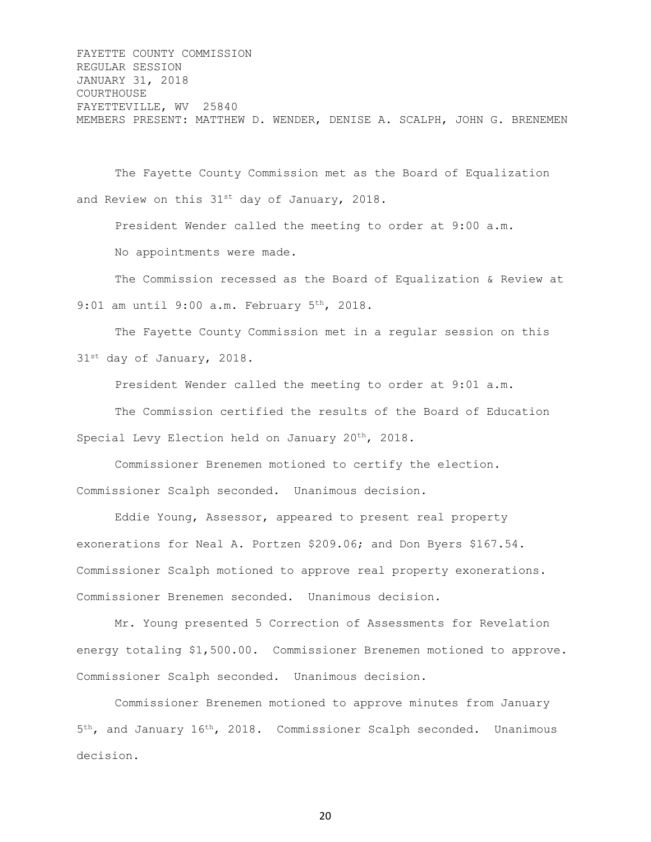FAYETTE COUNTY COMMISSION REGULAR SESSION JANUARY 31, 2018 COURTHOUSE FAYETTEVILLE, WV 25840 MEMBERS PRESENT: MATTHEW D. WENDER, DENISE A. SCALPH, JOHN G. BRENEMEN

The Fayette County Commission met as the Board of Equalization and Review on this 31<sup>st</sup> day of January, 2018.

President Wender called the meeting to order at 9:00 a.m. No appointments were made.

The Commission recessed as the Board of Equalization & Review at 9:01 am until 9:00 a.m. February 5<sup>th</sup>, 2018.

The Fayette County Commission met in a regular session on this 31<sup>st</sup> day of January, 2018.

President Wender called the meeting to order at 9:01 a.m.

The Commission certified the results of the Board of Education Special Levy Election held on January 20<sup>th</sup>, 2018.

Commissioner Brenemen motioned to certify the election. Commissioner Scalph seconded. Unanimous decision.

Eddie Young, Assessor, appeared to present real property exonerations for Neal A. Portzen \$209.06; and Don Byers \$167.54. Commissioner Scalph motioned to approve real property exonerations. Commissioner Brenemen seconded. Unanimous decision.

Mr. Young presented 5 Correction of Assessments for Revelation energy totaling \$1,500.00. Commissioner Brenemen motioned to approve. Commissioner Scalph seconded. Unanimous decision.

Commissioner Brenemen motioned to approve minutes from January 5<sup>th</sup>, and January 16<sup>th</sup>, 2018. Commissioner Scalph seconded. Unanimous decision.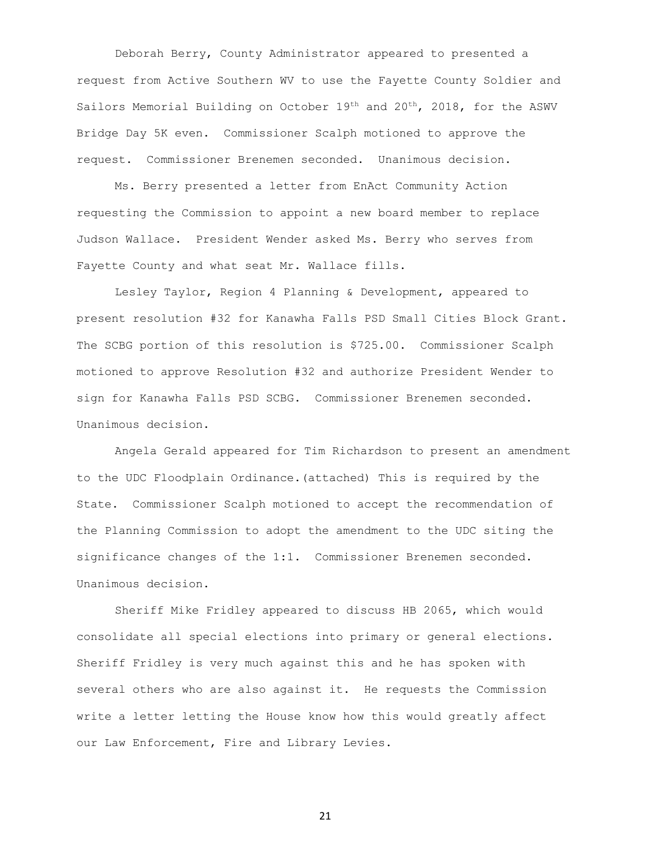Deborah Berry, County Administrator appeared to presented a request from Active Southern WV to use the Fayette County Soldier and Sailors Memorial Building on October 19th and 20th, 2018, for the ASWV Bridge Day 5K even. Commissioner Scalph motioned to approve the request. Commissioner Brenemen seconded. Unanimous decision.

Ms. Berry presented a letter from EnAct Community Action requesting the Commission to appoint a new board member to replace Judson Wallace. President Wender asked Ms. Berry who serves from Fayette County and what seat Mr. Wallace fills.

Lesley Taylor, Region 4 Planning & Development, appeared to present resolution #32 for Kanawha Falls PSD Small Cities Block Grant. The SCBG portion of this resolution is \$725.00. Commissioner Scalph motioned to approve Resolution #32 and authorize President Wender to sign for Kanawha Falls PSD SCBG. Commissioner Brenemen seconded. Unanimous decision.

Angela Gerald appeared for Tim Richardson to present an amendment to the UDC Floodplain Ordinance.(attached) This is required by the State. Commissioner Scalph motioned to accept the recommendation of the Planning Commission to adopt the amendment to the UDC siting the significance changes of the 1:1. Commissioner Brenemen seconded. Unanimous decision.

Sheriff Mike Fridley appeared to discuss HB 2065, which would consolidate all special elections into primary or general elections. Sheriff Fridley is very much against this and he has spoken with several others who are also against it. He requests the Commission write a letter letting the House know how this would greatly affect our Law Enforcement, Fire and Library Levies.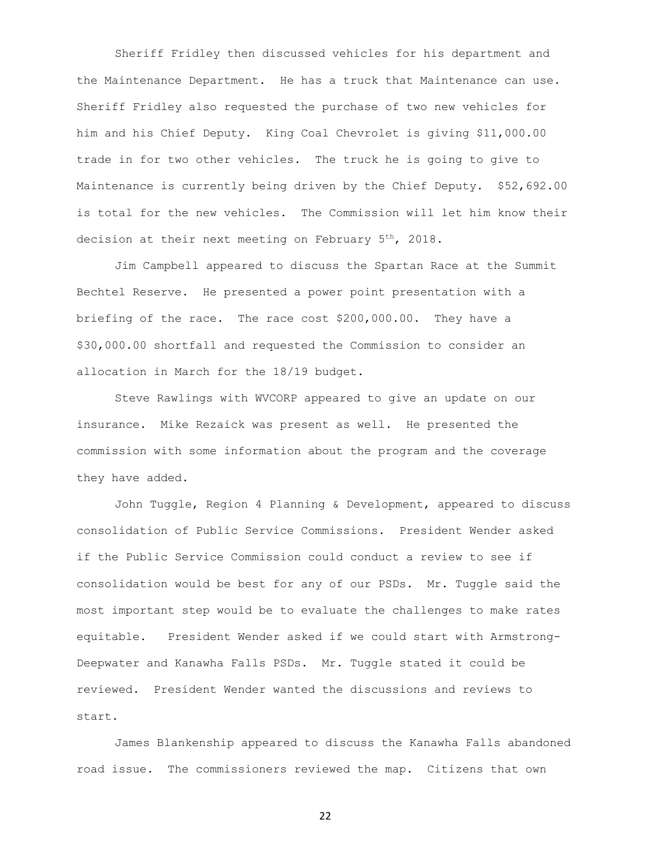Sheriff Fridley then discussed vehicles for his department and the Maintenance Department. He has a truck that Maintenance can use. Sheriff Fridley also requested the purchase of two new vehicles for him and his Chief Deputy. King Coal Chevrolet is giving \$11,000.00 trade in for two other vehicles. The truck he is going to give to Maintenance is currently being driven by the Chief Deputy. \$52,692.00 is total for the new vehicles. The Commission will let him know their decision at their next meeting on February 5<sup>th</sup>, 2018.

Jim Campbell appeared to discuss the Spartan Race at the Summit Bechtel Reserve. He presented a power point presentation with a briefing of the race. The race cost \$200,000.00. They have a \$30,000.00 shortfall and requested the Commission to consider an allocation in March for the 18/19 budget.

Steve Rawlings with WVCORP appeared to give an update on our insurance. Mike Rezaick was present as well. He presented the commission with some information about the program and the coverage they have added.

John Tuggle, Region 4 Planning & Development, appeared to discuss consolidation of Public Service Commissions. President Wender asked if the Public Service Commission could conduct a review to see if consolidation would be best for any of our PSDs. Mr. Tuggle said the most important step would be to evaluate the challenges to make rates equitable. President Wender asked if we could start with Armstrong-Deepwater and Kanawha Falls PSDs. Mr. Tuggle stated it could be reviewed. President Wender wanted the discussions and reviews to start.

James Blankenship appeared to discuss the Kanawha Falls abandoned road issue. The commissioners reviewed the map. Citizens that own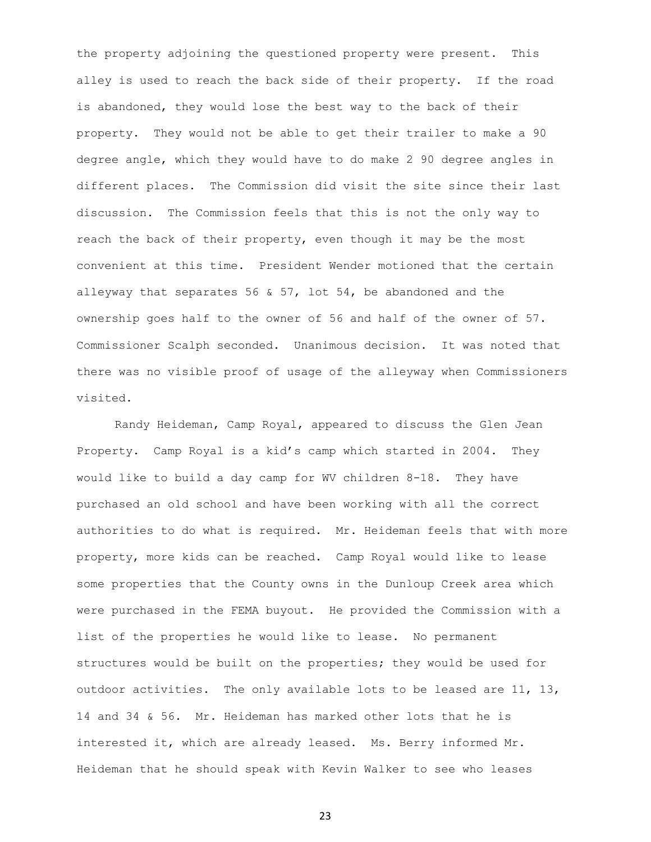the property adjoining the questioned property were present. This alley is used to reach the back side of their property. If the road is abandoned, they would lose the best way to the back of their property. They would not be able to get their trailer to make a 90 degree angle, which they would have to do make 2 90 degree angles in different places. The Commission did visit the site since their last discussion. The Commission feels that this is not the only way to reach the back of their property, even though it may be the most convenient at this time. President Wender motioned that the certain alleyway that separates 56 & 57, lot 54, be abandoned and the ownership goes half to the owner of 56 and half of the owner of 57. Commissioner Scalph seconded. Unanimous decision. It was noted that there was no visible proof of usage of the alleyway when Commissioners visited.

Randy Heideman, Camp Royal, appeared to discuss the Glen Jean Property. Camp Royal is a kid's camp which started in 2004. They would like to build a day camp for WV children 8-18. They have purchased an old school and have been working with all the correct authorities to do what is required. Mr. Heideman feels that with more property, more kids can be reached. Camp Royal would like to lease some properties that the County owns in the Dunloup Creek area which were purchased in the FEMA buyout. He provided the Commission with a list of the properties he would like to lease. No permanent structures would be built on the properties; they would be used for outdoor activities. The only available lots to be leased are 11, 13, 14 and 34 & 56. Mr. Heideman has marked other lots that he is interested it, which are already leased. Ms. Berry informed Mr. Heideman that he should speak with Kevin Walker to see who leases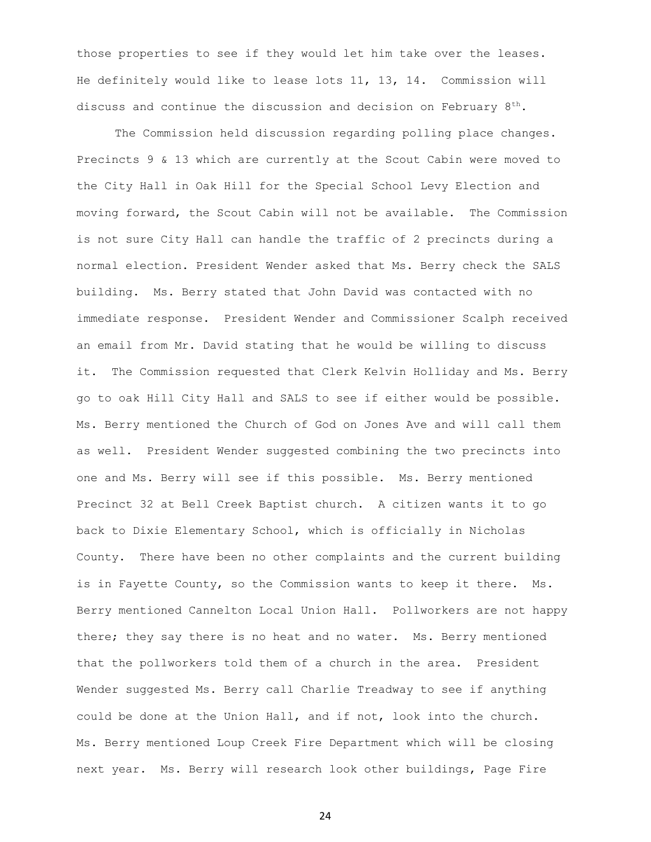those properties to see if they would let him take over the leases. He definitely would like to lease lots 11, 13, 14. Commission will discuss and continue the discussion and decision on February  $8<sup>th</sup>$ .

The Commission held discussion regarding polling place changes. Precincts 9 & 13 which are currently at the Scout Cabin were moved to the City Hall in Oak Hill for the Special School Levy Election and moving forward, the Scout Cabin will not be available. The Commission is not sure City Hall can handle the traffic of 2 precincts during a normal election. President Wender asked that Ms. Berry check the SALS building. Ms. Berry stated that John David was contacted with no immediate response. President Wender and Commissioner Scalph received an email from Mr. David stating that he would be willing to discuss it. The Commission requested that Clerk Kelvin Holliday and Ms. Berry go to oak Hill City Hall and SALS to see if either would be possible. Ms. Berry mentioned the Church of God on Jones Ave and will call them as well. President Wender suggested combining the two precincts into one and Ms. Berry will see if this possible. Ms. Berry mentioned Precinct 32 at Bell Creek Baptist church. A citizen wants it to go back to Dixie Elementary School, which is officially in Nicholas County. There have been no other complaints and the current building is in Fayette County, so the Commission wants to keep it there. Ms. Berry mentioned Cannelton Local Union Hall. Pollworkers are not happy there; they say there is no heat and no water. Ms. Berry mentioned that the pollworkers told them of a church in the area. President Wender suggested Ms. Berry call Charlie Treadway to see if anything could be done at the Union Hall, and if not, look into the church. Ms. Berry mentioned Loup Creek Fire Department which will be closing next year. Ms. Berry will research look other buildings, Page Fire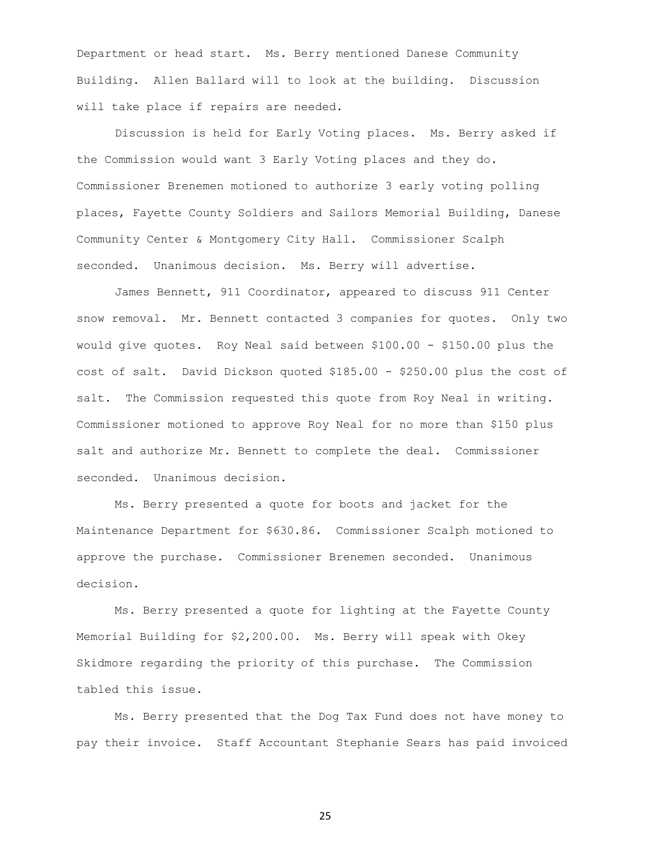Department or head start. Ms. Berry mentioned Danese Community Building. Allen Ballard will to look at the building. Discussion will take place if repairs are needed.

Discussion is held for Early Voting places. Ms. Berry asked if the Commission would want 3 Early Voting places and they do. Commissioner Brenemen motioned to authorize 3 early voting polling places, Fayette County Soldiers and Sailors Memorial Building, Danese Community Center & Montgomery City Hall. Commissioner Scalph seconded. Unanimous decision. Ms. Berry will advertise.

James Bennett, 911 Coordinator, appeared to discuss 911 Center snow removal. Mr. Bennett contacted 3 companies for quotes. Only two would give quotes. Roy Neal said between \$100.00 - \$150.00 plus the cost of salt. David Dickson quoted \$185.00 - \$250.00 plus the cost of salt. The Commission requested this quote from Roy Neal in writing. Commissioner motioned to approve Roy Neal for no more than \$150 plus salt and authorize Mr. Bennett to complete the deal. Commissioner seconded. Unanimous decision.

Ms. Berry presented a quote for boots and jacket for the Maintenance Department for \$630.86. Commissioner Scalph motioned to approve the purchase. Commissioner Brenemen seconded. Unanimous decision.

Ms. Berry presented a quote for lighting at the Fayette County Memorial Building for \$2,200.00. Ms. Berry will speak with Okey Skidmore regarding the priority of this purchase. The Commission tabled this issue.

Ms. Berry presented that the Dog Tax Fund does not have money to pay their invoice. Staff Accountant Stephanie Sears has paid invoiced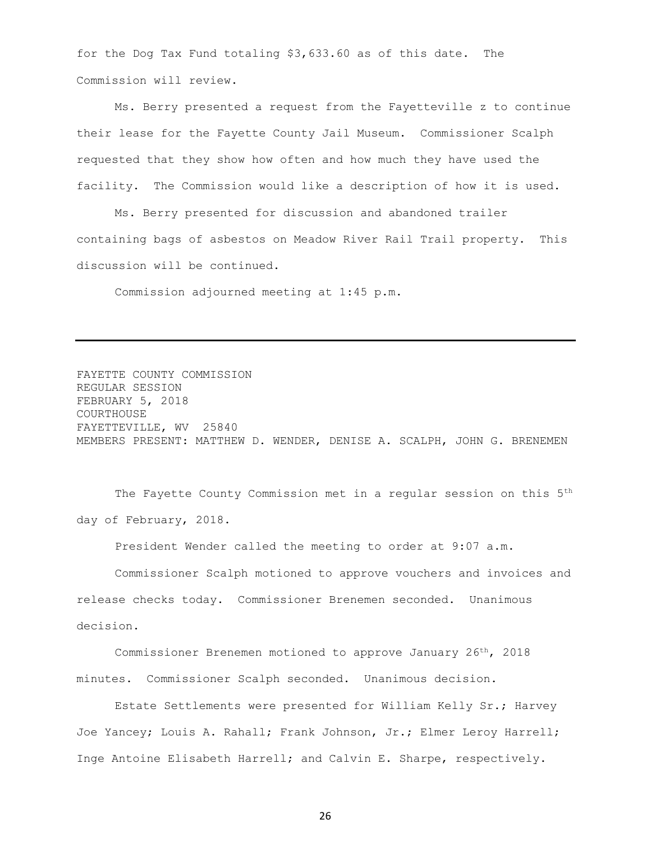for the Dog Tax Fund totaling \$3,633.60 as of this date. The Commission will review.

Ms. Berry presented a request from the Fayetteville z to continue their lease for the Fayette County Jail Museum. Commissioner Scalph requested that they show how often and how much they have used the facility. The Commission would like a description of how it is used.

Ms. Berry presented for discussion and abandoned trailer containing bags of asbestos on Meadow River Rail Trail property. This discussion will be continued.

Commission adjourned meeting at 1:45 p.m.

FAYETTE COUNTY COMMISSION REGULAR SESSION FEBRUARY 5, 2018 COURTHOUSE FAYETTEVILLE, WV 25840 MEMBERS PRESENT: MATTHEW D. WENDER, DENISE A. SCALPH, JOHN G. BRENEMEN

The Fayette County Commission met in a regular session on this 5<sup>th</sup> day of February, 2018.

President Wender called the meeting to order at 9:07 a.m.

Commissioner Scalph motioned to approve vouchers and invoices and release checks today. Commissioner Brenemen seconded. Unanimous decision.

Commissioner Brenemen motioned to approve January 26th, 2018 minutes. Commissioner Scalph seconded. Unanimous decision.

Estate Settlements were presented for William Kelly Sr.; Harvey Joe Yancey; Louis A. Rahall; Frank Johnson, Jr.; Elmer Leroy Harrell; Inge Antoine Elisabeth Harrell; and Calvin E. Sharpe, respectively.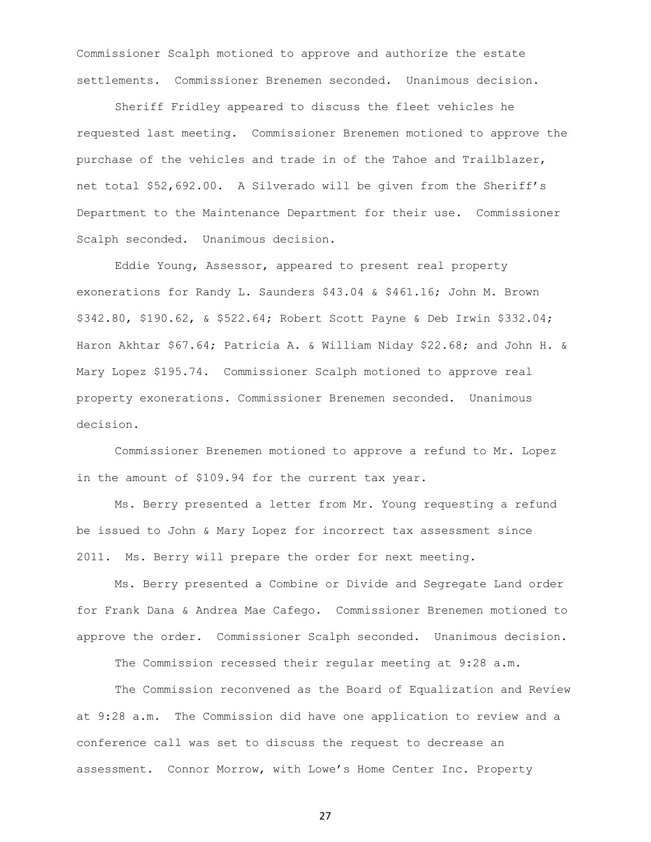Commissioner Scalph motioned to approve and authorize the estate settlements. Commissioner Brenemen seconded. Unanimous decision.

Sheriff Fridley appeared to discuss the fleet vehicles he requested last meeting. Commissioner Brenemen motioned to approve the purchase of the vehicles and trade in of the Tahoe and Trailblazer, net total \$52,692.00. A Silverado will be given from the Sheriff's Department to the Maintenance Department for their use. Commissioner Scalph seconded. Unanimous decision.

Eddie Young, Assessor, appeared to present real property exonerations for Randy L. Saunders \$43.04 & \$461.16; John M. Brown \$342.80, \$190.62, & \$522.64; Robert Scott Payne & Deb Irwin \$332.04; Haron Akhtar \$67.64; Patricia A. & William Niday \$22.68; and John H. & Mary Lopez \$195.74. Commissioner Scalph motioned to approve real property exonerations. Commissioner Brenemen seconded. Unanimous decision.

Commissioner Brenemen motioned to approve a refund to Mr. Lopez in the amount of \$109.94 for the current tax year.

Ms. Berry presented a letter from Mr. Young requesting a refund be issued to John & Mary Lopez for incorrect tax assessment since 2011. Ms. Berry will prepare the order for next meeting.

Ms. Berry presented a Combine or Divide and Segregate Land order for Frank Dana & Andrea Mae Cafego. Commissioner Brenemen motioned to approve the order. Commissioner Scalph seconded. Unanimous decision.

The Commission recessed their regular meeting at 9:28 a.m.

The Commission reconvened as the Board of Equalization and Review at 9:28 a.m. The Commission did have one application to review and a conference call was set to discuss the request to decrease an assessment. Connor Morrow, with Lowe's Home Center Inc. Property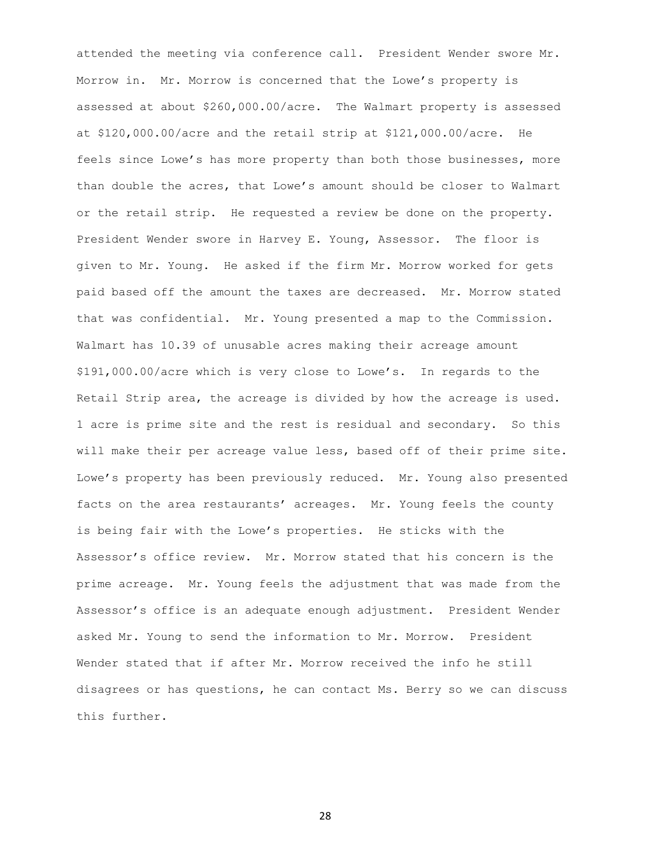attended the meeting via conference call. President Wender swore Mr. Morrow in. Mr. Morrow is concerned that the Lowe's property is assessed at about \$260,000.00/acre. The Walmart property is assessed at \$120,000.00/acre and the retail strip at \$121,000.00/acre. He feels since Lowe's has more property than both those businesses, more than double the acres, that Lowe's amount should be closer to Walmart or the retail strip. He requested a review be done on the property. President Wender swore in Harvey E. Young, Assessor. The floor is given to Mr. Young. He asked if the firm Mr. Morrow worked for gets paid based off the amount the taxes are decreased. Mr. Morrow stated that was confidential. Mr. Young presented a map to the Commission. Walmart has 10.39 of unusable acres making their acreage amount \$191,000.00/acre which is very close to Lowe's. In regards to the Retail Strip area, the acreage is divided by how the acreage is used. 1 acre is prime site and the rest is residual and secondary. So this will make their per acreage value less, based off of their prime site. Lowe's property has been previously reduced. Mr. Young also presented facts on the area restaurants' acreages. Mr. Young feels the county is being fair with the Lowe's properties. He sticks with the Assessor's office review. Mr. Morrow stated that his concern is the prime acreage. Mr. Young feels the adjustment that was made from the Assessor's office is an adequate enough adjustment. President Wender asked Mr. Young to send the information to Mr. Morrow. President Wender stated that if after Mr. Morrow received the info he still disagrees or has questions, he can contact Ms. Berry so we can discuss this further.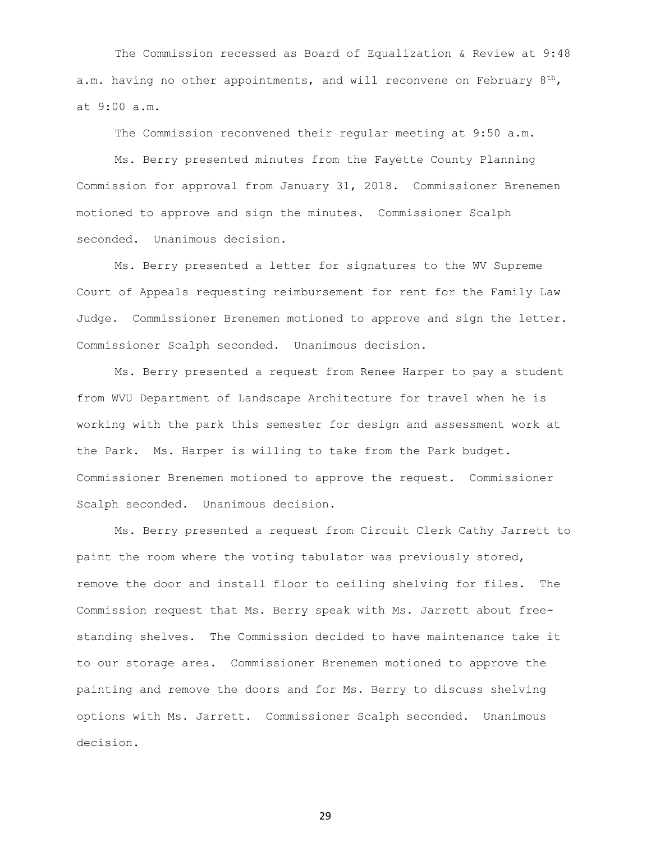The Commission recessed as Board of Equalization & Review at 9:48 a.m. having no other appointments, and will reconvene on February  $8^{th}$ , at 9:00 a.m.

The Commission reconvened their regular meeting at 9:50 a.m.

Ms. Berry presented minutes from the Fayette County Planning Commission for approval from January 31, 2018. Commissioner Brenemen motioned to approve and sign the minutes. Commissioner Scalph seconded. Unanimous decision.

Ms. Berry presented a letter for signatures to the WV Supreme Court of Appeals requesting reimbursement for rent for the Family Law Judge. Commissioner Brenemen motioned to approve and sign the letter. Commissioner Scalph seconded. Unanimous decision.

Ms. Berry presented a request from Renee Harper to pay a student from WVU Department of Landscape Architecture for travel when he is working with the park this semester for design and assessment work at the Park. Ms. Harper is willing to take from the Park budget. Commissioner Brenemen motioned to approve the request. Commissioner Scalph seconded. Unanimous decision.

Ms. Berry presented a request from Circuit Clerk Cathy Jarrett to paint the room where the voting tabulator was previously stored, remove the door and install floor to ceiling shelving for files. The Commission request that Ms. Berry speak with Ms. Jarrett about freestanding shelves. The Commission decided to have maintenance take it to our storage area. Commissioner Brenemen motioned to approve the painting and remove the doors and for Ms. Berry to discuss shelving options with Ms. Jarrett. Commissioner Scalph seconded. Unanimous decision.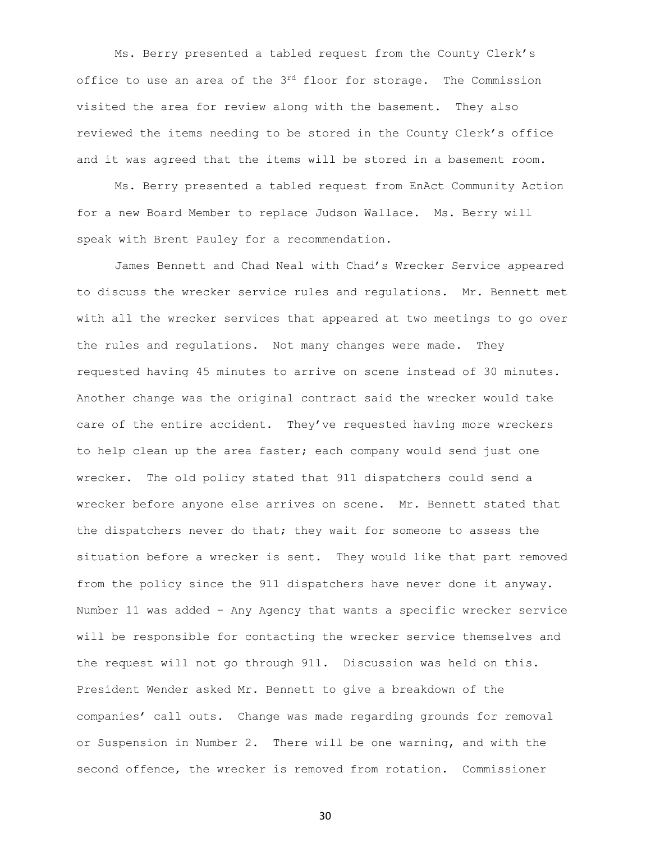Ms. Berry presented a tabled request from the County Clerk's office to use an area of the 3rd floor for storage. The Commission visited the area for review along with the basement. They also reviewed the items needing to be stored in the County Clerk's office and it was agreed that the items will be stored in a basement room.

Ms. Berry presented a tabled request from EnAct Community Action for a new Board Member to replace Judson Wallace. Ms. Berry will speak with Brent Pauley for a recommendation.

James Bennett and Chad Neal with Chad's Wrecker Service appeared to discuss the wrecker service rules and regulations. Mr. Bennett met with all the wrecker services that appeared at two meetings to go over the rules and regulations. Not many changes were made. They requested having 45 minutes to arrive on scene instead of 30 minutes. Another change was the original contract said the wrecker would take care of the entire accident. They've requested having more wreckers to help clean up the area faster; each company would send just one wrecker. The old policy stated that 911 dispatchers could send a wrecker before anyone else arrives on scene. Mr. Bennett stated that the dispatchers never do that; they wait for someone to assess the situation before a wrecker is sent. They would like that part removed from the policy since the 911 dispatchers have never done it anyway. Number 11 was added – Any Agency that wants a specific wrecker service will be responsible for contacting the wrecker service themselves and the request will not go through 911. Discussion was held on this. President Wender asked Mr. Bennett to give a breakdown of the companies' call outs. Change was made regarding grounds for removal or Suspension in Number 2. There will be one warning, and with the second offence, the wrecker is removed from rotation. Commissioner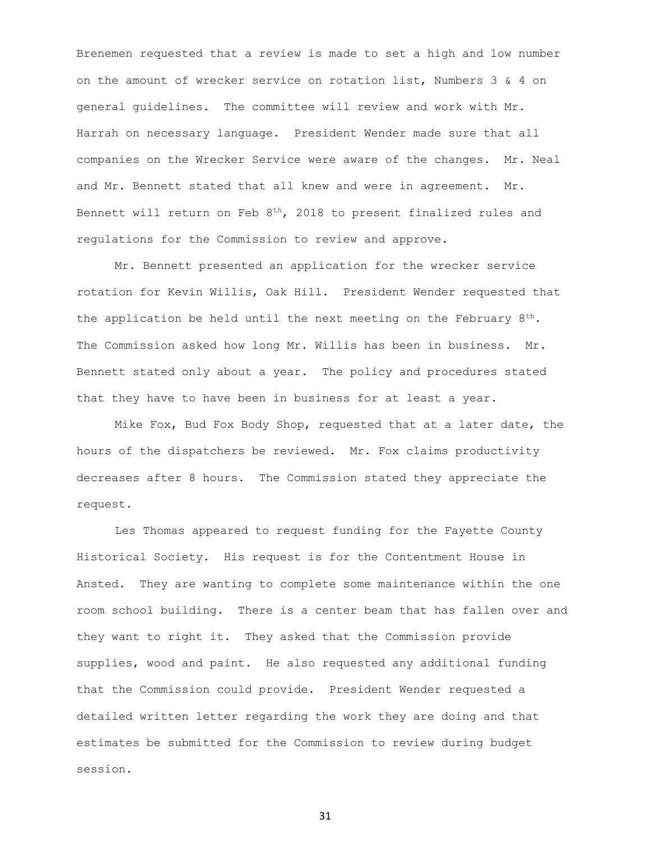Brenemen requested that a review is made to set a high and low number on the amount of wrecker service on rotation list, Numbers 3 & 4 on general guidelines. The committee will review and work with Mr. Harrah on necessary language. President Wender made sure that all companies on the Wrecker Service were aware of the changes. Mr. Neal and Mr. Bennett stated that all knew and were in agreement. Mr. Bennett will return on Feb 8<sup>th</sup>, 2018 to present finalized rules and regulations for the Commission to review and approve.

Mr. Bennett presented an application for the wrecker service rotation for Kevin Willis, Oak Hill. President Wender requested that the application be held until the next meeting on the February  $8^{th}$ . The Commission asked how long Mr. Willis has been in business. Mr. Bennett stated only about a year. The policy and procedures stated that they have to have been in business for at least a year.

Mike Fox, Bud Fox Body Shop, requested that at a later date, the hours of the dispatchers be reviewed. Mr. Fox claims productivity decreases after 8 hours. The Commission stated they appreciate the request.

Les Thomas appeared to request funding for the Fayette County Historical Society. His request is for the Contentment House in Ansted. They are wanting to complete some maintenance within the one room school building. There is a center beam that has fallen over and they want to right it. They asked that the Commission provide supplies, wood and paint. He also requested any additional funding that the Commission could provide. President Wender requested a detailed written letter regarding the work they are doing and that estimates be submitted for the Commission to review during budget session.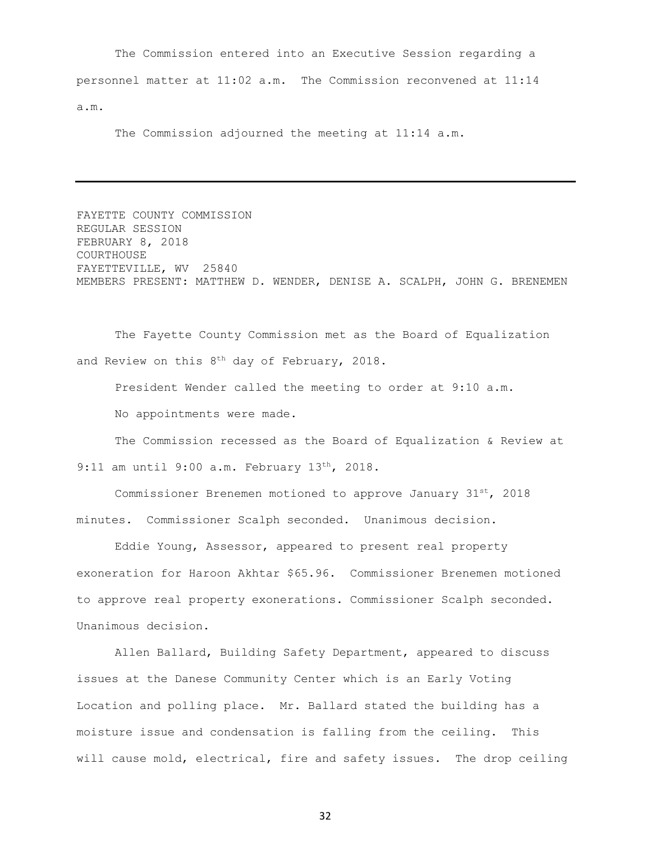The Commission entered into an Executive Session regarding a personnel matter at 11:02 a.m. The Commission reconvened at 11:14 a.m.

The Commission adjourned the meeting at 11:14 a.m.

FAYETTE COUNTY COMMISSION REGULAR SESSION FEBRUARY 8, 2018 COURTHOUSE FAYETTEVILLE, WV 25840 MEMBERS PRESENT: MATTHEW D. WENDER, DENISE A. SCALPH, JOHN G. BRENEMEN

The Fayette County Commission met as the Board of Equalization and Review on this  $8<sup>th</sup>$  day of February, 2018.

President Wender called the meeting to order at 9:10 a.m.

No appointments were made.

The Commission recessed as the Board of Equalization & Review at 9:11 am until 9:00 a.m. February 13<sup>th</sup>, 2018.

Commissioner Brenemen motioned to approve January  $31^{st}$ , 2018 minutes. Commissioner Scalph seconded. Unanimous decision.

Eddie Young, Assessor, appeared to present real property exoneration for Haroon Akhtar \$65.96. Commissioner Brenemen motioned to approve real property exonerations. Commissioner Scalph seconded. Unanimous decision.

Allen Ballard, Building Safety Department, appeared to discuss issues at the Danese Community Center which is an Early Voting Location and polling place. Mr. Ballard stated the building has a moisture issue and condensation is falling from the ceiling. This will cause mold, electrical, fire and safety issues. The drop ceiling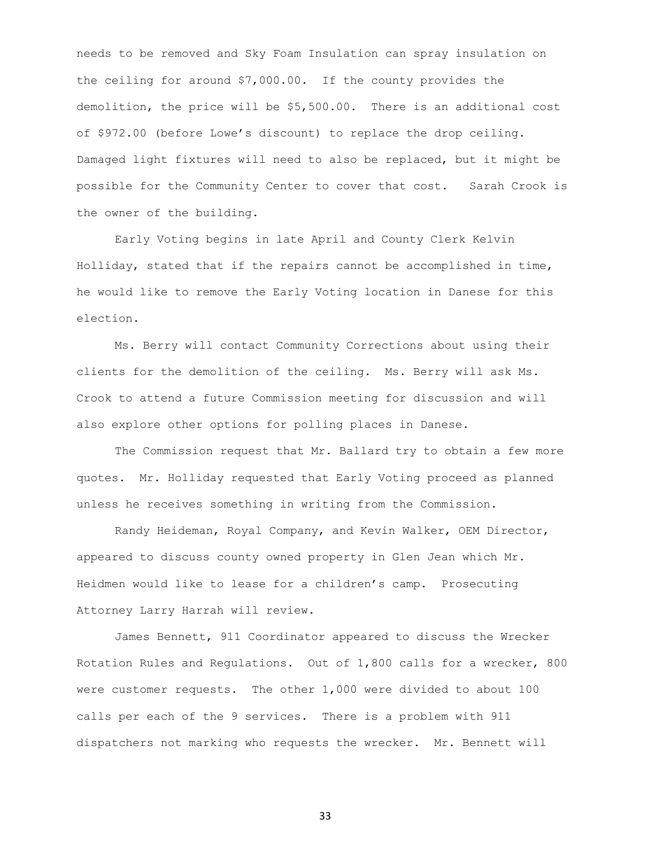needs to be removed and Sky Foam Insulation can spray insulation on the ceiling for around \$7,000.00. If the county provides the demolition, the price will be \$5,500.00. There is an additional cost of \$972.00 (before Lowe's discount) to replace the drop ceiling. Damaged light fixtures will need to also be replaced, but it might be possible for the Community Center to cover that cost. Sarah Crook is the owner of the building.

Early Voting begins in late April and County Clerk Kelvin Holliday, stated that if the repairs cannot be accomplished in time, he would like to remove the Early Voting location in Danese for this election.

Ms. Berry will contact Community Corrections about using their clients for the demolition of the ceiling. Ms. Berry will ask Ms. Crook to attend a future Commission meeting for discussion and will also explore other options for polling places in Danese.

The Commission request that Mr. Ballard try to obtain a few more quotes. Mr. Holliday requested that Early Voting proceed as planned unless he receives something in writing from the Commission.

Randy Heideman, Royal Company, and Kevin Walker, OEM Director, appeared to discuss county owned property in Glen Jean which Mr. Heidmen would like to lease for a children's camp. Prosecuting Attorney Larry Harrah will review.

James Bennett, 911 Coordinator appeared to discuss the Wrecker Rotation Rules and Regulations. Out of 1,800 calls for a wrecker, 800 were customer requests. The other 1,000 were divided to about 100 calls per each of the 9 services. There is a problem with 911 dispatchers not marking who requests the wrecker. Mr. Bennett will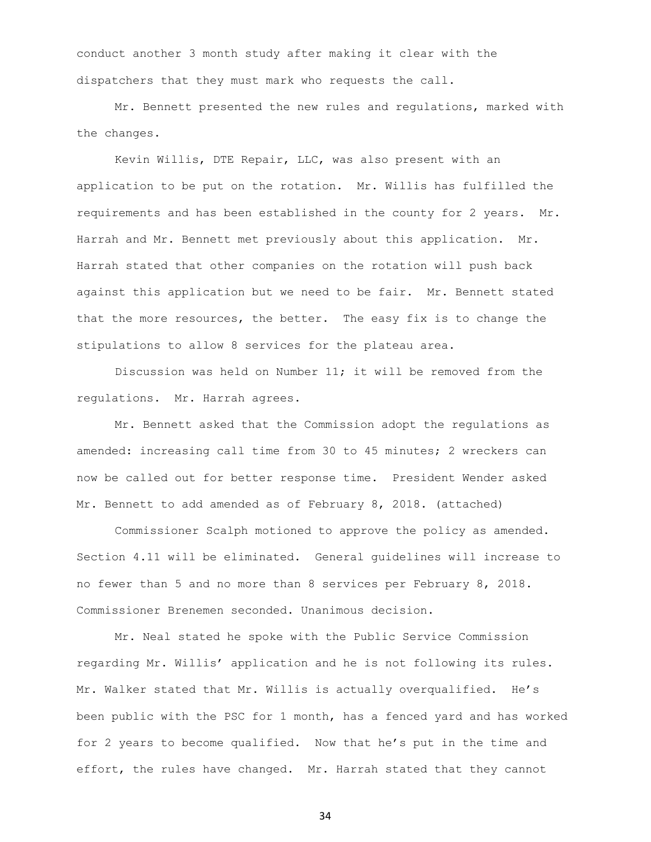conduct another 3 month study after making it clear with the dispatchers that they must mark who requests the call.

Mr. Bennett presented the new rules and regulations, marked with the changes.

Kevin Willis, DTE Repair, LLC, was also present with an application to be put on the rotation. Mr. Willis has fulfilled the requirements and has been established in the county for 2 years. Mr. Harrah and Mr. Bennett met previously about this application. Mr. Harrah stated that other companies on the rotation will push back against this application but we need to be fair. Mr. Bennett stated that the more resources, the better. The easy fix is to change the stipulations to allow 8 services for the plateau area.

Discussion was held on Number  $11$ ; it will be removed from the regulations. Mr. Harrah agrees.

Mr. Bennett asked that the Commission adopt the regulations as amended: increasing call time from 30 to 45 minutes; 2 wreckers can now be called out for better response time. President Wender asked Mr. Bennett to add amended as of February 8, 2018. (attached)

Commissioner Scalph motioned to approve the policy as amended. Section 4.11 will be eliminated. General guidelines will increase to no fewer than 5 and no more than 8 services per February 8, 2018. Commissioner Brenemen seconded. Unanimous decision.

Mr. Neal stated he spoke with the Public Service Commission regarding Mr. Willis' application and he is not following its rules. Mr. Walker stated that Mr. Willis is actually overqualified. He's been public with the PSC for 1 month, has a fenced yard and has worked for 2 years to become qualified. Now that he's put in the time and effort, the rules have changed. Mr. Harrah stated that they cannot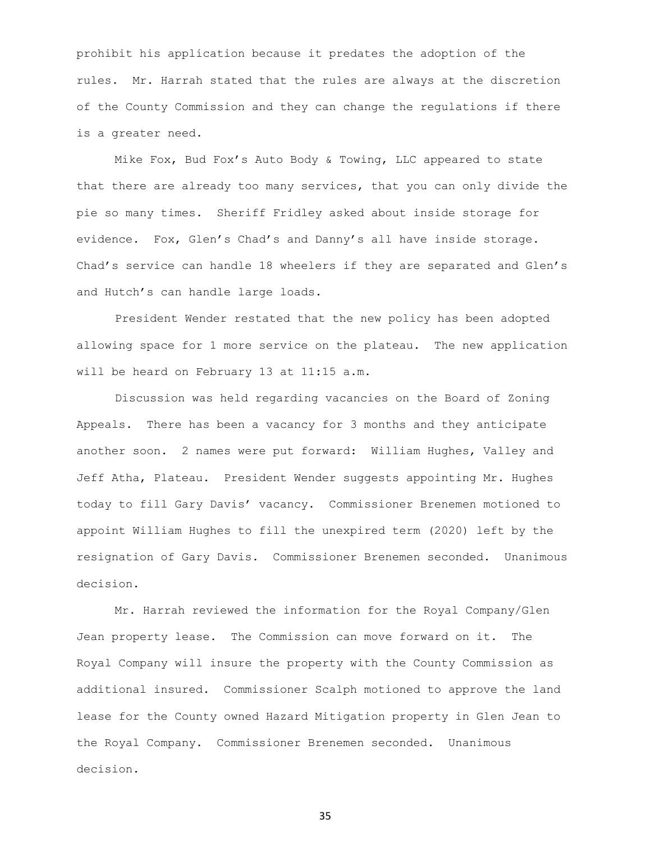prohibit his application because it predates the adoption of the rules. Mr. Harrah stated that the rules are always at the discretion of the County Commission and they can change the regulations if there is a greater need.

Mike Fox, Bud Fox's Auto Body & Towing, LLC appeared to state that there are already too many services, that you can only divide the pie so many times. Sheriff Fridley asked about inside storage for evidence. Fox, Glen's Chad's and Danny's all have inside storage. Chad's service can handle 18 wheelers if they are separated and Glen's and Hutch's can handle large loads.

President Wender restated that the new policy has been adopted allowing space for 1 more service on the plateau. The new application will be heard on February 13 at 11:15 a.m.

Discussion was held regarding vacancies on the Board of Zoning Appeals. There has been a vacancy for 3 months and they anticipate another soon. 2 names were put forward: William Hughes, Valley and Jeff Atha, Plateau. President Wender suggests appointing Mr. Hughes today to fill Gary Davis' vacancy. Commissioner Brenemen motioned to appoint William Hughes to fill the unexpired term (2020) left by the resignation of Gary Davis. Commissioner Brenemen seconded. Unanimous decision.

Mr. Harrah reviewed the information for the Royal Company/Glen Jean property lease. The Commission can move forward on it. The Royal Company will insure the property with the County Commission as additional insured. Commissioner Scalph motioned to approve the land lease for the County owned Hazard Mitigation property in Glen Jean to the Royal Company. Commissioner Brenemen seconded. Unanimous decision.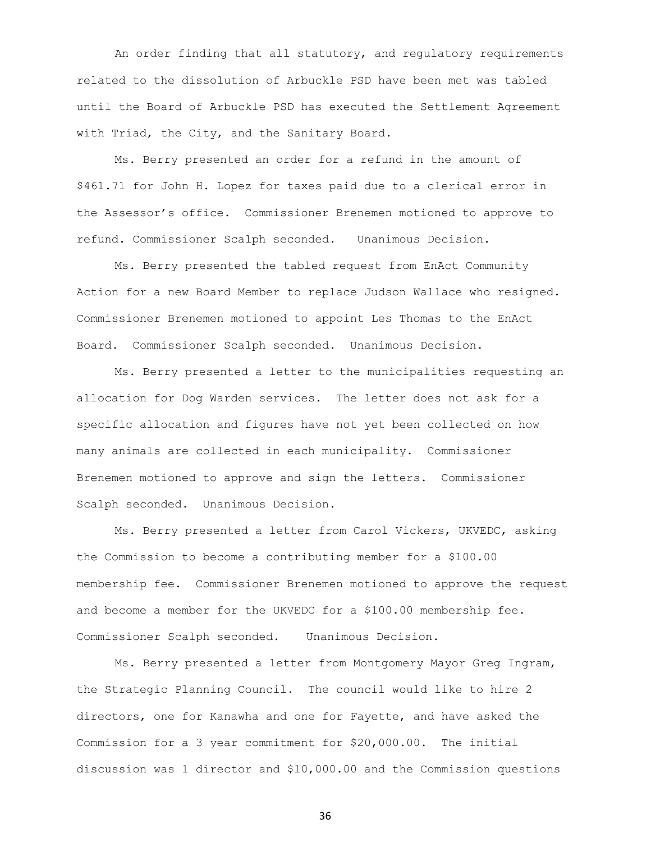An order finding that all statutory, and regulatory requirements related to the dissolution of Arbuckle PSD have been met was tabled until the Board of Arbuckle PSD has executed the Settlement Agreement with Triad, the City, and the Sanitary Board.

Ms. Berry presented an order for a refund in the amount of \$461.71 for John H. Lopez for taxes paid due to a clerical error in the Assessor's office. Commissioner Brenemen motioned to approve to refund. Commissioner Scalph seconded. Unanimous Decision.

Ms. Berry presented the tabled request from EnAct Community Action for a new Board Member to replace Judson Wallace who resigned. Commissioner Brenemen motioned to appoint Les Thomas to the EnAct Board. Commissioner Scalph seconded. Unanimous Decision.

Ms. Berry presented a letter to the municipalities requesting an allocation for Dog Warden services. The letter does not ask for a specific allocation and figures have not yet been collected on how many animals are collected in each municipality. Commissioner Brenemen motioned to approve and sign the letters. Commissioner Scalph seconded. Unanimous Decision.

Ms. Berry presented a letter from Carol Vickers, UKVEDC, asking the Commission to become a contributing member for a \$100.00 membership fee. Commissioner Brenemen motioned to approve the request and become a member for the UKVEDC for a \$100.00 membership fee. Commissioner Scalph seconded. Unanimous Decision.

Ms. Berry presented a letter from Montgomery Mayor Greg Ingram, the Strategic Planning Council. The council would like to hire 2 directors, one for Kanawha and one for Fayette, and have asked the Commission for a 3 year commitment for \$20,000.00. The initial discussion was 1 director and \$10,000.00 and the Commission questions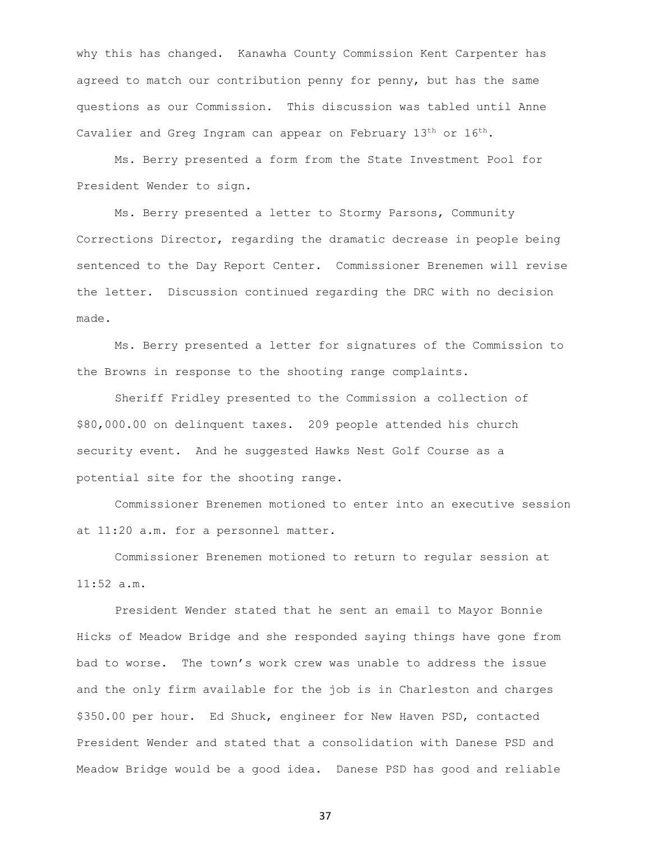why this has changed. Kanawha County Commission Kent Carpenter has agreed to match our contribution penny for penny, but has the same questions as our Commission. This discussion was tabled until Anne Cavalier and Greg Ingram can appear on February  $13<sup>th</sup>$  or  $16<sup>th</sup>$ .

Ms. Berry presented a form from the State Investment Pool for President Wender to sign.

Ms. Berry presented a letter to Stormy Parsons, Community Corrections Director, regarding the dramatic decrease in people being sentenced to the Day Report Center. Commissioner Brenemen will revise the letter. Discussion continued regarding the DRC with no decision made.

Ms. Berry presented a letter for signatures of the Commission to the Browns in response to the shooting range complaints.

Sheriff Fridley presented to the Commission a collection of \$80,000.00 on delinquent taxes. 209 people attended his church security event. And he suggested Hawks Nest Golf Course as a potential site for the shooting range.

Commissioner Brenemen motioned to enter into an executive session at 11:20 a.m. for a personnel matter.

Commissioner Brenemen motioned to return to regular session at 11:52 a.m.

President Wender stated that he sent an email to Mayor Bonnie Hicks of Meadow Bridge and she responded saying things have gone from bad to worse. The town's work crew was unable to address the issue and the only firm available for the job is in Charleston and charges \$350.00 per hour. Ed Shuck, engineer for New Haven PSD, contacted President Wender and stated that a consolidation with Danese PSD and Meadow Bridge would be a good idea. Danese PSD has good and reliable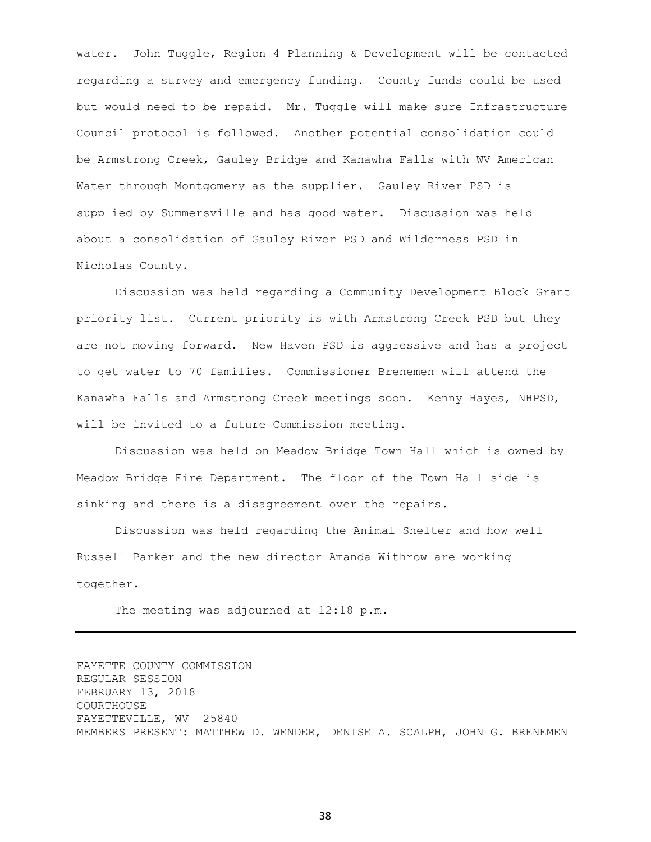water. John Tuggle, Region 4 Planning & Development will be contacted regarding a survey and emergency funding. County funds could be used but would need to be repaid. Mr. Tuggle will make sure Infrastructure Council protocol is followed. Another potential consolidation could be Armstrong Creek, Gauley Bridge and Kanawha Falls with WV American Water through Montgomery as the supplier. Gauley River PSD is supplied by Summersville and has good water. Discussion was held about a consolidation of Gauley River PSD and Wilderness PSD in Nicholas County.

Discussion was held regarding a Community Development Block Grant priority list. Current priority is with Armstrong Creek PSD but they are not moving forward. New Haven PSD is aggressive and has a project to get water to 70 families. Commissioner Brenemen will attend the Kanawha Falls and Armstrong Creek meetings soon. Kenny Hayes, NHPSD, will be invited to a future Commission meeting.

Discussion was held on Meadow Bridge Town Hall which is owned by Meadow Bridge Fire Department. The floor of the Town Hall side is sinking and there is a disagreement over the repairs.

Discussion was held regarding the Animal Shelter and how well Russell Parker and the new director Amanda Withrow are working together.

The meeting was adjourned at 12:18 p.m.

FAYETTE COUNTY COMMISSION REGULAR SESSION FEBRUARY 13, 2018 COURTHOUSE FAYETTEVILLE, WV 25840 MEMBERS PRESENT: MATTHEW D. WENDER, DENISE A. SCALPH, JOHN G. BRENEMEN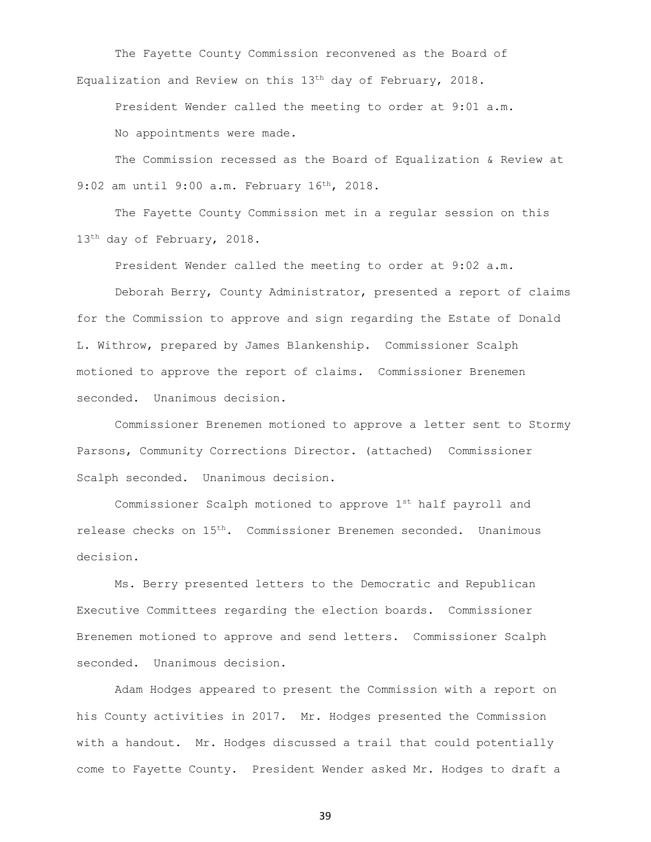The Fayette County Commission reconvened as the Board of Equalization and Review on this 13th day of February, 2018.

President Wender called the meeting to order at 9:01 a.m. No appointments were made.

The Commission recessed as the Board of Equalization & Review at 9:02 am until 9:00 a.m. February 16<sup>th</sup>, 2018.

The Fayette County Commission met in a regular session on this 13<sup>th</sup> day of February, 2018.

President Wender called the meeting to order at 9:02 a.m.

Deborah Berry, County Administrator, presented a report of claims for the Commission to approve and sign regarding the Estate of Donald L. Withrow, prepared by James Blankenship. Commissioner Scalph motioned to approve the report of claims. Commissioner Brenemen seconded. Unanimous decision.

Commissioner Brenemen motioned to approve a letter sent to Stormy Parsons, Community Corrections Director. (attached) Commissioner Scalph seconded. Unanimous decision.

Commissioner Scalph motioned to approve 1st half payroll and release checks on 15th. Commissioner Brenemen seconded. Unanimous decision.

Ms. Berry presented letters to the Democratic and Republican Executive Committees regarding the election boards. Commissioner Brenemen motioned to approve and send letters. Commissioner Scalph seconded. Unanimous decision.

Adam Hodges appeared to present the Commission with a report on his County activities in 2017. Mr. Hodges presented the Commission with a handout. Mr. Hodges discussed a trail that could potentially come to Fayette County. President Wender asked Mr. Hodges to draft a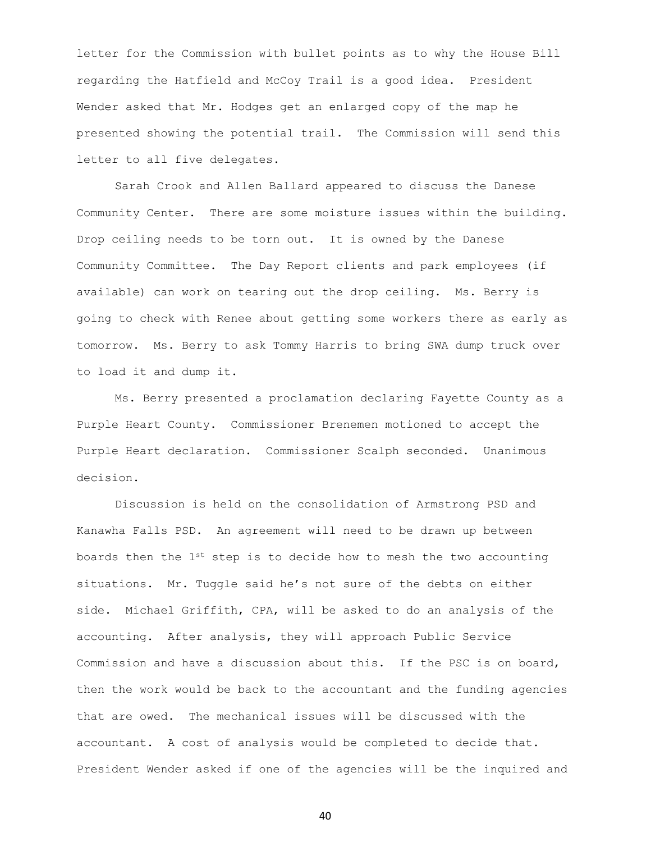letter for the Commission with bullet points as to why the House Bill regarding the Hatfield and McCoy Trail is a good idea. President Wender asked that Mr. Hodges get an enlarged copy of the map he presented showing the potential trail. The Commission will send this letter to all five delegates.

Sarah Crook and Allen Ballard appeared to discuss the Danese Community Center. There are some moisture issues within the building. Drop ceiling needs to be torn out. It is owned by the Danese Community Committee. The Day Report clients and park employees (if available) can work on tearing out the drop ceiling. Ms. Berry is going to check with Renee about getting some workers there as early as tomorrow. Ms. Berry to ask Tommy Harris to bring SWA dump truck over to load it and dump it.

Ms. Berry presented a proclamation declaring Fayette County as a Purple Heart County. Commissioner Brenemen motioned to accept the Purple Heart declaration. Commissioner Scalph seconded. Unanimous decision.

Discussion is held on the consolidation of Armstrong PSD and Kanawha Falls PSD. An agreement will need to be drawn up between boards then the  $1^{st}$  step is to decide how to mesh the two accounting situations. Mr. Tuggle said he's not sure of the debts on either side. Michael Griffith, CPA, will be asked to do an analysis of the accounting. After analysis, they will approach Public Service Commission and have a discussion about this. If the PSC is on board, then the work would be back to the accountant and the funding agencies that are owed. The mechanical issues will be discussed with the accountant. A cost of analysis would be completed to decide that. President Wender asked if one of the agencies will be the inquired and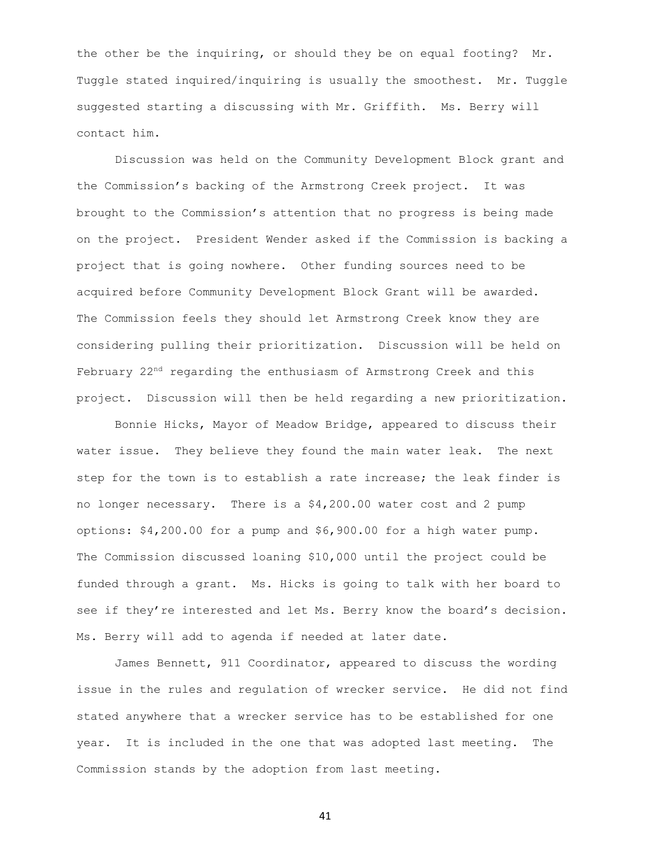the other be the inquiring, or should they be on equal footing? Mr. Tuggle stated inquired/inquiring is usually the smoothest. Mr. Tuggle suggested starting a discussing with Mr. Griffith. Ms. Berry will contact him.

Discussion was held on the Community Development Block grant and the Commission's backing of the Armstrong Creek project. It was brought to the Commission's attention that no progress is being made on the project. President Wender asked if the Commission is backing a project that is going nowhere. Other funding sources need to be acquired before Community Development Block Grant will be awarded. The Commission feels they should let Armstrong Creek know they are considering pulling their prioritization. Discussion will be held on February 22<sup>nd</sup> regarding the enthusiasm of Armstrong Creek and this project. Discussion will then be held regarding a new prioritization.

Bonnie Hicks, Mayor of Meadow Bridge, appeared to discuss their water issue. They believe they found the main water leak. The next step for the town is to establish a rate increase; the leak finder is no longer necessary. There is a \$4,200.00 water cost and 2 pump options: \$4,200.00 for a pump and \$6,900.00 for a high water pump. The Commission discussed loaning \$10,000 until the project could be funded through a grant. Ms. Hicks is going to talk with her board to see if they're interested and let Ms. Berry know the board's decision. Ms. Berry will add to agenda if needed at later date.

James Bennett, 911 Coordinator, appeared to discuss the wording issue in the rules and regulation of wrecker service. He did not find stated anywhere that a wrecker service has to be established for one year. It is included in the one that was adopted last meeting. The Commission stands by the adoption from last meeting.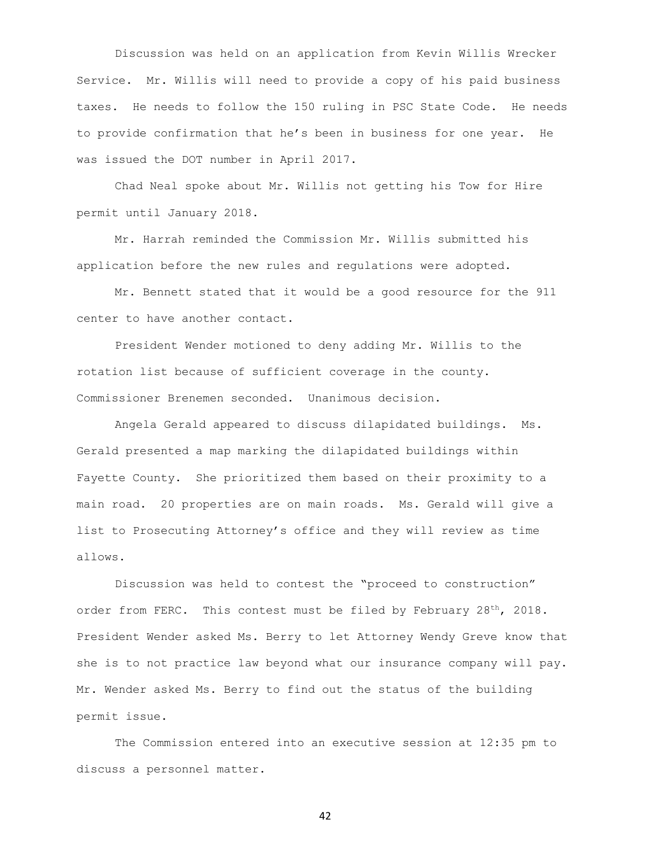Discussion was held on an application from Kevin Willis Wrecker Service. Mr. Willis will need to provide a copy of his paid business taxes. He needs to follow the 150 ruling in PSC State Code. He needs to provide confirmation that he's been in business for one year. He was issued the DOT number in April 2017.

Chad Neal spoke about Mr. Willis not getting his Tow for Hire permit until January 2018.

Mr. Harrah reminded the Commission Mr. Willis submitted his application before the new rules and regulations were adopted.

Mr. Bennett stated that it would be a good resource for the 911 center to have another contact.

President Wender motioned to deny adding Mr. Willis to the rotation list because of sufficient coverage in the county. Commissioner Brenemen seconded. Unanimous decision.

Angela Gerald appeared to discuss dilapidated buildings. Ms. Gerald presented a map marking the dilapidated buildings within Fayette County. She prioritized them based on their proximity to a main road. 20 properties are on main roads. Ms. Gerald will give a list to Prosecuting Attorney's office and they will review as time allows.

Discussion was held to contest the "proceed to construction" order from FERC. This contest must be filed by February  $28<sup>th</sup>$ , 2018. President Wender asked Ms. Berry to let Attorney Wendy Greve know that she is to not practice law beyond what our insurance company will pay. Mr. Wender asked Ms. Berry to find out the status of the building permit issue.

The Commission entered into an executive session at 12:35 pm to discuss a personnel matter.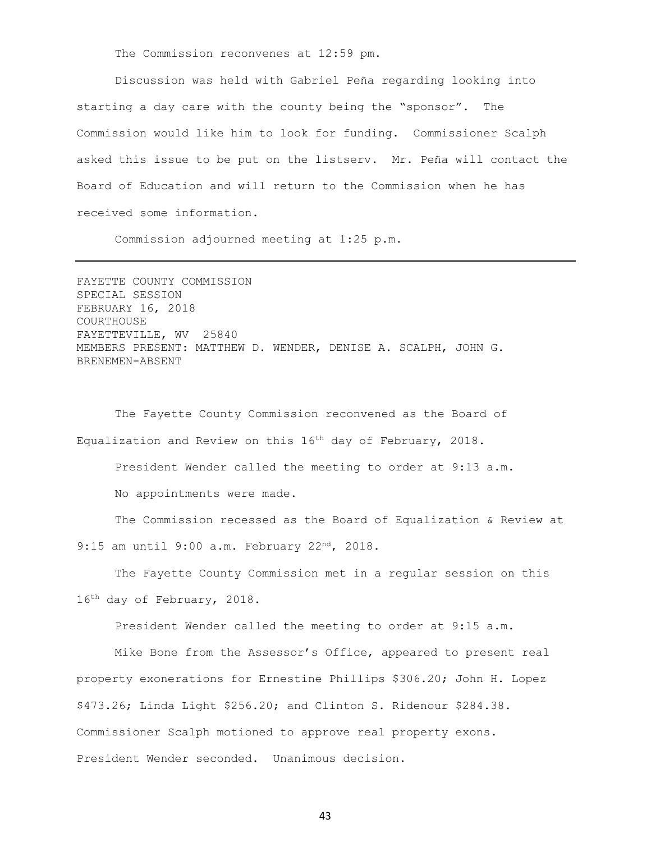The Commission reconvenes at 12:59 pm.

Discussion was held with Gabriel Peña regarding looking into starting a day care with the county being the "sponsor". The Commission would like him to look for funding. Commissioner Scalph asked this issue to be put on the listserv. Mr. Peña will contact the Board of Education and will return to the Commission when he has received some information.

Commission adjourned meeting at 1:25 p.m.

FAYETTE COUNTY COMMISSION SPECIAL SESSION FEBRUARY 16, 2018 COURTHOUSE FAYETTEVILLE, WV 25840 MEMBERS PRESENT: MATTHEW D. WENDER, DENISE A. SCALPH, JOHN G. BRENEMEN-ABSENT

The Fayette County Commission reconvened as the Board of Equalization and Review on this 16th day of February, 2018.

President Wender called the meeting to order at 9:13 a.m.

No appointments were made.

The Commission recessed as the Board of Equalization & Review at 9:15 am until 9:00 a.m. February 22<sup>nd</sup>, 2018.

The Fayette County Commission met in a regular session on this 16th day of February, 2018.

President Wender called the meeting to order at 9:15 a.m.

Mike Bone from the Assessor's Office, appeared to present real property exonerations for Ernestine Phillips \$306.20; John H. Lopez \$473.26; Linda Light \$256.20; and Clinton S. Ridenour \$284.38. Commissioner Scalph motioned to approve real property exons. President Wender seconded. Unanimous decision.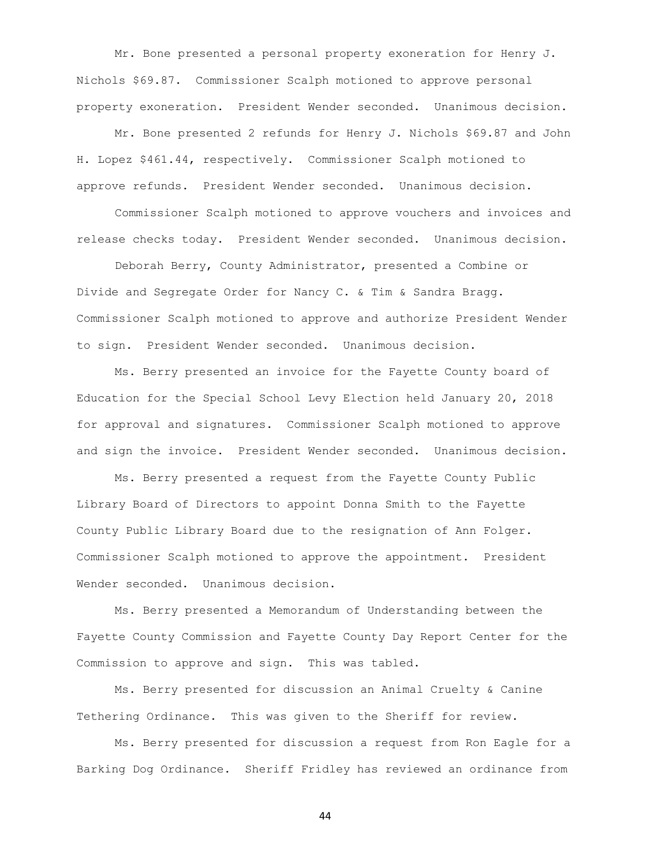Mr. Bone presented a personal property exoneration for Henry J. Nichols \$69.87. Commissioner Scalph motioned to approve personal property exoneration. President Wender seconded. Unanimous decision.

Mr. Bone presented 2 refunds for Henry J. Nichols \$69.87 and John H. Lopez \$461.44, respectively. Commissioner Scalph motioned to approve refunds. President Wender seconded. Unanimous decision.

Commissioner Scalph motioned to approve vouchers and invoices and release checks today. President Wender seconded. Unanimous decision.

Deborah Berry, County Administrator, presented a Combine or Divide and Segregate Order for Nancy C. & Tim & Sandra Bragg. Commissioner Scalph motioned to approve and authorize President Wender to sign. President Wender seconded. Unanimous decision.

Ms. Berry presented an invoice for the Fayette County board of Education for the Special School Levy Election held January 20, 2018 for approval and signatures. Commissioner Scalph motioned to approve and sign the invoice. President Wender seconded. Unanimous decision.

Ms. Berry presented a request from the Fayette County Public Library Board of Directors to appoint Donna Smith to the Fayette County Public Library Board due to the resignation of Ann Folger. Commissioner Scalph motioned to approve the appointment. President Wender seconded. Unanimous decision.

Ms. Berry presented a Memorandum of Understanding between the Fayette County Commission and Fayette County Day Report Center for the Commission to approve and sign. This was tabled.

Ms. Berry presented for discussion an Animal Cruelty & Canine Tethering Ordinance. This was given to the Sheriff for review.

Ms. Berry presented for discussion a request from Ron Eagle for a Barking Dog Ordinance. Sheriff Fridley has reviewed an ordinance from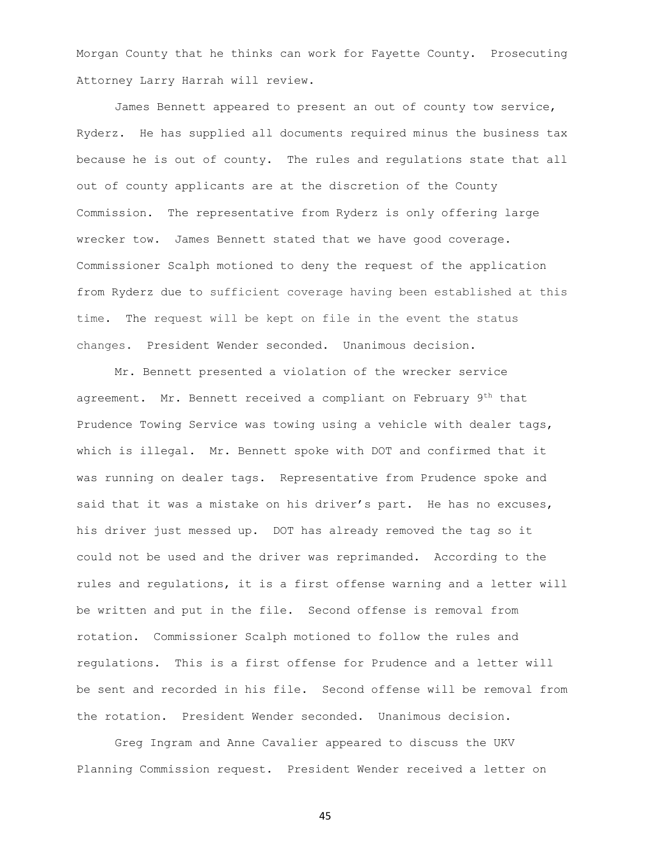Morgan County that he thinks can work for Fayette County. Prosecuting Attorney Larry Harrah will review.

James Bennett appeared to present an out of county tow service, Ryderz. He has supplied all documents required minus the business tax because he is out of county. The rules and regulations state that all out of county applicants are at the discretion of the County Commission. The representative from Ryderz is only offering large wrecker tow. James Bennett stated that we have good coverage. Commissioner Scalph motioned to deny the request of the application from Ryderz due to sufficient coverage having been established at this time. The request will be kept on file in the event the status changes. President Wender seconded. Unanimous decision.

Mr. Bennett presented a violation of the wrecker service agreement. Mr. Bennett received a compliant on February 9th that Prudence Towing Service was towing using a vehicle with dealer tags, which is illegal. Mr. Bennett spoke with DOT and confirmed that it was running on dealer tags. Representative from Prudence spoke and said that it was a mistake on his driver's part. He has no excuses, his driver just messed up. DOT has already removed the tag so it could not be used and the driver was reprimanded. According to the rules and regulations, it is a first offense warning and a letter will be written and put in the file. Second offense is removal from rotation. Commissioner Scalph motioned to follow the rules and regulations. This is a first offense for Prudence and a letter will be sent and recorded in his file. Second offense will be removal from the rotation. President Wender seconded. Unanimous decision.

Greg Ingram and Anne Cavalier appeared to discuss the UKV Planning Commission request. President Wender received a letter on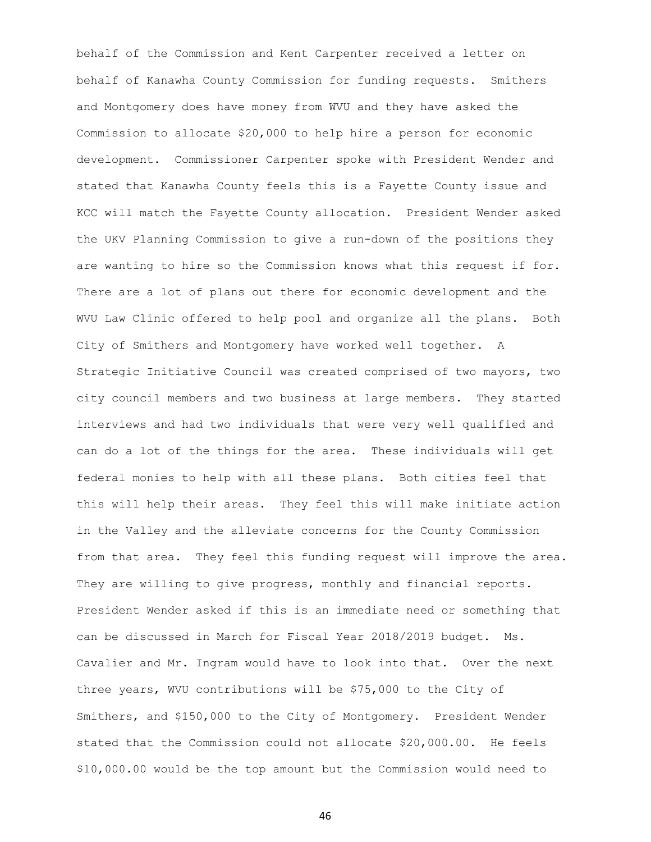behalf of the Commission and Kent Carpenter received a letter on behalf of Kanawha County Commission for funding requests. Smithers and Montgomery does have money from WVU and they have asked the Commission to allocate \$20,000 to help hire a person for economic development. Commissioner Carpenter spoke with President Wender and stated that Kanawha County feels this is a Fayette County issue and KCC will match the Fayette County allocation. President Wender asked the UKV Planning Commission to give a run-down of the positions they are wanting to hire so the Commission knows what this request if for. There are a lot of plans out there for economic development and the WVU Law Clinic offered to help pool and organize all the plans. Both City of Smithers and Montgomery have worked well together. A Strategic Initiative Council was created comprised of two mayors, two city council members and two business at large members. They started interviews and had two individuals that were very well qualified and can do a lot of the things for the area. These individuals will get federal monies to help with all these plans. Both cities feel that this will help their areas. They feel this will make initiate action in the Valley and the alleviate concerns for the County Commission from that area. They feel this funding request will improve the area. They are willing to give progress, monthly and financial reports. President Wender asked if this is an immediate need or something that can be discussed in March for Fiscal Year 2018/2019 budget. Ms. Cavalier and Mr. Ingram would have to look into that. Over the next three years, WVU contributions will be \$75,000 to the City of Smithers, and \$150,000 to the City of Montgomery. President Wender stated that the Commission could not allocate \$20,000.00. He feels \$10,000.00 would be the top amount but the Commission would need to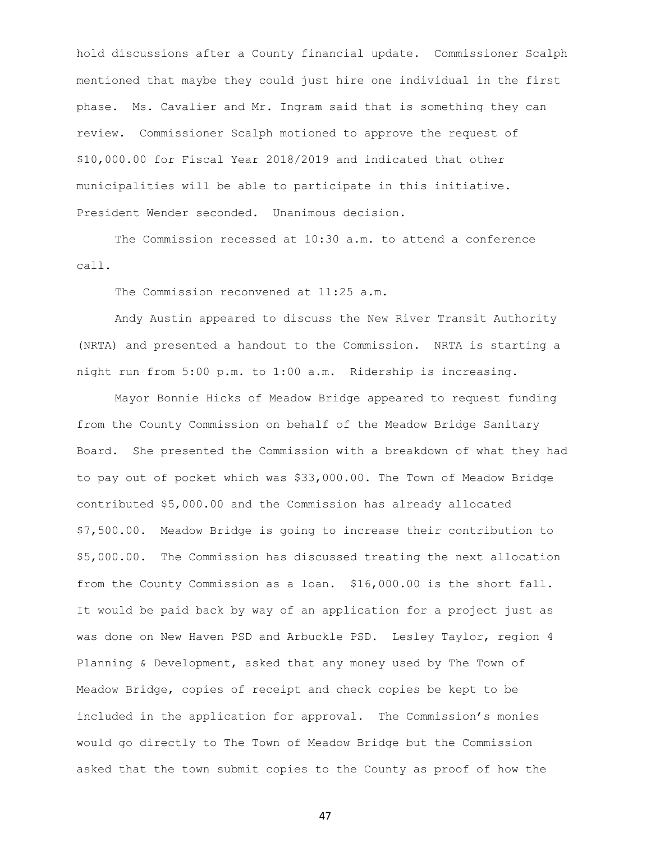hold discussions after a County financial update. Commissioner Scalph mentioned that maybe they could just hire one individual in the first phase. Ms. Cavalier and Mr. Ingram said that is something they can review. Commissioner Scalph motioned to approve the request of \$10,000.00 for Fiscal Year 2018/2019 and indicated that other municipalities will be able to participate in this initiative. President Wender seconded. Unanimous decision.

The Commission recessed at 10:30 a.m. to attend a conference call.

The Commission reconvened at 11:25 a.m.

Andy Austin appeared to discuss the New River Transit Authority (NRTA) and presented a handout to the Commission. NRTA is starting a night run from 5:00 p.m. to 1:00 a.m. Ridership is increasing.

Mayor Bonnie Hicks of Meadow Bridge appeared to request funding from the County Commission on behalf of the Meadow Bridge Sanitary Board. She presented the Commission with a breakdown of what they had to pay out of pocket which was \$33,000.00. The Town of Meadow Bridge contributed \$5,000.00 and the Commission has already allocated \$7,500.00. Meadow Bridge is going to increase their contribution to \$5,000.00. The Commission has discussed treating the next allocation from the County Commission as a loan. \$16,000.00 is the short fall. It would be paid back by way of an application for a project just as was done on New Haven PSD and Arbuckle PSD. Lesley Taylor, region 4 Planning & Development, asked that any money used by The Town of Meadow Bridge, copies of receipt and check copies be kept to be included in the application for approval. The Commission's monies would go directly to The Town of Meadow Bridge but the Commission asked that the town submit copies to the County as proof of how the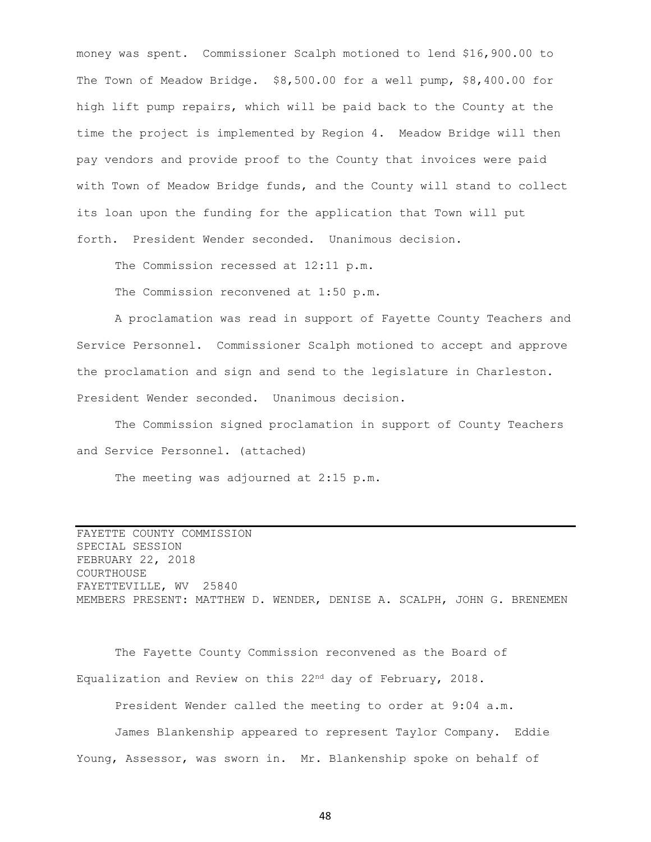money was spent. Commissioner Scalph motioned to lend \$16,900.00 to The Town of Meadow Bridge. \$8,500.00 for a well pump, \$8,400.00 for high lift pump repairs, which will be paid back to the County at the time the project is implemented by Region 4. Meadow Bridge will then pay vendors and provide proof to the County that invoices were paid with Town of Meadow Bridge funds, and the County will stand to collect its loan upon the funding for the application that Town will put forth. President Wender seconded. Unanimous decision.

The Commission recessed at 12:11 p.m.

The Commission reconvened at 1:50 p.m.

A proclamation was read in support of Fayette County Teachers and Service Personnel. Commissioner Scalph motioned to accept and approve the proclamation and sign and send to the legislature in Charleston. President Wender seconded. Unanimous decision.

The Commission signed proclamation in support of County Teachers and Service Personnel. (attached)

The meeting was adjourned at 2:15 p.m.

FAYETTE COUNTY COMMISSION SPECIAL SESSION FEBRUARY 22, 2018 COURTHOUSE FAYETTEVILLE, WV 25840 MEMBERS PRESENT: MATTHEW D. WENDER, DENISE A. SCALPH, JOHN G. BRENEMEN

The Fayette County Commission reconvened as the Board of Equalization and Review on this 22nd day of February, 2018.

President Wender called the meeting to order at 9:04 a.m.

James Blankenship appeared to represent Taylor Company. Eddie Young, Assessor, was sworn in. Mr. Blankenship spoke on behalf of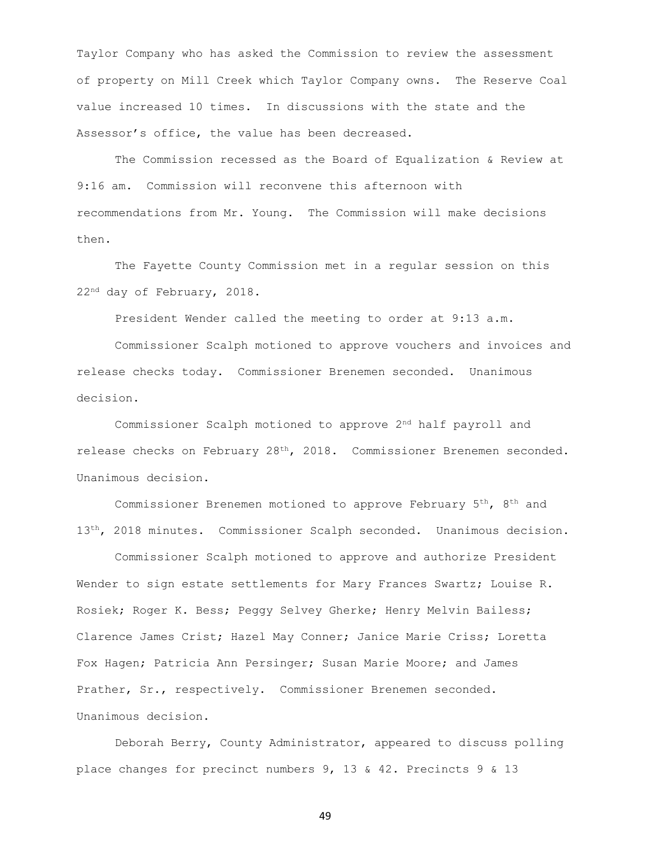Taylor Company who has asked the Commission to review the assessment of property on Mill Creek which Taylor Company owns. The Reserve Coal value increased 10 times. In discussions with the state and the Assessor's office, the value has been decreased.

The Commission recessed as the Board of Equalization & Review at 9:16 am. Commission will reconvene this afternoon with recommendations from Mr. Young. The Commission will make decisions then.

The Fayette County Commission met in a regular session on this 22nd day of February, 2018.

President Wender called the meeting to order at 9:13 a.m.

Commissioner Scalph motioned to approve vouchers and invoices and release checks today. Commissioner Brenemen seconded. Unanimous decision.

Commissioner Scalph motioned to approve 2nd half payroll and release checks on February 28th, 2018. Commissioner Brenemen seconded. Unanimous decision.

Commissioner Brenemen motioned to approve February 5th, 8th and 13<sup>th</sup>, 2018 minutes. Commissioner Scalph seconded. Unanimous decision.

Commissioner Scalph motioned to approve and authorize President Wender to sign estate settlements for Mary Frances Swartz; Louise R. Rosiek; Roger K. Bess; Peggy Selvey Gherke; Henry Melvin Bailess; Clarence James Crist; Hazel May Conner; Janice Marie Criss; Loretta Fox Hagen; Patricia Ann Persinger; Susan Marie Moore; and James Prather, Sr., respectively. Commissioner Brenemen seconded. Unanimous decision.

Deborah Berry, County Administrator, appeared to discuss polling place changes for precinct numbers 9, 13 & 42. Precincts 9 & 13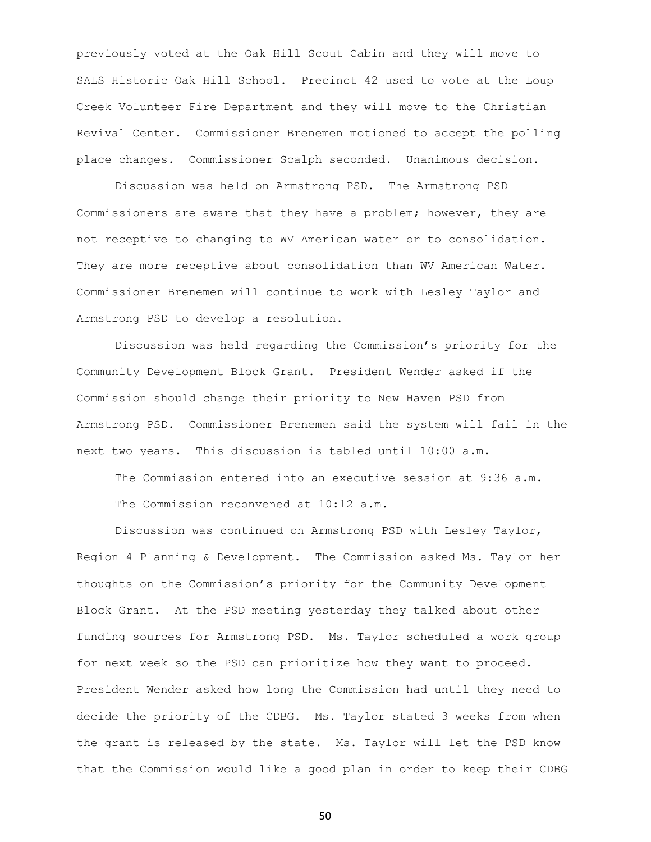previously voted at the Oak Hill Scout Cabin and they will move to SALS Historic Oak Hill School. Precinct 42 used to vote at the Loup Creek Volunteer Fire Department and they will move to the Christian Revival Center. Commissioner Brenemen motioned to accept the polling place changes. Commissioner Scalph seconded. Unanimous decision.

Discussion was held on Armstrong PSD. The Armstrong PSD Commissioners are aware that they have a problem; however, they are not receptive to changing to WV American water or to consolidation. They are more receptive about consolidation than WV American Water. Commissioner Brenemen will continue to work with Lesley Taylor and Armstrong PSD to develop a resolution.

Discussion was held regarding the Commission's priority for the Community Development Block Grant. President Wender asked if the Commission should change their priority to New Haven PSD from Armstrong PSD. Commissioner Brenemen said the system will fail in the next two years. This discussion is tabled until 10:00 a.m.

The Commission entered into an executive session at 9:36 a.m. The Commission reconvened at 10:12 a.m.

Discussion was continued on Armstrong PSD with Lesley Taylor, Region 4 Planning & Development. The Commission asked Ms. Taylor her thoughts on the Commission's priority for the Community Development Block Grant. At the PSD meeting yesterday they talked about other funding sources for Armstrong PSD. Ms. Taylor scheduled a work group for next week so the PSD can prioritize how they want to proceed. President Wender asked how long the Commission had until they need to decide the priority of the CDBG. Ms. Taylor stated 3 weeks from when the grant is released by the state. Ms. Taylor will let the PSD know that the Commission would like a good plan in order to keep their CDBG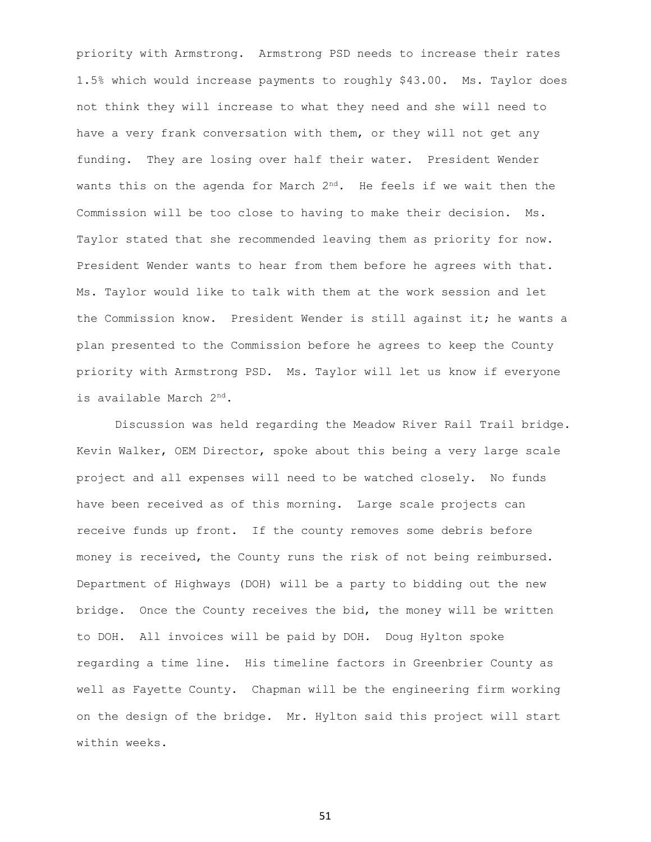priority with Armstrong. Armstrong PSD needs to increase their rates 1.5% which would increase payments to roughly \$43.00. Ms. Taylor does not think they will increase to what they need and she will need to have a very frank conversation with them, or they will not get any funding. They are losing over half their water. President Wender wants this on the agenda for March  $2<sup>nd</sup>$ . He feels if we wait then the Commission will be too close to having to make their decision. Ms. Taylor stated that she recommended leaving them as priority for now. President Wender wants to hear from them before he agrees with that. Ms. Taylor would like to talk with them at the work session and let the Commission know. President Wender is still against it; he wants a plan presented to the Commission before he agrees to keep the County priority with Armstrong PSD. Ms. Taylor will let us know if everyone is available March 2nd.

Discussion was held regarding the Meadow River Rail Trail bridge. Kevin Walker, OEM Director, spoke about this being a very large scale project and all expenses will need to be watched closely. No funds have been received as of this morning. Large scale projects can receive funds up front. If the county removes some debris before money is received, the County runs the risk of not being reimbursed. Department of Highways (DOH) will be a party to bidding out the new bridge. Once the County receives the bid, the money will be written to DOH. All invoices will be paid by DOH. Doug Hylton spoke regarding a time line. His timeline factors in Greenbrier County as well as Fayette County. Chapman will be the engineering firm working on the design of the bridge. Mr. Hylton said this project will start within weeks.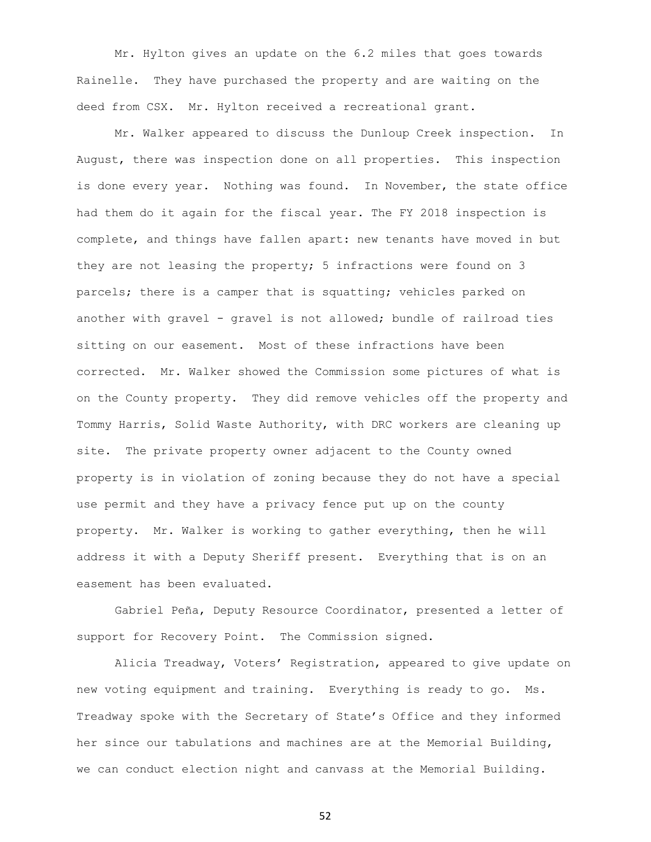Mr. Hylton gives an update on the 6.2 miles that goes towards Rainelle. They have purchased the property and are waiting on the deed from CSX. Mr. Hylton received a recreational grant.

Mr. Walker appeared to discuss the Dunloup Creek inspection. In August, there was inspection done on all properties. This inspection is done every year. Nothing was found. In November, the state office had them do it again for the fiscal year. The FY 2018 inspection is complete, and things have fallen apart: new tenants have moved in but they are not leasing the property; 5 infractions were found on 3 parcels; there is a camper that is squatting; vehicles parked on another with gravel - gravel is not allowed; bundle of railroad ties sitting on our easement. Most of these infractions have been corrected. Mr. Walker showed the Commission some pictures of what is on the County property. They did remove vehicles off the property and Tommy Harris, Solid Waste Authority, with DRC workers are cleaning up site. The private property owner adjacent to the County owned property is in violation of zoning because they do not have a special use permit and they have a privacy fence put up on the county property. Mr. Walker is working to gather everything, then he will address it with a Deputy Sheriff present. Everything that is on an easement has been evaluated.

Gabriel Peña, Deputy Resource Coordinator, presented a letter of support for Recovery Point. The Commission signed.

Alicia Treadway, Voters' Registration, appeared to give update on new voting equipment and training. Everything is ready to go. Ms. Treadway spoke with the Secretary of State's Office and they informed her since our tabulations and machines are at the Memorial Building, we can conduct election night and canvass at the Memorial Building.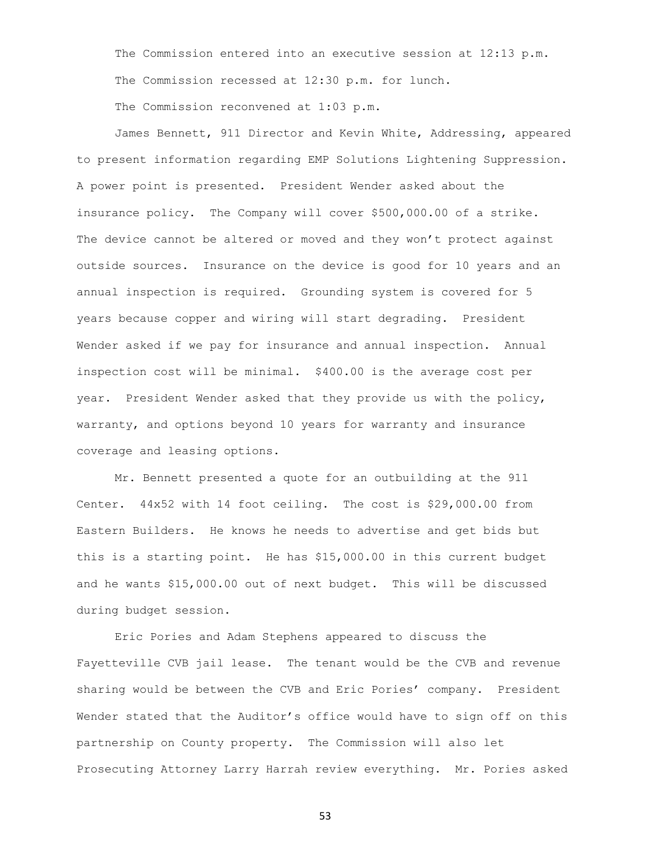The Commission entered into an executive session at 12:13 p.m. The Commission recessed at 12:30 p.m. for lunch.

The Commission reconvened at 1:03 p.m.

James Bennett, 911 Director and Kevin White, Addressing, appeared to present information regarding EMP Solutions Lightening Suppression. A power point is presented. President Wender asked about the insurance policy. The Company will cover \$500,000.00 of a strike. The device cannot be altered or moved and they won't protect against outside sources. Insurance on the device is good for 10 years and an annual inspection is required. Grounding system is covered for 5 years because copper and wiring will start degrading. President Wender asked if we pay for insurance and annual inspection. Annual inspection cost will be minimal. \$400.00 is the average cost per year. President Wender asked that they provide us with the policy, warranty, and options beyond 10 years for warranty and insurance coverage and leasing options.

Mr. Bennett presented a quote for an outbuilding at the 911 Center. 44x52 with 14 foot ceiling. The cost is \$29,000.00 from Eastern Builders. He knows he needs to advertise and get bids but this is a starting point. He has \$15,000.00 in this current budget and he wants \$15,000.00 out of next budget. This will be discussed during budget session.

Eric Pories and Adam Stephens appeared to discuss the Fayetteville CVB jail lease. The tenant would be the CVB and revenue sharing would be between the CVB and Eric Pories' company. President Wender stated that the Auditor's office would have to sign off on this partnership on County property. The Commission will also let Prosecuting Attorney Larry Harrah review everything. Mr. Pories asked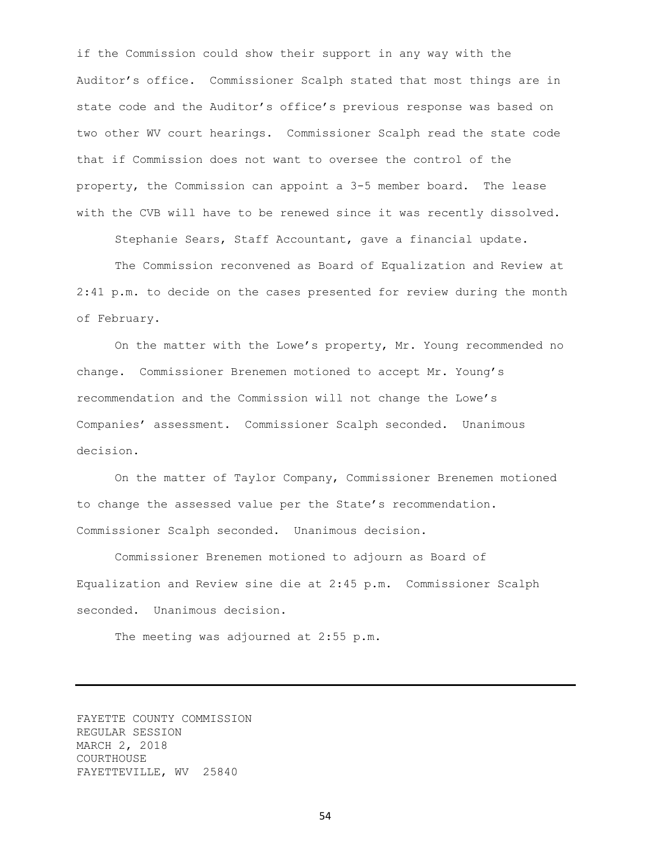if the Commission could show their support in any way with the Auditor's office. Commissioner Scalph stated that most things are in state code and the Auditor's office's previous response was based on two other WV court hearings. Commissioner Scalph read the state code that if Commission does not want to oversee the control of the property, the Commission can appoint a 3-5 member board. The lease with the CVB will have to be renewed since it was recently dissolved.

Stephanie Sears, Staff Accountant, gave a financial update.

The Commission reconvened as Board of Equalization and Review at 2:41 p.m. to decide on the cases presented for review during the month of February.

On the matter with the Lowe's property, Mr. Young recommended no change. Commissioner Brenemen motioned to accept Mr. Young's recommendation and the Commission will not change the Lowe's Companies' assessment. Commissioner Scalph seconded. Unanimous decision.

On the matter of Taylor Company, Commissioner Brenemen motioned to change the assessed value per the State's recommendation. Commissioner Scalph seconded. Unanimous decision.

Commissioner Brenemen motioned to adjourn as Board of Equalization and Review sine die at 2:45 p.m. Commissioner Scalph seconded. Unanimous decision.

The meeting was adjourned at 2:55 p.m.

FAYETTE COUNTY COMMISSION REGULAR SESSION MARCH 2, 2018 COURTHOUSE FAYETTEVILLE, WV 25840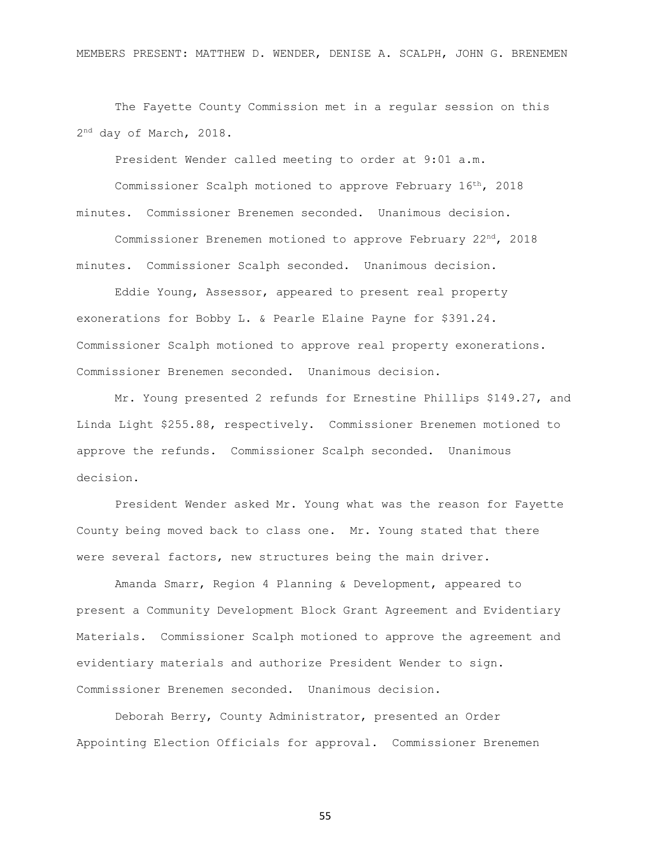MEMBERS PRESENT: MATTHEW D. WENDER, DENISE A. SCALPH, JOHN G. BRENEMEN

The Fayette County Commission met in a regular session on this 2<sup>nd</sup> day of March, 2018.

President Wender called meeting to order at 9:01 a.m.

Commissioner Scalph motioned to approve February 16th, 2018 minutes. Commissioner Brenemen seconded. Unanimous decision.

Commissioner Brenemen motioned to approve February 22nd, 2018 minutes. Commissioner Scalph seconded. Unanimous decision.

Eddie Young, Assessor, appeared to present real property exonerations for Bobby L. & Pearle Elaine Payne for \$391.24. Commissioner Scalph motioned to approve real property exonerations. Commissioner Brenemen seconded. Unanimous decision.

Mr. Young presented 2 refunds for Ernestine Phillips \$149.27, and Linda Light \$255.88, respectively. Commissioner Brenemen motioned to approve the refunds. Commissioner Scalph seconded. Unanimous decision.

President Wender asked Mr. Young what was the reason for Fayette County being moved back to class one. Mr. Young stated that there were several factors, new structures being the main driver.

Amanda Smarr, Region 4 Planning & Development, appeared to present a Community Development Block Grant Agreement and Evidentiary Materials. Commissioner Scalph motioned to approve the agreement and evidentiary materials and authorize President Wender to sign. Commissioner Brenemen seconded. Unanimous decision.

Deborah Berry, County Administrator, presented an Order Appointing Election Officials for approval. Commissioner Brenemen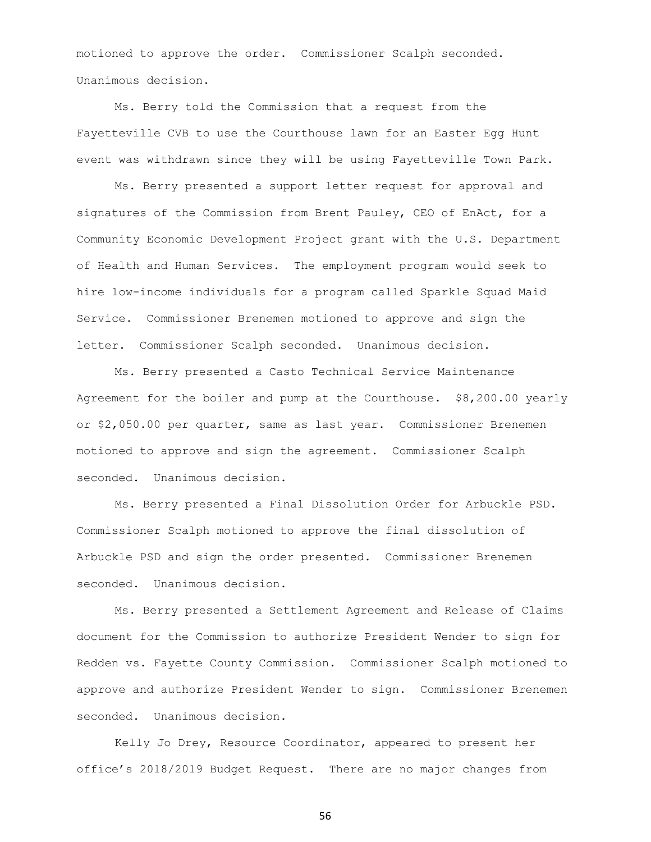motioned to approve the order. Commissioner Scalph seconded. Unanimous decision.

Ms. Berry told the Commission that a request from the Fayetteville CVB to use the Courthouse lawn for an Easter Egg Hunt event was withdrawn since they will be using Fayetteville Town Park.

Ms. Berry presented a support letter request for approval and signatures of the Commission from Brent Pauley, CEO of EnAct, for a Community Economic Development Project grant with the U.S. Department of Health and Human Services. The employment program would seek to hire low-income individuals for a program called Sparkle Squad Maid Service. Commissioner Brenemen motioned to approve and sign the letter. Commissioner Scalph seconded. Unanimous decision.

Ms. Berry presented a Casto Technical Service Maintenance Agreement for the boiler and pump at the Courthouse. \$8,200.00 yearly or \$2,050.00 per quarter, same as last year. Commissioner Brenemen motioned to approve and sign the agreement. Commissioner Scalph seconded. Unanimous decision.

Ms. Berry presented a Final Dissolution Order for Arbuckle PSD. Commissioner Scalph motioned to approve the final dissolution of Arbuckle PSD and sign the order presented. Commissioner Brenemen seconded. Unanimous decision.

Ms. Berry presented a Settlement Agreement and Release of Claims document for the Commission to authorize President Wender to sign for Redden vs. Fayette County Commission. Commissioner Scalph motioned to approve and authorize President Wender to sign. Commissioner Brenemen seconded. Unanimous decision.

Kelly Jo Drey, Resource Coordinator, appeared to present her office's 2018/2019 Budget Request. There are no major changes from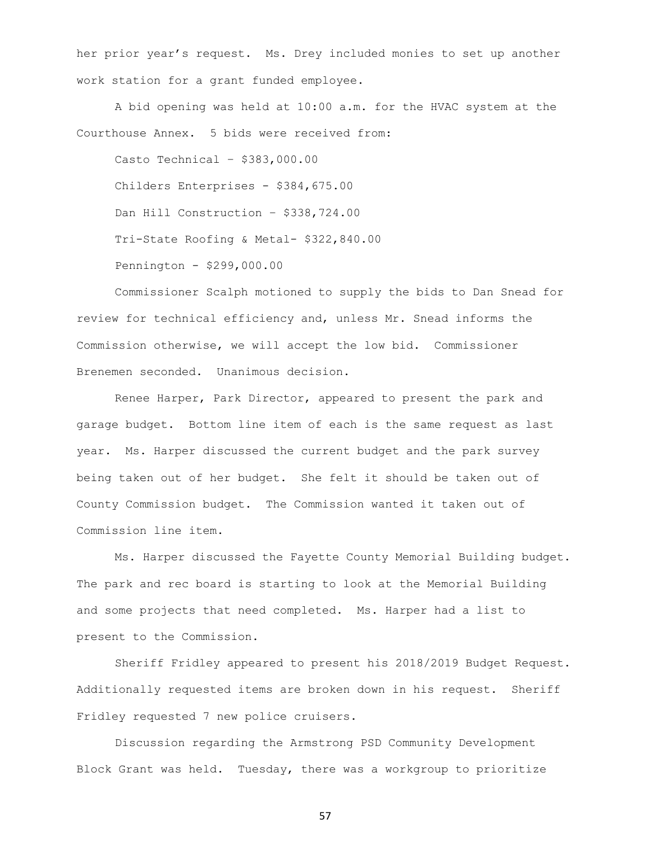her prior year's request. Ms. Drey included monies to set up another work station for a grant funded employee.

A bid opening was held at 10:00 a.m. for the HVAC system at the Courthouse Annex. 5 bids were received from:

Casto Technical – \$383,000.00 Childers Enterprises - \$384,675.00 Dan Hill Construction - \$338,724.00 Tri-State Roofing & Metal- \$322,840.00 Pennington - \$299,000.00

Commissioner Scalph motioned to supply the bids to Dan Snead for review for technical efficiency and, unless Mr. Snead informs the Commission otherwise, we will accept the low bid. Commissioner Brenemen seconded. Unanimous decision.

Renee Harper, Park Director, appeared to present the park and garage budget. Bottom line item of each is the same request as last year. Ms. Harper discussed the current budget and the park survey being taken out of her budget. She felt it should be taken out of County Commission budget. The Commission wanted it taken out of Commission line item.

Ms. Harper discussed the Fayette County Memorial Building budget. The park and rec board is starting to look at the Memorial Building and some projects that need completed. Ms. Harper had a list to present to the Commission.

Sheriff Fridley appeared to present his 2018/2019 Budget Request. Additionally requested items are broken down in his request. Sheriff Fridley requested 7 new police cruisers.

Discussion regarding the Armstrong PSD Community Development Block Grant was held. Tuesday, there was a workgroup to prioritize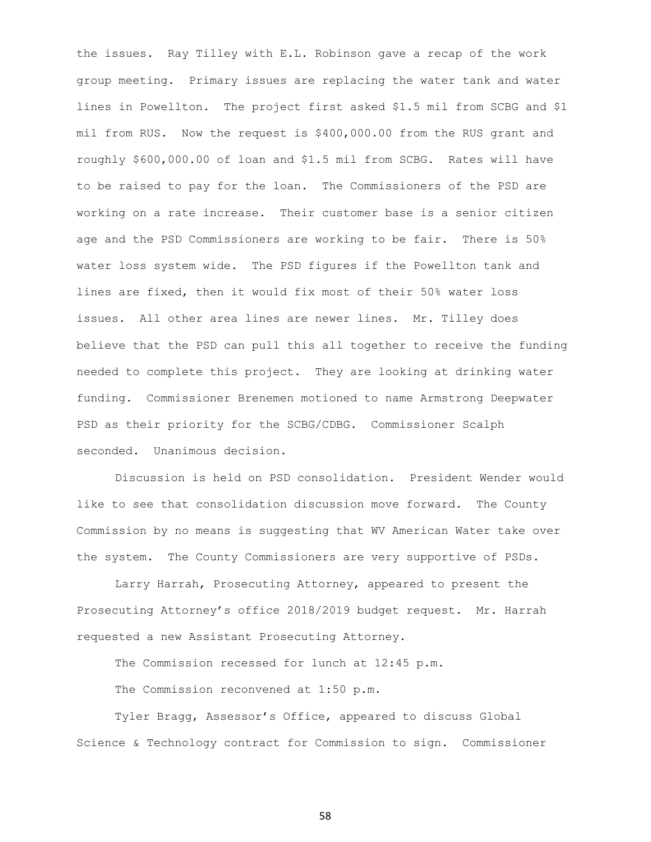the issues. Ray Tilley with E.L. Robinson gave a recap of the work group meeting. Primary issues are replacing the water tank and water lines in Powellton. The project first asked \$1.5 mil from SCBG and \$1 mil from RUS. Now the request is \$400,000.00 from the RUS grant and roughly \$600,000.00 of loan and \$1.5 mil from SCBG. Rates will have to be raised to pay for the loan. The Commissioners of the PSD are working on a rate increase. Their customer base is a senior citizen age and the PSD Commissioners are working to be fair. There is 50% water loss system wide. The PSD figures if the Powellton tank and lines are fixed, then it would fix most of their 50% water loss issues. All other area lines are newer lines. Mr. Tilley does believe that the PSD can pull this all together to receive the funding needed to complete this project. They are looking at drinking water funding. Commissioner Brenemen motioned to name Armstrong Deepwater PSD as their priority for the SCBG/CDBG. Commissioner Scalph seconded. Unanimous decision.

Discussion is held on PSD consolidation. President Wender would like to see that consolidation discussion move forward. The County Commission by no means is suggesting that WV American Water take over the system. The County Commissioners are very supportive of PSDs.

Larry Harrah, Prosecuting Attorney, appeared to present the Prosecuting Attorney's office 2018/2019 budget request. Mr. Harrah requested a new Assistant Prosecuting Attorney.

The Commission recessed for lunch at 12:45 p.m.

The Commission reconvened at 1:50 p.m.

Tyler Bragg, Assessor's Office, appeared to discuss Global Science & Technology contract for Commission to sign. Commissioner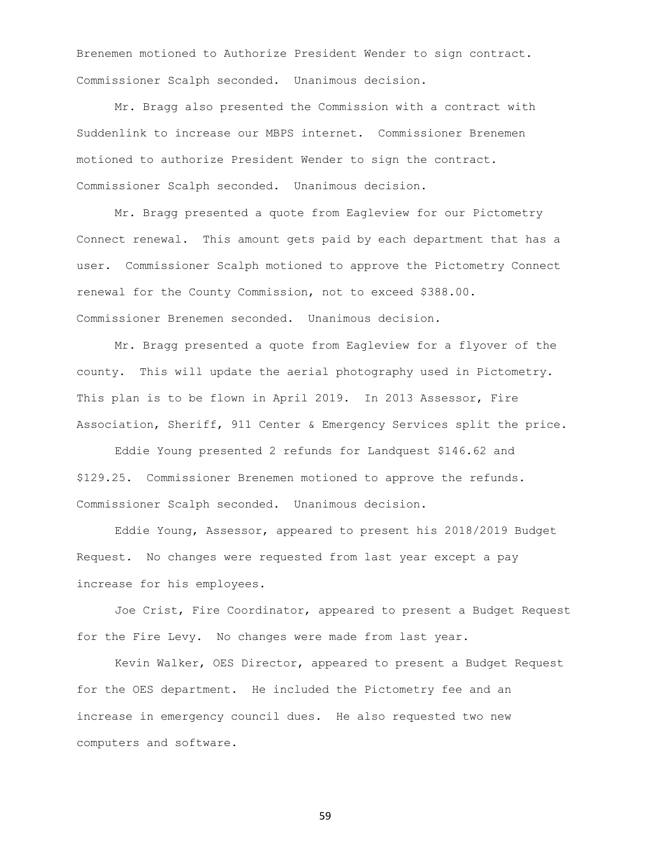Brenemen motioned to Authorize President Wender to sign contract. Commissioner Scalph seconded. Unanimous decision.

Mr. Bragg also presented the Commission with a contract with Suddenlink to increase our MBPS internet. Commissioner Brenemen motioned to authorize President Wender to sign the contract. Commissioner Scalph seconded. Unanimous decision.

Mr. Bragg presented a quote from Eagleview for our Pictometry Connect renewal. This amount gets paid by each department that has a user. Commissioner Scalph motioned to approve the Pictometry Connect renewal for the County Commission, not to exceed \$388.00. Commissioner Brenemen seconded. Unanimous decision.

Mr. Bragg presented a quote from Eagleview for a flyover of the county. This will update the aerial photography used in Pictometry. This plan is to be flown in April 2019. In 2013 Assessor, Fire Association, Sheriff, 911 Center & Emergency Services split the price.

Eddie Young presented 2 refunds for Landquest \$146.62 and \$129.25. Commissioner Brenemen motioned to approve the refunds. Commissioner Scalph seconded. Unanimous decision.

Eddie Young, Assessor, appeared to present his 2018/2019 Budget Request. No changes were requested from last year except a pay increase for his employees.

Joe Crist, Fire Coordinator, appeared to present a Budget Request for the Fire Levy. No changes were made from last year.

Kevin Walker, OES Director, appeared to present a Budget Request for the OES department. He included the Pictometry fee and an increase in emergency council dues. He also requested two new computers and software.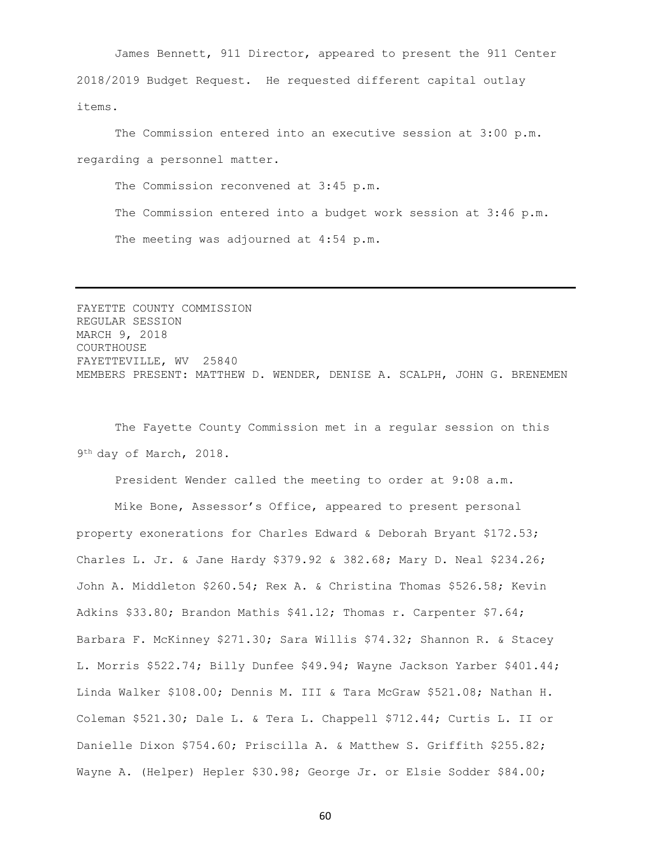James Bennett, 911 Director, appeared to present the 911 Center 2018/2019 Budget Request. He requested different capital outlay items.

The Commission entered into an executive session at 3:00 p.m. regarding a personnel matter.

The Commission reconvened at 3:45 p.m. The Commission entered into a budget work session at 3:46 p.m. The meeting was adjourned at 4:54 p.m.

FAYETTE COUNTY COMMISSION REGULAR SESSION MARCH 9, 2018 COURTHOUSE FAYETTEVILLE, WV 25840 MEMBERS PRESENT: MATTHEW D. WENDER, DENISE A. SCALPH, JOHN G. BRENEMEN

The Fayette County Commission met in a regular session on this 9 th day of March, 2018.

President Wender called the meeting to order at 9:08 a.m.

Mike Bone, Assessor's Office, appeared to present personal property exonerations for Charles Edward & Deborah Bryant \$172.53; Charles L. Jr. & Jane Hardy \$379.92 & 382.68; Mary D. Neal \$234.26; John A. Middleton \$260.54; Rex A. & Christina Thomas \$526.58; Kevin Adkins \$33.80; Brandon Mathis \$41.12; Thomas r. Carpenter \$7.64; Barbara F. McKinney \$271.30; Sara Willis \$74.32; Shannon R. & Stacey L. Morris \$522.74; Billy Dunfee \$49.94; Wayne Jackson Yarber \$401.44; Linda Walker \$108.00; Dennis M. III & Tara McGraw \$521.08; Nathan H. Coleman \$521.30; Dale L. & Tera L. Chappell \$712.44; Curtis L. II or Danielle Dixon \$754.60; Priscilla A. & Matthew S. Griffith \$255.82; Wayne A. (Helper) Hepler \$30.98; George Jr. or Elsie Sodder \$84.00;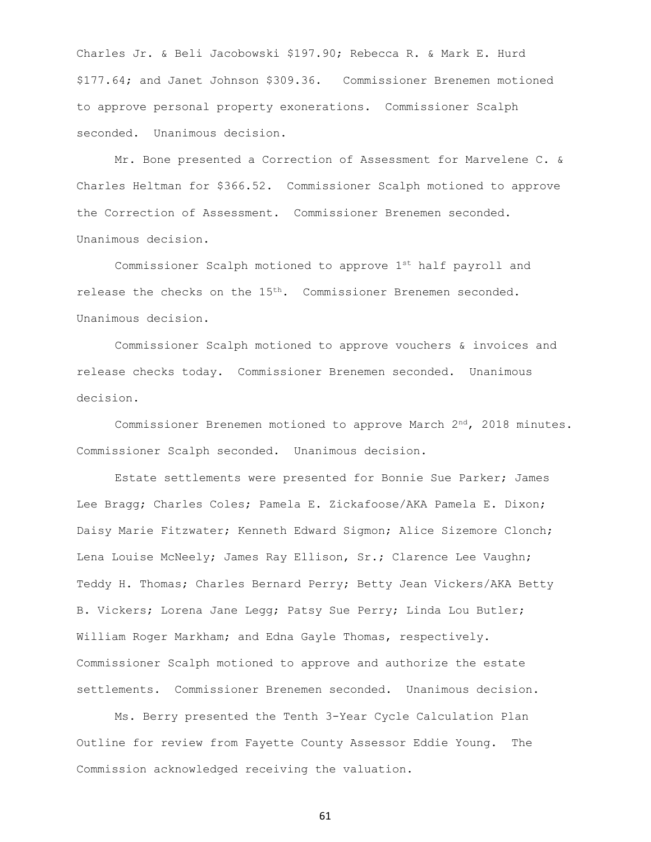Charles Jr. & Beli Jacobowski \$197.90; Rebecca R. & Mark E. Hurd \$177.64; and Janet Johnson \$309.36. Commissioner Brenemen motioned to approve personal property exonerations. Commissioner Scalph seconded. Unanimous decision.

Mr. Bone presented a Correction of Assessment for Marvelene C. & Charles Heltman for \$366.52. Commissioner Scalph motioned to approve the Correction of Assessment. Commissioner Brenemen seconded. Unanimous decision.

Commissioner Scalph motioned to approve 1st half payroll and release the checks on the 15<sup>th</sup>. Commissioner Brenemen seconded. Unanimous decision.

Commissioner Scalph motioned to approve vouchers & invoices and release checks today. Commissioner Brenemen seconded. Unanimous decision.

Commissioner Brenemen motioned to approve March  $2^{nd}$ , 2018 minutes. Commissioner Scalph seconded. Unanimous decision.

Estate settlements were presented for Bonnie Sue Parker; James Lee Bragg; Charles Coles; Pamela E. Zickafoose/AKA Pamela E. Dixon; Daisy Marie Fitzwater; Kenneth Edward Sigmon; Alice Sizemore Clonch; Lena Louise McNeely; James Ray Ellison, Sr.; Clarence Lee Vaughn; Teddy H. Thomas; Charles Bernard Perry; Betty Jean Vickers/AKA Betty B. Vickers; Lorena Jane Legg; Patsy Sue Perry; Linda Lou Butler; William Roger Markham; and Edna Gayle Thomas, respectively. Commissioner Scalph motioned to approve and authorize the estate settlements. Commissioner Brenemen seconded. Unanimous decision.

Ms. Berry presented the Tenth 3-Year Cycle Calculation Plan Outline for review from Fayette County Assessor Eddie Young. The Commission acknowledged receiving the valuation.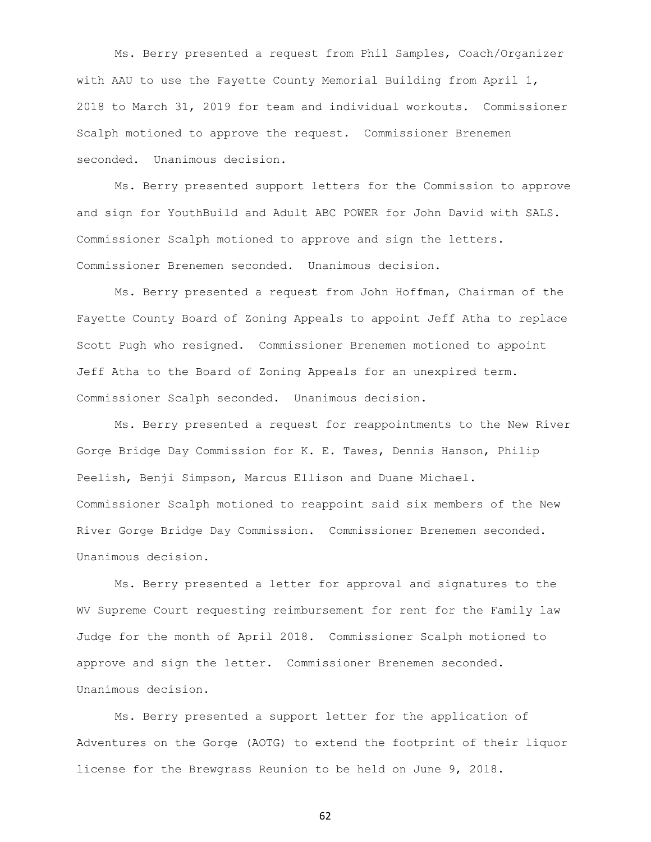Ms. Berry presented a request from Phil Samples, Coach/Organizer with AAU to use the Fayette County Memorial Building from April 1, 2018 to March 31, 2019 for team and individual workouts. Commissioner Scalph motioned to approve the request. Commissioner Brenemen seconded. Unanimous decision.

Ms. Berry presented support letters for the Commission to approve and sign for YouthBuild and Adult ABC POWER for John David with SALS. Commissioner Scalph motioned to approve and sign the letters. Commissioner Brenemen seconded. Unanimous decision.

Ms. Berry presented a request from John Hoffman, Chairman of the Fayette County Board of Zoning Appeals to appoint Jeff Atha to replace Scott Pugh who resigned. Commissioner Brenemen motioned to appoint Jeff Atha to the Board of Zoning Appeals for an unexpired term. Commissioner Scalph seconded. Unanimous decision.

Ms. Berry presented a request for reappointments to the New River Gorge Bridge Day Commission for K. E. Tawes, Dennis Hanson, Philip Peelish, Benji Simpson, Marcus Ellison and Duane Michael. Commissioner Scalph motioned to reappoint said six members of the New River Gorge Bridge Day Commission. Commissioner Brenemen seconded. Unanimous decision.

Ms. Berry presented a letter for approval and signatures to the WV Supreme Court requesting reimbursement for rent for the Family law Judge for the month of April 2018. Commissioner Scalph motioned to approve and sign the letter. Commissioner Brenemen seconded. Unanimous decision.

Ms. Berry presented a support letter for the application of Adventures on the Gorge (AOTG) to extend the footprint of their liquor license for the Brewgrass Reunion to be held on June 9, 2018.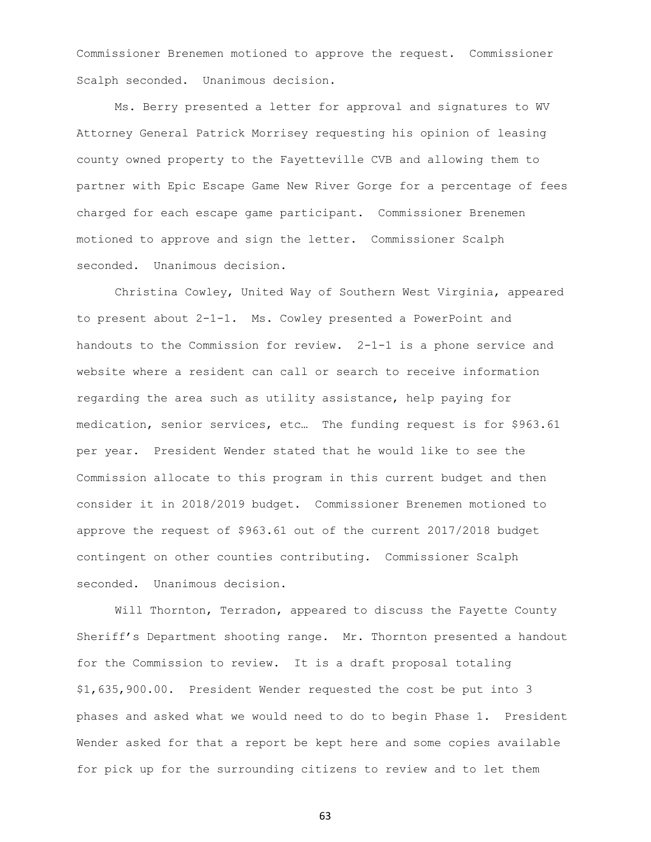Commissioner Brenemen motioned to approve the request. Commissioner Scalph seconded. Unanimous decision.

Ms. Berry presented a letter for approval and signatures to WV Attorney General Patrick Morrisey requesting his opinion of leasing county owned property to the Fayetteville CVB and allowing them to partner with Epic Escape Game New River Gorge for a percentage of fees charged for each escape game participant. Commissioner Brenemen motioned to approve and sign the letter. Commissioner Scalph seconded. Unanimous decision.

Christina Cowley, United Way of Southern West Virginia, appeared to present about 2-1-1. Ms. Cowley presented a PowerPoint and handouts to the Commission for review. 2-1-1 is a phone service and website where a resident can call or search to receive information regarding the area such as utility assistance, help paying for medication, senior services, etc… The funding request is for \$963.61 per year. President Wender stated that he would like to see the Commission allocate to this program in this current budget and then consider it in 2018/2019 budget. Commissioner Brenemen motioned to approve the request of \$963.61 out of the current 2017/2018 budget contingent on other counties contributing. Commissioner Scalph seconded. Unanimous decision.

Will Thornton, Terradon, appeared to discuss the Fayette County Sheriff's Department shooting range. Mr. Thornton presented a handout for the Commission to review. It is a draft proposal totaling \$1,635,900.00. President Wender requested the cost be put into 3 phases and asked what we would need to do to begin Phase 1. President Wender asked for that a report be kept here and some copies available for pick up for the surrounding citizens to review and to let them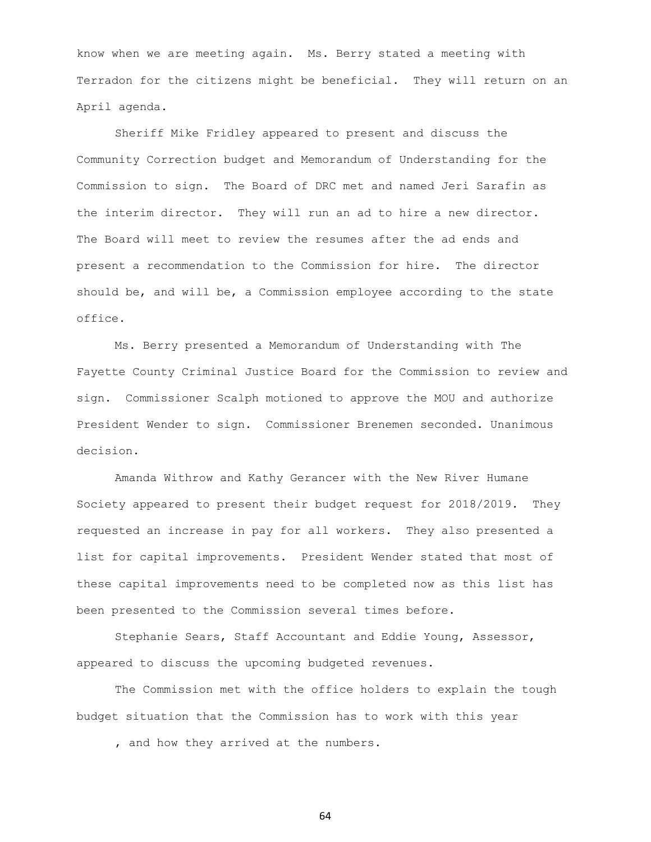know when we are meeting again. Ms. Berry stated a meeting with Terradon for the citizens might be beneficial. They will return on an April agenda.

Sheriff Mike Fridley appeared to present and discuss the Community Correction budget and Memorandum of Understanding for the Commission to sign. The Board of DRC met and named Jeri Sarafin as the interim director. They will run an ad to hire a new director. The Board will meet to review the resumes after the ad ends and present a recommendation to the Commission for hire. The director should be, and will be, a Commission employee according to the state office.

Ms. Berry presented a Memorandum of Understanding with The Fayette County Criminal Justice Board for the Commission to review and sign. Commissioner Scalph motioned to approve the MOU and authorize President Wender to sign. Commissioner Brenemen seconded. Unanimous decision.

Amanda Withrow and Kathy Gerancer with the New River Humane Society appeared to present their budget request for 2018/2019. They requested an increase in pay for all workers. They also presented a list for capital improvements. President Wender stated that most of these capital improvements need to be completed now as this list has been presented to the Commission several times before.

Stephanie Sears, Staff Accountant and Eddie Young, Assessor, appeared to discuss the upcoming budgeted revenues.

The Commission met with the office holders to explain the tough budget situation that the Commission has to work with this year

, and how they arrived at the numbers.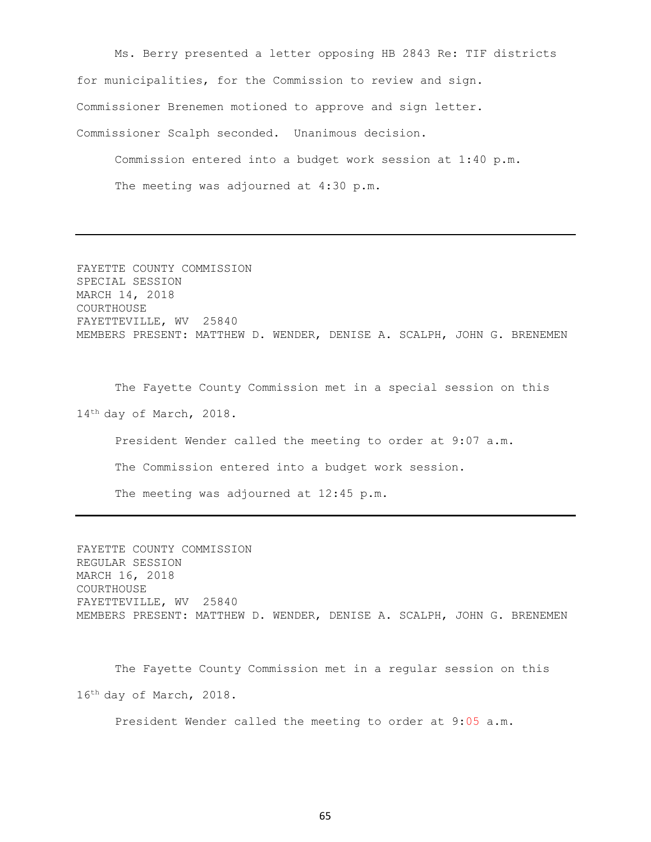Ms. Berry presented a letter opposing HB 2843 Re: TIF districts for municipalities, for the Commission to review and sign. Commissioner Brenemen motioned to approve and sign letter. Commissioner Scalph seconded. Unanimous decision.

Commission entered into a budget work session at 1:40 p.m. The meeting was adjourned at 4:30 p.m.

FAYETTE COUNTY COMMISSION SPECIAL SESSION MARCH 14, 2018 COURTHOUSE FAYETTEVILLE, WV 25840 MEMBERS PRESENT: MATTHEW D. WENDER, DENISE A. SCALPH, JOHN G. BRENEMEN

The Fayette County Commission met in a special session on this 14<sup>th</sup> day of March, 2018.

President Wender called the meeting to order at 9:07 a.m. The Commission entered into a budget work session.

The meeting was adjourned at 12:45 p.m.

FAYETTE COUNTY COMMISSION REGULAR SESSION MARCH 16, 2018 COURTHOUSE FAYETTEVILLE, WV 25840 MEMBERS PRESENT: MATTHEW D. WENDER, DENISE A. SCALPH, JOHN G. BRENEMEN

The Fayette County Commission met in a regular session on this 16th day of March, 2018.

President Wender called the meeting to order at 9:05 a.m.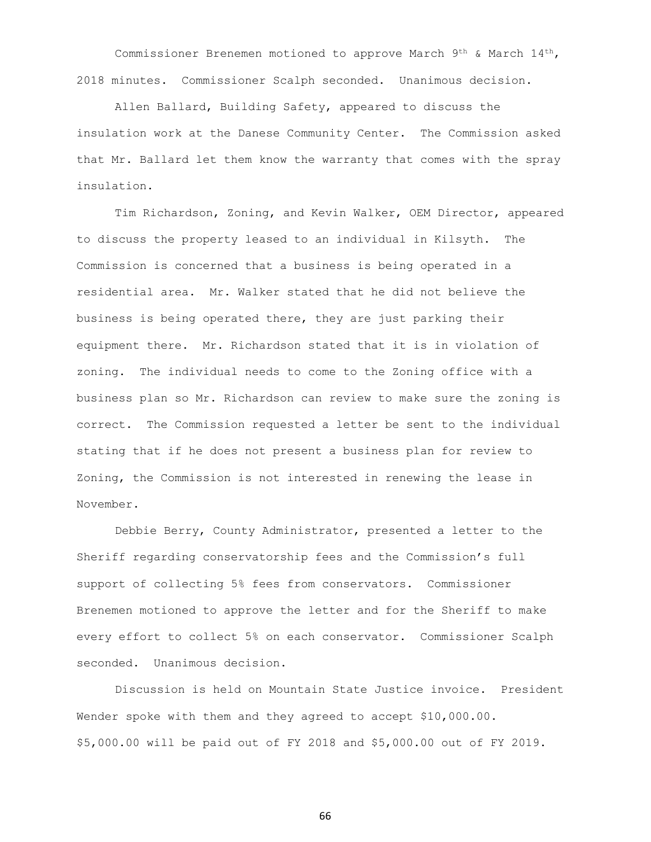Commissioner Brenemen motioned to approve March  $9^{th}$  & March  $14^{th}$ , 2018 minutes. Commissioner Scalph seconded. Unanimous decision.

Allen Ballard, Building Safety, appeared to discuss the insulation work at the Danese Community Center. The Commission asked that Mr. Ballard let them know the warranty that comes with the spray insulation.

Tim Richardson, Zoning, and Kevin Walker, OEM Director, appeared to discuss the property leased to an individual in Kilsyth. The Commission is concerned that a business is being operated in a residential area. Mr. Walker stated that he did not believe the business is being operated there, they are just parking their equipment there. Mr. Richardson stated that it is in violation of zoning. The individual needs to come to the Zoning office with a business plan so Mr. Richardson can review to make sure the zoning is correct. The Commission requested a letter be sent to the individual stating that if he does not present a business plan for review to Zoning, the Commission is not interested in renewing the lease in November.

Debbie Berry, County Administrator, presented a letter to the Sheriff regarding conservatorship fees and the Commission's full support of collecting 5% fees from conservators. Commissioner Brenemen motioned to approve the letter and for the Sheriff to make every effort to collect 5% on each conservator. Commissioner Scalph seconded. Unanimous decision.

Discussion is held on Mountain State Justice invoice. President Wender spoke with them and they agreed to accept \$10,000.00. \$5,000.00 will be paid out of FY 2018 and \$5,000.00 out of FY 2019.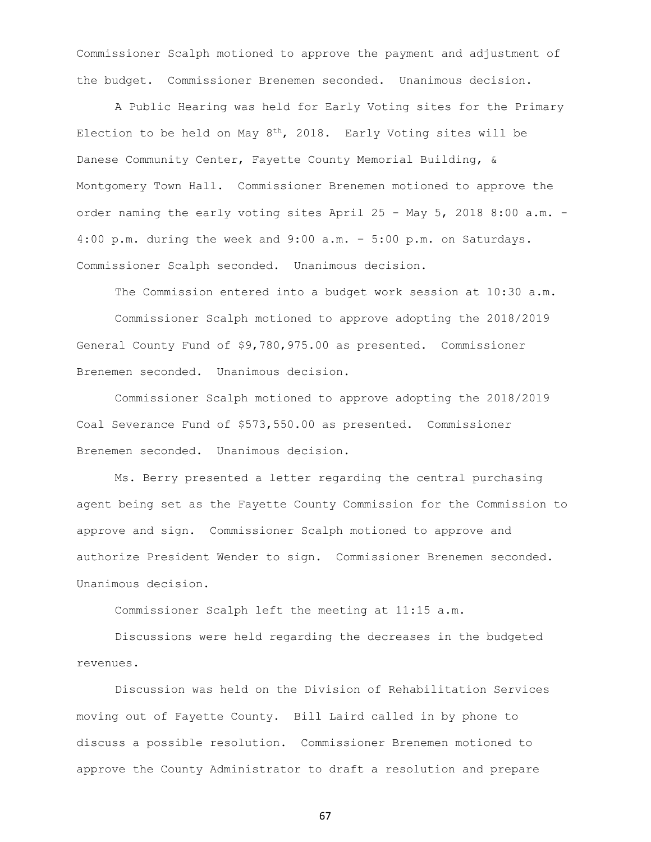Commissioner Scalph motioned to approve the payment and adjustment of the budget. Commissioner Brenemen seconded. Unanimous decision.

A Public Hearing was held for Early Voting sites for the Primary Election to be held on May  $8^{th}$ , 2018. Early Voting sites will be Danese Community Center, Fayette County Memorial Building, & Montgomery Town Hall. Commissioner Brenemen motioned to approve the order naming the early voting sites April 25 - May 5, 2018 8:00 a.m. - 4:00 p.m. during the week and 9:00 a.m. – 5:00 p.m. on Saturdays. Commissioner Scalph seconded. Unanimous decision.

The Commission entered into a budget work session at 10:30 a.m. Commissioner Scalph motioned to approve adopting the 2018/2019 General County Fund of \$9,780,975.00 as presented. Commissioner Brenemen seconded. Unanimous decision.

Commissioner Scalph motioned to approve adopting the 2018/2019 Coal Severance Fund of \$573,550.00 as presented. Commissioner Brenemen seconded. Unanimous decision.

Ms. Berry presented a letter regarding the central purchasing agent being set as the Fayette County Commission for the Commission to approve and sign. Commissioner Scalph motioned to approve and authorize President Wender to sign. Commissioner Brenemen seconded. Unanimous decision.

Commissioner Scalph left the meeting at 11:15 a.m.

Discussions were held regarding the decreases in the budgeted revenues.

Discussion was held on the Division of Rehabilitation Services moving out of Fayette County. Bill Laird called in by phone to discuss a possible resolution. Commissioner Brenemen motioned to approve the County Administrator to draft a resolution and prepare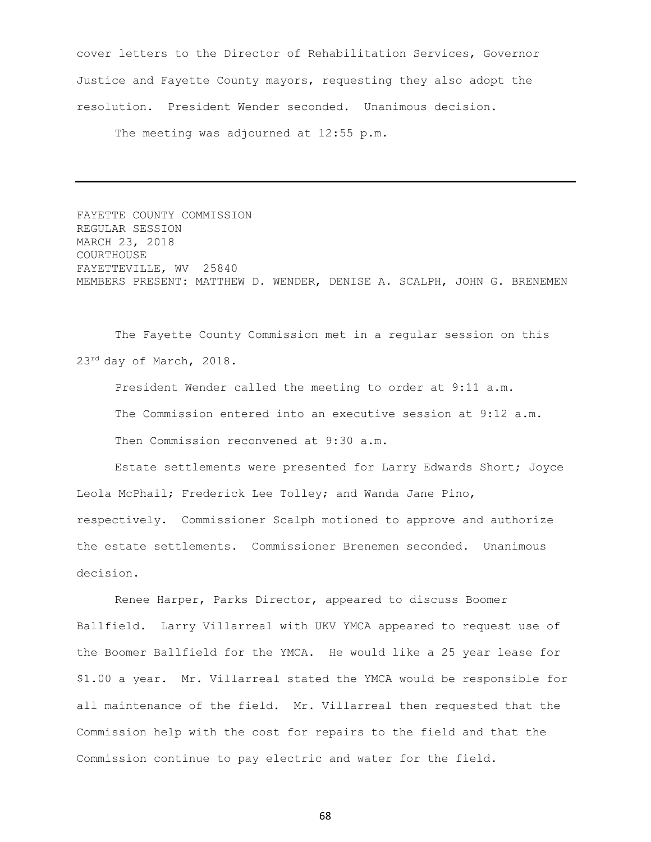cover letters to the Director of Rehabilitation Services, Governor Justice and Fayette County mayors, requesting they also adopt the resolution. President Wender seconded. Unanimous decision.

The meeting was adjourned at 12:55 p.m.

FAYETTE COUNTY COMMISSION REGULAR SESSION MARCH 23, 2018 COURTHOUSE FAYETTEVILLE, WV 25840 MEMBERS PRESENT: MATTHEW D. WENDER, DENISE A. SCALPH, JOHN G. BRENEMEN

The Fayette County Commission met in a regular session on this 23rd day of March, 2018.

President Wender called the meeting to order at 9:11 a.m. The Commission entered into an executive session at 9:12 a.m. Then Commission reconvened at 9:30 a.m.

Estate settlements were presented for Larry Edwards Short; Joyce Leola McPhail; Frederick Lee Tolley; and Wanda Jane Pino, respectively. Commissioner Scalph motioned to approve and authorize the estate settlements. Commissioner Brenemen seconded. Unanimous decision.

Renee Harper, Parks Director, appeared to discuss Boomer Ballfield. Larry Villarreal with UKV YMCA appeared to request use of the Boomer Ballfield for the YMCA. He would like a 25 year lease for \$1.00 a year. Mr. Villarreal stated the YMCA would be responsible for all maintenance of the field. Mr. Villarreal then requested that the Commission help with the cost for repairs to the field and that the Commission continue to pay electric and water for the field.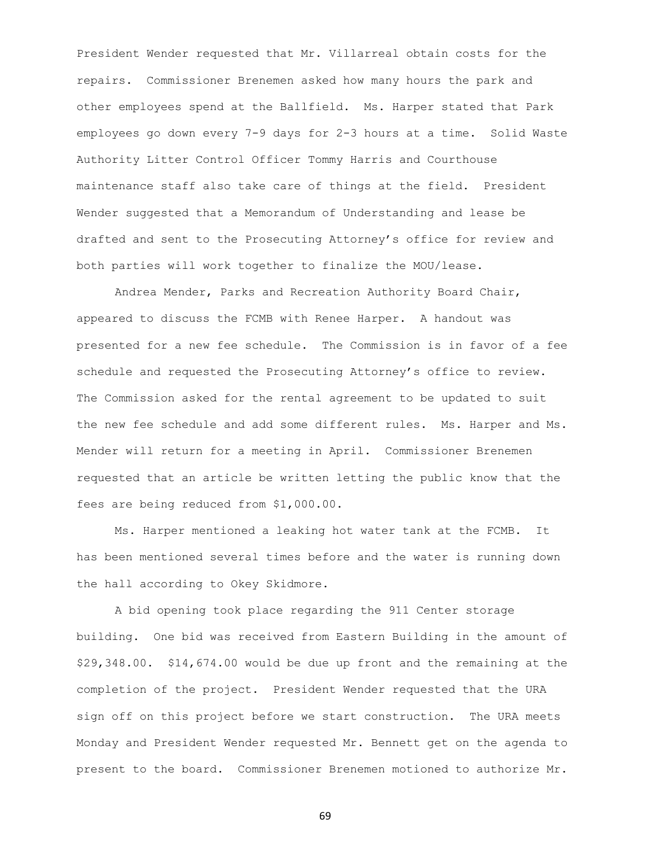President Wender requested that Mr. Villarreal obtain costs for the repairs. Commissioner Brenemen asked how many hours the park and other employees spend at the Ballfield. Ms. Harper stated that Park employees go down every 7-9 days for 2-3 hours at a time. Solid Waste Authority Litter Control Officer Tommy Harris and Courthouse maintenance staff also take care of things at the field. President Wender suggested that a Memorandum of Understanding and lease be drafted and sent to the Prosecuting Attorney's office for review and both parties will work together to finalize the MOU/lease.

Andrea Mender, Parks and Recreation Authority Board Chair, appeared to discuss the FCMB with Renee Harper. A handout was presented for a new fee schedule. The Commission is in favor of a fee schedule and requested the Prosecuting Attorney's office to review. The Commission asked for the rental agreement to be updated to suit the new fee schedule and add some different rules. Ms. Harper and Ms. Mender will return for a meeting in April. Commissioner Brenemen requested that an article be written letting the public know that the fees are being reduced from \$1,000.00.

Ms. Harper mentioned a leaking hot water tank at the FCMB. It has been mentioned several times before and the water is running down the hall according to Okey Skidmore.

A bid opening took place regarding the 911 Center storage building. One bid was received from Eastern Building in the amount of \$29,348.00. \$14,674.00 would be due up front and the remaining at the completion of the project. President Wender requested that the URA sign off on this project before we start construction. The URA meets Monday and President Wender requested Mr. Bennett get on the agenda to present to the board. Commissioner Brenemen motioned to authorize Mr.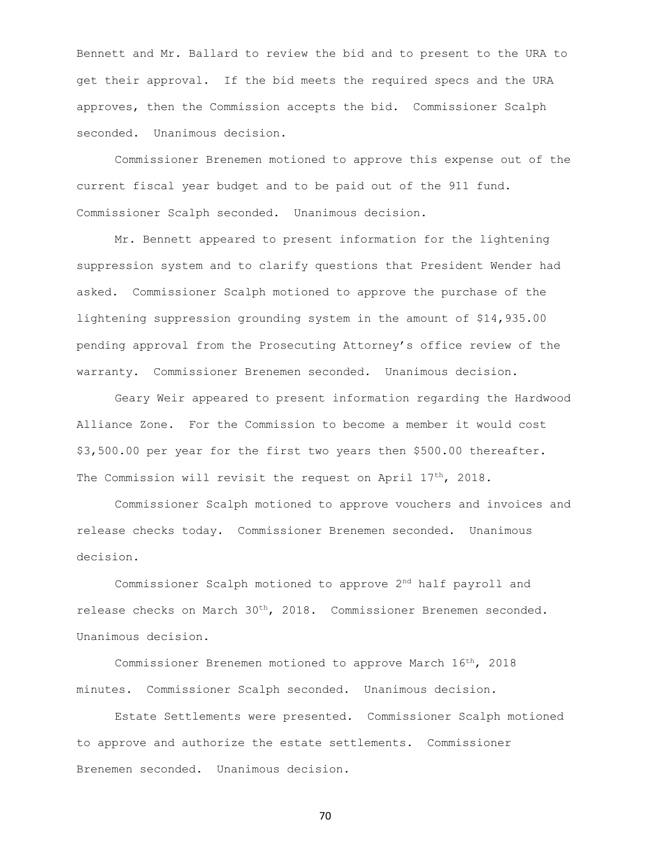Bennett and Mr. Ballard to review the bid and to present to the URA to get their approval. If the bid meets the required specs and the URA approves, then the Commission accepts the bid. Commissioner Scalph seconded. Unanimous decision.

Commissioner Brenemen motioned to approve this expense out of the current fiscal year budget and to be paid out of the 911 fund. Commissioner Scalph seconded. Unanimous decision.

Mr. Bennett appeared to present information for the lightening suppression system and to clarify questions that President Wender had asked. Commissioner Scalph motioned to approve the purchase of the lightening suppression grounding system in the amount of \$14,935.00 pending approval from the Prosecuting Attorney's office review of the warranty. Commissioner Brenemen seconded. Unanimous decision.

Geary Weir appeared to present information regarding the Hardwood Alliance Zone. For the Commission to become a member it would cost \$3,500.00 per year for the first two years then \$500.00 thereafter. The Commission will revisit the request on April 17<sup>th</sup>, 2018.

Commissioner Scalph motioned to approve vouchers and invoices and release checks today. Commissioner Brenemen seconded. Unanimous decision.

Commissioner Scalph motioned to approve 2nd half payroll and release checks on March 30<sup>th</sup>, 2018. Commissioner Brenemen seconded. Unanimous decision.

Commissioner Brenemen motioned to approve March 16th, 2018 minutes. Commissioner Scalph seconded. Unanimous decision.

Estate Settlements were presented. Commissioner Scalph motioned to approve and authorize the estate settlements. Commissioner Brenemen seconded. Unanimous decision.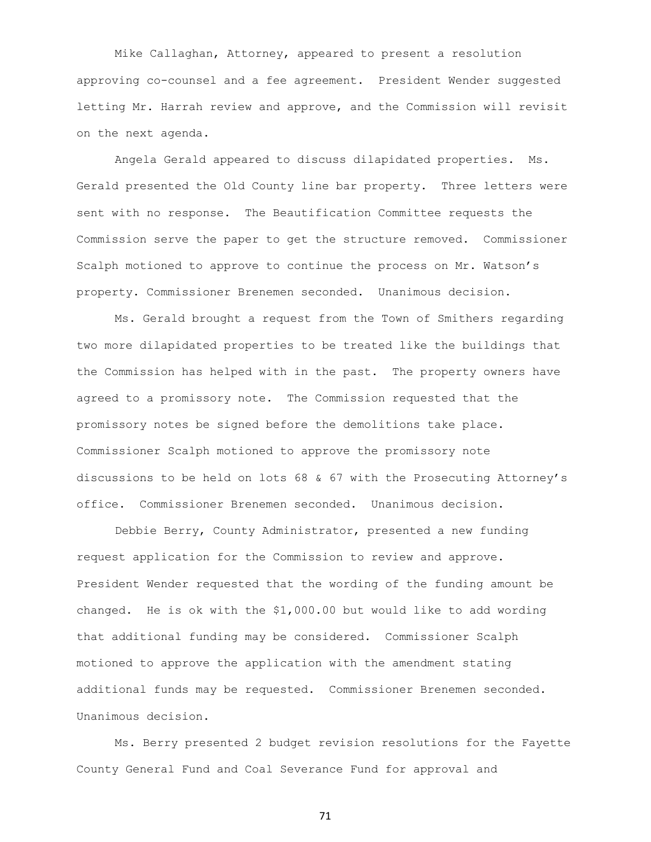Mike Callaghan, Attorney, appeared to present a resolution approving co-counsel and a fee agreement. President Wender suggested letting Mr. Harrah review and approve, and the Commission will revisit on the next agenda.

Angela Gerald appeared to discuss dilapidated properties. Ms. Gerald presented the Old County line bar property. Three letters were sent with no response. The Beautification Committee requests the Commission serve the paper to get the structure removed. Commissioner Scalph motioned to approve to continue the process on Mr. Watson's property. Commissioner Brenemen seconded. Unanimous decision.

Ms. Gerald brought a request from the Town of Smithers regarding two more dilapidated properties to be treated like the buildings that the Commission has helped with in the past. The property owners have agreed to a promissory note. The Commission requested that the promissory notes be signed before the demolitions take place. Commissioner Scalph motioned to approve the promissory note discussions to be held on lots 68 & 67 with the Prosecuting Attorney's office. Commissioner Brenemen seconded. Unanimous decision.

Debbie Berry, County Administrator, presented a new funding request application for the Commission to review and approve. President Wender requested that the wording of the funding amount be changed. He is ok with the \$1,000.00 but would like to add wording that additional funding may be considered. Commissioner Scalph motioned to approve the application with the amendment stating additional funds may be requested. Commissioner Brenemen seconded. Unanimous decision.

Ms. Berry presented 2 budget revision resolutions for the Fayette County General Fund and Coal Severance Fund for approval and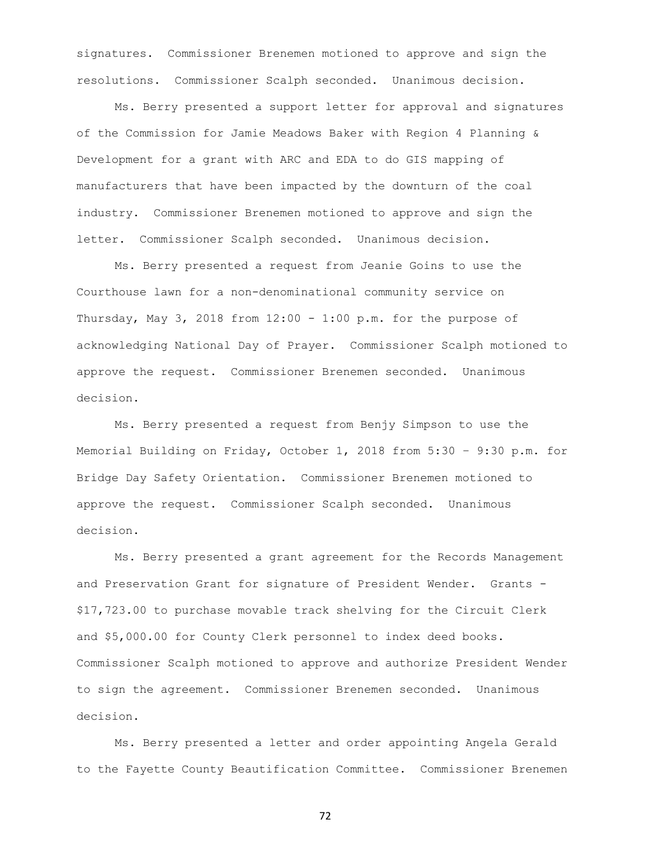signatures. Commissioner Brenemen motioned to approve and sign the resolutions. Commissioner Scalph seconded. Unanimous decision.

Ms. Berry presented a support letter for approval and signatures of the Commission for Jamie Meadows Baker with Region 4 Planning & Development for a grant with ARC and EDA to do GIS mapping of manufacturers that have been impacted by the downturn of the coal industry. Commissioner Brenemen motioned to approve and sign the letter. Commissioner Scalph seconded. Unanimous decision.

Ms. Berry presented a request from Jeanie Goins to use the Courthouse lawn for a non-denominational community service on Thursday, May 3, 2018 from  $12:00 - 1:00$  p.m. for the purpose of acknowledging National Day of Prayer. Commissioner Scalph motioned to approve the request. Commissioner Brenemen seconded. Unanimous decision.

Ms. Berry presented a request from Benjy Simpson to use the Memorial Building on Friday, October 1, 2018 from 5:30 – 9:30 p.m. for Bridge Day Safety Orientation. Commissioner Brenemen motioned to approve the request. Commissioner Scalph seconded. Unanimous decision.

Ms. Berry presented a grant agreement for the Records Management and Preservation Grant for signature of President Wender. Grants - \$17,723.00 to purchase movable track shelving for the Circuit Clerk and \$5,000.00 for County Clerk personnel to index deed books. Commissioner Scalph motioned to approve and authorize President Wender to sign the agreement. Commissioner Brenemen seconded. Unanimous decision.

Ms. Berry presented a letter and order appointing Angela Gerald to the Fayette County Beautification Committee. Commissioner Brenemen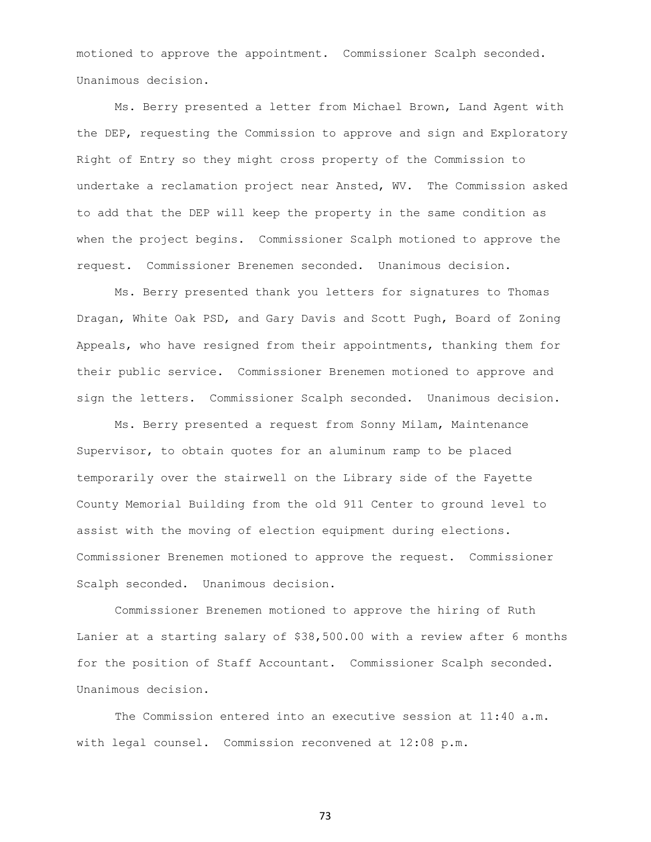motioned to approve the appointment. Commissioner Scalph seconded. Unanimous decision.

Ms. Berry presented a letter from Michael Brown, Land Agent with the DEP, requesting the Commission to approve and sign and Exploratory Right of Entry so they might cross property of the Commission to undertake a reclamation project near Ansted, WV. The Commission asked to add that the DEP will keep the property in the same condition as when the project begins. Commissioner Scalph motioned to approve the request. Commissioner Brenemen seconded. Unanimous decision.

Ms. Berry presented thank you letters for signatures to Thomas Dragan, White Oak PSD, and Gary Davis and Scott Pugh, Board of Zoning Appeals, who have resigned from their appointments, thanking them for their public service. Commissioner Brenemen motioned to approve and sign the letters. Commissioner Scalph seconded. Unanimous decision.

Ms. Berry presented a request from Sonny Milam, Maintenance Supervisor, to obtain quotes for an aluminum ramp to be placed temporarily over the stairwell on the Library side of the Fayette County Memorial Building from the old 911 Center to ground level to assist with the moving of election equipment during elections. Commissioner Brenemen motioned to approve the request. Commissioner Scalph seconded. Unanimous decision.

Commissioner Brenemen motioned to approve the hiring of Ruth Lanier at a starting salary of \$38,500.00 with a review after 6 months for the position of Staff Accountant. Commissioner Scalph seconded. Unanimous decision.

The Commission entered into an executive session at 11:40 a.m. with legal counsel. Commission reconvened at 12:08 p.m.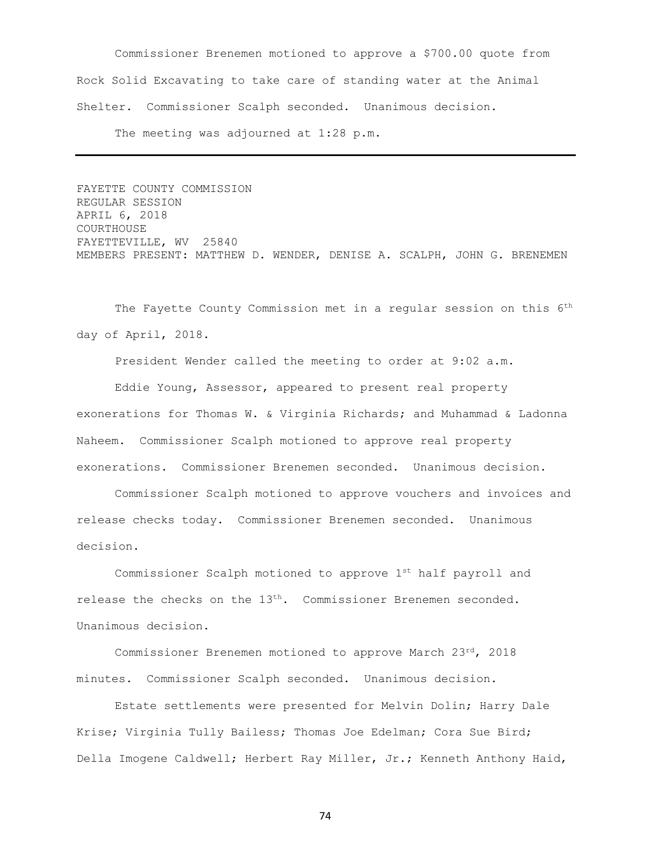Commissioner Brenemen motioned to approve a \$700.00 quote from Rock Solid Excavating to take care of standing water at the Animal Shelter. Commissioner Scalph seconded. Unanimous decision.

The meeting was adjourned at 1:28 p.m.

FAYETTE COUNTY COMMISSION REGULAR SESSION APRIL 6, 2018 COURTHOUSE FAYETTEVILLE, WV 25840 MEMBERS PRESENT: MATTHEW D. WENDER, DENISE A. SCALPH, JOHN G. BRENEMEN

The Fayette County Commission met in a regular session on this 6<sup>th</sup> day of April, 2018.

President Wender called the meeting to order at 9:02 a.m.

Eddie Young, Assessor, appeared to present real property exonerations for Thomas W. & Virginia Richards; and Muhammad & Ladonna Naheem. Commissioner Scalph motioned to approve real property exonerations. Commissioner Brenemen seconded. Unanimous decision.

Commissioner Scalph motioned to approve vouchers and invoices and release checks today. Commissioner Brenemen seconded. Unanimous decision.

Commissioner Scalph motioned to approve 1st half payroll and release the checks on the  $13<sup>th</sup>$ . Commissioner Brenemen seconded. Unanimous decision.

Commissioner Brenemen motioned to approve March 23rd, 2018 minutes. Commissioner Scalph seconded. Unanimous decision.

Estate settlements were presented for Melvin Dolin; Harry Dale Krise; Virginia Tully Bailess; Thomas Joe Edelman; Cora Sue Bird; Della Imogene Caldwell; Herbert Ray Miller, Jr.; Kenneth Anthony Haid,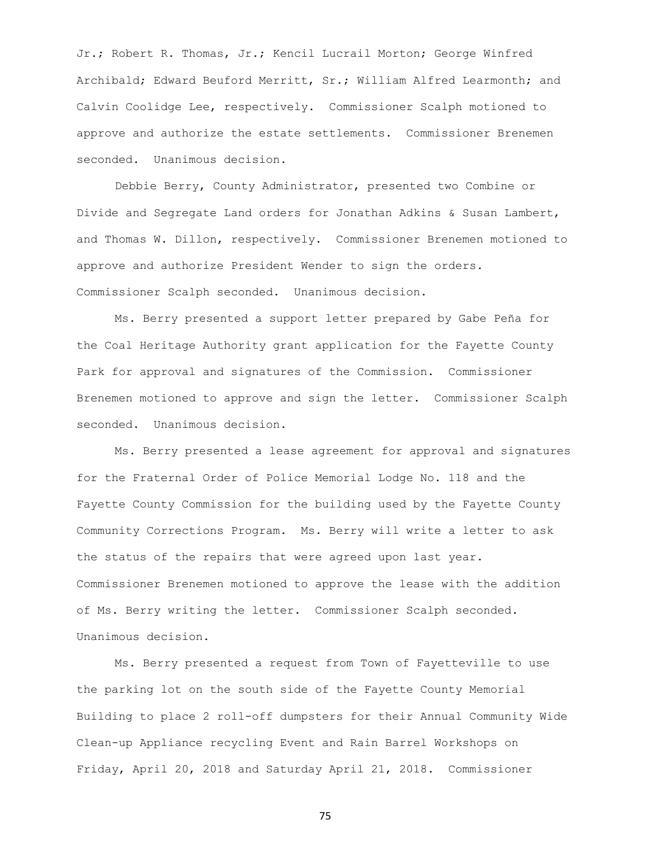Jr.; Robert R. Thomas, Jr.; Kencil Lucrail Morton; George Winfred Archibald; Edward Beuford Merritt, Sr.; William Alfred Learmonth; and Calvin Coolidge Lee, respectively. Commissioner Scalph motioned to approve and authorize the estate settlements. Commissioner Brenemen seconded. Unanimous decision.

Debbie Berry, County Administrator, presented two Combine or Divide and Segregate Land orders for Jonathan Adkins & Susan Lambert, and Thomas W. Dillon, respectively. Commissioner Brenemen motioned to approve and authorize President Wender to sign the orders. Commissioner Scalph seconded. Unanimous decision.

Ms. Berry presented a support letter prepared by Gabe Peña for the Coal Heritage Authority grant application for the Fayette County Park for approval and signatures of the Commission. Commissioner Brenemen motioned to approve and sign the letter. Commissioner Scalph seconded. Unanimous decision.

Ms. Berry presented a lease agreement for approval and signatures for the Fraternal Order of Police Memorial Lodge No. 118 and the Fayette County Commission for the building used by the Fayette County Community Corrections Program. Ms. Berry will write a letter to ask the status of the repairs that were agreed upon last year. Commissioner Brenemen motioned to approve the lease with the addition of Ms. Berry writing the letter. Commissioner Scalph seconded. Unanimous decision.

Ms. Berry presented a request from Town of Fayetteville to use the parking lot on the south side of the Fayette County Memorial Building to place 2 roll-off dumpsters for their Annual Community Wide Clean-up Appliance recycling Event and Rain Barrel Workshops on Friday, April 20, 2018 and Saturday April 21, 2018. Commissioner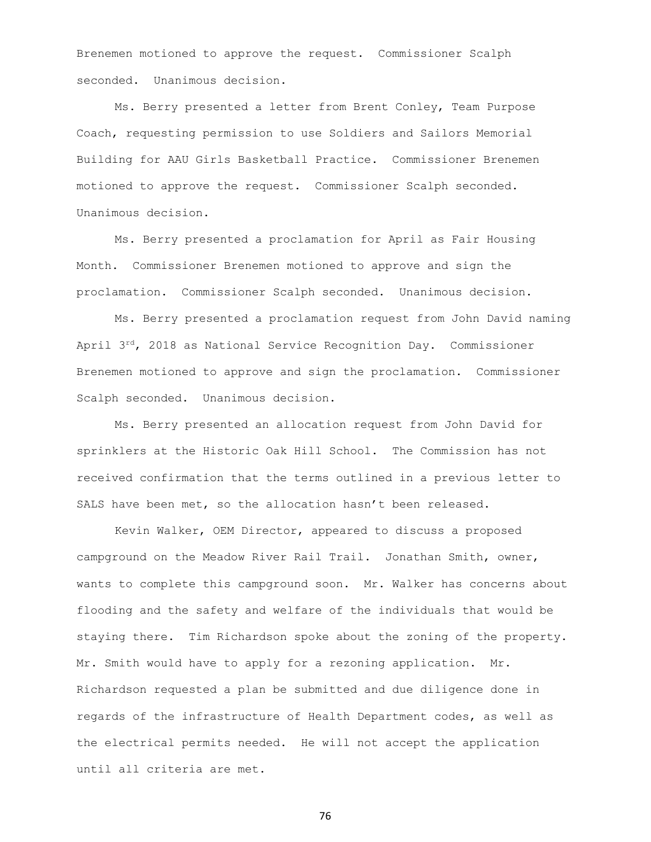Brenemen motioned to approve the request. Commissioner Scalph seconded. Unanimous decision.

Ms. Berry presented a letter from Brent Conley, Team Purpose Coach, requesting permission to use Soldiers and Sailors Memorial Building for AAU Girls Basketball Practice. Commissioner Brenemen motioned to approve the request. Commissioner Scalph seconded. Unanimous decision.

Ms. Berry presented a proclamation for April as Fair Housing Month. Commissioner Brenemen motioned to approve and sign the proclamation. Commissioner Scalph seconded. Unanimous decision.

Ms. Berry presented a proclamation request from John David naming April  $3^{rd}$ , 2018 as National Service Recognition Day. Commissioner Brenemen motioned to approve and sign the proclamation. Commissioner Scalph seconded. Unanimous decision.

Ms. Berry presented an allocation request from John David for sprinklers at the Historic Oak Hill School. The Commission has not received confirmation that the terms outlined in a previous letter to SALS have been met, so the allocation hasn't been released.

Kevin Walker, OEM Director, appeared to discuss a proposed campground on the Meadow River Rail Trail. Jonathan Smith, owner, wants to complete this campground soon. Mr. Walker has concerns about flooding and the safety and welfare of the individuals that would be staying there. Tim Richardson spoke about the zoning of the property. Mr. Smith would have to apply for a rezoning application. Mr. Richardson requested a plan be submitted and due diligence done in regards of the infrastructure of Health Department codes, as well as the electrical permits needed. He will not accept the application until all criteria are met.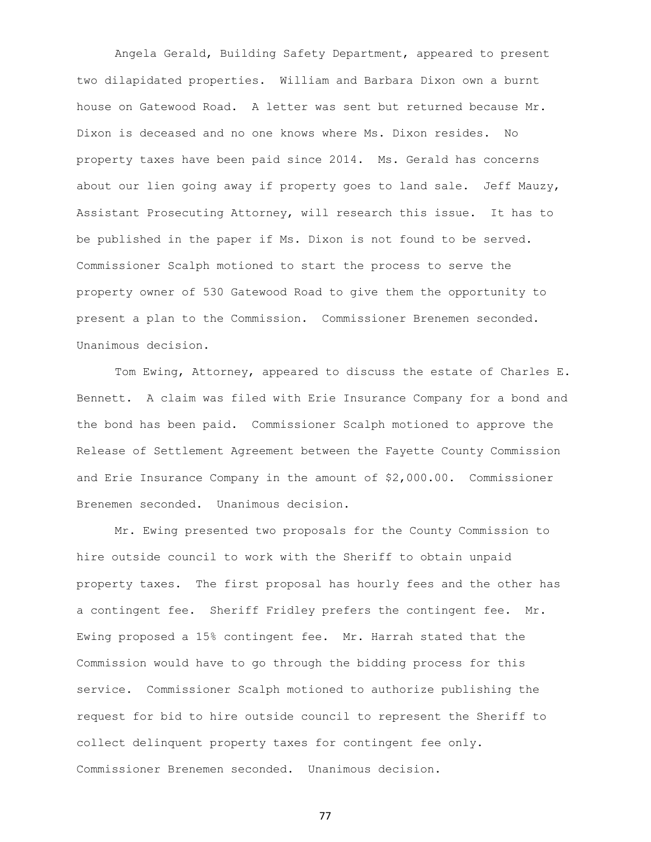Angela Gerald, Building Safety Department, appeared to present two dilapidated properties. William and Barbara Dixon own a burnt house on Gatewood Road. A letter was sent but returned because Mr. Dixon is deceased and no one knows where Ms. Dixon resides. No property taxes have been paid since 2014. Ms. Gerald has concerns about our lien going away if property goes to land sale. Jeff Mauzy, Assistant Prosecuting Attorney, will research this issue. It has to be published in the paper if Ms. Dixon is not found to be served. Commissioner Scalph motioned to start the process to serve the property owner of 530 Gatewood Road to give them the opportunity to present a plan to the Commission. Commissioner Brenemen seconded. Unanimous decision.

Tom Ewing, Attorney, appeared to discuss the estate of Charles E. Bennett. A claim was filed with Erie Insurance Company for a bond and the bond has been paid. Commissioner Scalph motioned to approve the Release of Settlement Agreement between the Fayette County Commission and Erie Insurance Company in the amount of \$2,000.00. Commissioner Brenemen seconded. Unanimous decision.

Mr. Ewing presented two proposals for the County Commission to hire outside council to work with the Sheriff to obtain unpaid property taxes. The first proposal has hourly fees and the other has a contingent fee. Sheriff Fridley prefers the contingent fee. Mr. Ewing proposed a 15% contingent fee. Mr. Harrah stated that the Commission would have to go through the bidding process for this service. Commissioner Scalph motioned to authorize publishing the request for bid to hire outside council to represent the Sheriff to collect delinquent property taxes for contingent fee only. Commissioner Brenemen seconded. Unanimous decision.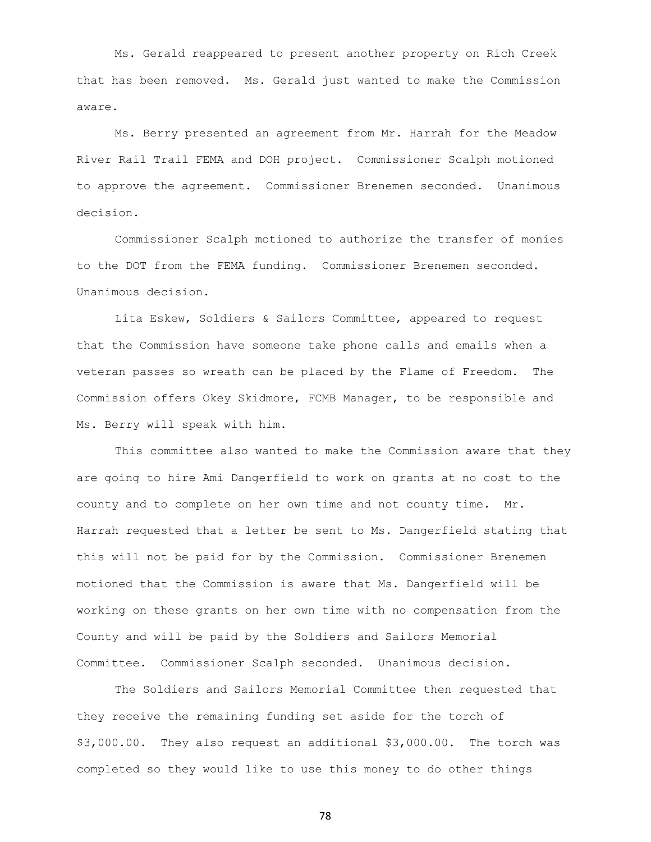Ms. Gerald reappeared to present another property on Rich Creek that has been removed. Ms. Gerald just wanted to make the Commission aware.

Ms. Berry presented an agreement from Mr. Harrah for the Meadow River Rail Trail FEMA and DOH project. Commissioner Scalph motioned to approve the agreement. Commissioner Brenemen seconded. Unanimous decision.

Commissioner Scalph motioned to authorize the transfer of monies to the DOT from the FEMA funding. Commissioner Brenemen seconded. Unanimous decision.

Lita Eskew, Soldiers & Sailors Committee, appeared to request that the Commission have someone take phone calls and emails when a veteran passes so wreath can be placed by the Flame of Freedom. The Commission offers Okey Skidmore, FCMB Manager, to be responsible and Ms. Berry will speak with him.

This committee also wanted to make the Commission aware that they are going to hire Ami Dangerfield to work on grants at no cost to the county and to complete on her own time and not county time. Mr. Harrah requested that a letter be sent to Ms. Dangerfield stating that this will not be paid for by the Commission. Commissioner Brenemen motioned that the Commission is aware that Ms. Dangerfield will be working on these grants on her own time with no compensation from the County and will be paid by the Soldiers and Sailors Memorial Committee. Commissioner Scalph seconded. Unanimous decision.

The Soldiers and Sailors Memorial Committee then requested that they receive the remaining funding set aside for the torch of \$3,000.00. They also request an additional \$3,000.00. The torch was completed so they would like to use this money to do other things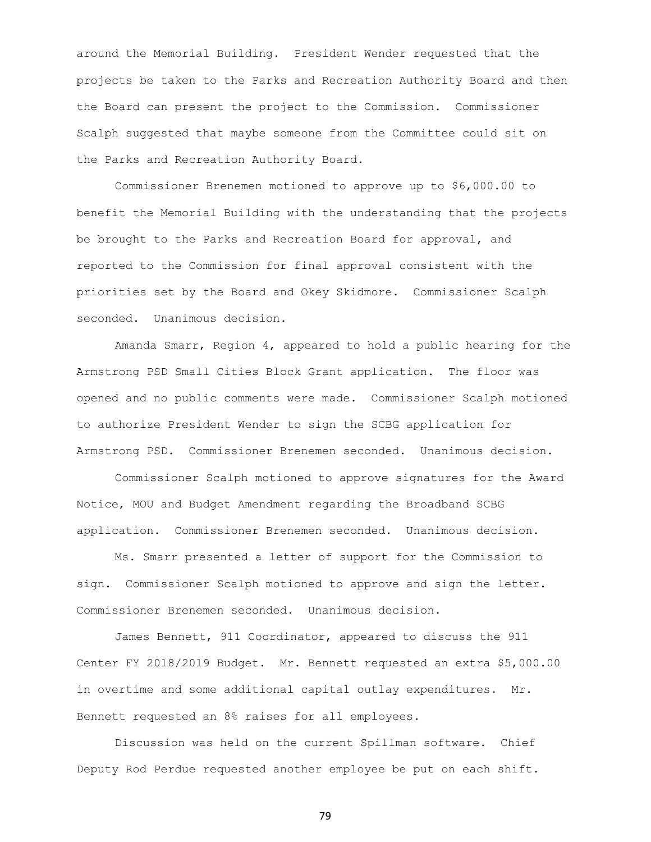around the Memorial Building. President Wender requested that the projects be taken to the Parks and Recreation Authority Board and then the Board can present the project to the Commission. Commissioner Scalph suggested that maybe someone from the Committee could sit on the Parks and Recreation Authority Board.

Commissioner Brenemen motioned to approve up to \$6,000.00 to benefit the Memorial Building with the understanding that the projects be brought to the Parks and Recreation Board for approval, and reported to the Commission for final approval consistent with the priorities set by the Board and Okey Skidmore. Commissioner Scalph seconded. Unanimous decision.

Amanda Smarr, Region 4, appeared to hold a public hearing for the Armstrong PSD Small Cities Block Grant application. The floor was opened and no public comments were made. Commissioner Scalph motioned to authorize President Wender to sign the SCBG application for Armstrong PSD. Commissioner Brenemen seconded. Unanimous decision.

Commissioner Scalph motioned to approve signatures for the Award Notice, MOU and Budget Amendment regarding the Broadband SCBG application. Commissioner Brenemen seconded. Unanimous decision.

Ms. Smarr presented a letter of support for the Commission to sign. Commissioner Scalph motioned to approve and sign the letter. Commissioner Brenemen seconded. Unanimous decision.

James Bennett, 911 Coordinator, appeared to discuss the 911 Center FY 2018/2019 Budget. Mr. Bennett requested an extra \$5,000.00 in overtime and some additional capital outlay expenditures. Mr. Bennett requested an 8% raises for all employees.

Discussion was held on the current Spillman software. Chief Deputy Rod Perdue requested another employee be put on each shift.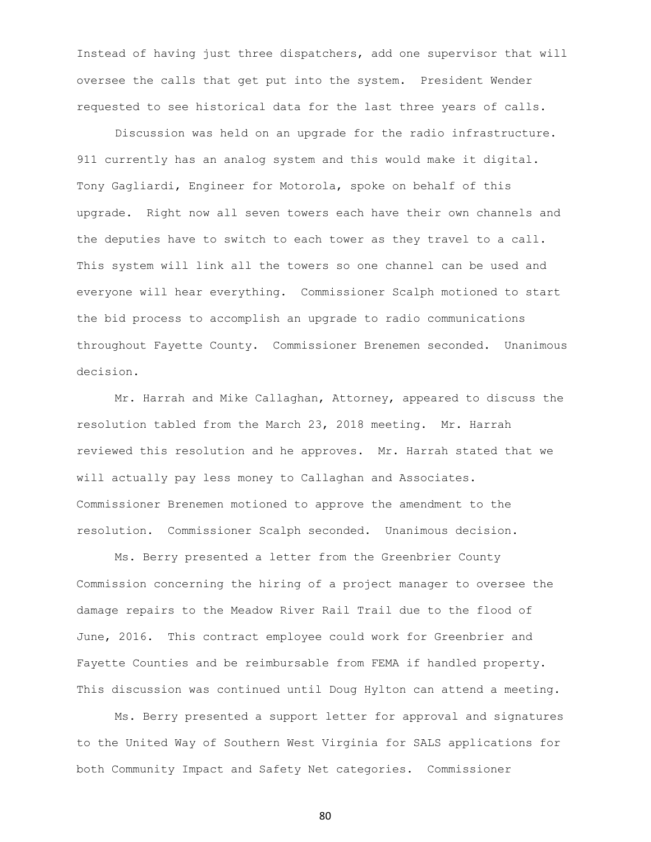Instead of having just three dispatchers, add one supervisor that will oversee the calls that get put into the system. President Wender requested to see historical data for the last three years of calls.

Discussion was held on an upgrade for the radio infrastructure. 911 currently has an analog system and this would make it digital. Tony Gagliardi, Engineer for Motorola, spoke on behalf of this upgrade. Right now all seven towers each have their own channels and the deputies have to switch to each tower as they travel to a call. This system will link all the towers so one channel can be used and everyone will hear everything. Commissioner Scalph motioned to start the bid process to accomplish an upgrade to radio communications throughout Fayette County. Commissioner Brenemen seconded. Unanimous decision.

Mr. Harrah and Mike Callaghan, Attorney, appeared to discuss the resolution tabled from the March 23, 2018 meeting. Mr. Harrah reviewed this resolution and he approves. Mr. Harrah stated that we will actually pay less money to Callaghan and Associates. Commissioner Brenemen motioned to approve the amendment to the resolution. Commissioner Scalph seconded. Unanimous decision.

Ms. Berry presented a letter from the Greenbrier County Commission concerning the hiring of a project manager to oversee the damage repairs to the Meadow River Rail Trail due to the flood of June, 2016. This contract employee could work for Greenbrier and Fayette Counties and be reimbursable from FEMA if handled property. This discussion was continued until Doug Hylton can attend a meeting.

Ms. Berry presented a support letter for approval and signatures to the United Way of Southern West Virginia for SALS applications for both Community Impact and Safety Net categories. Commissioner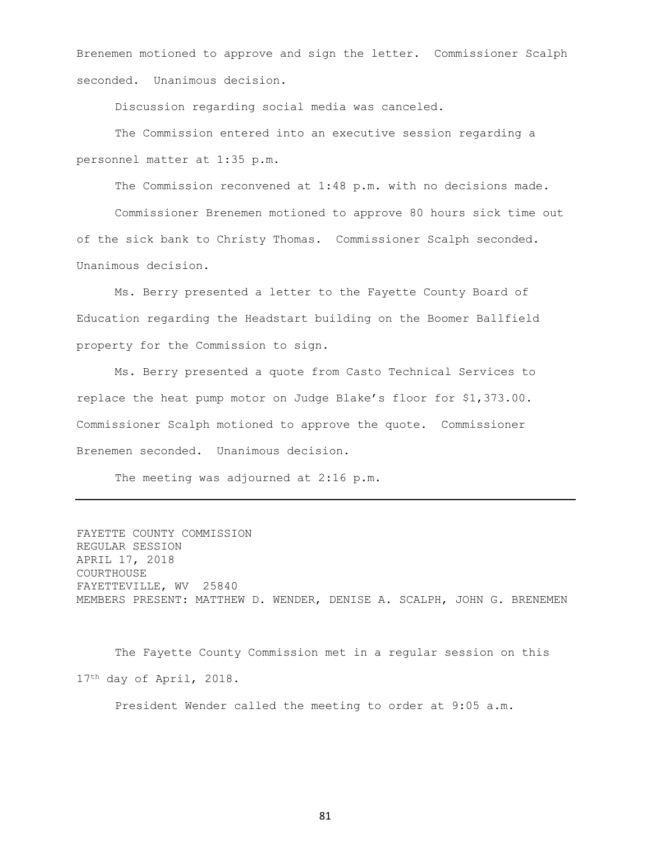Brenemen motioned to approve and sign the letter. Commissioner Scalph seconded. Unanimous decision.

Discussion regarding social media was canceled.

The Commission entered into an executive session regarding a personnel matter at 1:35 p.m.

The Commission reconvened at 1:48 p.m. with no decisions made.

Commissioner Brenemen motioned to approve 80 hours sick time out of the sick bank to Christy Thomas. Commissioner Scalph seconded. Unanimous decision.

Ms. Berry presented a letter to the Fayette County Board of Education regarding the Headstart building on the Boomer Ballfield property for the Commission to sign.

Ms. Berry presented a quote from Casto Technical Services to replace the heat pump motor on Judge Blake's floor for \$1,373.00. Commissioner Scalph motioned to approve the quote. Commissioner Brenemen seconded. Unanimous decision.

The meeting was adjourned at 2:16 p.m.

FAYETTE COUNTY COMMISSION REGULAR SESSION APRIL 17, 2018 COURTHOUSE FAYETTEVILLE, WV 25840 MEMBERS PRESENT: MATTHEW D. WENDER, DENISE A. SCALPH, JOHN G. BRENEMEN

The Fayette County Commission met in a regular session on this 17th day of April, 2018.

President Wender called the meeting to order at 9:05 a.m.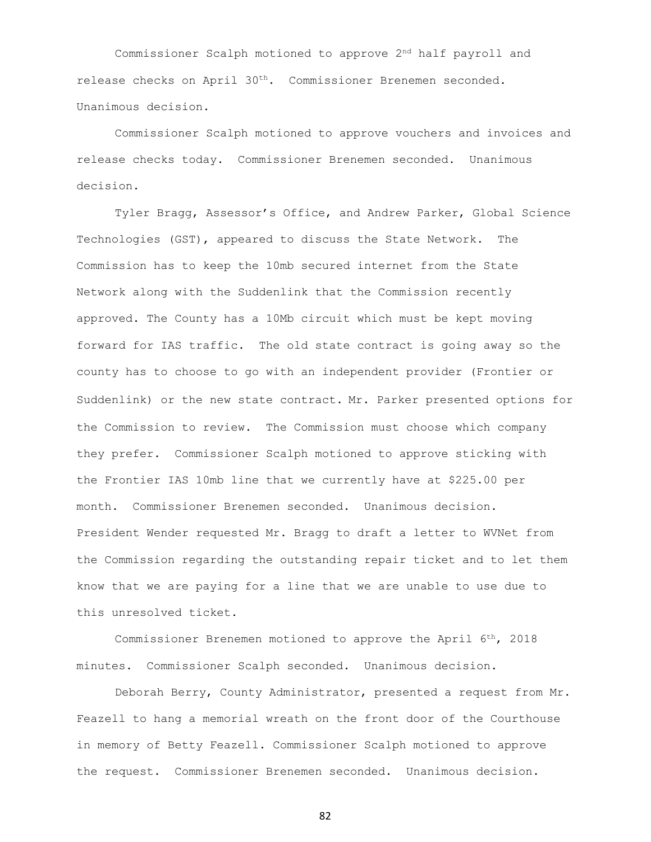Commissioner Scalph motioned to approve 2nd half payroll and release checks on April 30th. Commissioner Brenemen seconded. Unanimous decision.

Commissioner Scalph motioned to approve vouchers and invoices and release checks today. Commissioner Brenemen seconded. Unanimous decision.

Tyler Bragg, Assessor's Office, and Andrew Parker, Global Science Technologies (GST), appeared to discuss the State Network. The Commission has to keep the 10mb secured internet from the State Network along with the Suddenlink that the Commission recently approved. The County has a 10Mb circuit which must be kept moving forward for IAS traffic. The old state contract is going away so the county has to choose to go with an independent provider (Frontier or Suddenlink) or the new state contract. Mr. Parker presented options for the Commission to review. The Commission must choose which company they prefer. Commissioner Scalph motioned to approve sticking with the Frontier IAS 10mb line that we currently have at \$225.00 per month. Commissioner Brenemen seconded. Unanimous decision. President Wender requested Mr. Bragg to draft a letter to WVNet from the Commission regarding the outstanding repair ticket and to let them know that we are paying for a line that we are unable to use due to this unresolved ticket.

Commissioner Brenemen motioned to approve the April 6th, 2018 minutes. Commissioner Scalph seconded. Unanimous decision.

Deborah Berry, County Administrator, presented a request from Mr. Feazell to hang a memorial wreath on the front door of the Courthouse in memory of Betty Feazell. Commissioner Scalph motioned to approve the request. Commissioner Brenemen seconded. Unanimous decision.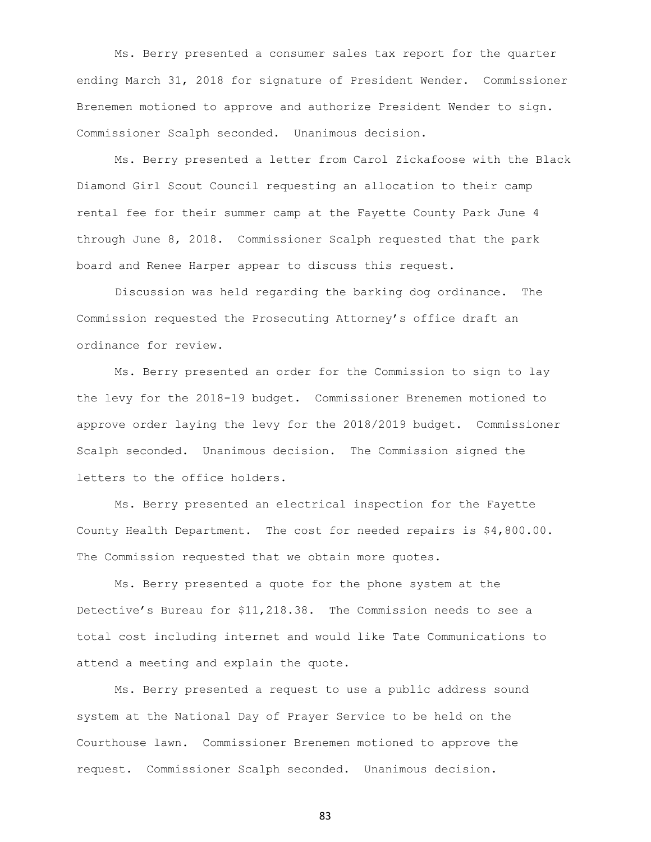Ms. Berry presented a consumer sales tax report for the quarter ending March 31, 2018 for signature of President Wender. Commissioner Brenemen motioned to approve and authorize President Wender to sign. Commissioner Scalph seconded. Unanimous decision.

Ms. Berry presented a letter from Carol Zickafoose with the Black Diamond Girl Scout Council requesting an allocation to their camp rental fee for their summer camp at the Fayette County Park June 4 through June 8, 2018. Commissioner Scalph requested that the park board and Renee Harper appear to discuss this request.

Discussion was held regarding the barking dog ordinance. The Commission requested the Prosecuting Attorney's office draft an ordinance for review.

Ms. Berry presented an order for the Commission to sign to lay the levy for the 2018-19 budget. Commissioner Brenemen motioned to approve order laying the levy for the 2018/2019 budget. Commissioner Scalph seconded. Unanimous decision. The Commission signed the letters to the office holders.

Ms. Berry presented an electrical inspection for the Fayette County Health Department. The cost for needed repairs is \$4,800.00. The Commission requested that we obtain more quotes.

Ms. Berry presented a quote for the phone system at the Detective's Bureau for \$11,218.38. The Commission needs to see a total cost including internet and would like Tate Communications to attend a meeting and explain the quote.

Ms. Berry presented a request to use a public address sound system at the National Day of Prayer Service to be held on the Courthouse lawn. Commissioner Brenemen motioned to approve the request. Commissioner Scalph seconded. Unanimous decision.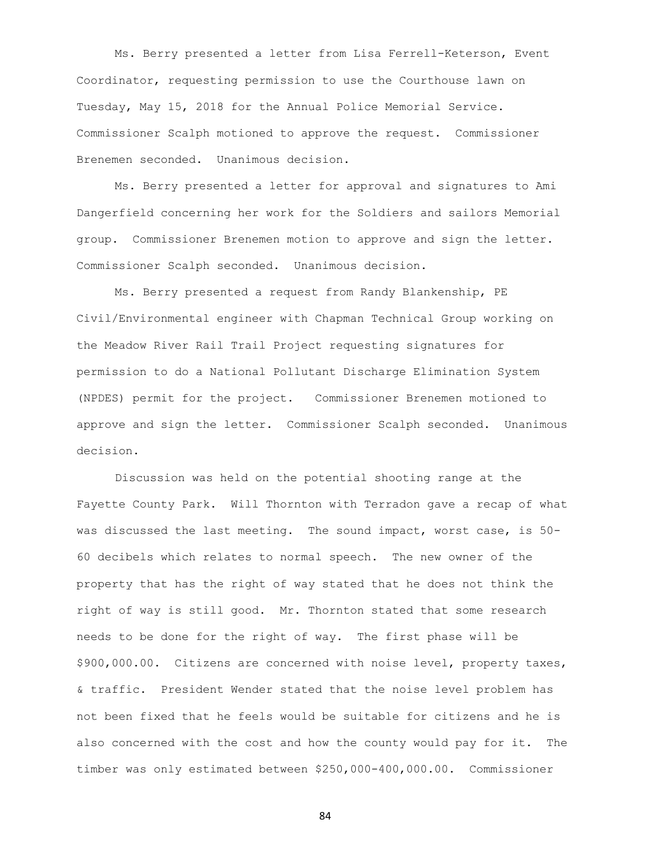Ms. Berry presented a letter from Lisa Ferrell-Keterson, Event Coordinator, requesting permission to use the Courthouse lawn on Tuesday, May 15, 2018 for the Annual Police Memorial Service. Commissioner Scalph motioned to approve the request. Commissioner Brenemen seconded. Unanimous decision.

Ms. Berry presented a letter for approval and signatures to Ami Dangerfield concerning her work for the Soldiers and sailors Memorial group. Commissioner Brenemen motion to approve and sign the letter. Commissioner Scalph seconded. Unanimous decision.

Ms. Berry presented a request from Randy Blankenship, PE Civil/Environmental engineer with Chapman Technical Group working on the Meadow River Rail Trail Project requesting signatures for permission to do a National Pollutant Discharge Elimination System (NPDES) permit for the project. Commissioner Brenemen motioned to approve and sign the letter. Commissioner Scalph seconded. Unanimous decision.

Discussion was held on the potential shooting range at the Fayette County Park. Will Thornton with Terradon gave a recap of what was discussed the last meeting. The sound impact, worst case, is 50- 60 decibels which relates to normal speech. The new owner of the property that has the right of way stated that he does not think the right of way is still good. Mr. Thornton stated that some research needs to be done for the right of way. The first phase will be \$900,000.00. Citizens are concerned with noise level, property taxes, & traffic. President Wender stated that the noise level problem has not been fixed that he feels would be suitable for citizens and he is also concerned with the cost and how the county would pay for it. The timber was only estimated between \$250,000-400,000.00. Commissioner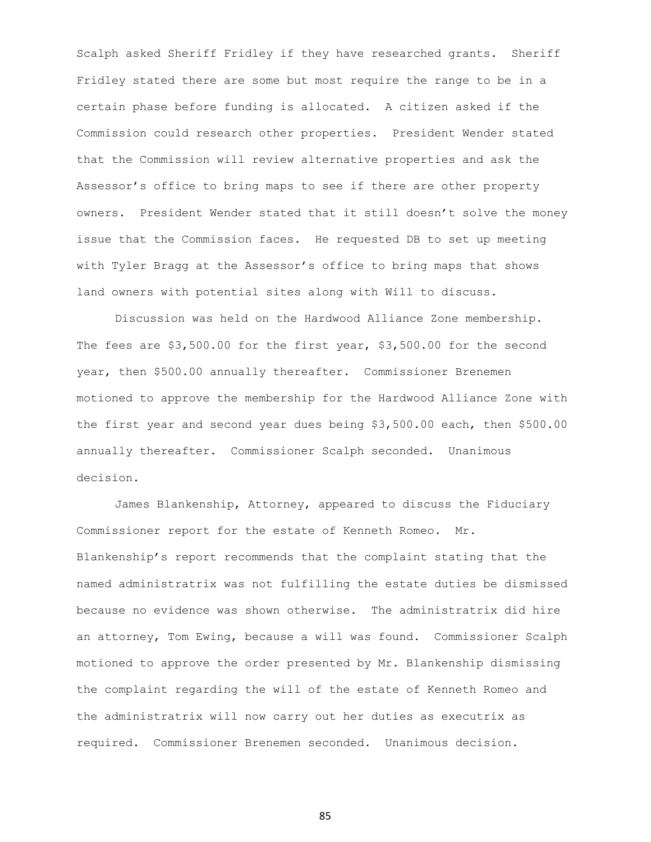Scalph asked Sheriff Fridley if they have researched grants. Sheriff Fridley stated there are some but most require the range to be in a certain phase before funding is allocated. A citizen asked if the Commission could research other properties. President Wender stated that the Commission will review alternative properties and ask the Assessor's office to bring maps to see if there are other property owners. President Wender stated that it still doesn't solve the money issue that the Commission faces. He requested DB to set up meeting with Tyler Bragg at the Assessor's office to bring maps that shows land owners with potential sites along with Will to discuss.

Discussion was held on the Hardwood Alliance Zone membership. The fees are \$3,500.00 for the first year, \$3,500.00 for the second year, then \$500.00 annually thereafter. Commissioner Brenemen motioned to approve the membership for the Hardwood Alliance Zone with the first year and second year dues being \$3,500.00 each, then \$500.00 annually thereafter. Commissioner Scalph seconded. Unanimous decision.

James Blankenship, Attorney, appeared to discuss the Fiduciary Commissioner report for the estate of Kenneth Romeo. Mr. Blankenship's report recommends that the complaint stating that the named administratrix was not fulfilling the estate duties be dismissed because no evidence was shown otherwise. The administratrix did hire an attorney, Tom Ewing, because a will was found. Commissioner Scalph motioned to approve the order presented by Mr. Blankenship dismissing the complaint regarding the will of the estate of Kenneth Romeo and the administratrix will now carry out her duties as executrix as required. Commissioner Brenemen seconded. Unanimous decision.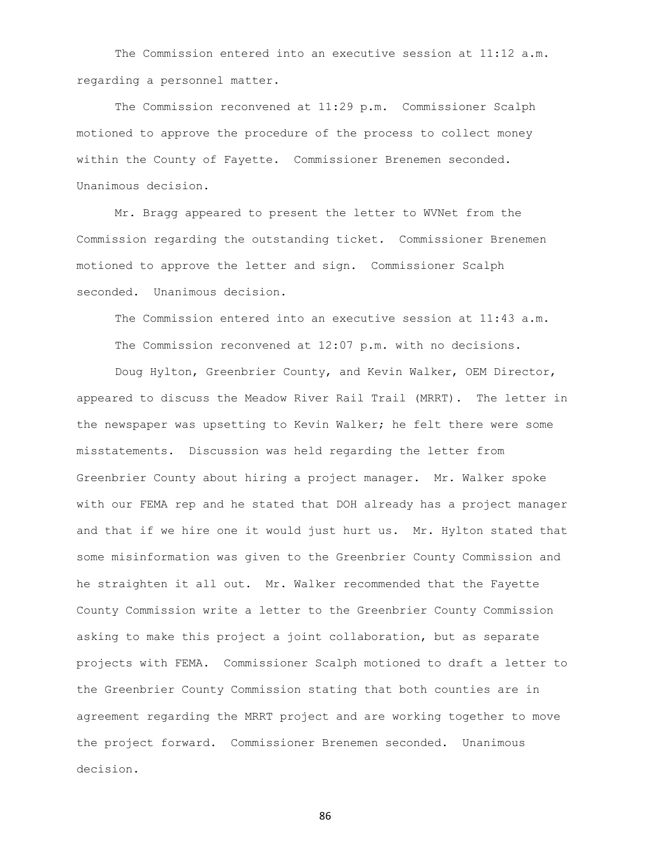The Commission entered into an executive session at 11:12 a.m. regarding a personnel matter.

The Commission reconvened at 11:29 p.m. Commissioner Scalph motioned to approve the procedure of the process to collect money within the County of Fayette. Commissioner Brenemen seconded. Unanimous decision.

Mr. Bragg appeared to present the letter to WVNet from the Commission regarding the outstanding ticket. Commissioner Brenemen motioned to approve the letter and sign. Commissioner Scalph seconded. Unanimous decision.

The Commission entered into an executive session at 11:43 a.m. The Commission reconvened at 12:07 p.m. with no decisions.

Doug Hylton, Greenbrier County, and Kevin Walker, OEM Director, appeared to discuss the Meadow River Rail Trail (MRRT). The letter in the newspaper was upsetting to Kevin Walker; he felt there were some misstatements. Discussion was held regarding the letter from Greenbrier County about hiring a project manager. Mr. Walker spoke with our FEMA rep and he stated that DOH already has a project manager and that if we hire one it would just hurt us. Mr. Hylton stated that some misinformation was given to the Greenbrier County Commission and he straighten it all out. Mr. Walker recommended that the Fayette County Commission write a letter to the Greenbrier County Commission asking to make this project a joint collaboration, but as separate projects with FEMA. Commissioner Scalph motioned to draft a letter to the Greenbrier County Commission stating that both counties are in agreement regarding the MRRT project and are working together to move the project forward. Commissioner Brenemen seconded. Unanimous decision.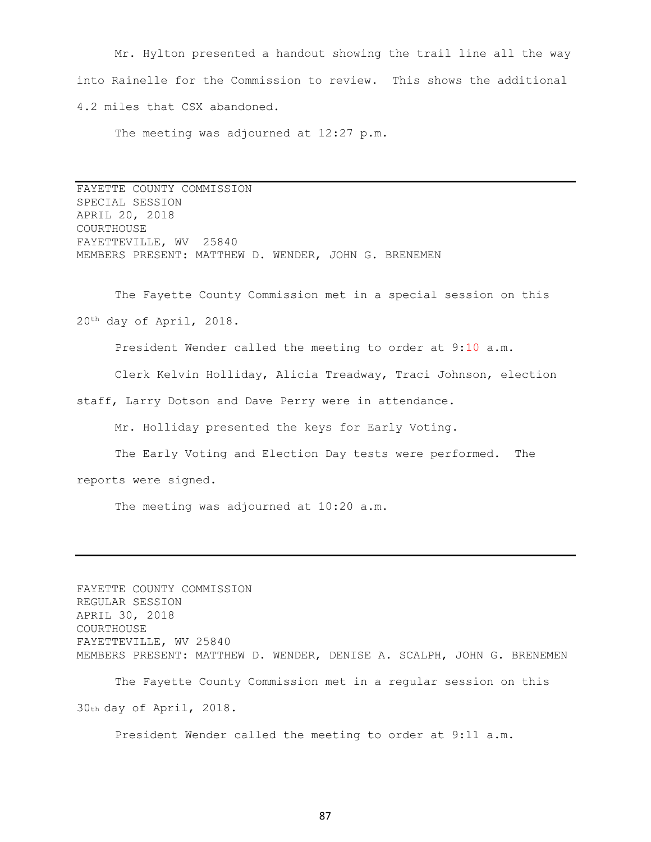Mr. Hylton presented a handout showing the trail line all the way into Rainelle for the Commission to review. This shows the additional 4.2 miles that CSX abandoned.

The meeting was adjourned at 12:27 p.m.

FAYETTE COUNTY COMMISSION SPECIAL SESSION APRIL 20, 2018 COURTHOUSE FAYETTEVILLE, WV 25840 MEMBERS PRESENT: MATTHEW D. WENDER, JOHN G. BRENEMEN

The Fayette County Commission met in a special session on this 20th day of April, 2018.

President Wender called the meeting to order at 9:10 a.m.

Clerk Kelvin Holliday, Alicia Treadway, Traci Johnson, election

staff, Larry Dotson and Dave Perry were in attendance.

Mr. Holliday presented the keys for Early Voting.

The Early Voting and Election Day tests were performed. The reports were signed.

The meeting was adjourned at 10:20 a.m.

FAYETTE COUNTY COMMISSION REGULAR SESSION APRIL 30, 2018 COURTHOUSE FAYETTEVILLE, WV 25840 MEMBERS PRESENT: MATTHEW D. WENDER, DENISE A. SCALPH, JOHN G. BRENEMEN The Fayette County Commission met in a regular session on this 30th day of April, 2018.

President Wender called the meeting to order at 9:11 a.m.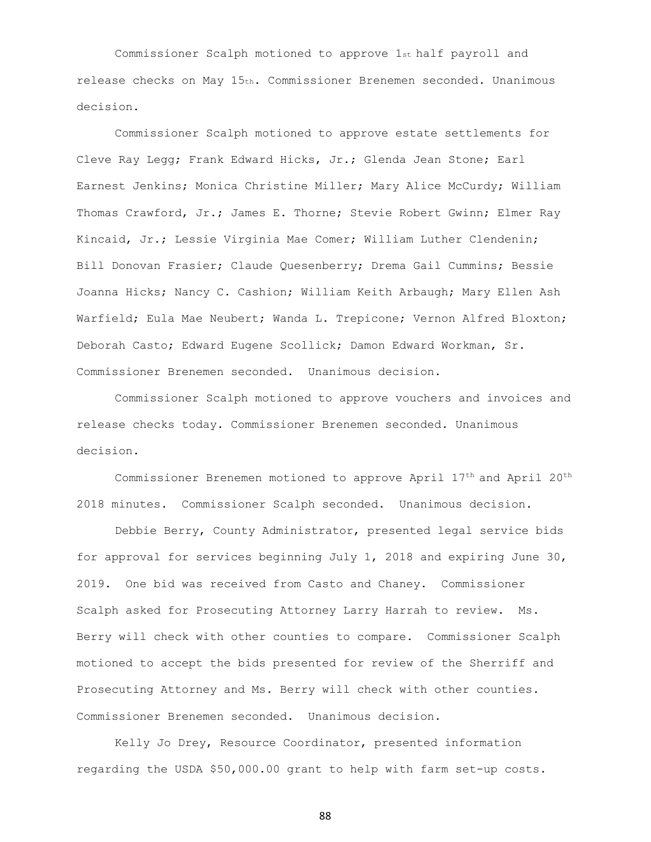Commissioner Scalph motioned to approve 1st half payroll and release checks on May 15th. Commissioner Brenemen seconded. Unanimous decision.

Commissioner Scalph motioned to approve estate settlements for Cleve Ray Legg; Frank Edward Hicks, Jr.; Glenda Jean Stone; Earl Earnest Jenkins; Monica Christine Miller; Mary Alice McCurdy; William Thomas Crawford, Jr.; James E. Thorne; Stevie Robert Gwinn; Elmer Ray Kincaid, Jr.; Lessie Virginia Mae Comer; William Luther Clendenin; Bill Donovan Frasier; Claude Quesenberry; Drema Gail Cummins; Bessie Joanna Hicks; Nancy C. Cashion; William Keith Arbaugh; Mary Ellen Ash Warfield; Eula Mae Neubert; Wanda L. Trepicone; Vernon Alfred Bloxton; Deborah Casto; Edward Eugene Scollick; Damon Edward Workman, Sr. Commissioner Brenemen seconded. Unanimous decision.

Commissioner Scalph motioned to approve vouchers and invoices and release checks today. Commissioner Brenemen seconded. Unanimous decision.

Commissioner Brenemen motioned to approve April 17th and April 20th 2018 minutes. Commissioner Scalph seconded. Unanimous decision.

Debbie Berry, County Administrator, presented legal service bids for approval for services beginning July 1, 2018 and expiring June 30, 2019. One bid was received from Casto and Chaney. Commissioner Scalph asked for Prosecuting Attorney Larry Harrah to review. Ms. Berry will check with other counties to compare. Commissioner Scalph motioned to accept the bids presented for review of the Sherriff and Prosecuting Attorney and Ms. Berry will check with other counties. Commissioner Brenemen seconded. Unanimous decision.

Kelly Jo Drey, Resource Coordinator, presented information regarding the USDA \$50,000.00 grant to help with farm set-up costs.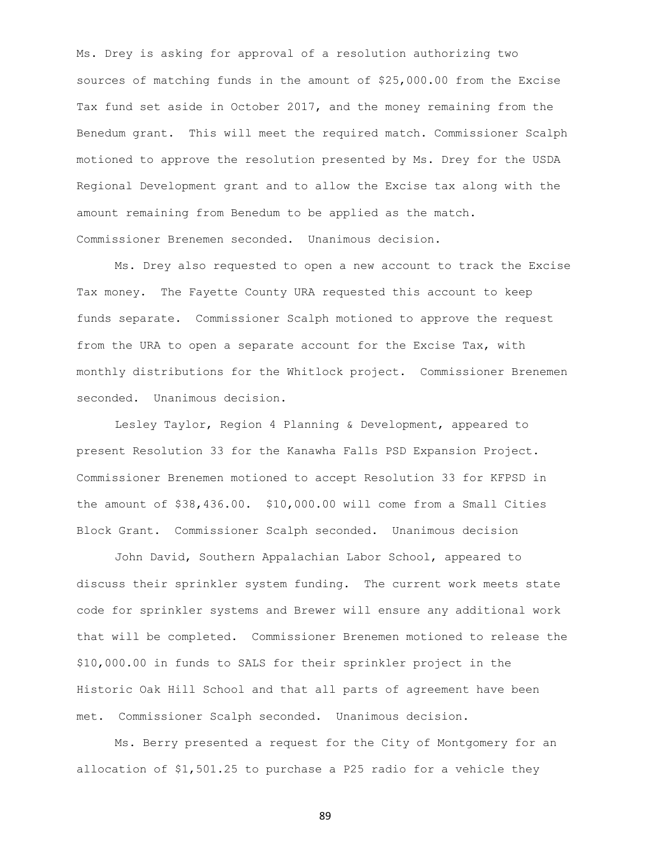Ms. Drey is asking for approval of a resolution authorizing two sources of matching funds in the amount of \$25,000.00 from the Excise Tax fund set aside in October 2017, and the money remaining from the Benedum grant. This will meet the required match. Commissioner Scalph motioned to approve the resolution presented by Ms. Drey for the USDA Regional Development grant and to allow the Excise tax along with the amount remaining from Benedum to be applied as the match. Commissioner Brenemen seconded. Unanimous decision.

Ms. Drey also requested to open a new account to track the Excise Tax money. The Fayette County URA requested this account to keep funds separate. Commissioner Scalph motioned to approve the request from the URA to open a separate account for the Excise Tax, with monthly distributions for the Whitlock project. Commissioner Brenemen seconded. Unanimous decision.

Lesley Taylor, Region 4 Planning & Development, appeared to present Resolution 33 for the Kanawha Falls PSD Expansion Project. Commissioner Brenemen motioned to accept Resolution 33 for KFPSD in the amount of \$38,436.00. \$10,000.00 will come from a Small Cities Block Grant. Commissioner Scalph seconded. Unanimous decision

John David, Southern Appalachian Labor School, appeared to discuss their sprinkler system funding. The current work meets state code for sprinkler systems and Brewer will ensure any additional work that will be completed. Commissioner Brenemen motioned to release the \$10,000.00 in funds to SALS for their sprinkler project in the Historic Oak Hill School and that all parts of agreement have been met. Commissioner Scalph seconded. Unanimous decision.

Ms. Berry presented a request for the City of Montgomery for an allocation of \$1,501.25 to purchase a P25 radio for a vehicle they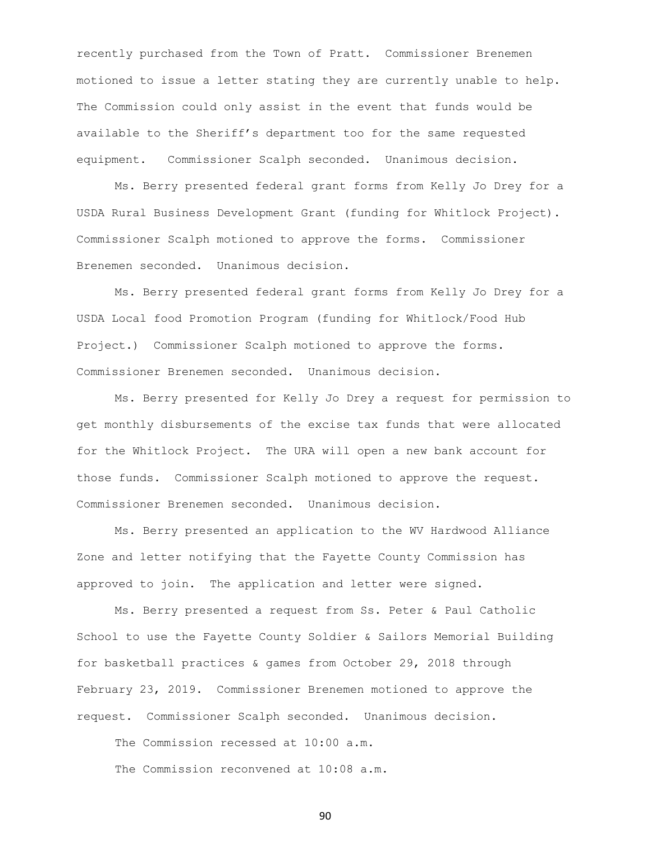recently purchased from the Town of Pratt. Commissioner Brenemen motioned to issue a letter stating they are currently unable to help. The Commission could only assist in the event that funds would be available to the Sheriff's department too for the same requested equipment. Commissioner Scalph seconded. Unanimous decision.

Ms. Berry presented federal grant forms from Kelly Jo Drey for a USDA Rural Business Development Grant (funding for Whitlock Project). Commissioner Scalph motioned to approve the forms. Commissioner Brenemen seconded. Unanimous decision.

Ms. Berry presented federal grant forms from Kelly Jo Drey for a USDA Local food Promotion Program (funding for Whitlock/Food Hub Project.) Commissioner Scalph motioned to approve the forms. Commissioner Brenemen seconded. Unanimous decision.

Ms. Berry presented for Kelly Jo Drey a request for permission to get monthly disbursements of the excise tax funds that were allocated for the Whitlock Project. The URA will open a new bank account for those funds. Commissioner Scalph motioned to approve the request. Commissioner Brenemen seconded. Unanimous decision.

Ms. Berry presented an application to the WV Hardwood Alliance Zone and letter notifying that the Fayette County Commission has approved to join. The application and letter were signed.

Ms. Berry presented a request from Ss. Peter & Paul Catholic School to use the Fayette County Soldier & Sailors Memorial Building for basketball practices & games from October 29, 2018 through February 23, 2019. Commissioner Brenemen motioned to approve the request. Commissioner Scalph seconded. Unanimous decision.

The Commission recessed at 10:00 a.m.

The Commission reconvened at 10:08 a.m.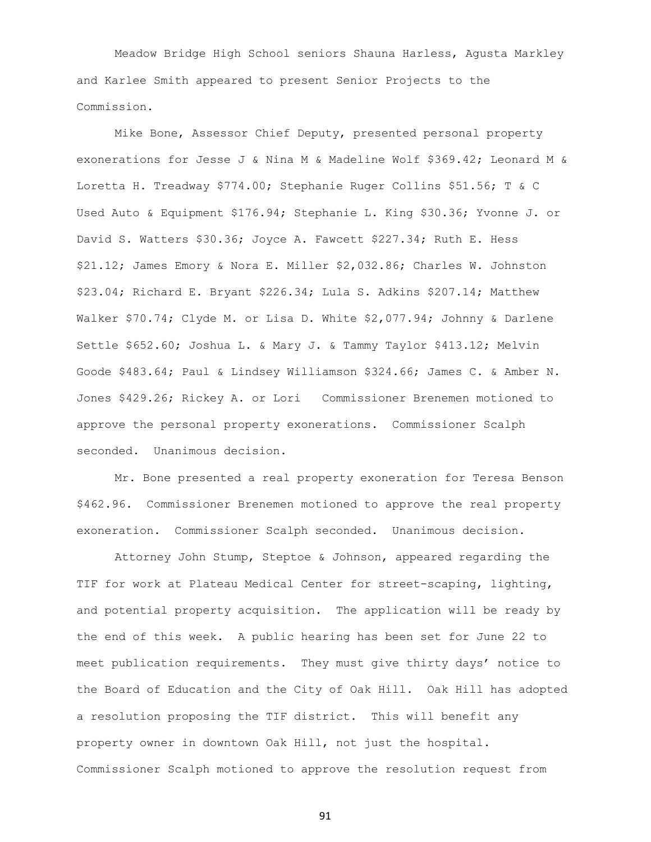Meadow Bridge High School seniors Shauna Harless, Agusta Markley and Karlee Smith appeared to present Senior Projects to the Commission.

Mike Bone, Assessor Chief Deputy, presented personal property exonerations for Jesse J & Nina M & Madeline Wolf \$369.42; Leonard M & Loretta H. Treadway \$774.00; Stephanie Ruger Collins \$51.56; T & C Used Auto & Equipment \$176.94; Stephanie L. King \$30.36; Yvonne J. or David S. Watters \$30.36; Joyce A. Fawcett \$227.34; Ruth E. Hess \$21.12; James Emory & Nora E. Miller \$2,032.86; Charles W. Johnston \$23.04; Richard E. Bryant \$226.34; Lula S. Adkins \$207.14; Matthew Walker \$70.74; Clyde M. or Lisa D. White \$2,077.94; Johnny & Darlene Settle \$652.60; Joshua L. & Mary J. & Tammy Taylor \$413.12; Melvin Goode \$483.64; Paul & Lindsey Williamson \$324.66; James C. & Amber N. Jones \$429.26; Rickey A. or Lori Commissioner Brenemen motioned to approve the personal property exonerations. Commissioner Scalph seconded. Unanimous decision.

Mr. Bone presented a real property exoneration for Teresa Benson \$462.96. Commissioner Brenemen motioned to approve the real property exoneration. Commissioner Scalph seconded. Unanimous decision.

Attorney John Stump, Steptoe & Johnson, appeared regarding the TIF for work at Plateau Medical Center for street-scaping, lighting, and potential property acquisition. The application will be ready by the end of this week. A public hearing has been set for June 22 to meet publication requirements. They must give thirty days' notice to the Board of Education and the City of Oak Hill. Oak Hill has adopted a resolution proposing the TIF district. This will benefit any property owner in downtown Oak Hill, not just the hospital. Commissioner Scalph motioned to approve the resolution request from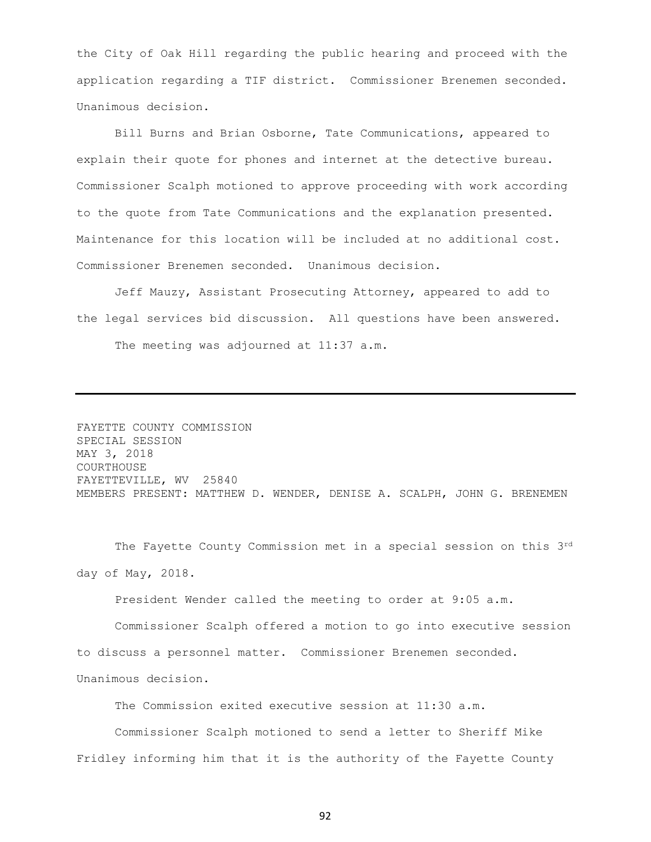the City of Oak Hill regarding the public hearing and proceed with the application regarding a TIF district. Commissioner Brenemen seconded. Unanimous decision.

Bill Burns and Brian Osborne, Tate Communications, appeared to explain their quote for phones and internet at the detective bureau. Commissioner Scalph motioned to approve proceeding with work according to the quote from Tate Communications and the explanation presented. Maintenance for this location will be included at no additional cost. Commissioner Brenemen seconded. Unanimous decision.

Jeff Mauzy, Assistant Prosecuting Attorney, appeared to add to the legal services bid discussion. All questions have been answered. The meeting was adjourned at 11:37 a.m.

FAYETTE COUNTY COMMISSION SPECIAL SESSION MAY 3, 2018 COURTHOUSE FAYETTEVILLE, WV 25840 MEMBERS PRESENT: MATTHEW D. WENDER, DENISE A. SCALPH, JOHN G. BRENEMEN

The Fayette County Commission met in a special session on this 3rd day of May, 2018.

President Wender called the meeting to order at 9:05 a.m.

Commissioner Scalph offered a motion to go into executive session to discuss a personnel matter. Commissioner Brenemen seconded. Unanimous decision.

The Commission exited executive session at 11:30 a.m.

Commissioner Scalph motioned to send a letter to Sheriff Mike Fridley informing him that it is the authority of the Fayette County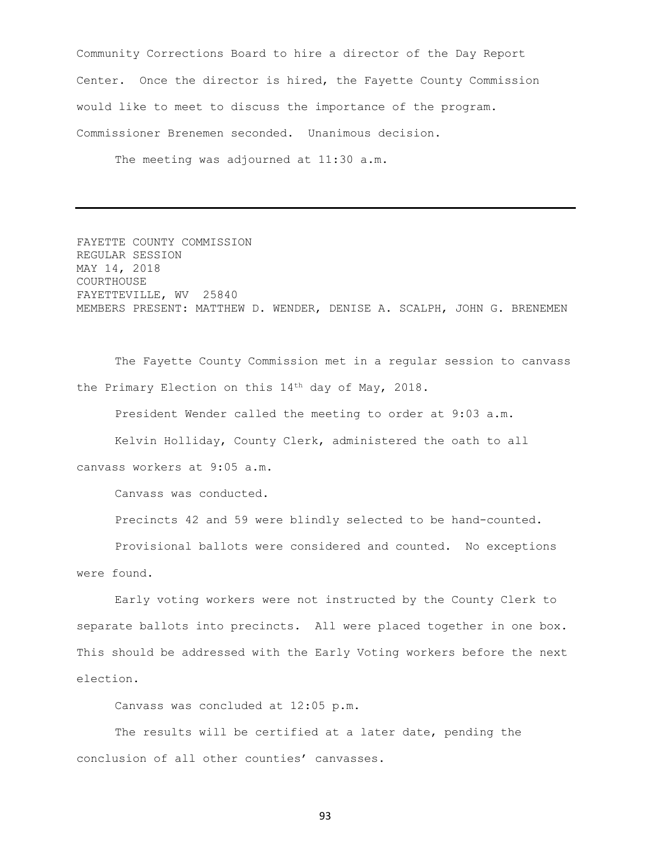Community Corrections Board to hire a director of the Day Report Center. Once the director is hired, the Fayette County Commission would like to meet to discuss the importance of the program. Commissioner Brenemen seconded. Unanimous decision.

The meeting was adjourned at 11:30 a.m.

FAYETTE COUNTY COMMISSION REGULAR SESSION MAY 14, 2018 COURTHOUSE FAYETTEVILLE, WV 25840 MEMBERS PRESENT: MATTHEW D. WENDER, DENISE A. SCALPH, JOHN G. BRENEMEN

The Fayette County Commission met in a regular session to canvass the Primary Election on this 14th day of May, 2018.

President Wender called the meeting to order at 9:03 a.m.

Kelvin Holliday, County Clerk, administered the oath to all canvass workers at 9:05 a.m.

Canvass was conducted.

Precincts 42 and 59 were blindly selected to be hand-counted.

Provisional ballots were considered and counted. No exceptions were found.

Early voting workers were not instructed by the County Clerk to separate ballots into precincts. All were placed together in one box. This should be addressed with the Early Voting workers before the next election.

Canvass was concluded at 12:05 p.m.

The results will be certified at a later date, pending the conclusion of all other counties' canvasses.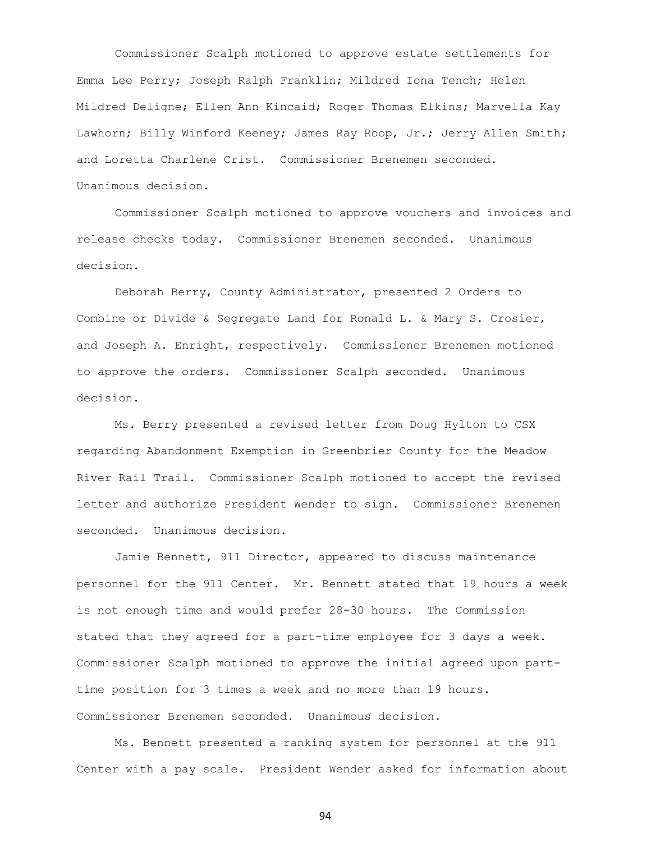Commissioner Scalph motioned to approve estate settlements for Emma Lee Perry; Joseph Ralph Franklin; Mildred Iona Tench; Helen Mildred Deligne; Ellen Ann Kincaid; Roger Thomas Elkins; Marvella Kay Lawhorn; Billy Winford Keeney; James Ray Roop, Jr.; Jerry Allen Smith; and Loretta Charlene Crist. Commissioner Brenemen seconded. Unanimous decision.

Commissioner Scalph motioned to approve vouchers and invoices and release checks today. Commissioner Brenemen seconded. Unanimous decision.

Deborah Berry, County Administrator, presented 2 Orders to Combine or Divide & Segregate Land for Ronald L. & Mary S. Crosier, and Joseph A. Enright, respectively. Commissioner Brenemen motioned to approve the orders. Commissioner Scalph seconded. Unanimous decision.

Ms. Berry presented a revised letter from Doug Hylton to CSX regarding Abandonment Exemption in Greenbrier County for the Meadow River Rail Trail. Commissioner Scalph motioned to accept the revised letter and authorize President Wender to sign. Commissioner Brenemen seconded. Unanimous decision.

Jamie Bennett, 911 Director, appeared to discuss maintenance personnel for the 911 Center. Mr. Bennett stated that 19 hours a week is not enough time and would prefer 28-30 hours. The Commission stated that they agreed for a part-time employee for 3 days a week. Commissioner Scalph motioned to approve the initial agreed upon parttime position for 3 times a week and no more than 19 hours. Commissioner Brenemen seconded. Unanimous decision.

Ms. Bennett presented a ranking system for personnel at the 911 Center with a pay scale. President Wender asked for information about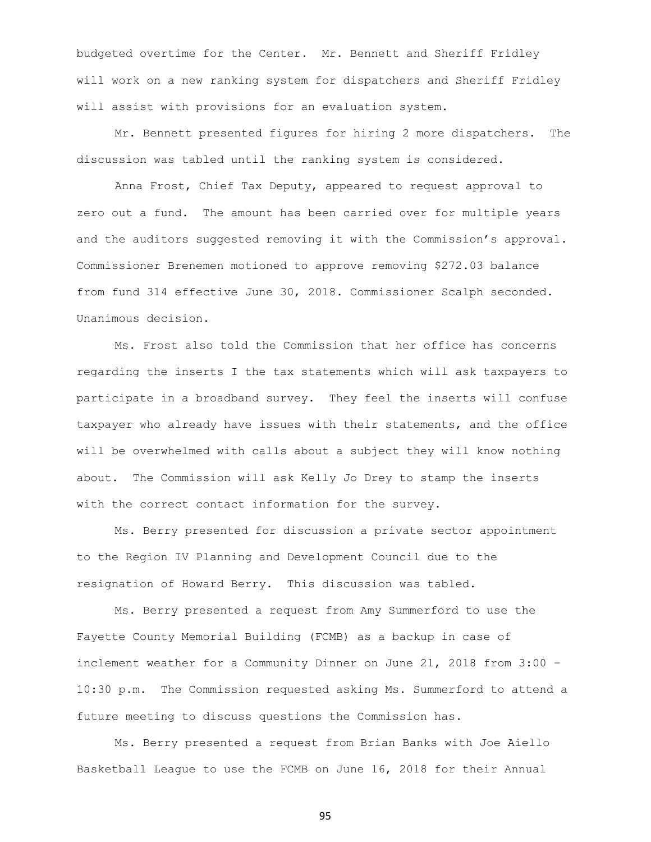budgeted overtime for the Center. Mr. Bennett and Sheriff Fridley will work on a new ranking system for dispatchers and Sheriff Fridley will assist with provisions for an evaluation system.

Mr. Bennett presented figures for hiring 2 more dispatchers. The discussion was tabled until the ranking system is considered.

Anna Frost, Chief Tax Deputy, appeared to request approval to zero out a fund. The amount has been carried over for multiple years and the auditors suggested removing it with the Commission's approval. Commissioner Brenemen motioned to approve removing \$272.03 balance from fund 314 effective June 30, 2018. Commissioner Scalph seconded. Unanimous decision.

Ms. Frost also told the Commission that her office has concerns regarding the inserts I the tax statements which will ask taxpayers to participate in a broadband survey. They feel the inserts will confuse taxpayer who already have issues with their statements, and the office will be overwhelmed with calls about a subject they will know nothing about. The Commission will ask Kelly Jo Drey to stamp the inserts with the correct contact information for the survey.

Ms. Berry presented for discussion a private sector appointment to the Region IV Planning and Development Council due to the resignation of Howard Berry. This discussion was tabled.

Ms. Berry presented a request from Amy Summerford to use the Fayette County Memorial Building (FCMB) as a backup in case of inclement weather for a Community Dinner on June 21, 2018 from 3:00 – 10:30 p.m. The Commission requested asking Ms. Summerford to attend a future meeting to discuss questions the Commission has.

Ms. Berry presented a request from Brian Banks with Joe Aiello Basketball League to use the FCMB on June 16, 2018 for their Annual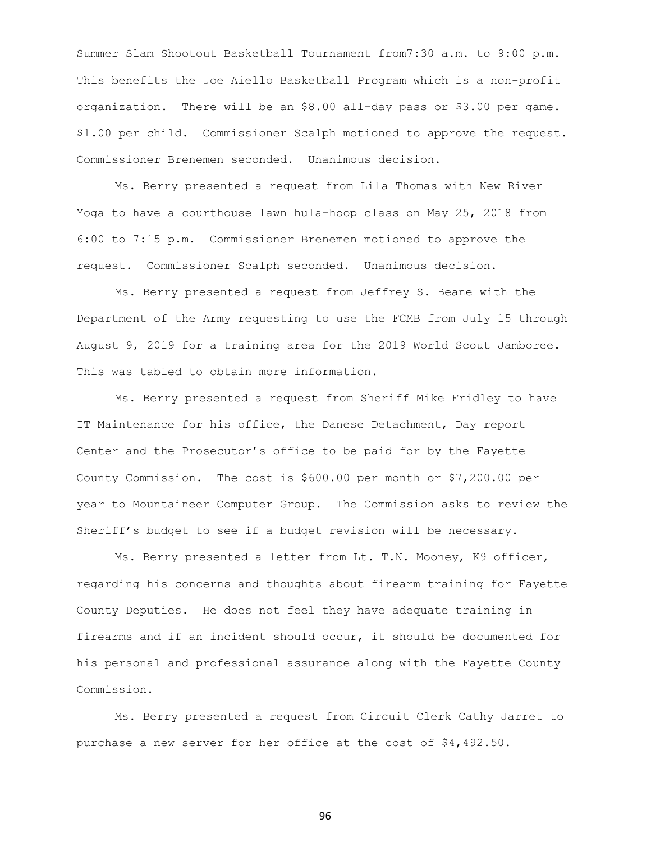Summer Slam Shootout Basketball Tournament from7:30 a.m. to 9:00 p.m. This benefits the Joe Aiello Basketball Program which is a non-profit organization. There will be an \$8.00 all-day pass or \$3.00 per game. \$1.00 per child. Commissioner Scalph motioned to approve the request. Commissioner Brenemen seconded. Unanimous decision.

Ms. Berry presented a request from Lila Thomas with New River Yoga to have a courthouse lawn hula-hoop class on May 25, 2018 from 6:00 to 7:15 p.m. Commissioner Brenemen motioned to approve the request. Commissioner Scalph seconded. Unanimous decision.

Ms. Berry presented a request from Jeffrey S. Beane with the Department of the Army requesting to use the FCMB from July 15 through August 9, 2019 for a training area for the 2019 World Scout Jamboree. This was tabled to obtain more information.

Ms. Berry presented a request from Sheriff Mike Fridley to have IT Maintenance for his office, the Danese Detachment, Day report Center and the Prosecutor's office to be paid for by the Fayette County Commission. The cost is \$600.00 per month or \$7,200.00 per year to Mountaineer Computer Group. The Commission asks to review the Sheriff's budget to see if a budget revision will be necessary.

Ms. Berry presented a letter from Lt. T.N. Mooney, K9 officer, regarding his concerns and thoughts about firearm training for Fayette County Deputies. He does not feel they have adequate training in firearms and if an incident should occur, it should be documented for his personal and professional assurance along with the Fayette County Commission.

Ms. Berry presented a request from Circuit Clerk Cathy Jarret to purchase a new server for her office at the cost of \$4,492.50.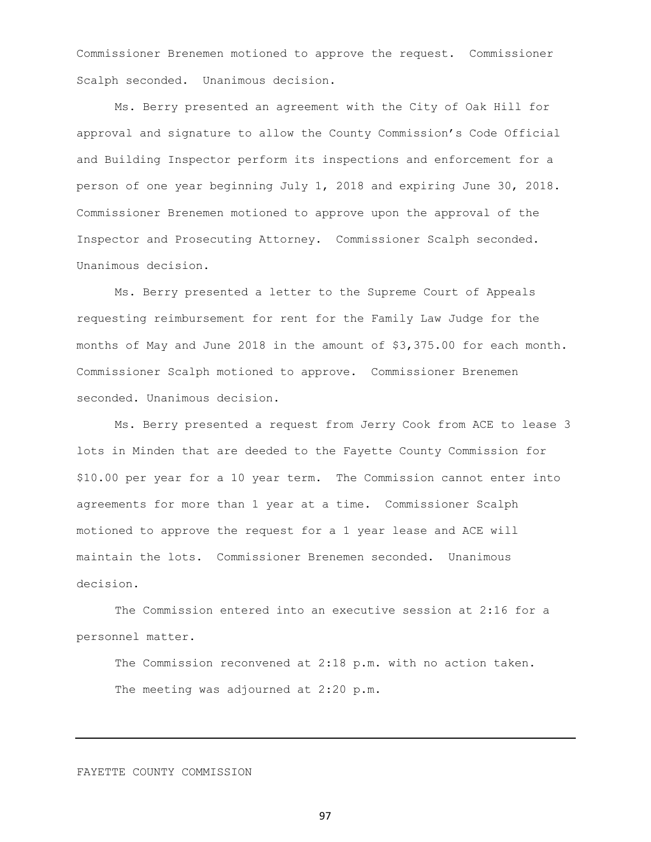Commissioner Brenemen motioned to approve the request. Commissioner Scalph seconded. Unanimous decision.

Ms. Berry presented an agreement with the City of Oak Hill for approval and signature to allow the County Commission's Code Official and Building Inspector perform its inspections and enforcement for a person of one year beginning July 1, 2018 and expiring June 30, 2018. Commissioner Brenemen motioned to approve upon the approval of the Inspector and Prosecuting Attorney. Commissioner Scalph seconded. Unanimous decision.

Ms. Berry presented a letter to the Supreme Court of Appeals requesting reimbursement for rent for the Family Law Judge for the months of May and June 2018 in the amount of \$3,375.00 for each month. Commissioner Scalph motioned to approve. Commissioner Brenemen seconded. Unanimous decision.

Ms. Berry presented a request from Jerry Cook from ACE to lease 3 lots in Minden that are deeded to the Fayette County Commission for \$10.00 per year for a 10 year term. The Commission cannot enter into agreements for more than 1 year at a time. Commissioner Scalph motioned to approve the request for a 1 year lease and ACE will maintain the lots. Commissioner Brenemen seconded. Unanimous decision.

The Commission entered into an executive session at 2:16 for a personnel matter.

The Commission reconvened at 2:18 p.m. with no action taken. The meeting was adjourned at 2:20 p.m.

## FAYETTE COUNTY COMMISSION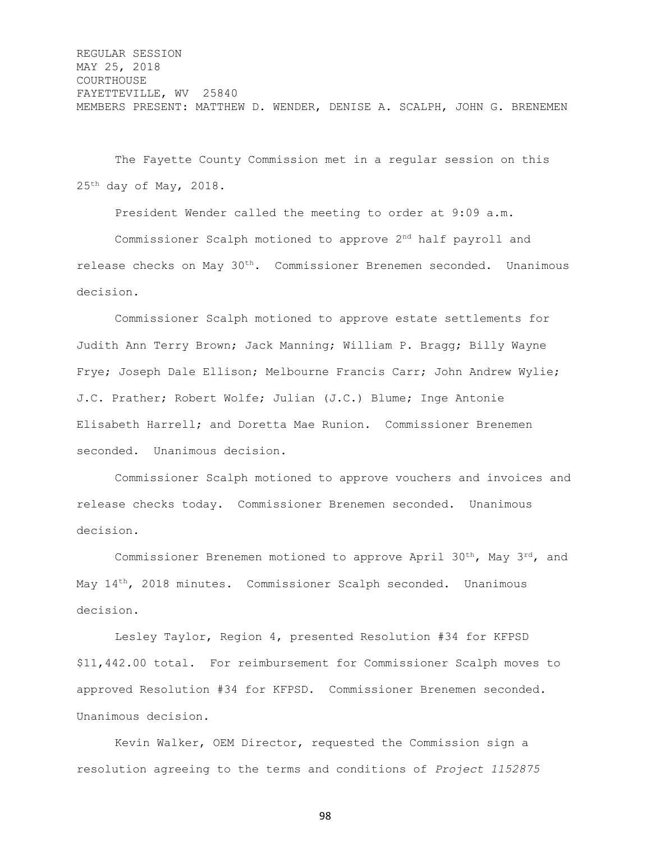REGULAR SESSION MAY 25, 2018 COURTHOUSE FAYETTEVILLE, WV 25840 MEMBERS PRESENT: MATTHEW D. WENDER, DENISE A. SCALPH, JOHN G. BRENEMEN

The Fayette County Commission met in a regular session on this  $25<sup>th</sup>$  day of May, 2018.

President Wender called the meeting to order at 9:09 a.m.

Commissioner Scalph motioned to approve 2nd half payroll and release checks on May 30th. Commissioner Brenemen seconded. Unanimous decision.

Commissioner Scalph motioned to approve estate settlements for Judith Ann Terry Brown; Jack Manning; William P. Bragg; Billy Wayne Frye; Joseph Dale Ellison; Melbourne Francis Carr; John Andrew Wylie; J.C. Prather; Robert Wolfe; Julian (J.C.) Blume; Inge Antonie Elisabeth Harrell; and Doretta Mae Runion. Commissioner Brenemen seconded. Unanimous decision.

Commissioner Scalph motioned to approve vouchers and invoices and release checks today. Commissioner Brenemen seconded. Unanimous decision.

Commissioner Brenemen motioned to approve April  $30<sup>th</sup>$ , May  $3<sup>rd</sup>$ , and May 14<sup>th</sup>, 2018 minutes. Commissioner Scalph seconded. Unanimous decision.

Lesley Taylor, Region 4, presented Resolution #34 for KFPSD \$11,442.00 total. For reimbursement for Commissioner Scalph moves to approved Resolution #34 for KFPSD. Commissioner Brenemen seconded. Unanimous decision.

Kevin Walker, OEM Director, requested the Commission sign a resolution agreeing to the terms and conditions of *Project 1152875*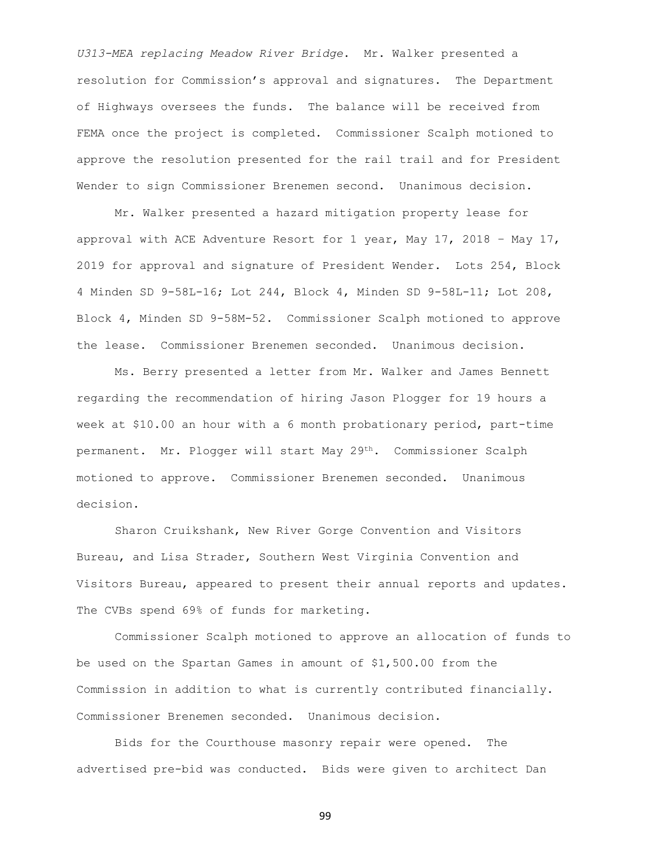*U313-MEA replacing Meadow River Bridge*. Mr. Walker presented a resolution for Commission's approval and signatures. The Department of Highways oversees the funds. The balance will be received from FEMA once the project is completed. Commissioner Scalph motioned to approve the resolution presented for the rail trail and for President Wender to sign Commissioner Brenemen second. Unanimous decision.

Mr. Walker presented a hazard mitigation property lease for approval with ACE Adventure Resort for 1 year, May 17, 2018 – May 17, 2019 for approval and signature of President Wender. Lots 254, Block 4 Minden SD 9-58L-16; Lot 244, Block 4, Minden SD 9-58L-11; Lot 208, Block 4, Minden SD 9-58M-52. Commissioner Scalph motioned to approve the lease. Commissioner Brenemen seconded. Unanimous decision.

Ms. Berry presented a letter from Mr. Walker and James Bennett regarding the recommendation of hiring Jason Plogger for 19 hours a week at \$10.00 an hour with a 6 month probationary period, part-time permanent. Mr. Plogger will start May 29<sup>th</sup>. Commissioner Scalph motioned to approve. Commissioner Brenemen seconded. Unanimous decision.

Sharon Cruikshank, New River Gorge Convention and Visitors Bureau, and Lisa Strader, Southern West Virginia Convention and Visitors Bureau, appeared to present their annual reports and updates. The CVBs spend 69% of funds for marketing.

Commissioner Scalph motioned to approve an allocation of funds to be used on the Spartan Games in amount of \$1,500.00 from the Commission in addition to what is currently contributed financially. Commissioner Brenemen seconded. Unanimous decision.

Bids for the Courthouse masonry repair were opened. The advertised pre-bid was conducted. Bids were given to architect Dan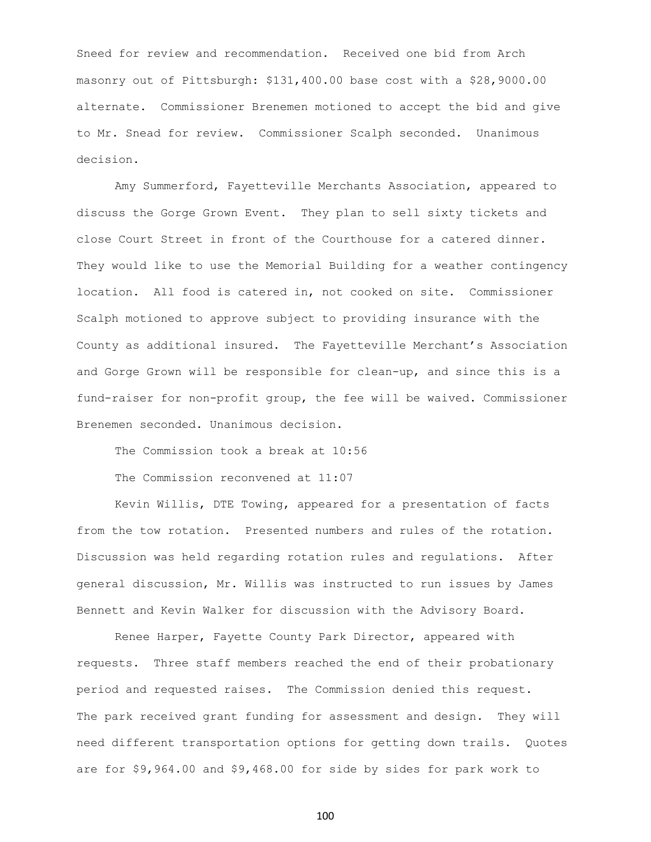Sneed for review and recommendation. Received one bid from Arch masonry out of Pittsburgh: \$131,400.00 base cost with a \$28,9000.00 alternate. Commissioner Brenemen motioned to accept the bid and give to Mr. Snead for review. Commissioner Scalph seconded. Unanimous decision.

Amy Summerford, Fayetteville Merchants Association, appeared to discuss the Gorge Grown Event. They plan to sell sixty tickets and close Court Street in front of the Courthouse for a catered dinner. They would like to use the Memorial Building for a weather contingency location. All food is catered in, not cooked on site. Commissioner Scalph motioned to approve subject to providing insurance with the County as additional insured. The Fayetteville Merchant's Association and Gorge Grown will be responsible for clean-up, and since this is a fund-raiser for non-profit group, the fee will be waived. Commissioner Brenemen seconded. Unanimous decision.

The Commission took a break at 10:56 The Commission reconvened at 11:07

Kevin Willis, DTE Towing, appeared for a presentation of facts from the tow rotation. Presented numbers and rules of the rotation. Discussion was held regarding rotation rules and regulations. After general discussion, Mr. Willis was instructed to run issues by James Bennett and Kevin Walker for discussion with the Advisory Board.

Renee Harper, Fayette County Park Director, appeared with requests. Three staff members reached the end of their probationary period and requested raises. The Commission denied this request. The park received grant funding for assessment and design. They will need different transportation options for getting down trails. Quotes are for \$9,964.00 and \$9,468.00 for side by sides for park work to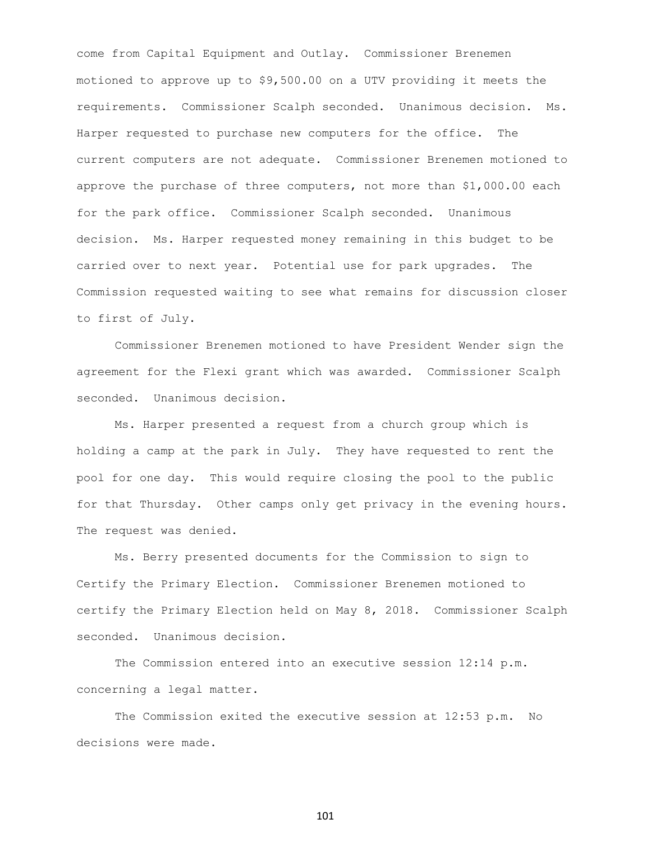come from Capital Equipment and Outlay. Commissioner Brenemen motioned to approve up to \$9,500.00 on a UTV providing it meets the requirements. Commissioner Scalph seconded. Unanimous decision. Ms. Harper requested to purchase new computers for the office. The current computers are not adequate. Commissioner Brenemen motioned to approve the purchase of three computers, not more than \$1,000.00 each for the park office. Commissioner Scalph seconded. Unanimous decision. Ms. Harper requested money remaining in this budget to be carried over to next year. Potential use for park upgrades. The Commission requested waiting to see what remains for discussion closer to first of July.

Commissioner Brenemen motioned to have President Wender sign the agreement for the Flexi grant which was awarded. Commissioner Scalph seconded. Unanimous decision.

Ms. Harper presented a request from a church group which is holding a camp at the park in July. They have requested to rent the pool for one day. This would require closing the pool to the public for that Thursday. Other camps only get privacy in the evening hours. The request was denied.

Ms. Berry presented documents for the Commission to sign to Certify the Primary Election. Commissioner Brenemen motioned to certify the Primary Election held on May 8, 2018. Commissioner Scalph seconded. Unanimous decision.

The Commission entered into an executive session 12:14 p.m. concerning a legal matter.

The Commission exited the executive session at 12:53 p.m. No decisions were made.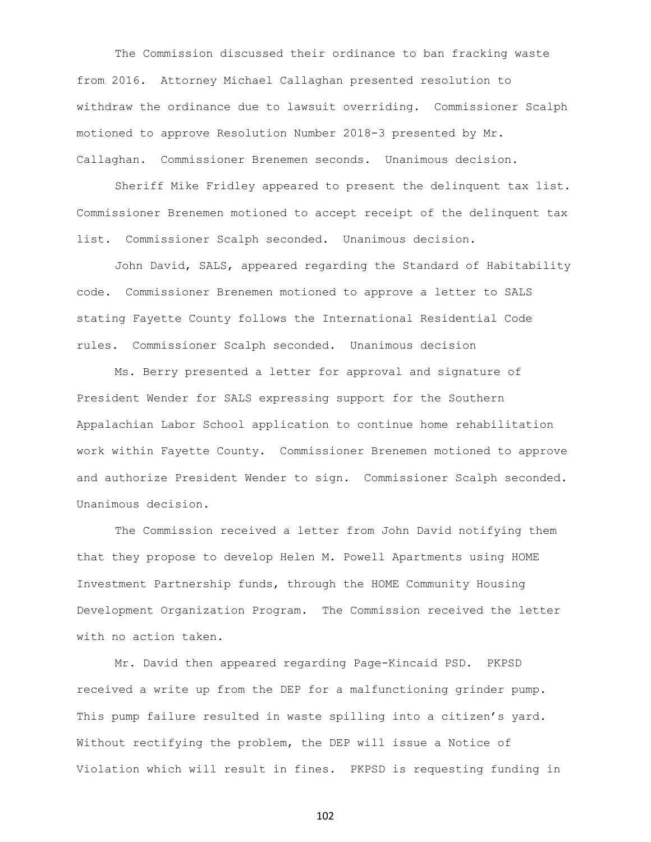The Commission discussed their ordinance to ban fracking waste from 2016. Attorney Michael Callaghan presented resolution to withdraw the ordinance due to lawsuit overriding. Commissioner Scalph motioned to approve Resolution Number 2018-3 presented by Mr. Callaghan. Commissioner Brenemen seconds. Unanimous decision.

Sheriff Mike Fridley appeared to present the delinquent tax list. Commissioner Brenemen motioned to accept receipt of the delinquent tax list. Commissioner Scalph seconded. Unanimous decision.

John David, SALS, appeared regarding the Standard of Habitability code. Commissioner Brenemen motioned to approve a letter to SALS stating Fayette County follows the International Residential Code rules. Commissioner Scalph seconded. Unanimous decision

Ms. Berry presented a letter for approval and signature of President Wender for SALS expressing support for the Southern Appalachian Labor School application to continue home rehabilitation work within Fayette County. Commissioner Brenemen motioned to approve and authorize President Wender to sign. Commissioner Scalph seconded. Unanimous decision.

The Commission received a letter from John David notifying them that they propose to develop Helen M. Powell Apartments using HOME Investment Partnership funds, through the HOME Community Housing Development Organization Program. The Commission received the letter with no action taken.

Mr. David then appeared regarding Page-Kincaid PSD. PKPSD received a write up from the DEP for a malfunctioning grinder pump. This pump failure resulted in waste spilling into a citizen's yard. Without rectifying the problem, the DEP will issue a Notice of Violation which will result in fines. PKPSD is requesting funding in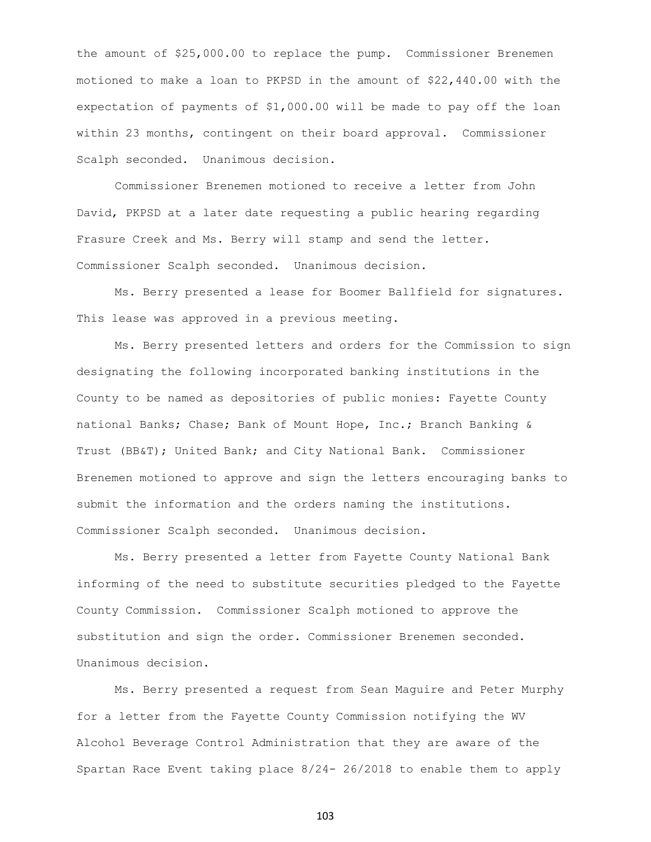the amount of \$25,000.00 to replace the pump. Commissioner Brenemen motioned to make a loan to PKPSD in the amount of \$22,440.00 with the expectation of payments of \$1,000.00 will be made to pay off the loan within 23 months, contingent on their board approval. Commissioner Scalph seconded. Unanimous decision.

Commissioner Brenemen motioned to receive a letter from John David, PKPSD at a later date requesting a public hearing regarding Frasure Creek and Ms. Berry will stamp and send the letter. Commissioner Scalph seconded. Unanimous decision.

Ms. Berry presented a lease for Boomer Ballfield for signatures. This lease was approved in a previous meeting.

Ms. Berry presented letters and orders for the Commission to sign designating the following incorporated banking institutions in the County to be named as depositories of public monies: Fayette County national Banks; Chase; Bank of Mount Hope, Inc.; Branch Banking & Trust (BB&T); United Bank; and City National Bank. Commissioner Brenemen motioned to approve and sign the letters encouraging banks to submit the information and the orders naming the institutions. Commissioner Scalph seconded. Unanimous decision.

Ms. Berry presented a letter from Fayette County National Bank informing of the need to substitute securities pledged to the Fayette County Commission. Commissioner Scalph motioned to approve the substitution and sign the order. Commissioner Brenemen seconded. Unanimous decision.

Ms. Berry presented a request from Sean Maguire and Peter Murphy for a letter from the Fayette County Commission notifying the WV Alcohol Beverage Control Administration that they are aware of the Spartan Race Event taking place 8/24- 26/2018 to enable them to apply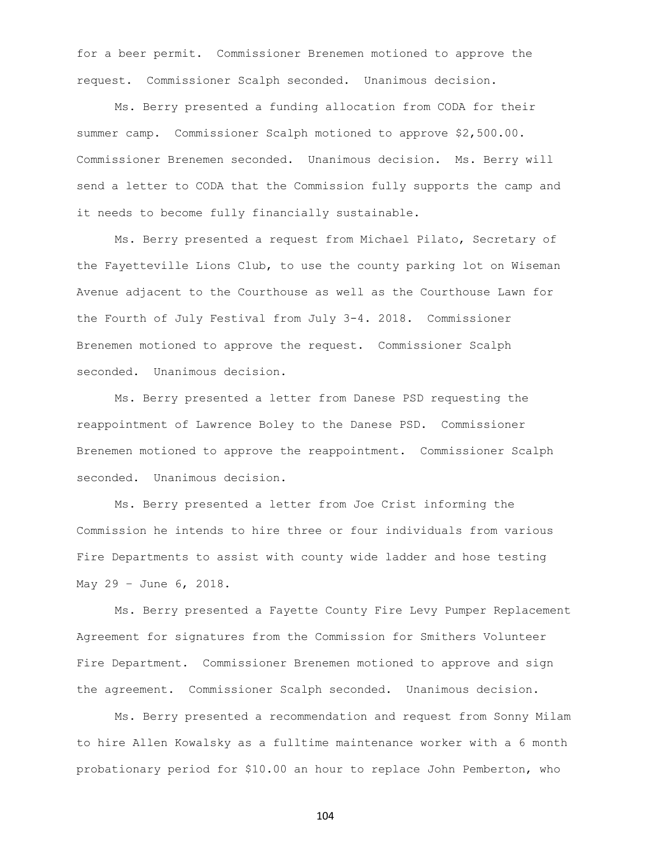for a beer permit. Commissioner Brenemen motioned to approve the request. Commissioner Scalph seconded. Unanimous decision.

Ms. Berry presented a funding allocation from CODA for their summer camp. Commissioner Scalph motioned to approve \$2,500.00. Commissioner Brenemen seconded. Unanimous decision. Ms. Berry will send a letter to CODA that the Commission fully supports the camp and it needs to become fully financially sustainable.

Ms. Berry presented a request from Michael Pilato, Secretary of the Fayetteville Lions Club, to use the county parking lot on Wiseman Avenue adjacent to the Courthouse as well as the Courthouse Lawn for the Fourth of July Festival from July 3-4. 2018. Commissioner Brenemen motioned to approve the request. Commissioner Scalph seconded. Unanimous decision.

Ms. Berry presented a letter from Danese PSD requesting the reappointment of Lawrence Boley to the Danese PSD. Commissioner Brenemen motioned to approve the reappointment. Commissioner Scalph seconded. Unanimous decision.

Ms. Berry presented a letter from Joe Crist informing the Commission he intends to hire three or four individuals from various Fire Departments to assist with county wide ladder and hose testing May 29 – June 6, 2018.

Ms. Berry presented a Fayette County Fire Levy Pumper Replacement Agreement for signatures from the Commission for Smithers Volunteer Fire Department. Commissioner Brenemen motioned to approve and sign the agreement. Commissioner Scalph seconded. Unanimous decision.

Ms. Berry presented a recommendation and request from Sonny Milam to hire Allen Kowalsky as a fulltime maintenance worker with a 6 month probationary period for \$10.00 an hour to replace John Pemberton, who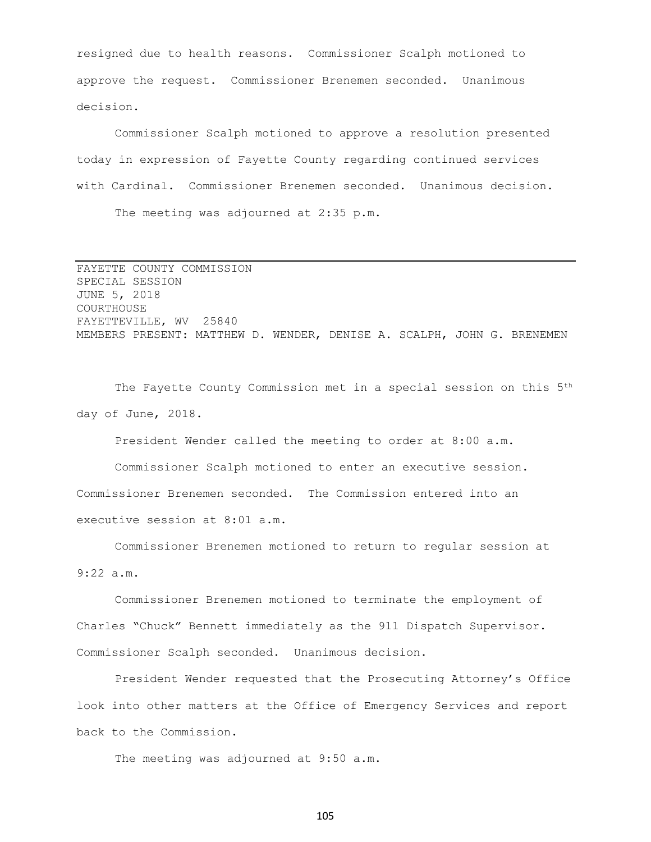resigned due to health reasons. Commissioner Scalph motioned to approve the request. Commissioner Brenemen seconded. Unanimous decision.

Commissioner Scalph motioned to approve a resolution presented today in expression of Fayette County regarding continued services with Cardinal. Commissioner Brenemen seconded. Unanimous decision. The meeting was adjourned at 2:35 p.m.

FAYETTE COUNTY COMMISSION SPECIAL SESSION JUNE 5, 2018 COURTHOUSE FAYETTEVILLE, WV 25840 MEMBERS PRESENT: MATTHEW D. WENDER, DENISE A. SCALPH, JOHN G. BRENEMEN

The Fayette County Commission met in a special session on this 5<sup>th</sup> day of June, 2018.

President Wender called the meeting to order at 8:00 a.m.

Commissioner Scalph motioned to enter an executive session. Commissioner Brenemen seconded. The Commission entered into an executive session at 8:01 a.m.

Commissioner Brenemen motioned to return to regular session at 9:22 a.m.

Commissioner Brenemen motioned to terminate the employment of Charles "Chuck" Bennett immediately as the 911 Dispatch Supervisor. Commissioner Scalph seconded. Unanimous decision.

President Wender requested that the Prosecuting Attorney's Office look into other matters at the Office of Emergency Services and report back to the Commission.

The meeting was adjourned at 9:50 a.m.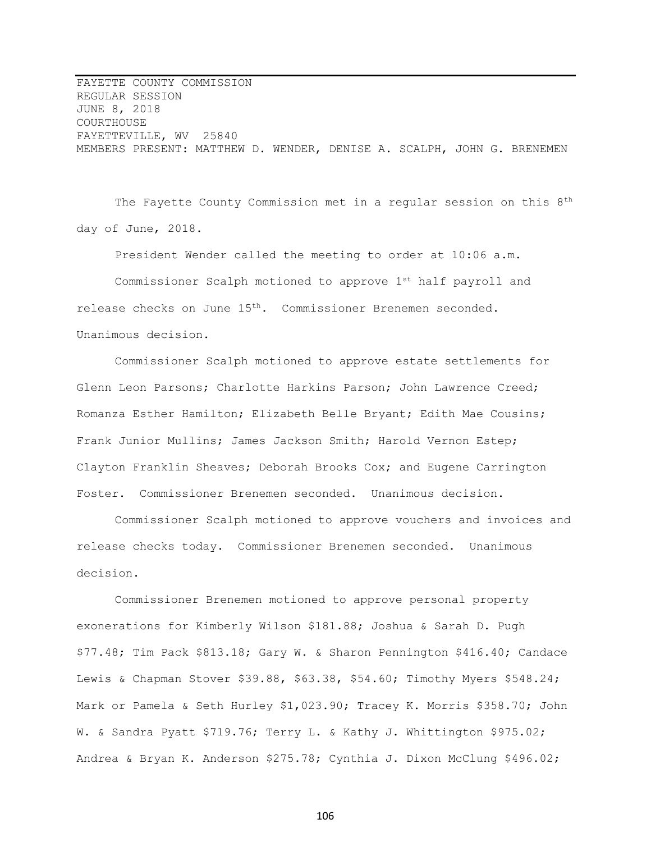FAYETTE COUNTY COMMISSION REGULAR SESSION JUNE 8, 2018 COURTHOUSE FAYETTEVILLE, WV 25840 MEMBERS PRESENT: MATTHEW D. WENDER, DENISE A. SCALPH, JOHN G. BRENEMEN

The Fayette County Commission met in a regular session on this 8<sup>th</sup> day of June, 2018.

President Wender called the meeting to order at 10:06 a.m. Commissioner Scalph motioned to approve 1st half payroll and release checks on June 15th. Commissioner Brenemen seconded. Unanimous decision.

Commissioner Scalph motioned to approve estate settlements for Glenn Leon Parsons; Charlotte Harkins Parson; John Lawrence Creed; Romanza Esther Hamilton; Elizabeth Belle Bryant; Edith Mae Cousins; Frank Junior Mullins; James Jackson Smith; Harold Vernon Estep; Clayton Franklin Sheaves; Deborah Brooks Cox; and Eugene Carrington Foster. Commissioner Brenemen seconded. Unanimous decision.

Commissioner Scalph motioned to approve vouchers and invoices and release checks today. Commissioner Brenemen seconded. Unanimous decision.

Commissioner Brenemen motioned to approve personal property exonerations for Kimberly Wilson \$181.88; Joshua & Sarah D. Pugh \$77.48; Tim Pack \$813.18; Gary W. & Sharon Pennington \$416.40; Candace Lewis & Chapman Stover \$39.88, \$63.38, \$54.60; Timothy Myers \$548.24; Mark or Pamela & Seth Hurley \$1,023.90; Tracey K. Morris \$358.70; John W. & Sandra Pyatt \$719.76; Terry L. & Kathy J. Whittington \$975.02; Andrea & Bryan K. Anderson \$275.78; Cynthia J. Dixon McClung \$496.02;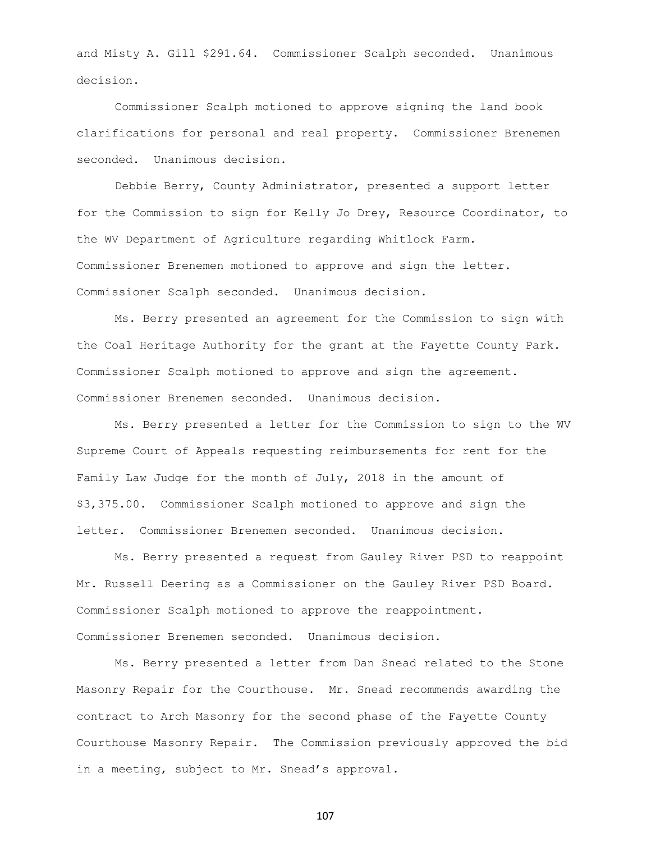and Misty A. Gill \$291.64. Commissioner Scalph seconded. Unanimous decision.

Commissioner Scalph motioned to approve signing the land book clarifications for personal and real property. Commissioner Brenemen seconded. Unanimous decision.

Debbie Berry, County Administrator, presented a support letter for the Commission to sign for Kelly Jo Drey, Resource Coordinator, to the WV Department of Agriculture regarding Whitlock Farm. Commissioner Brenemen motioned to approve and sign the letter. Commissioner Scalph seconded. Unanimous decision.

Ms. Berry presented an agreement for the Commission to sign with the Coal Heritage Authority for the grant at the Fayette County Park. Commissioner Scalph motioned to approve and sign the agreement. Commissioner Brenemen seconded. Unanimous decision.

Ms. Berry presented a letter for the Commission to sign to the WV Supreme Court of Appeals requesting reimbursements for rent for the Family Law Judge for the month of July, 2018 in the amount of \$3,375.00. Commissioner Scalph motioned to approve and sign the letter. Commissioner Brenemen seconded. Unanimous decision.

Ms. Berry presented a request from Gauley River PSD to reappoint Mr. Russell Deering as a Commissioner on the Gauley River PSD Board. Commissioner Scalph motioned to approve the reappointment. Commissioner Brenemen seconded. Unanimous decision.

Ms. Berry presented a letter from Dan Snead related to the Stone Masonry Repair for the Courthouse. Mr. Snead recommends awarding the contract to Arch Masonry for the second phase of the Fayette County Courthouse Masonry Repair. The Commission previously approved the bid in a meeting, subject to Mr. Snead's approval.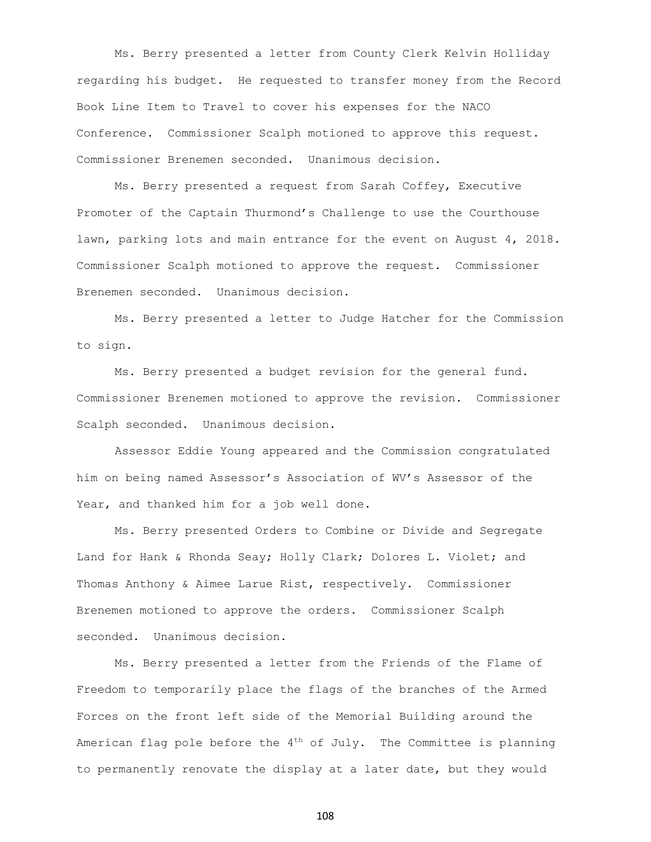Ms. Berry presented a letter from County Clerk Kelvin Holliday regarding his budget. He requested to transfer money from the Record Book Line Item to Travel to cover his expenses for the NACO Conference. Commissioner Scalph motioned to approve this request. Commissioner Brenemen seconded. Unanimous decision.

Ms. Berry presented a request from Sarah Coffey, Executive Promoter of the Captain Thurmond's Challenge to use the Courthouse lawn, parking lots and main entrance for the event on August 4, 2018. Commissioner Scalph motioned to approve the request. Commissioner Brenemen seconded. Unanimous decision.

Ms. Berry presented a letter to Judge Hatcher for the Commission to sign.

Ms. Berry presented a budget revision for the general fund. Commissioner Brenemen motioned to approve the revision. Commissioner Scalph seconded. Unanimous decision.

Assessor Eddie Young appeared and the Commission congratulated him on being named Assessor's Association of WV's Assessor of the Year, and thanked him for a job well done.

Ms. Berry presented Orders to Combine or Divide and Segregate Land for Hank & Rhonda Seay; Holly Clark; Dolores L. Violet; and Thomas Anthony & Aimee Larue Rist, respectively. Commissioner Brenemen motioned to approve the orders. Commissioner Scalph seconded. Unanimous decision.

Ms. Berry presented a letter from the Friends of the Flame of Freedom to temporarily place the flags of the branches of the Armed Forces on the front left side of the Memorial Building around the American flag pole before the  $4<sup>th</sup>$  of July. The Committee is planning to permanently renovate the display at a later date, but they would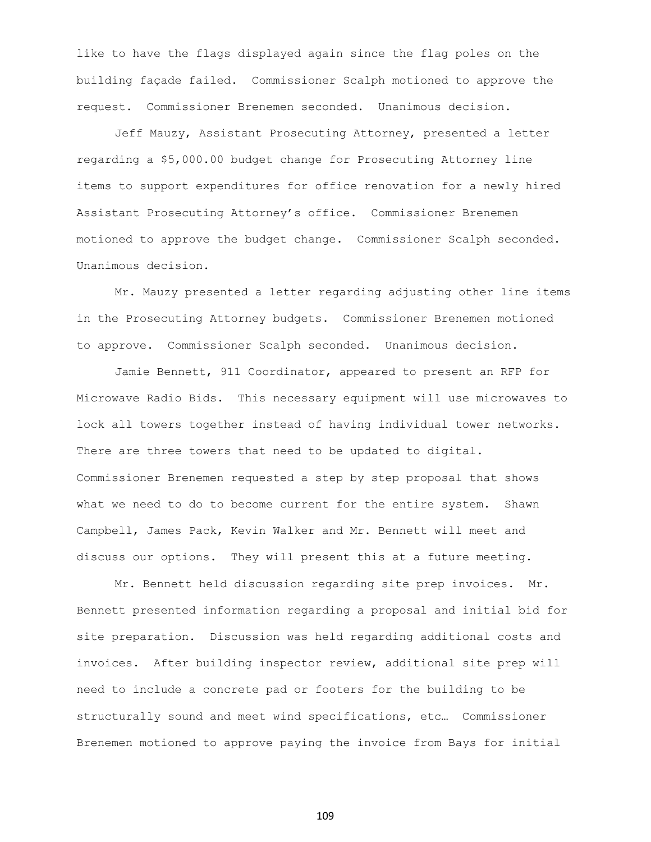like to have the flags displayed again since the flag poles on the building façade failed. Commissioner Scalph motioned to approve the request. Commissioner Brenemen seconded. Unanimous decision.

Jeff Mauzy, Assistant Prosecuting Attorney, presented a letter regarding a \$5,000.00 budget change for Prosecuting Attorney line items to support expenditures for office renovation for a newly hired Assistant Prosecuting Attorney's office. Commissioner Brenemen motioned to approve the budget change. Commissioner Scalph seconded. Unanimous decision.

Mr. Mauzy presented a letter regarding adjusting other line items in the Prosecuting Attorney budgets. Commissioner Brenemen motioned to approve. Commissioner Scalph seconded. Unanimous decision.

Jamie Bennett, 911 Coordinator, appeared to present an RFP for Microwave Radio Bids. This necessary equipment will use microwaves to lock all towers together instead of having individual tower networks. There are three towers that need to be updated to digital. Commissioner Brenemen requested a step by step proposal that shows what we need to do to become current for the entire system. Shawn Campbell, James Pack, Kevin Walker and Mr. Bennett will meet and discuss our options. They will present this at a future meeting.

Mr. Bennett held discussion regarding site prep invoices. Mr. Bennett presented information regarding a proposal and initial bid for site preparation. Discussion was held regarding additional costs and invoices. After building inspector review, additional site prep will need to include a concrete pad or footers for the building to be structurally sound and meet wind specifications, etc… Commissioner Brenemen motioned to approve paying the invoice from Bays for initial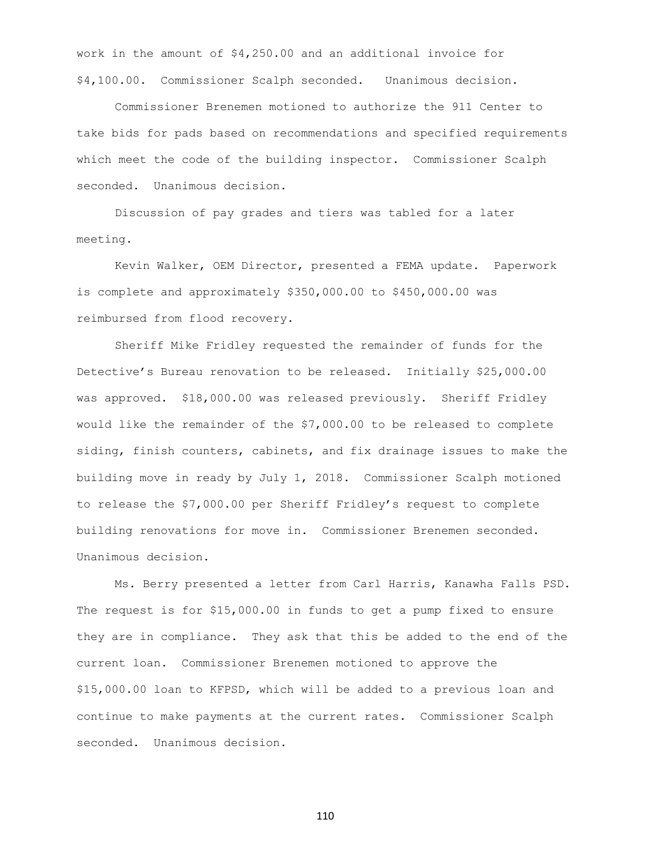work in the amount of \$4,250.00 and an additional invoice for \$4,100.00. Commissioner Scalph seconded. Unanimous decision.

Commissioner Brenemen motioned to authorize the 911 Center to take bids for pads based on recommendations and specified requirements which meet the code of the building inspector. Commissioner Scalph seconded. Unanimous decision.

Discussion of pay grades and tiers was tabled for a later meeting.

Kevin Walker, OEM Director, presented a FEMA update. Paperwork is complete and approximately \$350,000.00 to \$450,000.00 was reimbursed from flood recovery.

Sheriff Mike Fridley requested the remainder of funds for the Detective's Bureau renovation to be released. Initially \$25,000.00 was approved. \$18,000.00 was released previously. Sheriff Fridley would like the remainder of the \$7,000.00 to be released to complete siding, finish counters, cabinets, and fix drainage issues to make the building move in ready by July 1, 2018. Commissioner Scalph motioned to release the \$7,000.00 per Sheriff Fridley's request to complete building renovations for move in. Commissioner Brenemen seconded. Unanimous decision.

Ms. Berry presented a letter from Carl Harris, Kanawha Falls PSD. The request is for \$15,000.00 in funds to get a pump fixed to ensure they are in compliance. They ask that this be added to the end of the current loan. Commissioner Brenemen motioned to approve the \$15,000.00 loan to KFPSD, which will be added to a previous loan and continue to make payments at the current rates. Commissioner Scalph seconded. Unanimous decision.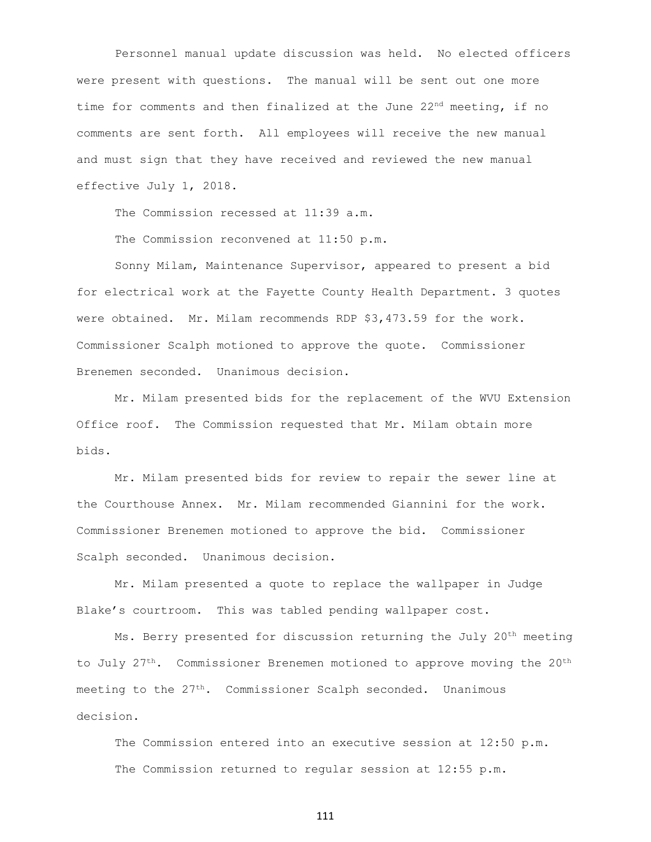Personnel manual update discussion was held. No elected officers were present with questions. The manual will be sent out one more time for comments and then finalized at the June  $22<sup>nd</sup>$  meeting, if no comments are sent forth. All employees will receive the new manual and must sign that they have received and reviewed the new manual effective July 1, 2018.

The Commission recessed at 11:39 a.m.

The Commission reconvened at 11:50 p.m.

Sonny Milam, Maintenance Supervisor, appeared to present a bid for electrical work at the Fayette County Health Department. 3 quotes were obtained. Mr. Milam recommends RDP \$3,473.59 for the work. Commissioner Scalph motioned to approve the quote. Commissioner Brenemen seconded. Unanimous decision.

Mr. Milam presented bids for the replacement of the WVU Extension Office roof. The Commission requested that Mr. Milam obtain more bids.

Mr. Milam presented bids for review to repair the sewer line at the Courthouse Annex. Mr. Milam recommended Giannini for the work. Commissioner Brenemen motioned to approve the bid. Commissioner Scalph seconded. Unanimous decision.

Mr. Milam presented a quote to replace the wallpaper in Judge Blake's courtroom. This was tabled pending wallpaper cost.

Ms. Berry presented for discussion returning the July 20<sup>th</sup> meeting to July 27<sup>th</sup>. Commissioner Brenemen motioned to approve moving the 20<sup>th</sup> meeting to the 27<sup>th</sup>. Commissioner Scalph seconded. Unanimous decision.

The Commission entered into an executive session at 12:50 p.m. The Commission returned to regular session at 12:55 p.m.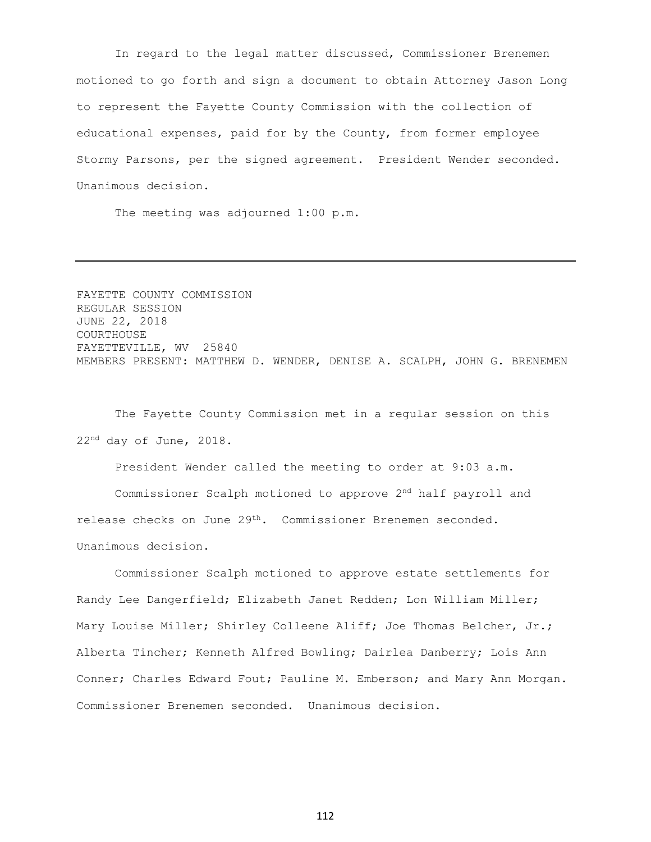In regard to the legal matter discussed, Commissioner Brenemen motioned to go forth and sign a document to obtain Attorney Jason Long to represent the Fayette County Commission with the collection of educational expenses, paid for by the County, from former employee Stormy Parsons, per the signed agreement. President Wender seconded. Unanimous decision.

The meeting was adjourned 1:00 p.m.

FAYETTE COUNTY COMMISSION REGULAR SESSION JUNE 22, 2018 COURTHOUSE FAYETTEVILLE, WV 25840 MEMBERS PRESENT: MATTHEW D. WENDER, DENISE A. SCALPH, JOHN G. BRENEMEN

The Fayette County Commission met in a regular session on this 22nd day of June, 2018.

President Wender called the meeting to order at 9:03 a.m.

Commissioner Scalph motioned to approve 2<sup>nd</sup> half payroll and release checks on June 29th. Commissioner Brenemen seconded. Unanimous decision.

Commissioner Scalph motioned to approve estate settlements for Randy Lee Dangerfield; Elizabeth Janet Redden; Lon William Miller; Mary Louise Miller; Shirley Colleene Aliff; Joe Thomas Belcher, Jr.; Alberta Tincher; Kenneth Alfred Bowling; Dairlea Danberry; Lois Ann Conner; Charles Edward Fout; Pauline M. Emberson; and Mary Ann Morgan. Commissioner Brenemen seconded. Unanimous decision.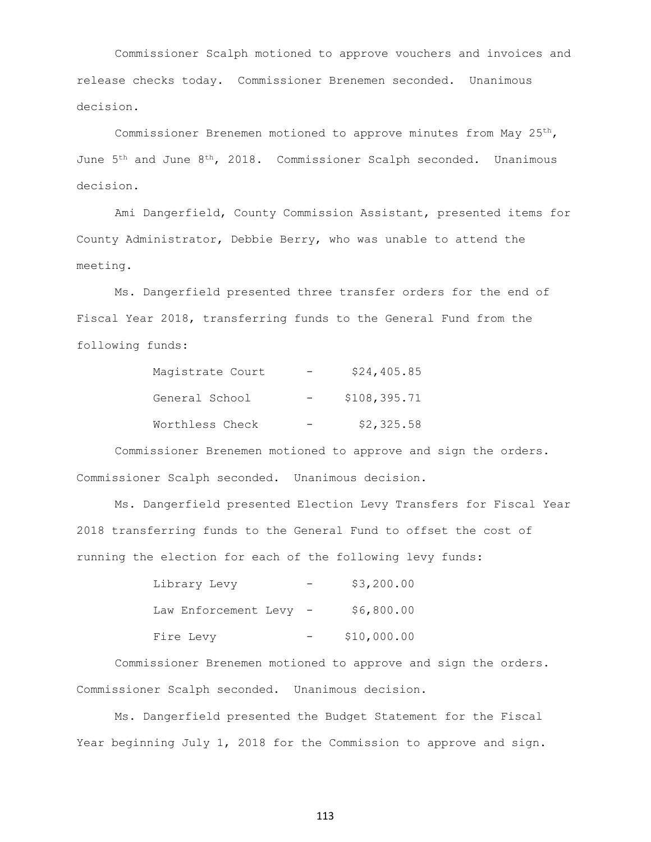Commissioner Scalph motioned to approve vouchers and invoices and release checks today. Commissioner Brenemen seconded. Unanimous decision.

Commissioner Brenemen motioned to approve minutes from May 25th, June 5th and June 8th, 2018. Commissioner Scalph seconded. Unanimous decision.

Ami Dangerfield, County Commission Assistant, presented items for County Administrator, Debbie Berry, who was unable to attend the meeting.

Ms. Dangerfield presented three transfer orders for the end of Fiscal Year 2018, transferring funds to the General Fund from the following funds:

| Magistrate Court | \$24,405.85  |
|------------------|--------------|
| General School   | \$108,395.71 |
| Worthless Check  | \$2,325.58   |

Commissioner Brenemen motioned to approve and sign the orders. Commissioner Scalph seconded. Unanimous decision.

Ms. Dangerfield presented Election Levy Transfers for Fiscal Year 2018 transferring funds to the General Fund to offset the cost of running the election for each of the following levy funds:

| Library Levy         | \$3,200.00  |
|----------------------|-------------|
| Law Enforcement Levy | \$6,800.00  |
| Fire Levy            | \$10,000.00 |

Commissioner Brenemen motioned to approve and sign the orders. Commissioner Scalph seconded. Unanimous decision.

Ms. Dangerfield presented the Budget Statement for the Fiscal Year beginning July 1, 2018 for the Commission to approve and sign.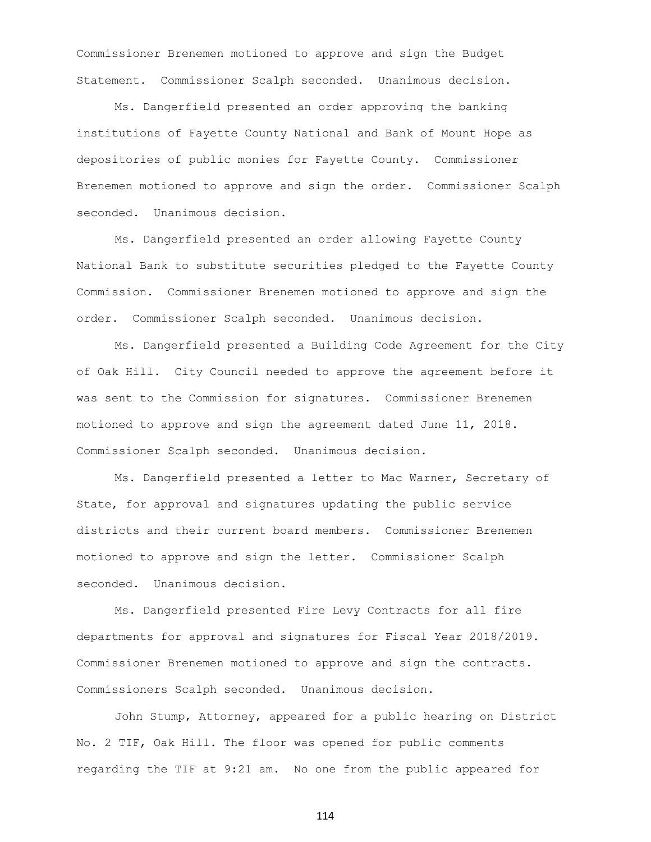Commissioner Brenemen motioned to approve and sign the Budget Statement. Commissioner Scalph seconded. Unanimous decision.

Ms. Dangerfield presented an order approving the banking institutions of Fayette County National and Bank of Mount Hope as depositories of public monies for Fayette County. Commissioner Brenemen motioned to approve and sign the order. Commissioner Scalph seconded. Unanimous decision.

Ms. Dangerfield presented an order allowing Fayette County National Bank to substitute securities pledged to the Fayette County Commission. Commissioner Brenemen motioned to approve and sign the order. Commissioner Scalph seconded. Unanimous decision.

Ms. Dangerfield presented a Building Code Agreement for the City of Oak Hill. City Council needed to approve the agreement before it was sent to the Commission for signatures. Commissioner Brenemen motioned to approve and sign the agreement dated June 11, 2018. Commissioner Scalph seconded. Unanimous decision.

Ms. Dangerfield presented a letter to Mac Warner, Secretary of State, for approval and signatures updating the public service districts and their current board members. Commissioner Brenemen motioned to approve and sign the letter. Commissioner Scalph seconded. Unanimous decision.

Ms. Dangerfield presented Fire Levy Contracts for all fire departments for approval and signatures for Fiscal Year 2018/2019. Commissioner Brenemen motioned to approve and sign the contracts. Commissioners Scalph seconded. Unanimous decision.

John Stump, Attorney, appeared for a public hearing on District No. 2 TIF, Oak Hill. The floor was opened for public comments regarding the TIF at 9:21 am. No one from the public appeared for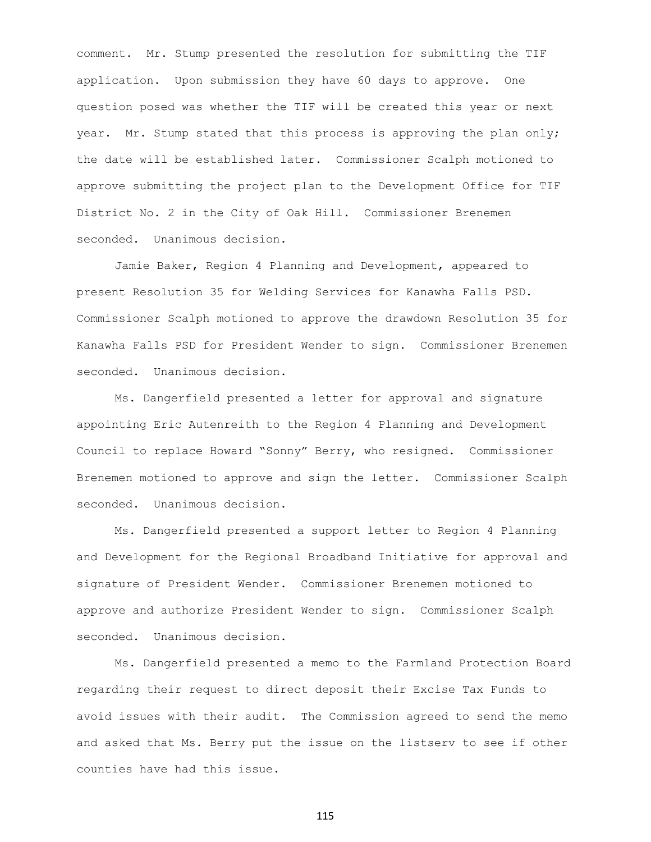comment. Mr. Stump presented the resolution for submitting the TIF application. Upon submission they have 60 days to approve. One question posed was whether the TIF will be created this year or next year. Mr. Stump stated that this process is approving the plan only; the date will be established later. Commissioner Scalph motioned to approve submitting the project plan to the Development Office for TIF District No. 2 in the City of Oak Hill. Commissioner Brenemen seconded. Unanimous decision.

Jamie Baker, Region 4 Planning and Development, appeared to present Resolution 35 for Welding Services for Kanawha Falls PSD. Commissioner Scalph motioned to approve the drawdown Resolution 35 for Kanawha Falls PSD for President Wender to sign. Commissioner Brenemen seconded. Unanimous decision.

Ms. Dangerfield presented a letter for approval and signature appointing Eric Autenreith to the Region 4 Planning and Development Council to replace Howard "Sonny" Berry, who resigned. Commissioner Brenemen motioned to approve and sign the letter. Commissioner Scalph seconded. Unanimous decision.

Ms. Dangerfield presented a support letter to Region 4 Planning and Development for the Regional Broadband Initiative for approval and signature of President Wender. Commissioner Brenemen motioned to approve and authorize President Wender to sign. Commissioner Scalph seconded. Unanimous decision.

Ms. Dangerfield presented a memo to the Farmland Protection Board regarding their request to direct deposit their Excise Tax Funds to avoid issues with their audit. The Commission agreed to send the memo and asked that Ms. Berry put the issue on the listserv to see if other counties have had this issue.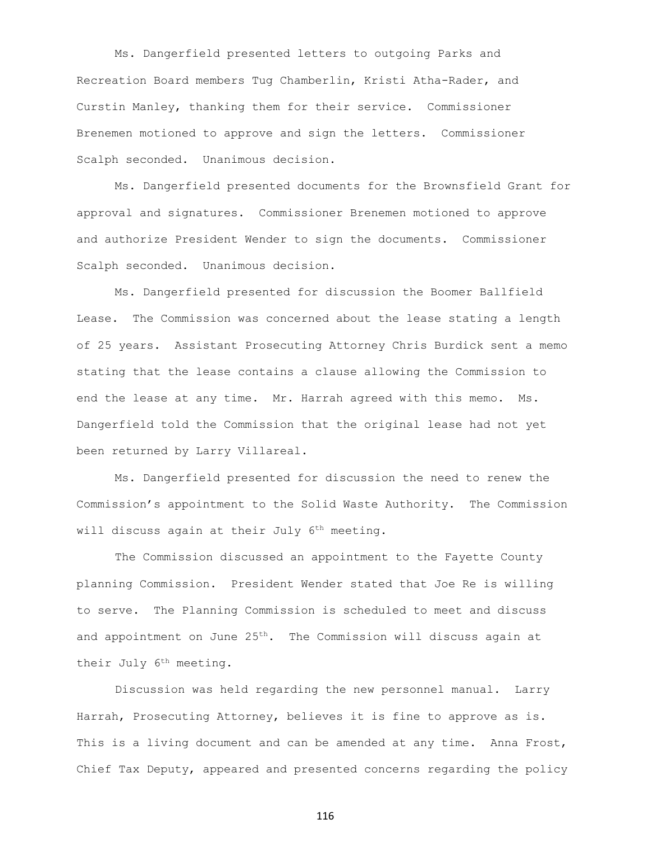Ms. Dangerfield presented letters to outgoing Parks and Recreation Board members Tug Chamberlin, Kristi Atha-Rader, and Curstin Manley, thanking them for their service. Commissioner Brenemen motioned to approve and sign the letters. Commissioner Scalph seconded. Unanimous decision.

Ms. Dangerfield presented documents for the Brownsfield Grant for approval and signatures. Commissioner Brenemen motioned to approve and authorize President Wender to sign the documents. Commissioner Scalph seconded. Unanimous decision.

Ms. Dangerfield presented for discussion the Boomer Ballfield Lease. The Commission was concerned about the lease stating a length of 25 years. Assistant Prosecuting Attorney Chris Burdick sent a memo stating that the lease contains a clause allowing the Commission to end the lease at any time. Mr. Harrah agreed with this memo. Ms. Dangerfield told the Commission that the original lease had not yet been returned by Larry Villareal.

Ms. Dangerfield presented for discussion the need to renew the Commission's appointment to the Solid Waste Authority. The Commission will discuss again at their July 6<sup>th</sup> meeting.

The Commission discussed an appointment to the Fayette County planning Commission. President Wender stated that Joe Re is willing to serve. The Planning Commission is scheduled to meet and discuss and appointment on June  $25<sup>th</sup>$ . The Commission will discuss again at their July 6<sup>th</sup> meeting.

Discussion was held regarding the new personnel manual. Larry Harrah, Prosecuting Attorney, believes it is fine to approve as is. This is a living document and can be amended at any time. Anna Frost, Chief Tax Deputy, appeared and presented concerns regarding the policy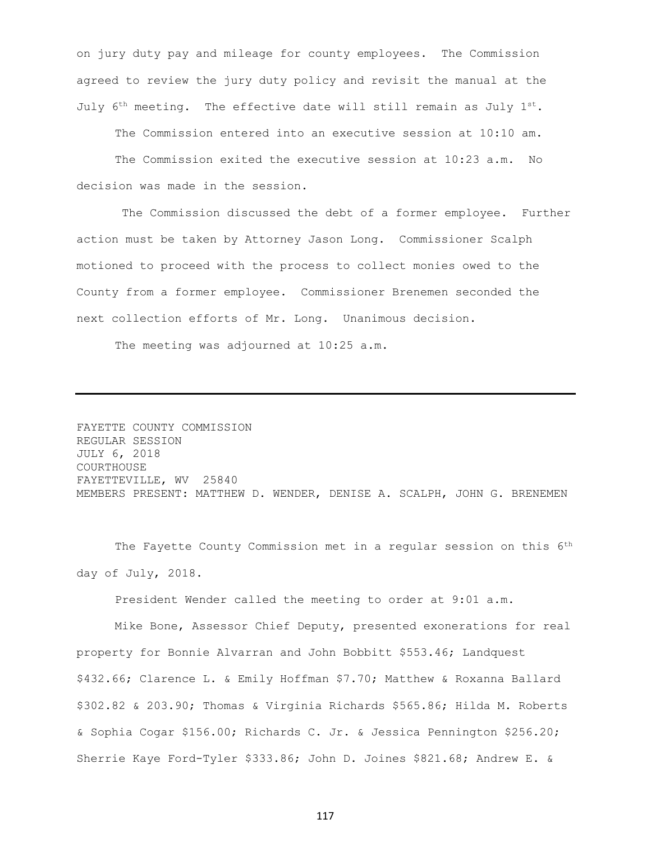on jury duty pay and mileage for county employees. The Commission agreed to review the jury duty policy and revisit the manual at the July 6<sup>th</sup> meeting. The effective date will still remain as July  $1^{st}$ .

The Commission entered into an executive session at 10:10 am.

The Commission exited the executive session at 10:23 a.m. No decision was made in the session.

The Commission discussed the debt of a former employee. Further action must be taken by Attorney Jason Long. Commissioner Scalph motioned to proceed with the process to collect monies owed to the County from a former employee. Commissioner Brenemen seconded the next collection efforts of Mr. Long. Unanimous decision.

The meeting was adjourned at 10:25 a.m.

FAYETTE COUNTY COMMISSION REGULAR SESSION JULY 6, 2018 COURTHOUSE FAYETTEVILLE, WV 25840 MEMBERS PRESENT: MATTHEW D. WENDER, DENISE A. SCALPH, JOHN G. BRENEMEN

The Fayette County Commission met in a regular session on this 6<sup>th</sup> day of July, 2018.

President Wender called the meeting to order at 9:01 a.m.

Mike Bone, Assessor Chief Deputy, presented exonerations for real property for Bonnie Alvarran and John Bobbitt \$553.46; Landquest \$432.66; Clarence L. & Emily Hoffman \$7.70; Matthew & Roxanna Ballard \$302.82 & 203.90; Thomas & Virginia Richards \$565.86; Hilda M. Roberts & Sophia Cogar \$156.00; Richards C. Jr. & Jessica Pennington \$256.20; Sherrie Kaye Ford-Tyler \$333.86; John D. Joines \$821.68; Andrew E. &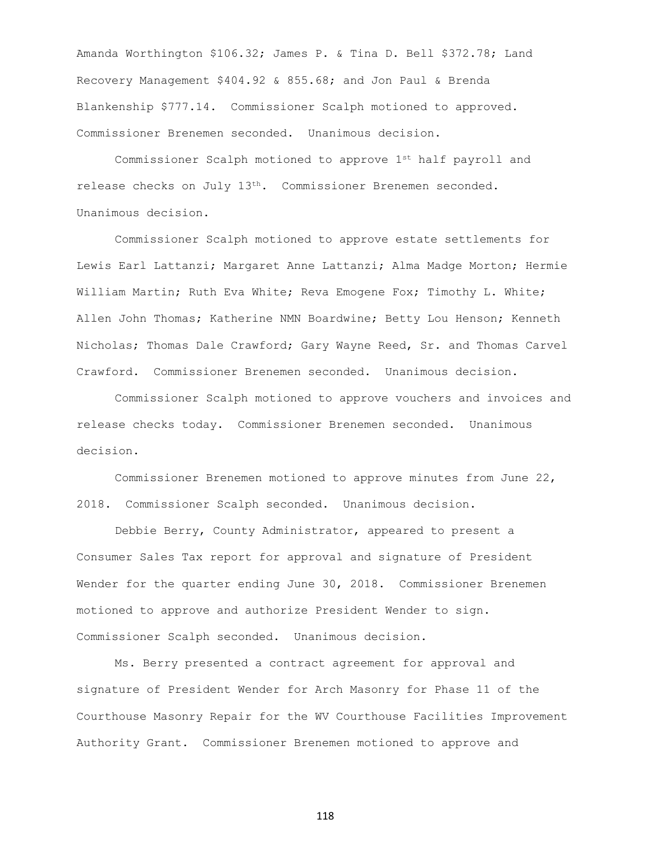Amanda Worthington \$106.32; James P. & Tina D. Bell \$372.78; Land Recovery Management \$404.92 & 855.68; and Jon Paul & Brenda Blankenship \$777.14. Commissioner Scalph motioned to approved. Commissioner Brenemen seconded. Unanimous decision.

Commissioner Scalph motioned to approve 1st half payroll and release checks on July 13<sup>th</sup>. Commissioner Brenemen seconded. Unanimous decision.

Commissioner Scalph motioned to approve estate settlements for Lewis Earl Lattanzi; Margaret Anne Lattanzi; Alma Madge Morton; Hermie William Martin; Ruth Eva White; Reva Emogene Fox; Timothy L. White; Allen John Thomas; Katherine NMN Boardwine; Betty Lou Henson; Kenneth Nicholas; Thomas Dale Crawford; Gary Wayne Reed, Sr. and Thomas Carvel Crawford. Commissioner Brenemen seconded. Unanimous decision.

Commissioner Scalph motioned to approve vouchers and invoices and release checks today. Commissioner Brenemen seconded. Unanimous decision.

Commissioner Brenemen motioned to approve minutes from June 22, 2018. Commissioner Scalph seconded. Unanimous decision.

Debbie Berry, County Administrator, appeared to present a Consumer Sales Tax report for approval and signature of President Wender for the quarter ending June 30, 2018. Commissioner Brenemen motioned to approve and authorize President Wender to sign. Commissioner Scalph seconded. Unanimous decision.

Ms. Berry presented a contract agreement for approval and signature of President Wender for Arch Masonry for Phase 11 of the Courthouse Masonry Repair for the WV Courthouse Facilities Improvement Authority Grant. Commissioner Brenemen motioned to approve and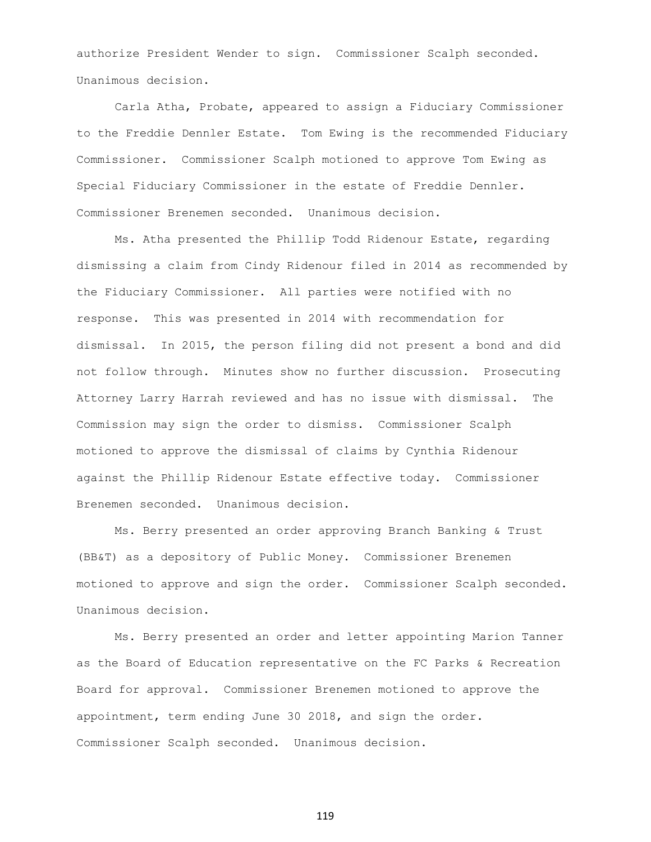authorize President Wender to sign. Commissioner Scalph seconded. Unanimous decision.

Carla Atha, Probate, appeared to assign a Fiduciary Commissioner to the Freddie Dennler Estate. Tom Ewing is the recommended Fiduciary Commissioner. Commissioner Scalph motioned to approve Tom Ewing as Special Fiduciary Commissioner in the estate of Freddie Dennler. Commissioner Brenemen seconded. Unanimous decision.

Ms. Atha presented the Phillip Todd Ridenour Estate, regarding dismissing a claim from Cindy Ridenour filed in 2014 as recommended by the Fiduciary Commissioner. All parties were notified with no response. This was presented in 2014 with recommendation for dismissal. In 2015, the person filing did not present a bond and did not follow through. Minutes show no further discussion. Prosecuting Attorney Larry Harrah reviewed and has no issue with dismissal. The Commission may sign the order to dismiss. Commissioner Scalph motioned to approve the dismissal of claims by Cynthia Ridenour against the Phillip Ridenour Estate effective today. Commissioner Brenemen seconded. Unanimous decision.

Ms. Berry presented an order approving Branch Banking & Trust (BB&T) as a depository of Public Money. Commissioner Brenemen motioned to approve and sign the order. Commissioner Scalph seconded. Unanimous decision.

Ms. Berry presented an order and letter appointing Marion Tanner as the Board of Education representative on the FC Parks & Recreation Board for approval. Commissioner Brenemen motioned to approve the appointment, term ending June 30 2018, and sign the order. Commissioner Scalph seconded. Unanimous decision.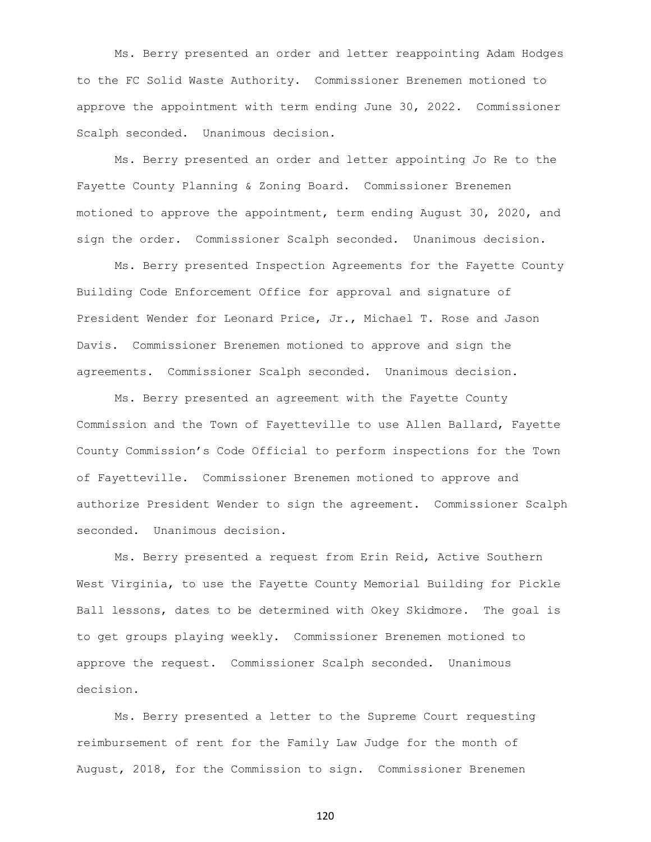Ms. Berry presented an order and letter reappointing Adam Hodges to the FC Solid Waste Authority. Commissioner Brenemen motioned to approve the appointment with term ending June 30, 2022. Commissioner Scalph seconded. Unanimous decision.

Ms. Berry presented an order and letter appointing Jo Re to the Fayette County Planning & Zoning Board. Commissioner Brenemen motioned to approve the appointment, term ending August 30, 2020, and sign the order. Commissioner Scalph seconded. Unanimous decision.

Ms. Berry presented Inspection Agreements for the Fayette County Building Code Enforcement Office for approval and signature of President Wender for Leonard Price, Jr., Michael T. Rose and Jason Davis. Commissioner Brenemen motioned to approve and sign the agreements. Commissioner Scalph seconded. Unanimous decision.

Ms. Berry presented an agreement with the Fayette County Commission and the Town of Fayetteville to use Allen Ballard, Fayette County Commission's Code Official to perform inspections for the Town of Fayetteville. Commissioner Brenemen motioned to approve and authorize President Wender to sign the agreement. Commissioner Scalph seconded. Unanimous decision.

Ms. Berry presented a request from Erin Reid, Active Southern West Virginia, to use the Fayette County Memorial Building for Pickle Ball lessons, dates to be determined with Okey Skidmore. The goal is to get groups playing weekly. Commissioner Brenemen motioned to approve the request. Commissioner Scalph seconded. Unanimous decision.

Ms. Berry presented a letter to the Supreme Court requesting reimbursement of rent for the Family Law Judge for the month of August, 2018, for the Commission to sign. Commissioner Brenemen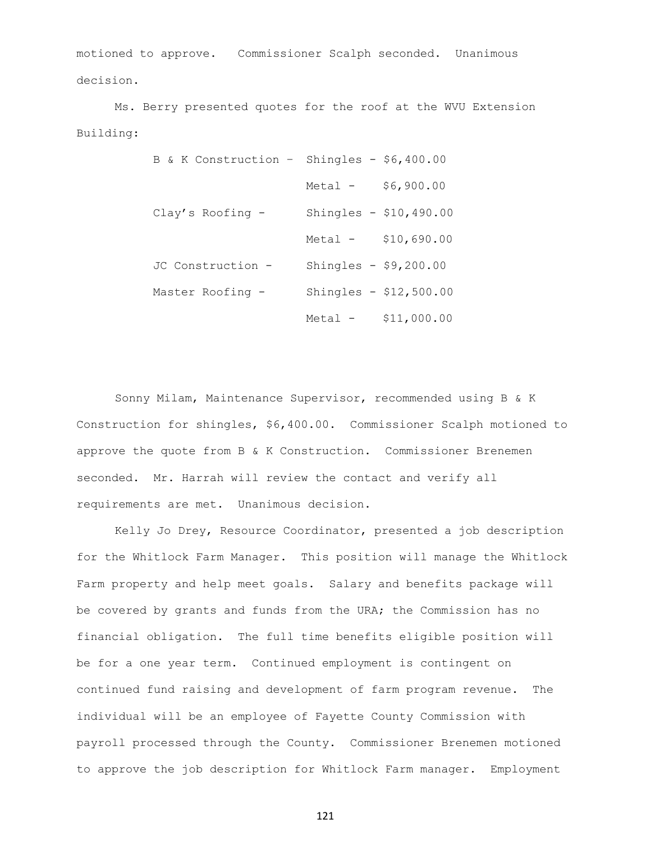motioned to approve. Commissioner Scalph seconded. Unanimous decision.

Ms. Berry presented quotes for the roof at the WVU Extension Building:

| B & K Construction - Shingles - $$6,400.00$ |                        |                         |
|---------------------------------------------|------------------------|-------------------------|
|                                             | Metal -                | \$6,900.00              |
| $Clay's Roofing -$                          |                        | Shingles - $$10,490.00$ |
|                                             | Metal -                | \$10,690.00             |
| JC Construction -                           | Shingles - $$9,200.00$ |                         |
| Master Roofing -                            |                        | Shingles - $$12,500.00$ |
|                                             | Metal -                | \$11,000.00             |

Sonny Milam, Maintenance Supervisor, recommended using B & K Construction for shingles, \$6,400.00. Commissioner Scalph motioned to approve the quote from B & K Construction. Commissioner Brenemen seconded. Mr. Harrah will review the contact and verify all requirements are met. Unanimous decision.

Kelly Jo Drey, Resource Coordinator, presented a job description for the Whitlock Farm Manager. This position will manage the Whitlock Farm property and help meet goals. Salary and benefits package will be covered by grants and funds from the URA; the Commission has no financial obligation. The full time benefits eligible position will be for a one year term. Continued employment is contingent on continued fund raising and development of farm program revenue. The individual will be an employee of Fayette County Commission with payroll processed through the County. Commissioner Brenemen motioned to approve the job description for Whitlock Farm manager. Employment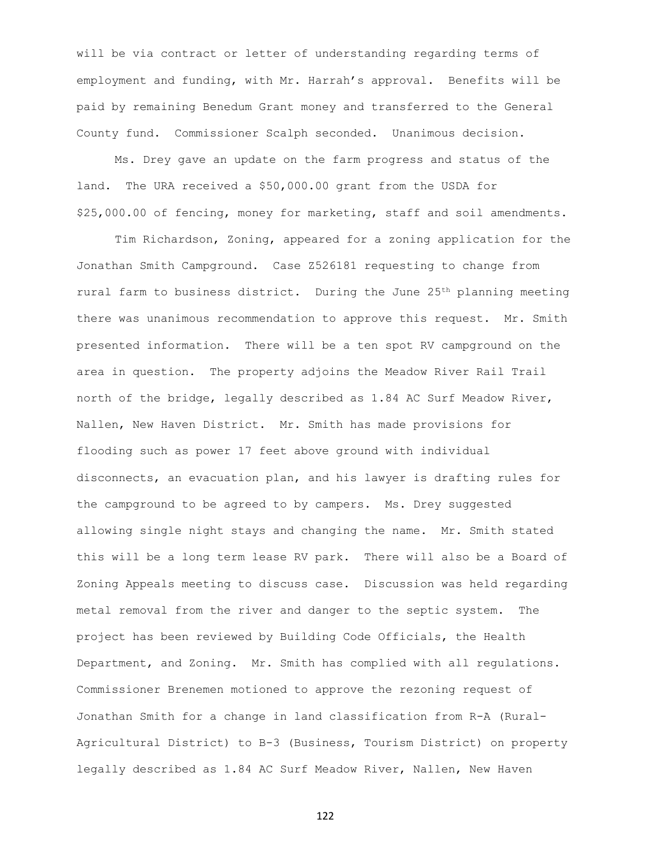will be via contract or letter of understanding regarding terms of employment and funding, with Mr. Harrah's approval. Benefits will be paid by remaining Benedum Grant money and transferred to the General County fund. Commissioner Scalph seconded. Unanimous decision.

Ms. Drey gave an update on the farm progress and status of the land. The URA received a \$50,000.00 grant from the USDA for \$25,000.00 of fencing, money for marketing, staff and soil amendments.

Tim Richardson, Zoning, appeared for a zoning application for the Jonathan Smith Campground. Case Z526181 requesting to change from rural farm to business district. During the June 25<sup>th</sup> planning meeting there was unanimous recommendation to approve this request. Mr. Smith presented information. There will be a ten spot RV campground on the area in question. The property adjoins the Meadow River Rail Trail north of the bridge, legally described as 1.84 AC Surf Meadow River, Nallen, New Haven District. Mr. Smith has made provisions for flooding such as power 17 feet above ground with individual disconnects, an evacuation plan, and his lawyer is drafting rules for the campground to be agreed to by campers. Ms. Drey suggested allowing single night stays and changing the name. Mr. Smith stated this will be a long term lease RV park. There will also be a Board of Zoning Appeals meeting to discuss case. Discussion was held regarding metal removal from the river and danger to the septic system. The project has been reviewed by Building Code Officials, the Health Department, and Zoning. Mr. Smith has complied with all regulations. Commissioner Brenemen motioned to approve the rezoning request of Jonathan Smith for a change in land classification from R-A (Rural-Agricultural District) to B-3 (Business, Tourism District) on property legally described as 1.84 AC Surf Meadow River, Nallen, New Haven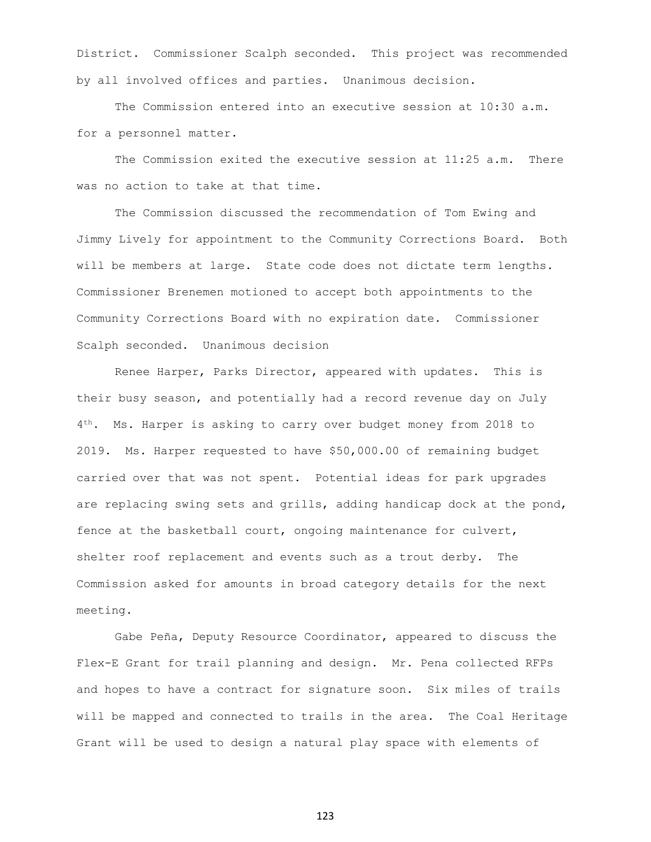District. Commissioner Scalph seconded. This project was recommended by all involved offices and parties. Unanimous decision.

The Commission entered into an executive session at 10:30 a.m. for a personnel matter.

The Commission exited the executive session at 11:25 a.m. There was no action to take at that time.

The Commission discussed the recommendation of Tom Ewing and Jimmy Lively for appointment to the Community Corrections Board. Both will be members at large. State code does not dictate term lengths. Commissioner Brenemen motioned to accept both appointments to the Community Corrections Board with no expiration date. Commissioner Scalph seconded. Unanimous decision

Renee Harper, Parks Director, appeared with updates. This is their busy season, and potentially had a record revenue day on July 4 th. Ms. Harper is asking to carry over budget money from 2018 to 2019. Ms. Harper requested to have \$50,000.00 of remaining budget carried over that was not spent. Potential ideas for park upgrades are replacing swing sets and grills, adding handicap dock at the pond, fence at the basketball court, ongoing maintenance for culvert, shelter roof replacement and events such as a trout derby. The Commission asked for amounts in broad category details for the next meeting.

Gabe Peña, Deputy Resource Coordinator, appeared to discuss the Flex-E Grant for trail planning and design. Mr. Pena collected RFPs and hopes to have a contract for signature soon. Six miles of trails will be mapped and connected to trails in the area. The Coal Heritage Grant will be used to design a natural play space with elements of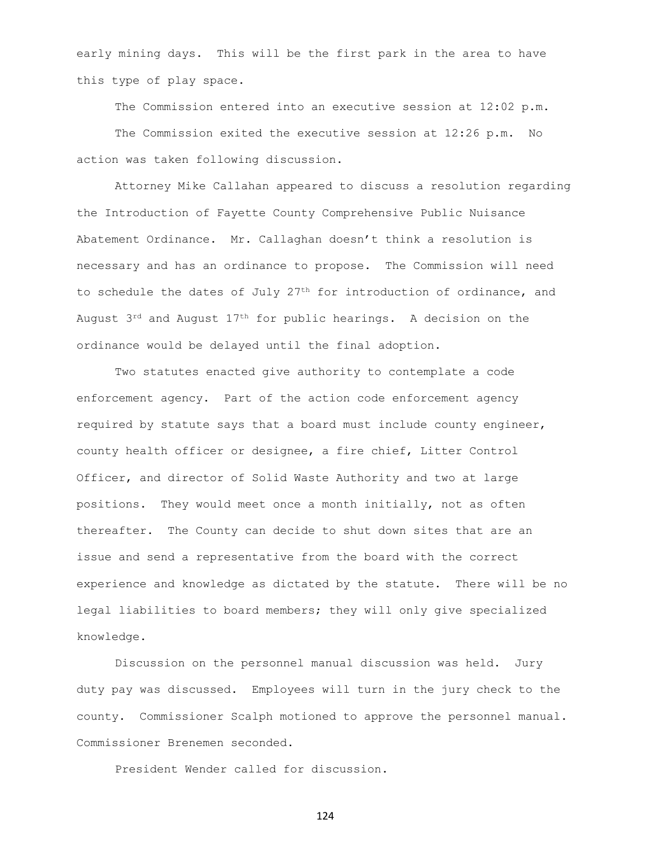early mining days. This will be the first park in the area to have this type of play space.

The Commission entered into an executive session at 12:02 p.m.

The Commission exited the executive session at 12:26 p.m. No action was taken following discussion.

Attorney Mike Callahan appeared to discuss a resolution regarding the Introduction of Fayette County Comprehensive Public Nuisance Abatement Ordinance. Mr. Callaghan doesn't think a resolution is necessary and has an ordinance to propose. The Commission will need to schedule the dates of July  $27<sup>th</sup>$  for introduction of ordinance, and August  $3^{rd}$  and August  $17^{th}$  for public hearings. A decision on the ordinance would be delayed until the final adoption.

Two statutes enacted give authority to contemplate a code enforcement agency. Part of the action code enforcement agency required by statute says that a board must include county engineer, county health officer or designee, a fire chief, Litter Control Officer, and director of Solid Waste Authority and two at large positions. They would meet once a month initially, not as often thereafter. The County can decide to shut down sites that are an issue and send a representative from the board with the correct experience and knowledge as dictated by the statute. There will be no legal liabilities to board members; they will only give specialized knowledge.

Discussion on the personnel manual discussion was held. Jury duty pay was discussed. Employees will turn in the jury check to the county. Commissioner Scalph motioned to approve the personnel manual. Commissioner Brenemen seconded.

President Wender called for discussion.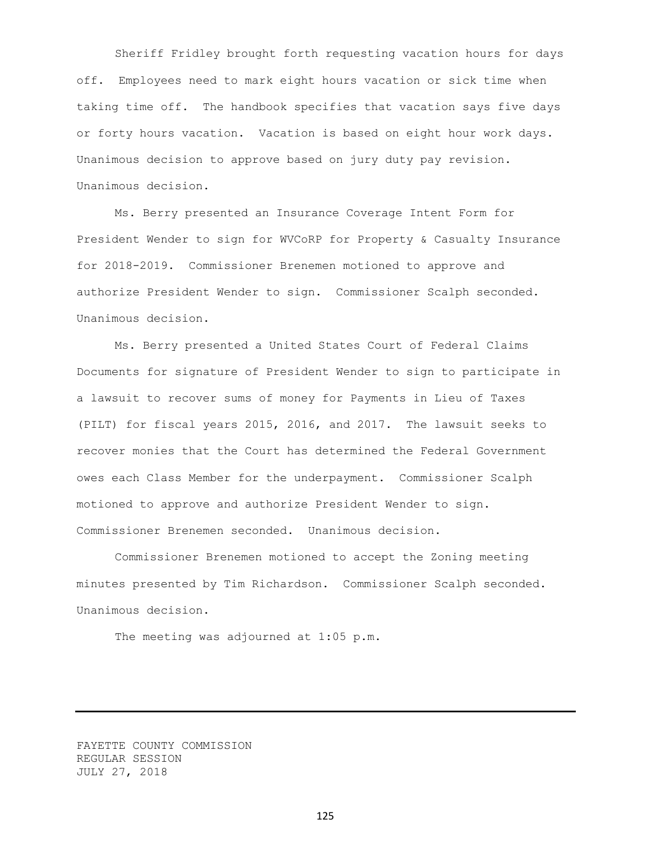Sheriff Fridley brought forth requesting vacation hours for days off. Employees need to mark eight hours vacation or sick time when taking time off. The handbook specifies that vacation says five days or forty hours vacation. Vacation is based on eight hour work days. Unanimous decision to approve based on jury duty pay revision. Unanimous decision.

Ms. Berry presented an Insurance Coverage Intent Form for President Wender to sign for WVCoRP for Property & Casualty Insurance for 2018-2019. Commissioner Brenemen motioned to approve and authorize President Wender to sign. Commissioner Scalph seconded. Unanimous decision.

Ms. Berry presented a United States Court of Federal Claims Documents for signature of President Wender to sign to participate in a lawsuit to recover sums of money for Payments in Lieu of Taxes (PILT) for fiscal years 2015, 2016, and 2017. The lawsuit seeks to recover monies that the Court has determined the Federal Government owes each Class Member for the underpayment. Commissioner Scalph motioned to approve and authorize President Wender to sign. Commissioner Brenemen seconded. Unanimous decision.

Commissioner Brenemen motioned to accept the Zoning meeting minutes presented by Tim Richardson. Commissioner Scalph seconded. Unanimous decision.

The meeting was adjourned at 1:05 p.m.

FAYETTE COUNTY COMMISSION REGULAR SESSION JULY 27, 2018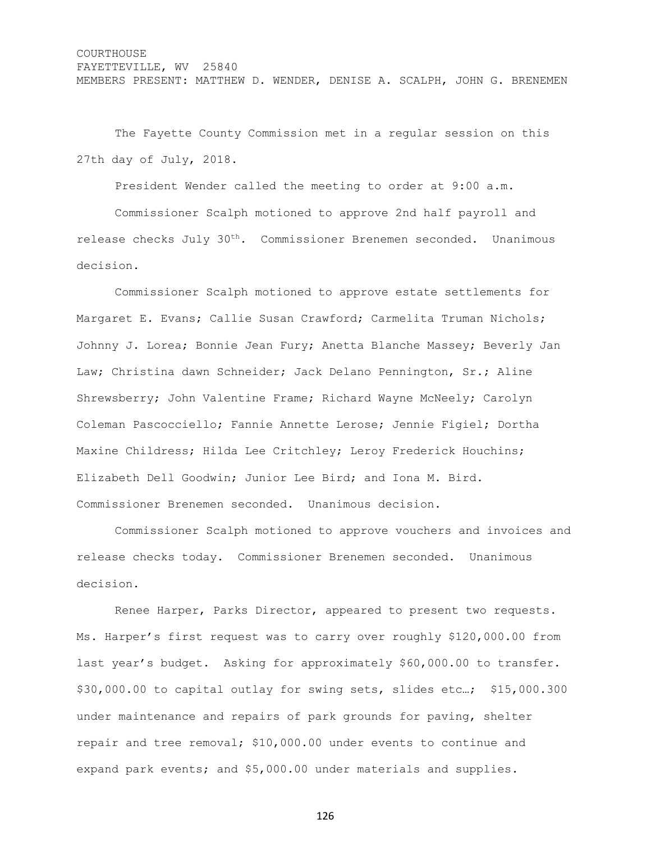The Fayette County Commission met in a regular session on this 27th day of July, 2018.

President Wender called the meeting to order at 9:00 a.m.

Commissioner Scalph motioned to approve 2nd half payroll and release checks July 30th. Commissioner Brenemen seconded. Unanimous decision.

Commissioner Scalph motioned to approve estate settlements for Margaret E. Evans; Callie Susan Crawford; Carmelita Truman Nichols; Johnny J. Lorea; Bonnie Jean Fury; Anetta Blanche Massey; Beverly Jan Law; Christina dawn Schneider; Jack Delano Pennington, Sr.; Aline Shrewsberry; John Valentine Frame; Richard Wayne McNeely; Carolyn Coleman Pascocciello; Fannie Annette Lerose; Jennie Figiel; Dortha Maxine Childress; Hilda Lee Critchley; Leroy Frederick Houchins; Elizabeth Dell Goodwin; Junior Lee Bird; and Iona M. Bird. Commissioner Brenemen seconded. Unanimous decision.

Commissioner Scalph motioned to approve vouchers and invoices and release checks today. Commissioner Brenemen seconded. Unanimous decision.

Renee Harper, Parks Director, appeared to present two requests. Ms. Harper's first request was to carry over roughly \$120,000.00 from last year's budget. Asking for approximately \$60,000.00 to transfer. \$30,000.00 to capital outlay for swing sets, slides etc…; \$15,000.300 under maintenance and repairs of park grounds for paving, shelter repair and tree removal; \$10,000.00 under events to continue and expand park events; and \$5,000.00 under materials and supplies.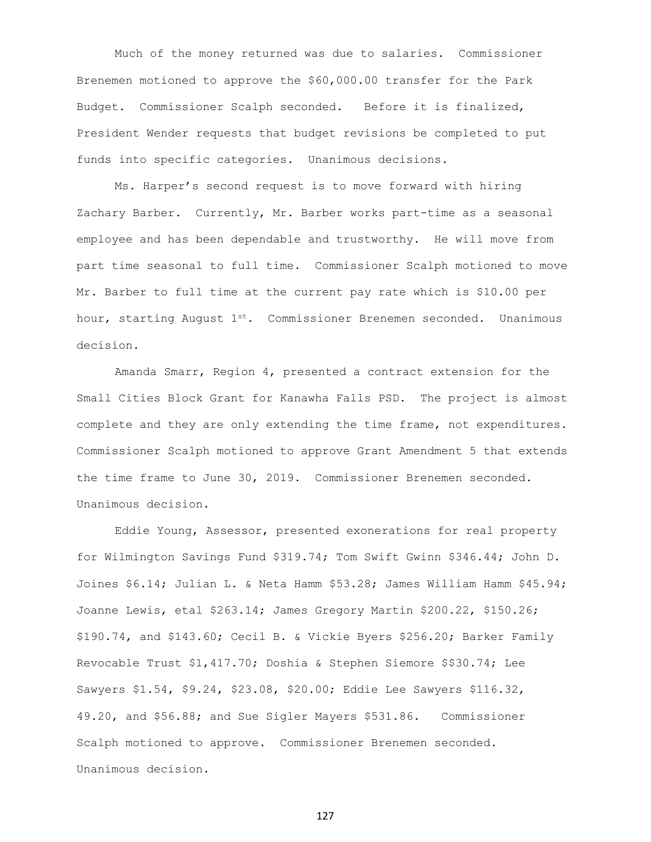Much of the money returned was due to salaries. Commissioner Brenemen motioned to approve the \$60,000.00 transfer for the Park Budget. Commissioner Scalph seconded. Before it is finalized, President Wender requests that budget revisions be completed to put funds into specific categories. Unanimous decisions.

Ms. Harper's second request is to move forward with hiring Zachary Barber. Currently, Mr. Barber works part-time as a seasonal employee and has been dependable and trustworthy. He will move from part time seasonal to full time. Commissioner Scalph motioned to move Mr. Barber to full time at the current pay rate which is \$10.00 per hour, starting August  $1^{st}$ . Commissioner Brenemen seconded. Unanimous decision.

Amanda Smarr, Region 4, presented a contract extension for the Small Cities Block Grant for Kanawha Falls PSD. The project is almost complete and they are only extending the time frame, not expenditures. Commissioner Scalph motioned to approve Grant Amendment 5 that extends the time frame to June 30, 2019. Commissioner Brenemen seconded. Unanimous decision.

Eddie Young, Assessor, presented exonerations for real property for Wilmington Savings Fund \$319.74; Tom Swift Gwinn \$346.44; John D. Joines \$6.14; Julian L. & Neta Hamm \$53.28; James William Hamm \$45.94; Joanne Lewis, etal \$263.14; James Gregory Martin \$200.22, \$150.26; \$190.74, and \$143.60; Cecil B. & Vickie Byers \$256.20; Barker Family Revocable Trust \$1,417.70; Doshia & Stephen Siemore \$\$30.74; Lee Sawyers \$1.54, \$9.24, \$23.08, \$20.00; Eddie Lee Sawyers \$116.32, 49.20, and \$56.88; and Sue Sigler Mayers \$531.86. Commissioner Scalph motioned to approve. Commissioner Brenemen seconded. Unanimous decision.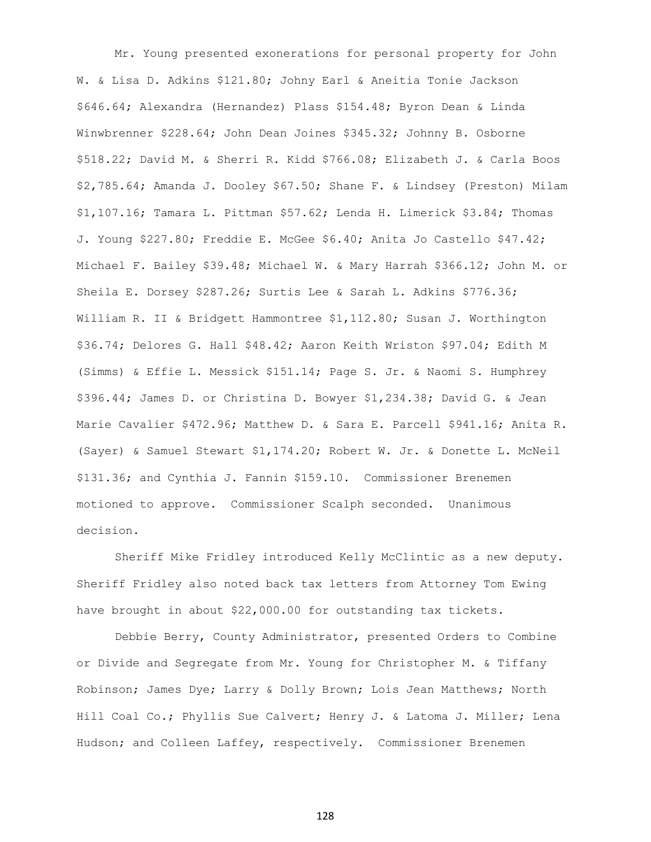Mr. Young presented exonerations for personal property for John W. & Lisa D. Adkins \$121.80; Johny Earl & Aneitia Tonie Jackson \$646.64; Alexandra (Hernandez) Plass \$154.48; Byron Dean & Linda Winwbrenner \$228.64; John Dean Joines \$345.32; Johnny B. Osborne \$518.22; David M. & Sherri R. Kidd \$766.08; Elizabeth J. & Carla Boos \$2,785.64; Amanda J. Dooley \$67.50; Shane F. & Lindsey (Preston) Milam \$1,107.16; Tamara L. Pittman \$57.62; Lenda H. Limerick \$3.84; Thomas J. Young \$227.80; Freddie E. McGee \$6.40; Anita Jo Castello \$47.42; Michael F. Bailey \$39.48; Michael W. & Mary Harrah \$366.12; John M. or Sheila E. Dorsey \$287.26; Surtis Lee & Sarah L. Adkins \$776.36; William R. II & Bridgett Hammontree \$1,112.80; Susan J. Worthington \$36.74; Delores G. Hall \$48.42; Aaron Keith Wriston \$97.04; Edith M (Simms) & Effie L. Messick \$151.14; Page S. Jr. & Naomi S. Humphrey \$396.44; James D. or Christina D. Bowyer \$1,234.38; David G. & Jean Marie Cavalier \$472.96; Matthew D. & Sara E. Parcell \$941.16; Anita R. (Sayer) & Samuel Stewart \$1,174.20; Robert W. Jr. & Donette L. McNeil \$131.36; and Cynthia J. Fannin \$159.10. Commissioner Brenemen motioned to approve. Commissioner Scalph seconded. Unanimous decision.

Sheriff Mike Fridley introduced Kelly McClintic as a new deputy. Sheriff Fridley also noted back tax letters from Attorney Tom Ewing have brought in about \$22,000.00 for outstanding tax tickets.

Debbie Berry, County Administrator, presented Orders to Combine or Divide and Segregate from Mr. Young for Christopher M. & Tiffany Robinson; James Dye; Larry & Dolly Brown; Lois Jean Matthews; North Hill Coal Co.; Phyllis Sue Calvert; Henry J. & Latoma J. Miller; Lena Hudson; and Colleen Laffey, respectively. Commissioner Brenemen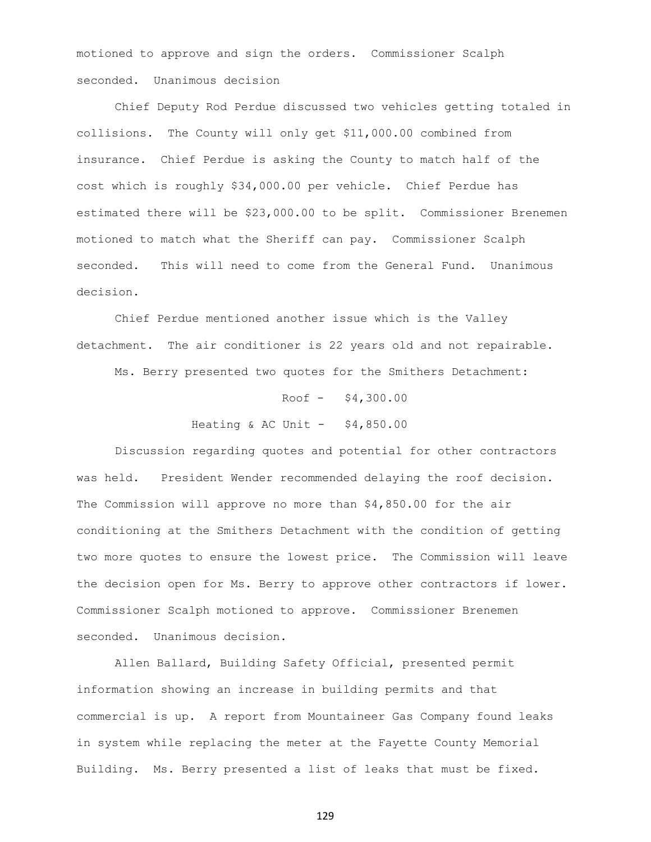motioned to approve and sign the orders. Commissioner Scalph seconded. Unanimous decision

Chief Deputy Rod Perdue discussed two vehicles getting totaled in collisions. The County will only get \$11,000.00 combined from insurance. Chief Perdue is asking the County to match half of the cost which is roughly \$34,000.00 per vehicle. Chief Perdue has estimated there will be \$23,000.00 to be split. Commissioner Brenemen motioned to match what the Sheriff can pay. Commissioner Scalph seconded. This will need to come from the General Fund. Unanimous decision.

Chief Perdue mentioned another issue which is the Valley detachment. The air conditioner is 22 years old and not repairable.

Ms. Berry presented two quotes for the Smithers Detachment:

Roof  $-$  \$4,300.00 Heating & AC Unit  $-$  \$4,850.00

Discussion regarding quotes and potential for other contractors was held. President Wender recommended delaying the roof decision. The Commission will approve no more than \$4,850.00 for the air conditioning at the Smithers Detachment with the condition of getting two more quotes to ensure the lowest price. The Commission will leave the decision open for Ms. Berry to approve other contractors if lower. Commissioner Scalph motioned to approve. Commissioner Brenemen seconded. Unanimous decision.

Allen Ballard, Building Safety Official, presented permit information showing an increase in building permits and that commercial is up. A report from Mountaineer Gas Company found leaks in system while replacing the meter at the Fayette County Memorial Building. Ms. Berry presented a list of leaks that must be fixed.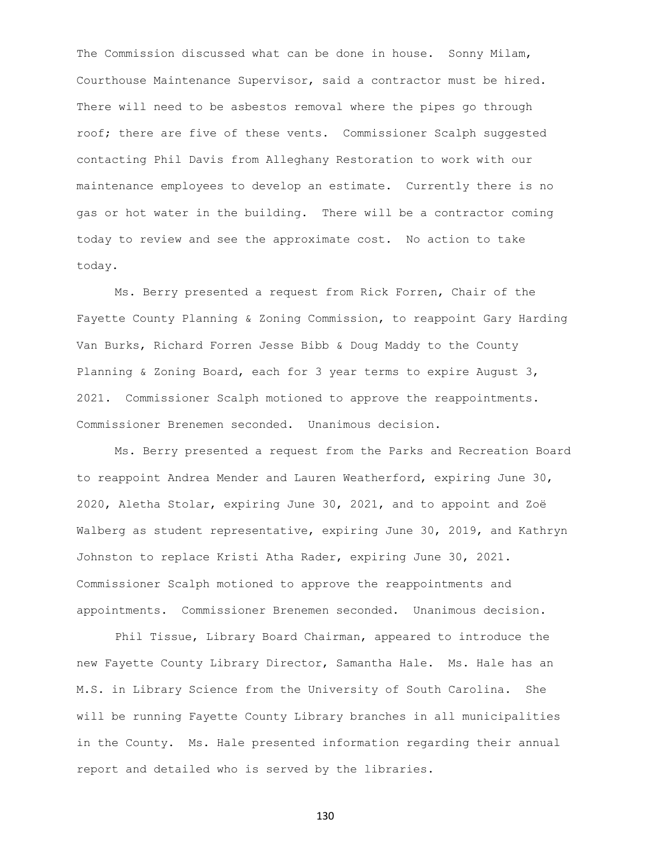The Commission discussed what can be done in house. Sonny Milam, Courthouse Maintenance Supervisor, said a contractor must be hired. There will need to be asbestos removal where the pipes go through roof; there are five of these vents. Commissioner Scalph suggested contacting Phil Davis from Alleghany Restoration to work with our maintenance employees to develop an estimate. Currently there is no gas or hot water in the building. There will be a contractor coming today to review and see the approximate cost. No action to take today.

Ms. Berry presented a request from Rick Forren, Chair of the Fayette County Planning & Zoning Commission, to reappoint Gary Harding Van Burks, Richard Forren Jesse Bibb & Doug Maddy to the County Planning & Zoning Board, each for 3 year terms to expire August 3, 2021. Commissioner Scalph motioned to approve the reappointments. Commissioner Brenemen seconded. Unanimous decision.

Ms. Berry presented a request from the Parks and Recreation Board to reappoint Andrea Mender and Lauren Weatherford, expiring June 30, 2020, Aletha Stolar, expiring June 30, 2021, and to appoint and Zoë Walberg as student representative, expiring June 30, 2019, and Kathryn Johnston to replace Kristi Atha Rader, expiring June 30, 2021. Commissioner Scalph motioned to approve the reappointments and appointments. Commissioner Brenemen seconded. Unanimous decision.

Phil Tissue, Library Board Chairman, appeared to introduce the new Fayette County Library Director, Samantha Hale. Ms. Hale has an M.S. in Library Science from the University of South Carolina. She will be running Fayette County Library branches in all municipalities in the County. Ms. Hale presented information regarding their annual report and detailed who is served by the libraries.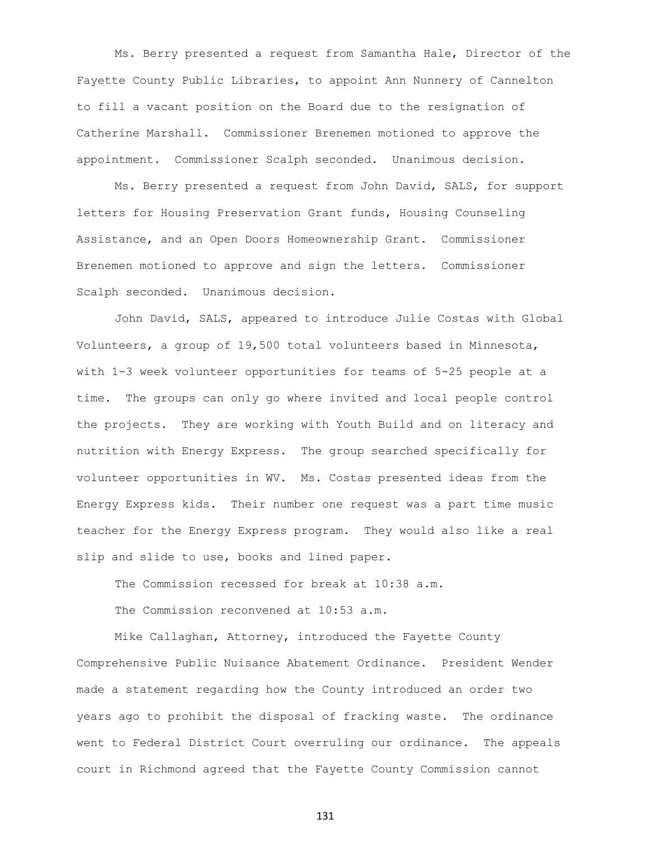Ms. Berry presented a request from Samantha Hale, Director of the Fayette County Public Libraries, to appoint Ann Nunnery of Cannelton to fill a vacant position on the Board due to the resignation of Catherine Marshall. Commissioner Brenemen motioned to approve the appointment. Commissioner Scalph seconded. Unanimous decision.

Ms. Berry presented a request from John David, SALS, for support letters for Housing Preservation Grant funds, Housing Counseling Assistance, and an Open Doors Homeownership Grant. Commissioner Brenemen motioned to approve and sign the letters. Commissioner Scalph seconded. Unanimous decision.

John David, SALS, appeared to introduce Julie Costas with Global Volunteers, a group of 19,500 total volunteers based in Minnesota, with 1-3 week volunteer opportunities for teams of 5-25 people at a time. The groups can only go where invited and local people control the projects. They are working with Youth Build and on literacy and nutrition with Energy Express. The group searched specifically for volunteer opportunities in WV. Ms. Costas presented ideas from the Energy Express kids. Their number one request was a part time music teacher for the Energy Express program. They would also like a real slip and slide to use, books and lined paper.

The Commission recessed for break at 10:38 a.m.

The Commission reconvened at 10:53 a.m.

Mike Callaghan, Attorney, introduced the Fayette County Comprehensive Public Nuisance Abatement Ordinance. President Wender made a statement regarding how the County introduced an order two years ago to prohibit the disposal of fracking waste. The ordinance went to Federal District Court overruling our ordinance. The appeals court in Richmond agreed that the Fayette County Commission cannot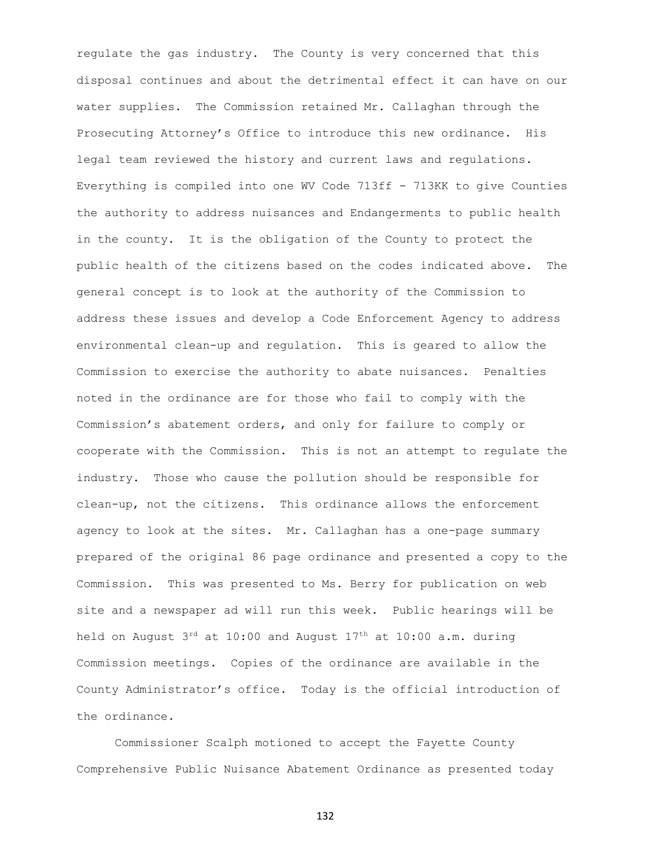regulate the gas industry. The County is very concerned that this disposal continues and about the detrimental effect it can have on our water supplies. The Commission retained Mr. Callaghan through the Prosecuting Attorney's Office to introduce this new ordinance. His legal team reviewed the history and current laws and regulations. Everything is compiled into one WV Code 713ff - 713KK to give Counties the authority to address nuisances and Endangerments to public health in the county. It is the obligation of the County to protect the public health of the citizens based on the codes indicated above. The general concept is to look at the authority of the Commission to address these issues and develop a Code Enforcement Agency to address environmental clean-up and regulation. This is geared to allow the Commission to exercise the authority to abate nuisances. Penalties noted in the ordinance are for those who fail to comply with the Commission's abatement orders, and only for failure to comply or cooperate with the Commission. This is not an attempt to regulate the industry. Those who cause the pollution should be responsible for clean-up, not the citizens. This ordinance allows the enforcement agency to look at the sites. Mr. Callaghan has a one-page summary prepared of the original 86 page ordinance and presented a copy to the Commission. This was presented to Ms. Berry for publication on web site and a newspaper ad will run this week. Public hearings will be held on August  $3^{rd}$  at 10:00 and August  $17^{th}$  at 10:00 a.m. during Commission meetings. Copies of the ordinance are available in the County Administrator's office. Today is the official introduction of the ordinance.

Commissioner Scalph motioned to accept the Fayette County Comprehensive Public Nuisance Abatement Ordinance as presented today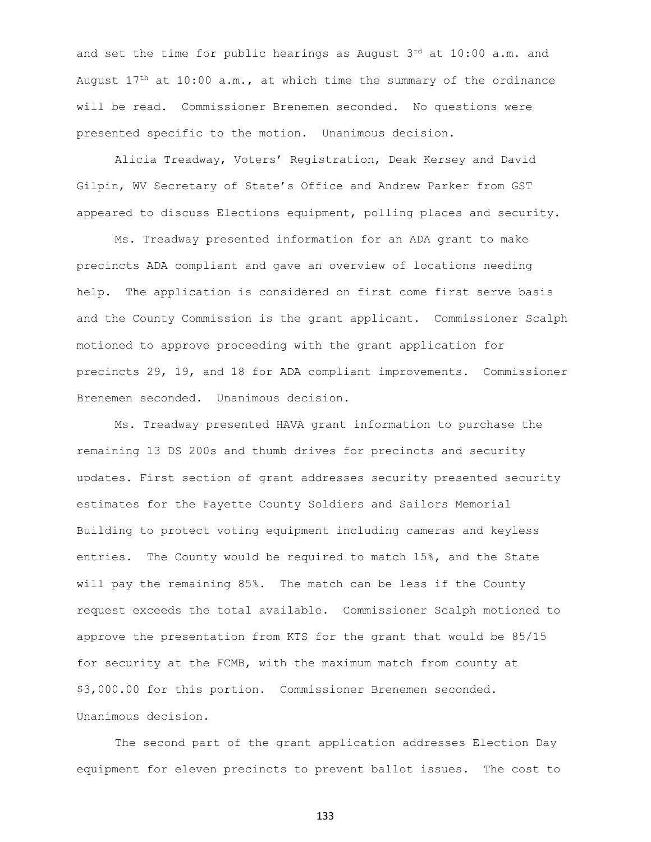and set the time for public hearings as August  $3^{rd}$  at  $10:00$  a.m. and August  $17<sup>th</sup>$  at  $10:00$  a.m., at which time the summary of the ordinance will be read. Commissioner Brenemen seconded. No questions were presented specific to the motion. Unanimous decision.

Alicia Treadway, Voters' Registration, Deak Kersey and David Gilpin, WV Secretary of State's Office and Andrew Parker from GST appeared to discuss Elections equipment, polling places and security.

Ms. Treadway presented information for an ADA grant to make precincts ADA compliant and gave an overview of locations needing help. The application is considered on first come first serve basis and the County Commission is the grant applicant. Commissioner Scalph motioned to approve proceeding with the grant application for precincts 29, 19, and 18 for ADA compliant improvements. Commissioner Brenemen seconded. Unanimous decision.

Ms. Treadway presented HAVA grant information to purchase the remaining 13 DS 200s and thumb drives for precincts and security updates. First section of grant addresses security presented security estimates for the Fayette County Soldiers and Sailors Memorial Building to protect voting equipment including cameras and keyless entries. The County would be required to match 15%, and the State will pay the remaining 85%. The match can be less if the County request exceeds the total available. Commissioner Scalph motioned to approve the presentation from KTS for the grant that would be 85/15 for security at the FCMB, with the maximum match from county at \$3,000.00 for this portion. Commissioner Brenemen seconded. Unanimous decision.

The second part of the grant application addresses Election Day equipment for eleven precincts to prevent ballot issues. The cost to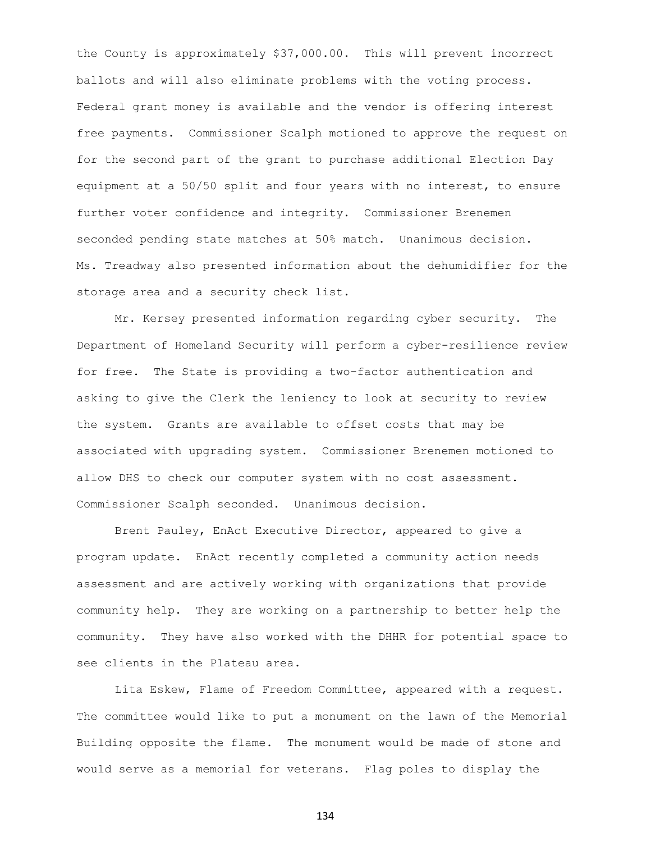the County is approximately \$37,000.00. This will prevent incorrect ballots and will also eliminate problems with the voting process. Federal grant money is available and the vendor is offering interest free payments. Commissioner Scalph motioned to approve the request on for the second part of the grant to purchase additional Election Day equipment at a 50/50 split and four years with no interest, to ensure further voter confidence and integrity. Commissioner Brenemen seconded pending state matches at 50% match. Unanimous decision. Ms. Treadway also presented information about the dehumidifier for the storage area and a security check list.

Mr. Kersey presented information regarding cyber security. The Department of Homeland Security will perform a cyber-resilience review for free. The State is providing a two-factor authentication and asking to give the Clerk the leniency to look at security to review the system. Grants are available to offset costs that may be associated with upgrading system. Commissioner Brenemen motioned to allow DHS to check our computer system with no cost assessment. Commissioner Scalph seconded. Unanimous decision.

Brent Pauley, EnAct Executive Director, appeared to give a program update. EnAct recently completed a community action needs assessment and are actively working with organizations that provide community help. They are working on a partnership to better help the community. They have also worked with the DHHR for potential space to see clients in the Plateau area.

Lita Eskew, Flame of Freedom Committee, appeared with a request. The committee would like to put a monument on the lawn of the Memorial Building opposite the flame. The monument would be made of stone and would serve as a memorial for veterans. Flag poles to display the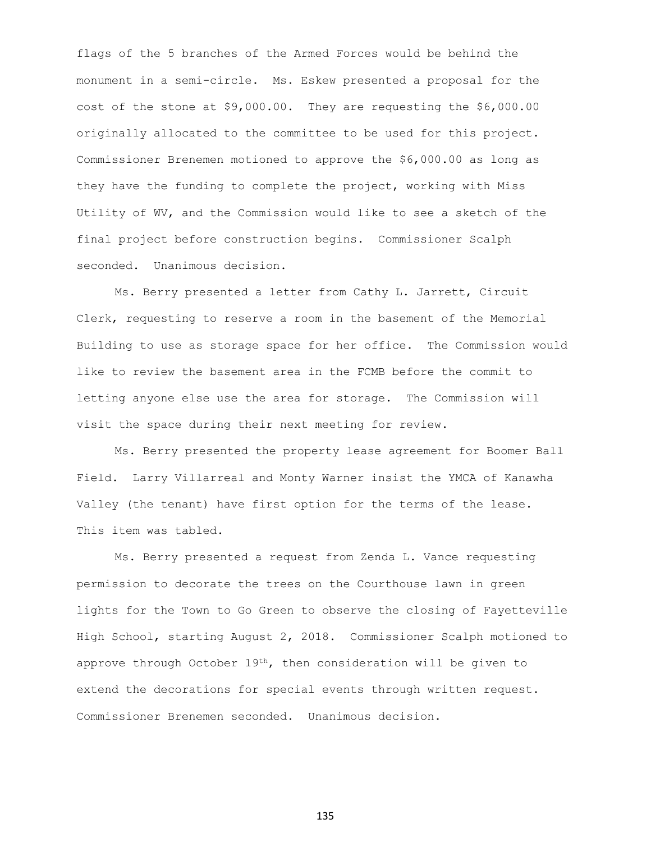flags of the 5 branches of the Armed Forces would be behind the monument in a semi-circle. Ms. Eskew presented a proposal for the cost of the stone at \$9,000.00. They are requesting the \$6,000.00 originally allocated to the committee to be used for this project. Commissioner Brenemen motioned to approve the \$6,000.00 as long as they have the funding to complete the project, working with Miss Utility of WV, and the Commission would like to see a sketch of the final project before construction begins. Commissioner Scalph seconded. Unanimous decision.

Ms. Berry presented a letter from Cathy L. Jarrett, Circuit Clerk, requesting to reserve a room in the basement of the Memorial Building to use as storage space for her office. The Commission would like to review the basement area in the FCMB before the commit to letting anyone else use the area for storage. The Commission will visit the space during their next meeting for review.

Ms. Berry presented the property lease agreement for Boomer Ball Field. Larry Villarreal and Monty Warner insist the YMCA of Kanawha Valley (the tenant) have first option for the terms of the lease. This item was tabled.

Ms. Berry presented a request from Zenda L. Vance requesting permission to decorate the trees on the Courthouse lawn in green lights for the Town to Go Green to observe the closing of Fayetteville High School, starting August 2, 2018. Commissioner Scalph motioned to approve through October  $19<sup>th</sup>$ , then consideration will be given to extend the decorations for special events through written request. Commissioner Brenemen seconded. Unanimous decision.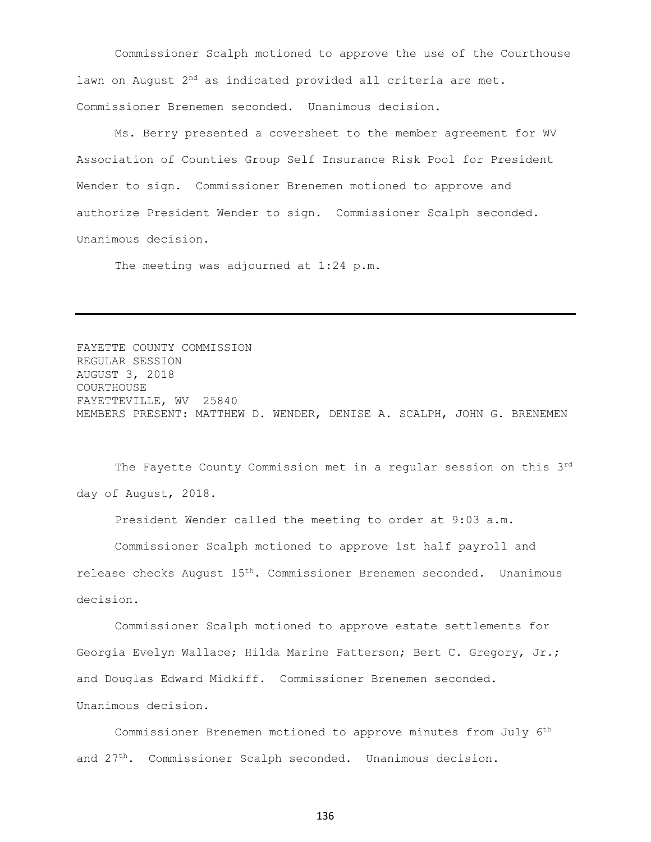Commissioner Scalph motioned to approve the use of the Courthouse lawn on August 2<sup>nd</sup> as indicated provided all criteria are met. Commissioner Brenemen seconded. Unanimous decision.

Ms. Berry presented a coversheet to the member agreement for WV Association of Counties Group Self Insurance Risk Pool for President Wender to sign. Commissioner Brenemen motioned to approve and authorize President Wender to sign. Commissioner Scalph seconded. Unanimous decision.

The meeting was adjourned at 1:24 p.m.

FAYETTE COUNTY COMMISSION REGULAR SESSION AUGUST 3, 2018 COURTHOUSE FAYETTEVILLE, WV 25840 MEMBERS PRESENT: MATTHEW D. WENDER, DENISE A. SCALPH, JOHN G. BRENEMEN

The Fayette County Commission met in a regular session on this 3rd day of August, 2018.

President Wender called the meeting to order at 9:03 a.m.

Commissioner Scalph motioned to approve 1st half payroll and release checks August 15th. Commissioner Brenemen seconded. Unanimous decision.

Commissioner Scalph motioned to approve estate settlements for Georgia Evelyn Wallace; Hilda Marine Patterson; Bert C. Gregory, Jr.; and Douglas Edward Midkiff. Commissioner Brenemen seconded. Unanimous decision.

Commissioner Brenemen motioned to approve minutes from July 6th and 27th. Commissioner Scalph seconded. Unanimous decision.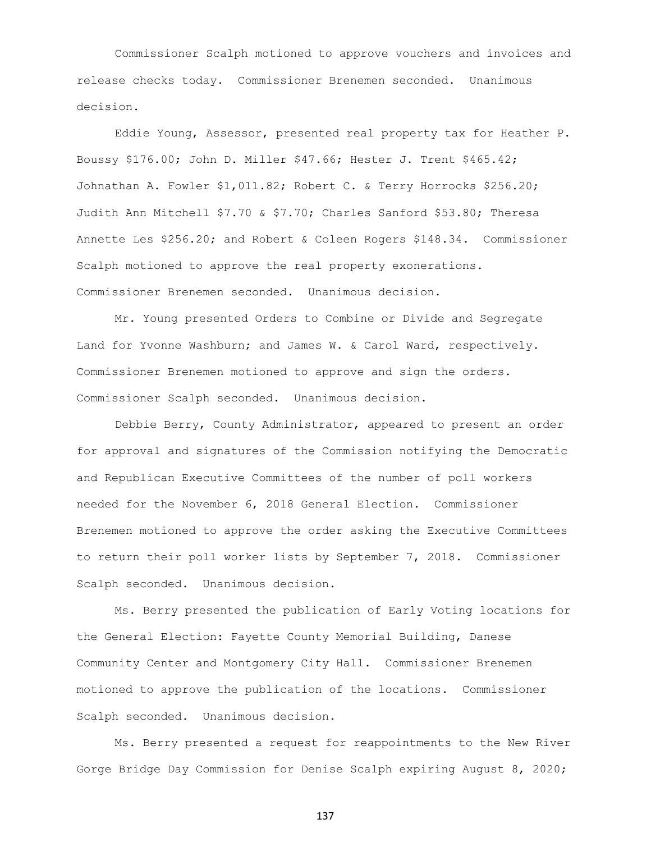Commissioner Scalph motioned to approve vouchers and invoices and release checks today. Commissioner Brenemen seconded. Unanimous decision.

Eddie Young, Assessor, presented real property tax for Heather P. Boussy \$176.00; John D. Miller \$47.66; Hester J. Trent \$465.42; Johnathan A. Fowler \$1,011.82; Robert C. & Terry Horrocks \$256.20; Judith Ann Mitchell \$7.70 & \$7.70; Charles Sanford \$53.80; Theresa Annette Les \$256.20; and Robert & Coleen Rogers \$148.34. Commissioner Scalph motioned to approve the real property exonerations. Commissioner Brenemen seconded. Unanimous decision.

Mr. Young presented Orders to Combine or Divide and Segregate Land for Yvonne Washburn; and James W. & Carol Ward, respectively. Commissioner Brenemen motioned to approve and sign the orders. Commissioner Scalph seconded. Unanimous decision.

Debbie Berry, County Administrator, appeared to present an order for approval and signatures of the Commission notifying the Democratic and Republican Executive Committees of the number of poll workers needed for the November 6, 2018 General Election. Commissioner Brenemen motioned to approve the order asking the Executive Committees to return their poll worker lists by September 7, 2018. Commissioner Scalph seconded. Unanimous decision.

Ms. Berry presented the publication of Early Voting locations for the General Election: Fayette County Memorial Building, Danese Community Center and Montgomery City Hall. Commissioner Brenemen motioned to approve the publication of the locations. Commissioner Scalph seconded. Unanimous decision.

Ms. Berry presented a request for reappointments to the New River Gorge Bridge Day Commission for Denise Scalph expiring August 8, 2020;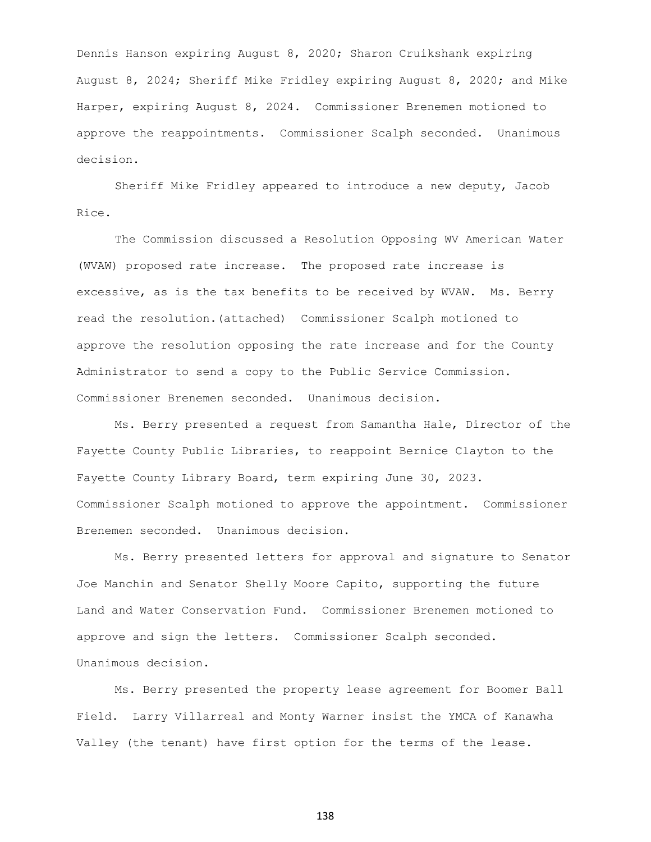Dennis Hanson expiring August 8, 2020; Sharon Cruikshank expiring August 8, 2024; Sheriff Mike Fridley expiring August 8, 2020; and Mike Harper, expiring August 8, 2024. Commissioner Brenemen motioned to approve the reappointments. Commissioner Scalph seconded. Unanimous decision.

Sheriff Mike Fridley appeared to introduce a new deputy, Jacob Rice.

The Commission discussed a Resolution Opposing WV American Water (WVAW) proposed rate increase. The proposed rate increase is excessive, as is the tax benefits to be received by WVAW. Ms. Berry read the resolution.(attached) Commissioner Scalph motioned to approve the resolution opposing the rate increase and for the County Administrator to send a copy to the Public Service Commission. Commissioner Brenemen seconded. Unanimous decision.

Ms. Berry presented a request from Samantha Hale, Director of the Fayette County Public Libraries, to reappoint Bernice Clayton to the Fayette County Library Board, term expiring June 30, 2023. Commissioner Scalph motioned to approve the appointment. Commissioner Brenemen seconded. Unanimous decision.

Ms. Berry presented letters for approval and signature to Senator Joe Manchin and Senator Shelly Moore Capito, supporting the future Land and Water Conservation Fund. Commissioner Brenemen motioned to approve and sign the letters. Commissioner Scalph seconded. Unanimous decision.

Ms. Berry presented the property lease agreement for Boomer Ball Field. Larry Villarreal and Monty Warner insist the YMCA of Kanawha Valley (the tenant) have first option for the terms of the lease.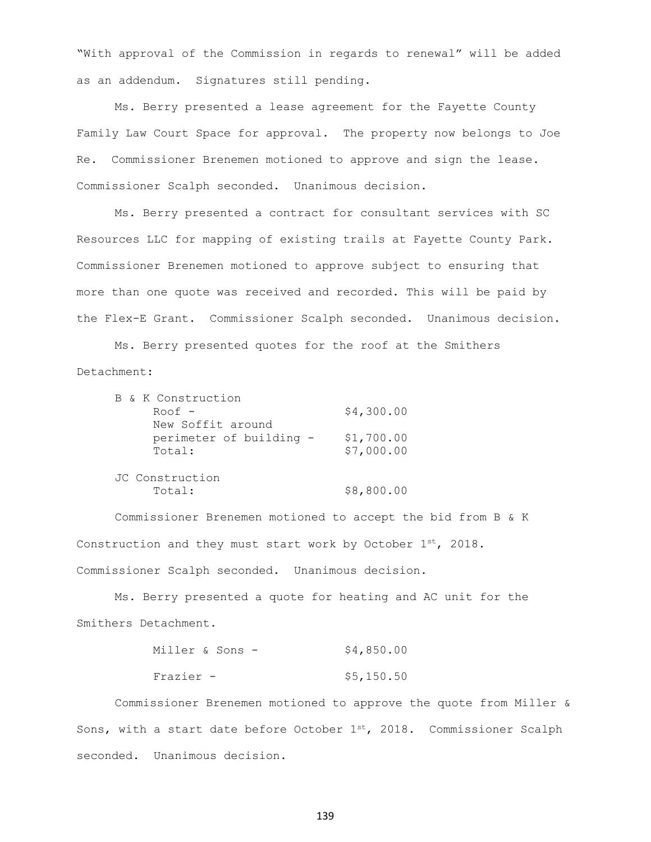"With approval of the Commission in regards to renewal" will be added as an addendum. Signatures still pending.

Ms. Berry presented a lease agreement for the Fayette County Family Law Court Space for approval. The property now belongs to Joe Re. Commissioner Brenemen motioned to approve and sign the lease. Commissioner Scalph seconded. Unanimous decision.

Ms. Berry presented a contract for consultant services with SC Resources LLC for mapping of existing trails at Fayette County Park. Commissioner Brenemen motioned to approve subject to ensuring that more than one quote was received and recorded. This will be paid by the Flex-E Grant. Commissioner Scalph seconded. Unanimous decision.

Ms. Berry presented quotes for the roof at the Smithers Detachment:

| B & K Construction      |            |
|-------------------------|------------|
| $Root -$                | \$4,300.00 |
| New Soffit around       |            |
| perimeter of building - | \$1,700.00 |
| Total:                  | \$7,000.00 |
|                         |            |
| JC Construction         |            |
| Total:                  | \$8,800.00 |

Commissioner Brenemen motioned to accept the bid from B & K Construction and they must start work by October  $1^{st}$ , 2018. Commissioner Scalph seconded. Unanimous decision.

Ms. Berry presented a quote for heating and AC unit for the Smithers Detachment.

| Miller & Sons – |  |  | \$4,850.00 |  |
|-----------------|--|--|------------|--|
| Frazier -       |  |  | \$5,150.50 |  |

Commissioner Brenemen motioned to approve the quote from Miller & Sons, with a start date before October  $1^{st}$ , 2018. Commissioner Scalph seconded. Unanimous decision.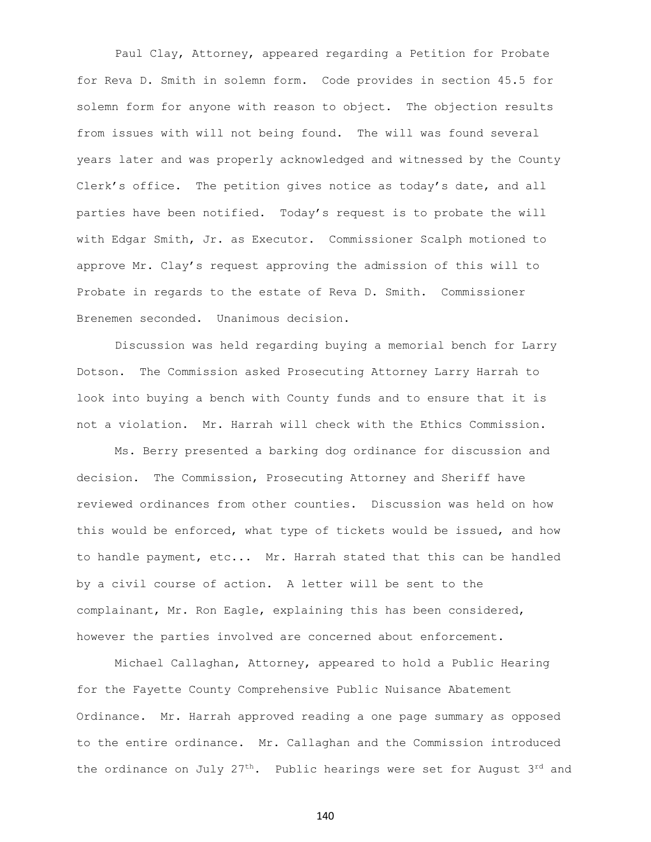Paul Clay, Attorney, appeared regarding a Petition for Probate for Reva D. Smith in solemn form. Code provides in section 45.5 for solemn form for anyone with reason to object. The objection results from issues with will not being found. The will was found several years later and was properly acknowledged and witnessed by the County Clerk's office. The petition gives notice as today's date, and all parties have been notified. Today's request is to probate the will with Edgar Smith, Jr. as Executor. Commissioner Scalph motioned to approve Mr. Clay's request approving the admission of this will to Probate in regards to the estate of Reva D. Smith. Commissioner Brenemen seconded. Unanimous decision.

Discussion was held regarding buying a memorial bench for Larry Dotson. The Commission asked Prosecuting Attorney Larry Harrah to look into buying a bench with County funds and to ensure that it is not a violation. Mr. Harrah will check with the Ethics Commission.

Ms. Berry presented a barking dog ordinance for discussion and decision. The Commission, Prosecuting Attorney and Sheriff have reviewed ordinances from other counties. Discussion was held on how this would be enforced, what type of tickets would be issued, and how to handle payment, etc... Mr. Harrah stated that this can be handled by a civil course of action. A letter will be sent to the complainant, Mr. Ron Eagle, explaining this has been considered, however the parties involved are concerned about enforcement.

Michael Callaghan, Attorney, appeared to hold a Public Hearing for the Fayette County Comprehensive Public Nuisance Abatement Ordinance. Mr. Harrah approved reading a one page summary as opposed to the entire ordinance. Mr. Callaghan and the Commission introduced the ordinance on July  $27^{th}$ . Public hearings were set for August  $3^{rd}$  and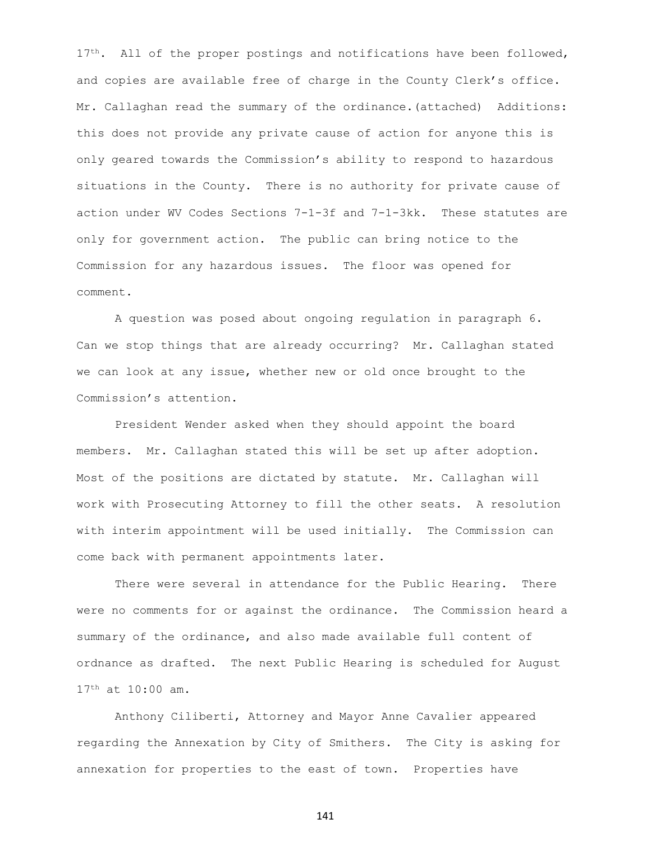17<sup>th</sup>. All of the proper postings and notifications have been followed, and copies are available free of charge in the County Clerk's office. Mr. Callaghan read the summary of the ordinance.(attached) Additions: this does not provide any private cause of action for anyone this is only geared towards the Commission's ability to respond to hazardous situations in the County. There is no authority for private cause of action under WV Codes Sections 7-1-3f and 7-1-3kk. These statutes are only for government action. The public can bring notice to the Commission for any hazardous issues. The floor was opened for comment.

A question was posed about ongoing regulation in paragraph 6. Can we stop things that are already occurring? Mr. Callaghan stated we can look at any issue, whether new or old once brought to the Commission's attention.

President Wender asked when they should appoint the board members. Mr. Callaghan stated this will be set up after adoption. Most of the positions are dictated by statute. Mr. Callaghan will work with Prosecuting Attorney to fill the other seats. A resolution with interim appointment will be used initially. The Commission can come back with permanent appointments later.

There were several in attendance for the Public Hearing. There were no comments for or against the ordinance. The Commission heard a summary of the ordinance, and also made available full content of ordnance as drafted. The next Public Hearing is scheduled for August 17th at 10:00 am.

Anthony Ciliberti, Attorney and Mayor Anne Cavalier appeared regarding the Annexation by City of Smithers. The City is asking for annexation for properties to the east of town. Properties have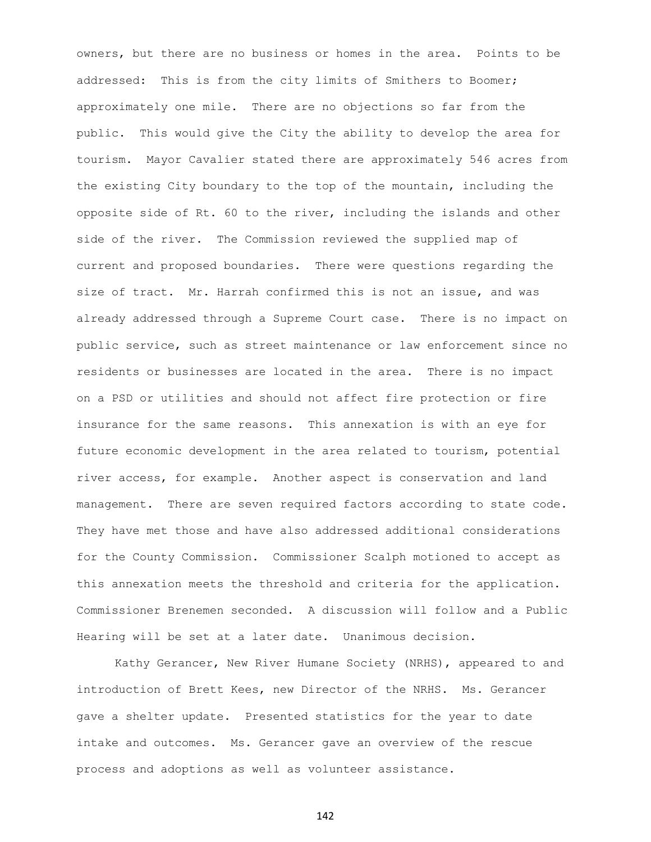owners, but there are no business or homes in the area. Points to be addressed: This is from the city limits of Smithers to Boomer; approximately one mile. There are no objections so far from the public. This would give the City the ability to develop the area for tourism. Mayor Cavalier stated there are approximately 546 acres from the existing City boundary to the top of the mountain, including the opposite side of Rt. 60 to the river, including the islands and other side of the river. The Commission reviewed the supplied map of current and proposed boundaries. There were questions regarding the size of tract. Mr. Harrah confirmed this is not an issue, and was already addressed through a Supreme Court case. There is no impact on public service, such as street maintenance or law enforcement since no residents or businesses are located in the area. There is no impact on a PSD or utilities and should not affect fire protection or fire insurance for the same reasons. This annexation is with an eye for future economic development in the area related to tourism, potential river access, for example. Another aspect is conservation and land management. There are seven required factors according to state code. They have met those and have also addressed additional considerations for the County Commission. Commissioner Scalph motioned to accept as this annexation meets the threshold and criteria for the application. Commissioner Brenemen seconded. A discussion will follow and a Public Hearing will be set at a later date. Unanimous decision.

Kathy Gerancer, New River Humane Society (NRHS), appeared to and introduction of Brett Kees, new Director of the NRHS. Ms. Gerancer gave a shelter update. Presented statistics for the year to date intake and outcomes. Ms. Gerancer gave an overview of the rescue process and adoptions as well as volunteer assistance.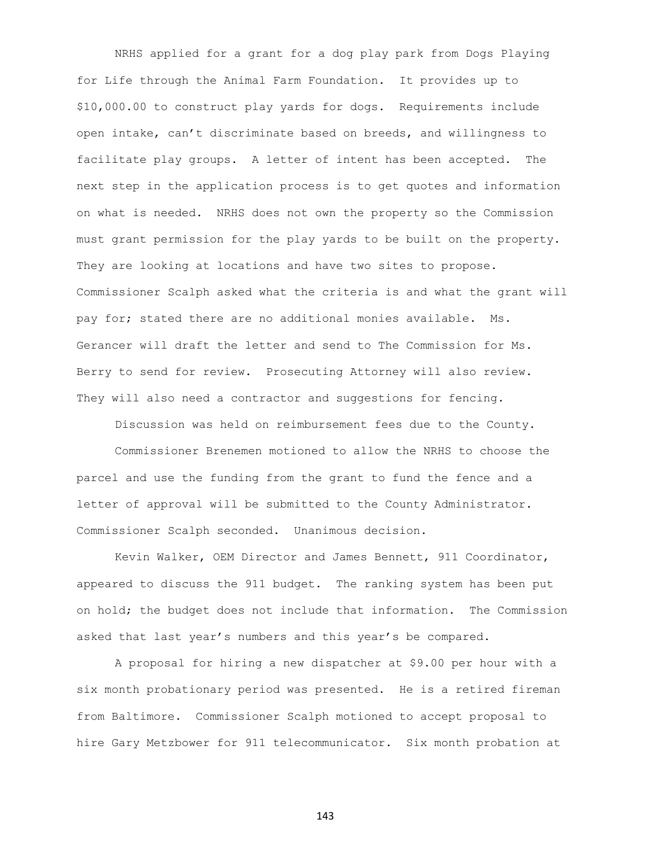NRHS applied for a grant for a dog play park from Dogs Playing for Life through the Animal Farm Foundation. It provides up to \$10,000.00 to construct play yards for dogs. Requirements include open intake, can't discriminate based on breeds, and willingness to facilitate play groups. A letter of intent has been accepted. The next step in the application process is to get quotes and information on what is needed. NRHS does not own the property so the Commission must grant permission for the play yards to be built on the property. They are looking at locations and have two sites to propose. Commissioner Scalph asked what the criteria is and what the grant will pay for; stated there are no additional monies available. Ms. Gerancer will draft the letter and send to The Commission for Ms. Berry to send for review. Prosecuting Attorney will also review. They will also need a contractor and suggestions for fencing.

Discussion was held on reimbursement fees due to the County.

Commissioner Brenemen motioned to allow the NRHS to choose the parcel and use the funding from the grant to fund the fence and a letter of approval will be submitted to the County Administrator. Commissioner Scalph seconded. Unanimous decision.

Kevin Walker, OEM Director and James Bennett, 911 Coordinator, appeared to discuss the 911 budget. The ranking system has been put on hold; the budget does not include that information. The Commission asked that last year's numbers and this year's be compared.

A proposal for hiring a new dispatcher at \$9.00 per hour with a six month probationary period was presented. He is a retired fireman from Baltimore. Commissioner Scalph motioned to accept proposal to hire Gary Metzbower for 911 telecommunicator. Six month probation at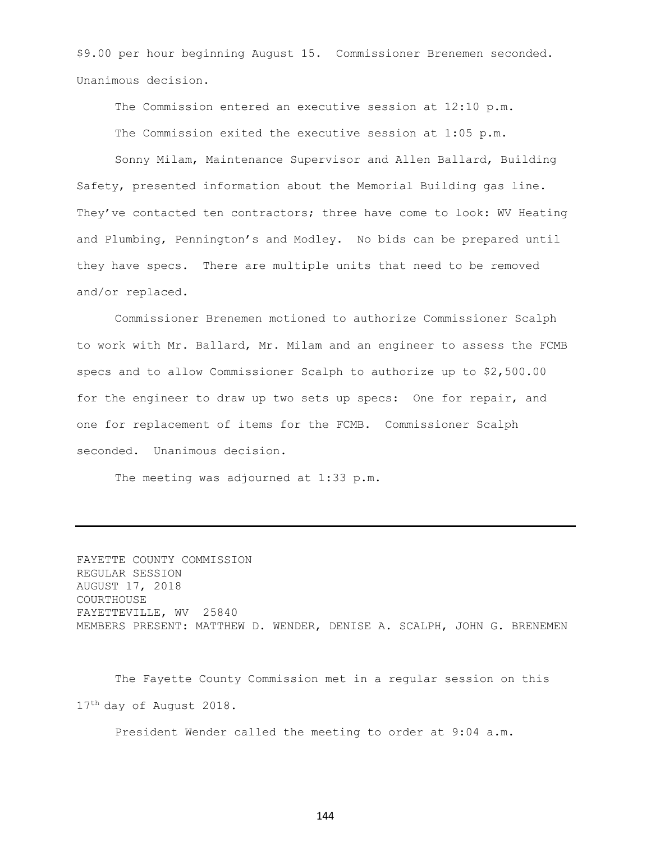\$9.00 per hour beginning August 15. Commissioner Brenemen seconded. Unanimous decision.

The Commission entered an executive session at 12:10 p.m. The Commission exited the executive session at 1:05 p.m.

Sonny Milam, Maintenance Supervisor and Allen Ballard, Building Safety, presented information about the Memorial Building gas line. They've contacted ten contractors; three have come to look: WV Heating and Plumbing, Pennington's and Modley. No bids can be prepared until they have specs. There are multiple units that need to be removed and/or replaced.

Commissioner Brenemen motioned to authorize Commissioner Scalph to work with Mr. Ballard, Mr. Milam and an engineer to assess the FCMB specs and to allow Commissioner Scalph to authorize up to \$2,500.00 for the engineer to draw up two sets up specs: One for repair, and one for replacement of items for the FCMB. Commissioner Scalph seconded. Unanimous decision.

The meeting was adjourned at 1:33 p.m.

FAYETTE COUNTY COMMISSION REGULAR SESSION AUGUST 17, 2018 COURTHOUSE FAYETTEVILLE, WV 25840 MEMBERS PRESENT: MATTHEW D. WENDER, DENISE A. SCALPH, JOHN G. BRENEMEN

The Fayette County Commission met in a regular session on this 17<sup>th</sup> day of August 2018.

President Wender called the meeting to order at 9:04 a.m.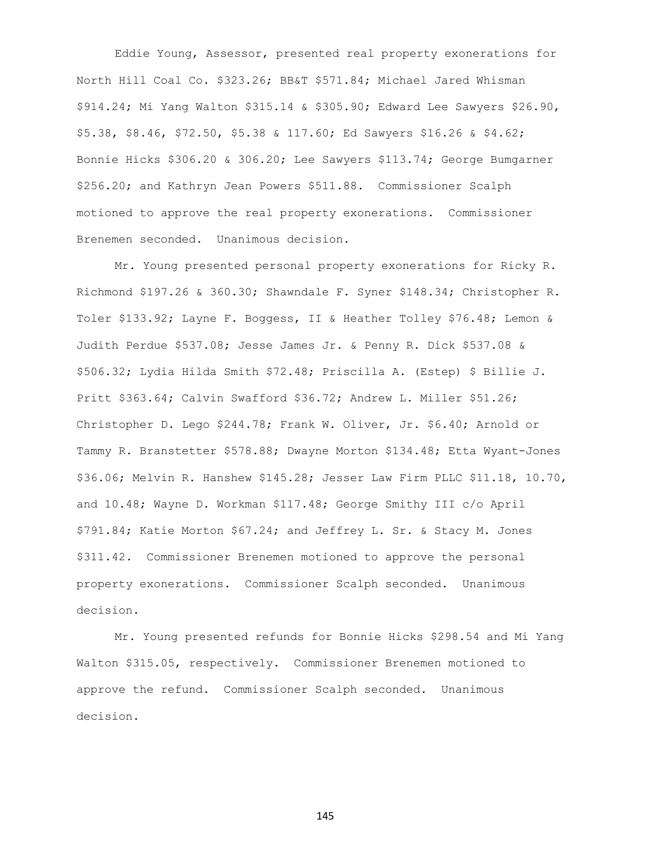Eddie Young, Assessor, presented real property exonerations for North Hill Coal Co. \$323.26; BB&T \$571.84; Michael Jared Whisman \$914.24; Mi Yang Walton \$315.14 & \$305.90; Edward Lee Sawyers \$26.90, \$5.38, \$8.46, \$72.50, \$5.38 & 117.60; Ed Sawyers \$16.26 & \$4.62; Bonnie Hicks \$306.20 & 306.20; Lee Sawyers \$113.74; George Bumgarner \$256.20; and Kathryn Jean Powers \$511.88. Commissioner Scalph motioned to approve the real property exonerations. Commissioner Brenemen seconded. Unanimous decision.

Mr. Young presented personal property exonerations for Ricky R. Richmond \$197.26 & 360.30; Shawndale F. Syner \$148.34; Christopher R. Toler \$133.92; Layne F. Boggess, II & Heather Tolley \$76.48; Lemon & Judith Perdue \$537.08; Jesse James Jr. & Penny R. Dick \$537.08 & \$506.32; Lydia Hilda Smith \$72.48; Priscilla A. (Estep) \$ Billie J. Pritt \$363.64; Calvin Swafford \$36.72; Andrew L. Miller \$51.26; Christopher D. Lego \$244.78; Frank W. Oliver, Jr. \$6.40; Arnold or Tammy R. Branstetter \$578.88; Dwayne Morton \$134.48; Etta Wyant-Jones \$36.06; Melvin R. Hanshew \$145.28; Jesser Law Firm PLLC \$11.18, 10.70, and 10.48; Wayne D. Workman \$117.48; George Smithy III c/o April \$791.84; Katie Morton \$67.24; and Jeffrey L. Sr. & Stacy M. Jones \$311.42. Commissioner Brenemen motioned to approve the personal property exonerations. Commissioner Scalph seconded. Unanimous decision.

Mr. Young presented refunds for Bonnie Hicks \$298.54 and Mi Yang Walton \$315.05, respectively. Commissioner Brenemen motioned to approve the refund. Commissioner Scalph seconded. Unanimous decision.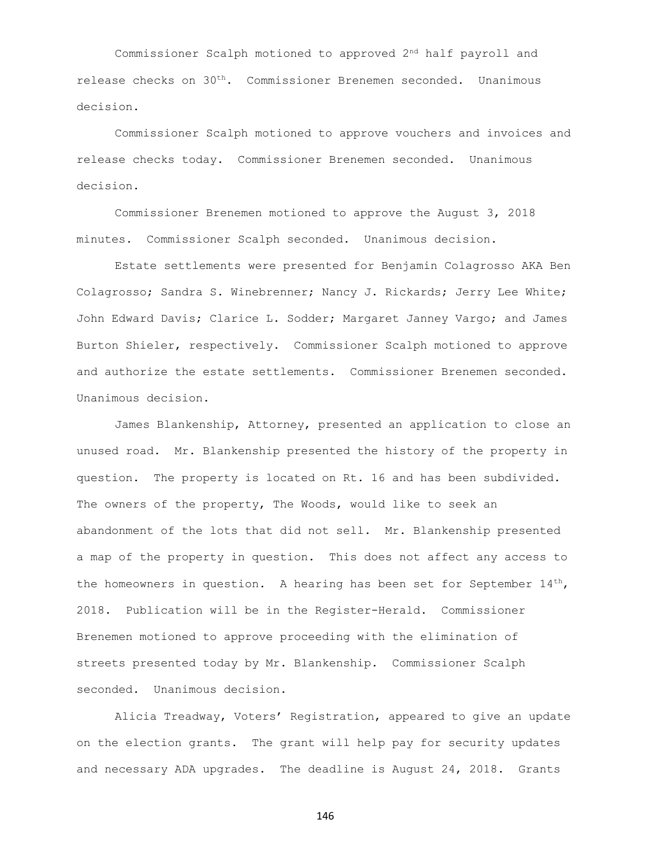Commissioner Scalph motioned to approved 2nd half payroll and release checks on 30th. Commissioner Brenemen seconded. Unanimous decision.

Commissioner Scalph motioned to approve vouchers and invoices and release checks today. Commissioner Brenemen seconded. Unanimous decision.

Commissioner Brenemen motioned to approve the August 3, 2018 minutes. Commissioner Scalph seconded. Unanimous decision.

Estate settlements were presented for Benjamin Colagrosso AKA Ben Colagrosso; Sandra S. Winebrenner; Nancy J. Rickards; Jerry Lee White; John Edward Davis; Clarice L. Sodder; Margaret Janney Vargo; and James Burton Shieler, respectively. Commissioner Scalph motioned to approve and authorize the estate settlements. Commissioner Brenemen seconded. Unanimous decision.

James Blankenship, Attorney, presented an application to close an unused road. Mr. Blankenship presented the history of the property in question. The property is located on Rt. 16 and has been subdivided. The owners of the property, The Woods, would like to seek an abandonment of the lots that did not sell. Mr. Blankenship presented a map of the property in question. This does not affect any access to the homeowners in question. A hearing has been set for September  $14^{th}$ , 2018. Publication will be in the Register-Herald. Commissioner Brenemen motioned to approve proceeding with the elimination of streets presented today by Mr. Blankenship. Commissioner Scalph seconded. Unanimous decision.

Alicia Treadway, Voters' Registration, appeared to give an update on the election grants. The grant will help pay for security updates and necessary ADA upgrades. The deadline is August 24, 2018. Grants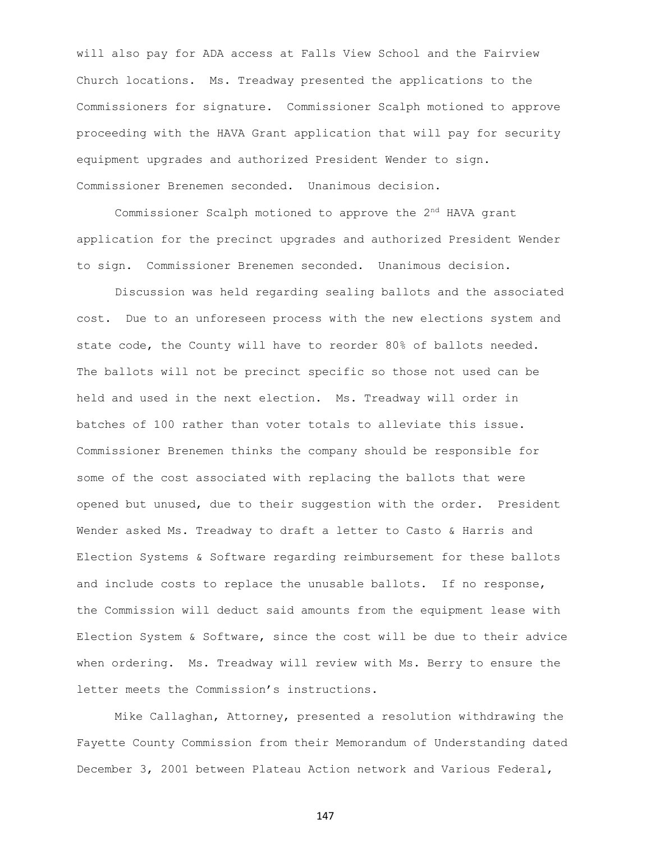will also pay for ADA access at Falls View School and the Fairview Church locations. Ms. Treadway presented the applications to the Commissioners for signature. Commissioner Scalph motioned to approve proceeding with the HAVA Grant application that will pay for security equipment upgrades and authorized President Wender to sign. Commissioner Brenemen seconded. Unanimous decision.

Commissioner Scalph motioned to approve the 2nd HAVA grant application for the precinct upgrades and authorized President Wender to sign. Commissioner Brenemen seconded. Unanimous decision.

Discussion was held regarding sealing ballots and the associated cost. Due to an unforeseen process with the new elections system and state code, the County will have to reorder 80% of ballots needed. The ballots will not be precinct specific so those not used can be held and used in the next election. Ms. Treadway will order in batches of 100 rather than voter totals to alleviate this issue. Commissioner Brenemen thinks the company should be responsible for some of the cost associated with replacing the ballots that were opened but unused, due to their suggestion with the order. President Wender asked Ms. Treadway to draft a letter to Casto & Harris and Election Systems & Software regarding reimbursement for these ballots and include costs to replace the unusable ballots. If no response, the Commission will deduct said amounts from the equipment lease with Election System & Software, since the cost will be due to their advice when ordering. Ms. Treadway will review with Ms. Berry to ensure the letter meets the Commission's instructions.

Mike Callaghan, Attorney, presented a resolution withdrawing the Fayette County Commission from their Memorandum of Understanding dated December 3, 2001 between Plateau Action network and Various Federal,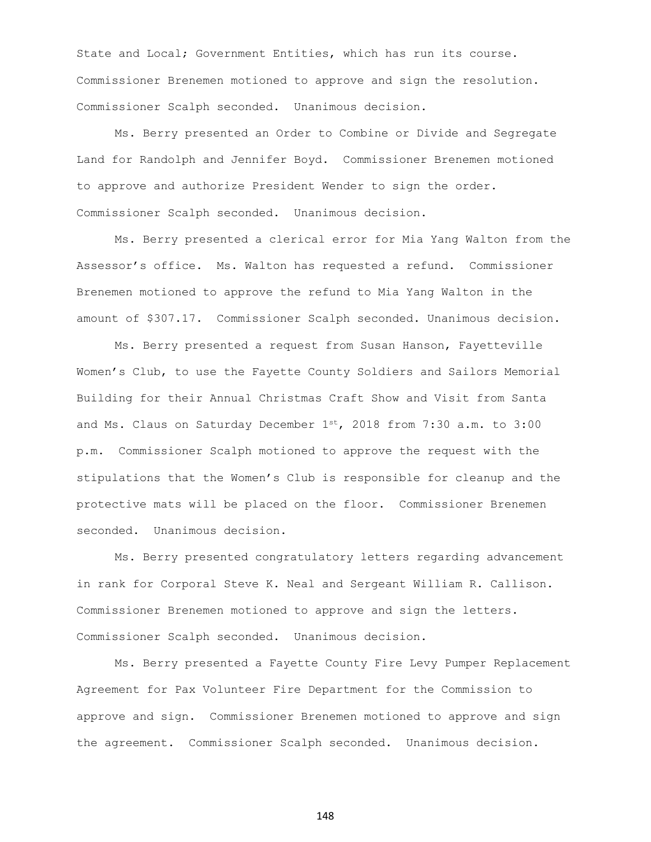State and Local; Government Entities, which has run its course. Commissioner Brenemen motioned to approve and sign the resolution. Commissioner Scalph seconded. Unanimous decision.

Ms. Berry presented an Order to Combine or Divide and Segregate Land for Randolph and Jennifer Boyd. Commissioner Brenemen motioned to approve and authorize President Wender to sign the order. Commissioner Scalph seconded. Unanimous decision.

Ms. Berry presented a clerical error for Mia Yang Walton from the Assessor's office. Ms. Walton has requested a refund. Commissioner Brenemen motioned to approve the refund to Mia Yang Walton in the amount of \$307.17. Commissioner Scalph seconded. Unanimous decision.

Ms. Berry presented a request from Susan Hanson, Fayetteville Women's Club, to use the Fayette County Soldiers and Sailors Memorial Building for their Annual Christmas Craft Show and Visit from Santa and Ms. Claus on Saturday December  $1^{st}$ , 2018 from 7:30 a.m. to 3:00 p.m. Commissioner Scalph motioned to approve the request with the stipulations that the Women's Club is responsible for cleanup and the protective mats will be placed on the floor. Commissioner Brenemen seconded. Unanimous decision.

Ms. Berry presented congratulatory letters regarding advancement in rank for Corporal Steve K. Neal and Sergeant William R. Callison. Commissioner Brenemen motioned to approve and sign the letters. Commissioner Scalph seconded. Unanimous decision.

Ms. Berry presented a Fayette County Fire Levy Pumper Replacement Agreement for Pax Volunteer Fire Department for the Commission to approve and sign. Commissioner Brenemen motioned to approve and sign the agreement. Commissioner Scalph seconded. Unanimous decision.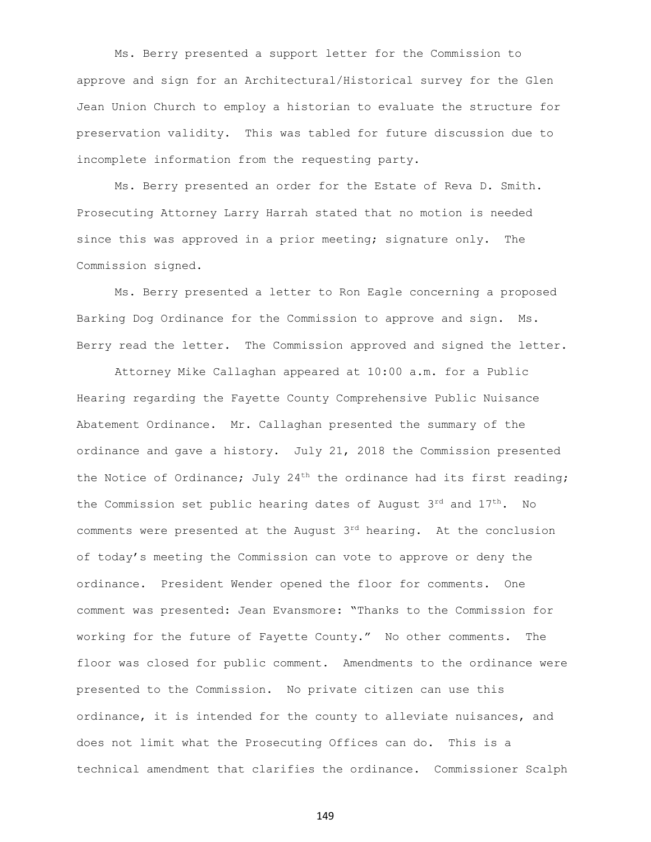Ms. Berry presented a support letter for the Commission to approve and sign for an Architectural/Historical survey for the Glen Jean Union Church to employ a historian to evaluate the structure for preservation validity. This was tabled for future discussion due to incomplete information from the requesting party.

Ms. Berry presented an order for the Estate of Reva D. Smith. Prosecuting Attorney Larry Harrah stated that no motion is needed since this was approved in a prior meeting; signature only. The Commission signed.

Ms. Berry presented a letter to Ron Eagle concerning a proposed Barking Dog Ordinance for the Commission to approve and sign. Ms. Berry read the letter. The Commission approved and signed the letter.

Attorney Mike Callaghan appeared at 10:00 a.m. for a Public Hearing regarding the Fayette County Comprehensive Public Nuisance Abatement Ordinance. Mr. Callaghan presented the summary of the ordinance and gave a history. July 21, 2018 the Commission presented the Notice of Ordinance; July  $24<sup>th</sup>$  the ordinance had its first reading; the Commission set public hearing dates of August  $3^{rd}$  and  $17^{th}$ . No comments were presented at the August  $3<sup>rd</sup>$  hearing. At the conclusion of today's meeting the Commission can vote to approve or deny the ordinance. President Wender opened the floor for comments. One comment was presented: Jean Evansmore: "Thanks to the Commission for working for the future of Fayette County." No other comments. The floor was closed for public comment. Amendments to the ordinance were presented to the Commission. No private citizen can use this ordinance, it is intended for the county to alleviate nuisances, and does not limit what the Prosecuting Offices can do. This is a technical amendment that clarifies the ordinance. Commissioner Scalph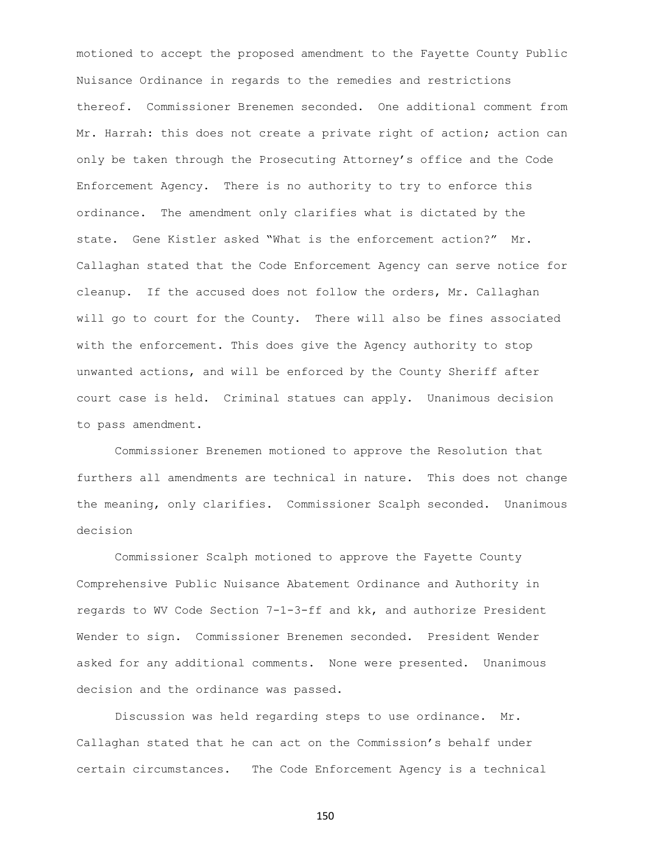motioned to accept the proposed amendment to the Fayette County Public Nuisance Ordinance in regards to the remedies and restrictions thereof. Commissioner Brenemen seconded. One additional comment from Mr. Harrah: this does not create a private right of action; action can only be taken through the Prosecuting Attorney's office and the Code Enforcement Agency. There is no authority to try to enforce this ordinance. The amendment only clarifies what is dictated by the state. Gene Kistler asked "What is the enforcement action?" Mr. Callaghan stated that the Code Enforcement Agency can serve notice for cleanup. If the accused does not follow the orders, Mr. Callaghan will go to court for the County. There will also be fines associated with the enforcement. This does give the Agency authority to stop unwanted actions, and will be enforced by the County Sheriff after court case is held. Criminal statues can apply. Unanimous decision to pass amendment.

Commissioner Brenemen motioned to approve the Resolution that furthers all amendments are technical in nature. This does not change the meaning, only clarifies. Commissioner Scalph seconded. Unanimous decision

Commissioner Scalph motioned to approve the Fayette County Comprehensive Public Nuisance Abatement Ordinance and Authority in regards to WV Code Section 7-1-3-ff and kk, and authorize President Wender to sign. Commissioner Brenemen seconded. President Wender asked for any additional comments. None were presented. Unanimous decision and the ordinance was passed.

Discussion was held regarding steps to use ordinance. Mr. Callaghan stated that he can act on the Commission's behalf under certain circumstances. The Code Enforcement Agency is a technical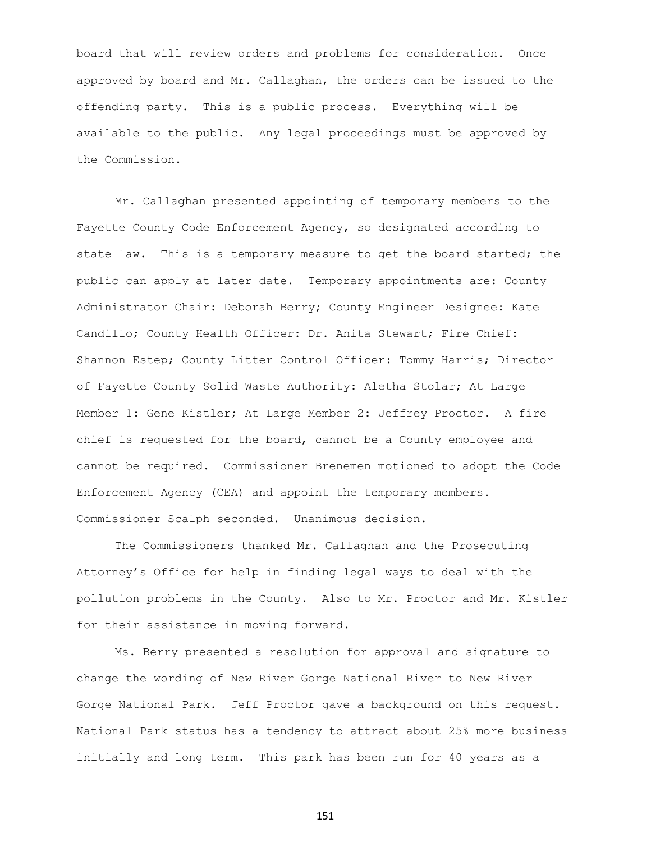board that will review orders and problems for consideration. Once approved by board and Mr. Callaghan, the orders can be issued to the offending party. This is a public process. Everything will be available to the public. Any legal proceedings must be approved by the Commission.

Mr. Callaghan presented appointing of temporary members to the Fayette County Code Enforcement Agency, so designated according to state law. This is a temporary measure to get the board started; the public can apply at later date. Temporary appointments are: County Administrator Chair: Deborah Berry; County Engineer Designee: Kate Candillo; County Health Officer: Dr. Anita Stewart; Fire Chief: Shannon Estep; County Litter Control Officer: Tommy Harris; Director of Fayette County Solid Waste Authority: Aletha Stolar; At Large Member 1: Gene Kistler; At Large Member 2: Jeffrey Proctor. A fire chief is requested for the board, cannot be a County employee and cannot be required. Commissioner Brenemen motioned to adopt the Code Enforcement Agency (CEA) and appoint the temporary members. Commissioner Scalph seconded. Unanimous decision.

The Commissioners thanked Mr. Callaghan and the Prosecuting Attorney's Office for help in finding legal ways to deal with the pollution problems in the County. Also to Mr. Proctor and Mr. Kistler for their assistance in moving forward.

Ms. Berry presented a resolution for approval and signature to change the wording of New River Gorge National River to New River Gorge National Park. Jeff Proctor gave a background on this request. National Park status has a tendency to attract about 25% more business initially and long term. This park has been run for 40 years as a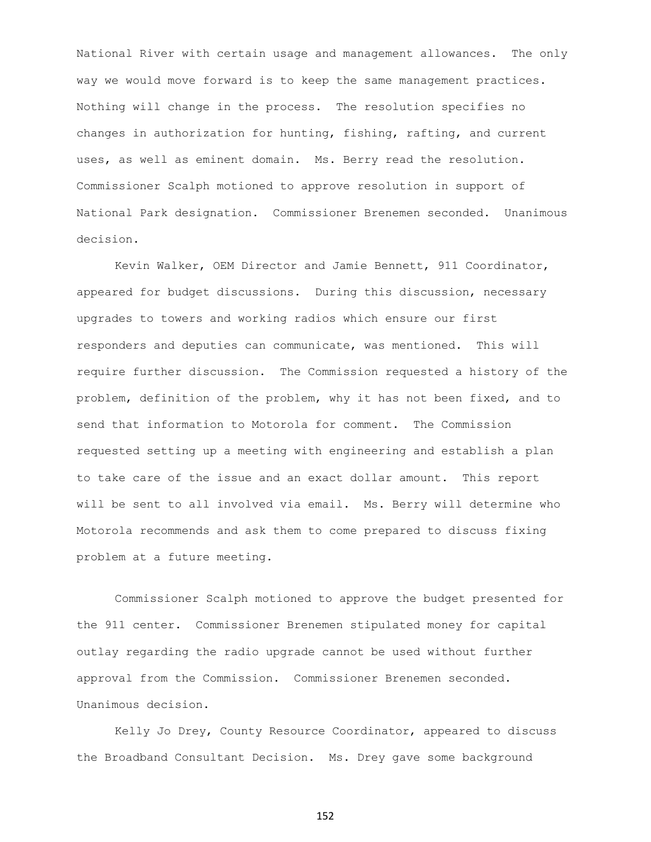National River with certain usage and management allowances. The only way we would move forward is to keep the same management practices. Nothing will change in the process. The resolution specifies no changes in authorization for hunting, fishing, rafting, and current uses, as well as eminent domain. Ms. Berry read the resolution. Commissioner Scalph motioned to approve resolution in support of National Park designation. Commissioner Brenemen seconded. Unanimous decision.

Kevin Walker, OEM Director and Jamie Bennett, 911 Coordinator, appeared for budget discussions. During this discussion, necessary upgrades to towers and working radios which ensure our first responders and deputies can communicate, was mentioned. This will require further discussion. The Commission requested a history of the problem, definition of the problem, why it has not been fixed, and to send that information to Motorola for comment. The Commission requested setting up a meeting with engineering and establish a plan to take care of the issue and an exact dollar amount. This report will be sent to all involved via email. Ms. Berry will determine who Motorola recommends and ask them to come prepared to discuss fixing problem at a future meeting.

Commissioner Scalph motioned to approve the budget presented for the 911 center. Commissioner Brenemen stipulated money for capital outlay regarding the radio upgrade cannot be used without further approval from the Commission. Commissioner Brenemen seconded. Unanimous decision.

Kelly Jo Drey, County Resource Coordinator, appeared to discuss the Broadband Consultant Decision. Ms. Drey gave some background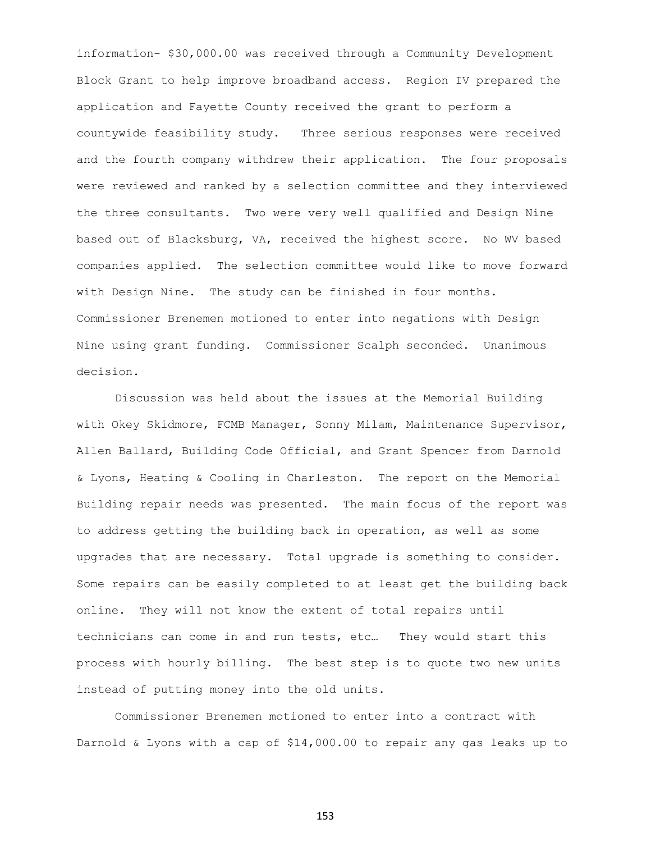information- \$30,000.00 was received through a Community Development Block Grant to help improve broadband access. Region IV prepared the application and Fayette County received the grant to perform a countywide feasibility study. Three serious responses were received and the fourth company withdrew their application. The four proposals were reviewed and ranked by a selection committee and they interviewed the three consultants. Two were very well qualified and Design Nine based out of Blacksburg, VA, received the highest score. No WV based companies applied. The selection committee would like to move forward with Design Nine. The study can be finished in four months. Commissioner Brenemen motioned to enter into negations with Design Nine using grant funding. Commissioner Scalph seconded. Unanimous decision.

Discussion was held about the issues at the Memorial Building with Okey Skidmore, FCMB Manager, Sonny Milam, Maintenance Supervisor, Allen Ballard, Building Code Official, and Grant Spencer from Darnold & Lyons, Heating & Cooling in Charleston. The report on the Memorial Building repair needs was presented. The main focus of the report was to address getting the building back in operation, as well as some upgrades that are necessary. Total upgrade is something to consider. Some repairs can be easily completed to at least get the building back online. They will not know the extent of total repairs until technicians can come in and run tests, etc… They would start this process with hourly billing. The best step is to quote two new units instead of putting money into the old units.

Commissioner Brenemen motioned to enter into a contract with Darnold & Lyons with a cap of \$14,000.00 to repair any gas leaks up to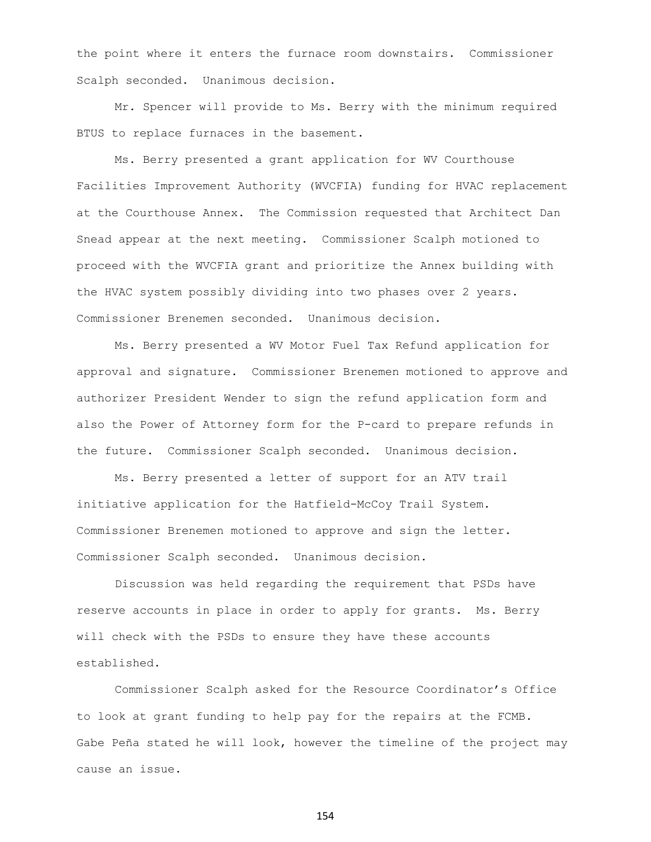the point where it enters the furnace room downstairs. Commissioner Scalph seconded. Unanimous decision.

Mr. Spencer will provide to Ms. Berry with the minimum required BTUS to replace furnaces in the basement.

Ms. Berry presented a grant application for WV Courthouse Facilities Improvement Authority (WVCFIA) funding for HVAC replacement at the Courthouse Annex. The Commission requested that Architect Dan Snead appear at the next meeting. Commissioner Scalph motioned to proceed with the WVCFIA grant and prioritize the Annex building with the HVAC system possibly dividing into two phases over 2 years. Commissioner Brenemen seconded. Unanimous decision.

Ms. Berry presented a WV Motor Fuel Tax Refund application for approval and signature. Commissioner Brenemen motioned to approve and authorizer President Wender to sign the refund application form and also the Power of Attorney form for the P-card to prepare refunds in the future. Commissioner Scalph seconded. Unanimous decision.

Ms. Berry presented a letter of support for an ATV trail initiative application for the Hatfield-McCoy Trail System. Commissioner Brenemen motioned to approve and sign the letter. Commissioner Scalph seconded. Unanimous decision.

Discussion was held regarding the requirement that PSDs have reserve accounts in place in order to apply for grants. Ms. Berry will check with the PSDs to ensure they have these accounts established.

Commissioner Scalph asked for the Resource Coordinator's Office to look at grant funding to help pay for the repairs at the FCMB. Gabe Peña stated he will look, however the timeline of the project may cause an issue.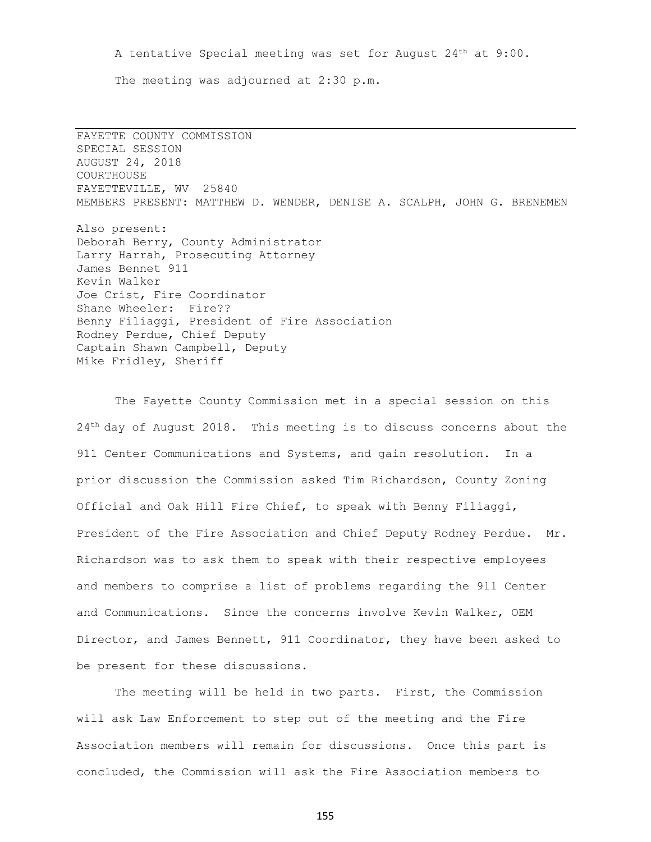A tentative Special meeting was set for August  $24<sup>th</sup>$  at  $9:00$ . The meeting was adjourned at 2:30 p.m.

FAYETTE COUNTY COMMISSION SPECIAL SESSION AUGUST 24, 2018 COURTHOUSE FAYETTEVILLE, WV 25840 MEMBERS PRESENT: MATTHEW D. WENDER, DENISE A. SCALPH, JOHN G. BRENEMEN Also present: Deborah Berry, County Administrator Larry Harrah, Prosecuting Attorney James Bennet 911 Kevin Walker Joe Crist, Fire Coordinator Shane Wheeler: Fire?? Benny Filiaggi, President of Fire Association Rodney Perdue, Chief Deputy Captain Shawn Campbell, Deputy Mike Fridley, Sheriff

The Fayette County Commission met in a special session on this 24<sup>th</sup> day of August 2018. This meeting is to discuss concerns about the 911 Center Communications and Systems, and gain resolution. In a prior discussion the Commission asked Tim Richardson, County Zoning Official and Oak Hill Fire Chief, to speak with Benny Filiaggi, President of the Fire Association and Chief Deputy Rodney Perdue. Mr. Richardson was to ask them to speak with their respective employees and members to comprise a list of problems regarding the 911 Center and Communications. Since the concerns involve Kevin Walker, OEM Director, and James Bennett, 911 Coordinator, they have been asked to be present for these discussions.

The meeting will be held in two parts. First, the Commission will ask Law Enforcement to step out of the meeting and the Fire Association members will remain for discussions. Once this part is concluded, the Commission will ask the Fire Association members to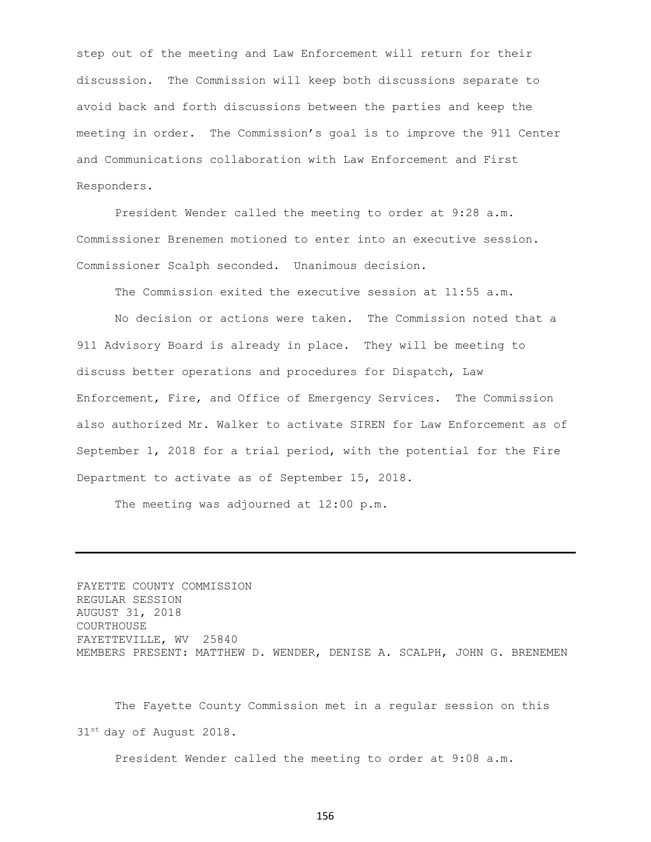step out of the meeting and Law Enforcement will return for their discussion. The Commission will keep both discussions separate to avoid back and forth discussions between the parties and keep the meeting in order. The Commission's goal is to improve the 911 Center and Communications collaboration with Law Enforcement and First Responders.

President Wender called the meeting to order at 9:28 a.m. Commissioner Brenemen motioned to enter into an executive session. Commissioner Scalph seconded. Unanimous decision.

The Commission exited the executive session at 11:55 a.m.

No decision or actions were taken. The Commission noted that a 911 Advisory Board is already in place. They will be meeting to discuss better operations and procedures for Dispatch, Law Enforcement, Fire, and Office of Emergency Services. The Commission also authorized Mr. Walker to activate SIREN for Law Enforcement as of September 1, 2018 for a trial period, with the potential for the Fire Department to activate as of September 15, 2018.

The meeting was adjourned at 12:00 p.m.

FAYETTE COUNTY COMMISSION REGULAR SESSION AUGUST 31, 2018 COURTHOUSE FAYETTEVILLE, WV 25840 MEMBERS PRESENT: MATTHEW D. WENDER, DENISE A. SCALPH, JOHN G. BRENEMEN

The Fayette County Commission met in a regular session on this 31st day of August 2018.

President Wender called the meeting to order at 9:08 a.m.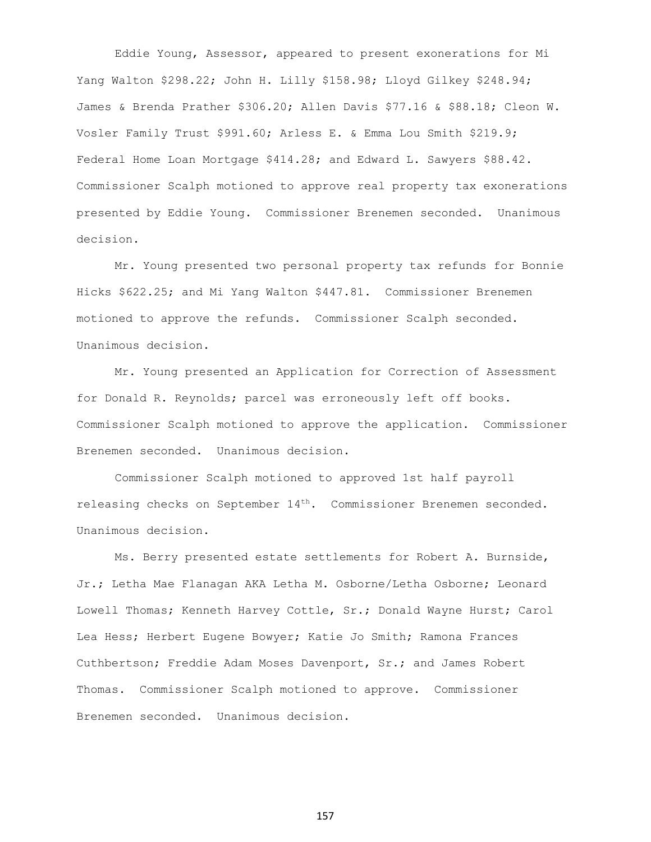Eddie Young, Assessor, appeared to present exonerations for Mi Yang Walton \$298.22; John H. Lilly \$158.98; Lloyd Gilkey \$248.94; James & Brenda Prather \$306.20; Allen Davis \$77.16 & \$88.18; Cleon W. Vosler Family Trust \$991.60; Arless E. & Emma Lou Smith \$219.9; Federal Home Loan Mortgage \$414.28; and Edward L. Sawyers \$88.42. Commissioner Scalph motioned to approve real property tax exonerations presented by Eddie Young. Commissioner Brenemen seconded. Unanimous decision.

Mr. Young presented two personal property tax refunds for Bonnie Hicks \$622.25; and Mi Yang Walton \$447.81. Commissioner Brenemen motioned to approve the refunds. Commissioner Scalph seconded. Unanimous decision.

Mr. Young presented an Application for Correction of Assessment for Donald R. Reynolds; parcel was erroneously left off books. Commissioner Scalph motioned to approve the application. Commissioner Brenemen seconded. Unanimous decision.

Commissioner Scalph motioned to approved 1st half payroll releasing checks on September 14<sup>th</sup>. Commissioner Brenemen seconded. Unanimous decision.

Ms. Berry presented estate settlements for Robert A. Burnside, Jr.; Letha Mae Flanagan AKA Letha M. Osborne/Letha Osborne; Leonard Lowell Thomas; Kenneth Harvey Cottle, Sr.; Donald Wayne Hurst; Carol Lea Hess; Herbert Eugene Bowyer; Katie Jo Smith; Ramona Frances Cuthbertson; Freddie Adam Moses Davenport, Sr.; and James Robert Thomas. Commissioner Scalph motioned to approve. Commissioner Brenemen seconded. Unanimous decision.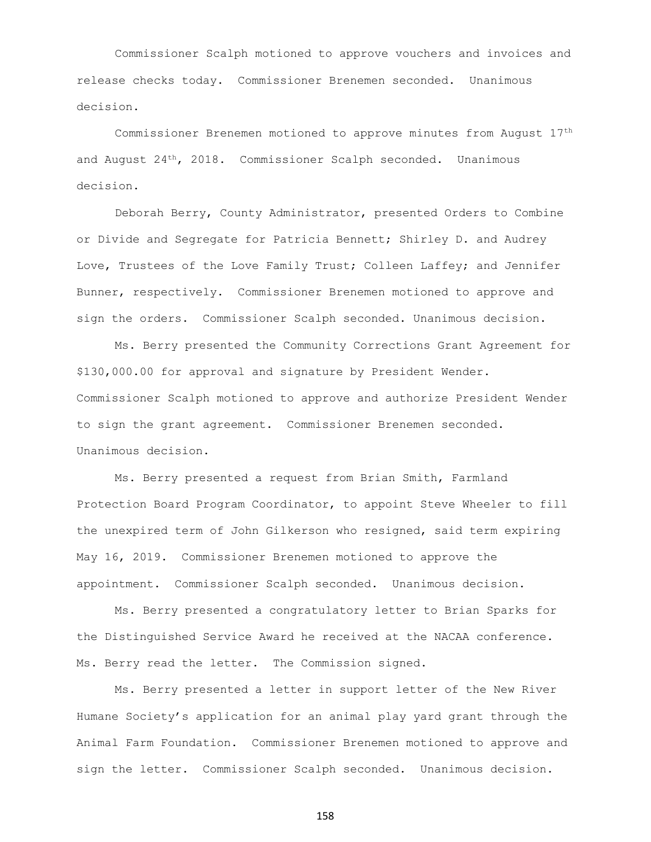Commissioner Scalph motioned to approve vouchers and invoices and release checks today. Commissioner Brenemen seconded. Unanimous decision.

Commissioner Brenemen motioned to approve minutes from August 17th and August 24 th, 2018. Commissioner Scalph seconded. Unanimous decision.

Deborah Berry, County Administrator, presented Orders to Combine or Divide and Segregate for Patricia Bennett; Shirley D. and Audrey Love, Trustees of the Love Family Trust; Colleen Laffey; and Jennifer Bunner, respectively. Commissioner Brenemen motioned to approve and sign the orders. Commissioner Scalph seconded. Unanimous decision.

Ms. Berry presented the Community Corrections Grant Agreement for \$130,000.00 for approval and signature by President Wender. Commissioner Scalph motioned to approve and authorize President Wender to sign the grant agreement. Commissioner Brenemen seconded. Unanimous decision.

Ms. Berry presented a request from Brian Smith, Farmland Protection Board Program Coordinator, to appoint Steve Wheeler to fill the unexpired term of John Gilkerson who resigned, said term expiring May 16, 2019. Commissioner Brenemen motioned to approve the appointment. Commissioner Scalph seconded. Unanimous decision.

Ms. Berry presented a congratulatory letter to Brian Sparks for the Distinguished Service Award he received at the NACAA conference. Ms. Berry read the letter. The Commission signed.

Ms. Berry presented a letter in support letter of the New River Humane Society's application for an animal play yard grant through the Animal Farm Foundation. Commissioner Brenemen motioned to approve and sign the letter. Commissioner Scalph seconded. Unanimous decision.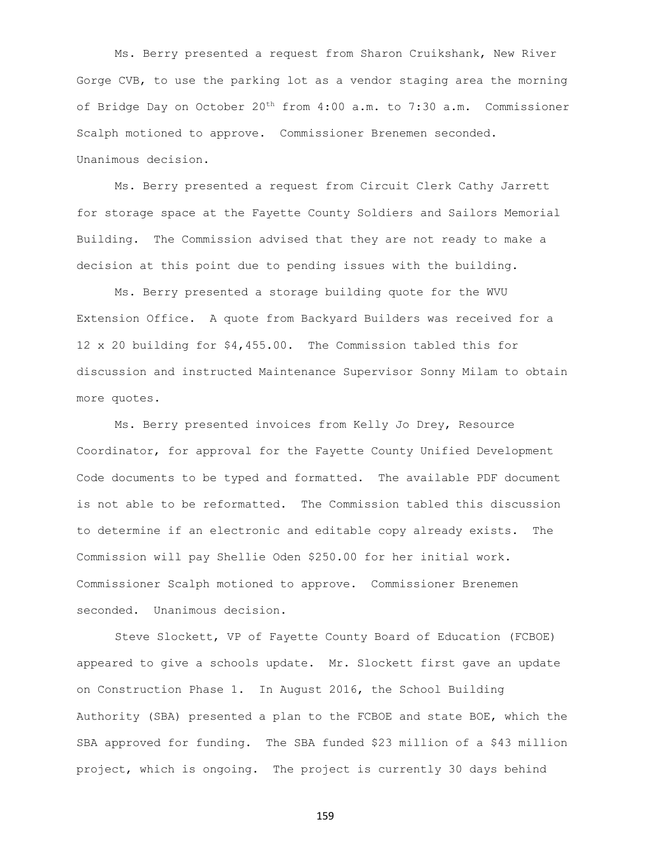Ms. Berry presented a request from Sharon Cruikshank, New River Gorge CVB, to use the parking lot as a vendor staging area the morning of Bridge Day on October 20th from 4:00 a.m. to 7:30 a.m. Commissioner Scalph motioned to approve. Commissioner Brenemen seconded. Unanimous decision.

Ms. Berry presented a request from Circuit Clerk Cathy Jarrett for storage space at the Fayette County Soldiers and Sailors Memorial Building. The Commission advised that they are not ready to make a decision at this point due to pending issues with the building.

Ms. Berry presented a storage building quote for the WVU Extension Office. A quote from Backyard Builders was received for a 12 x 20 building for \$4,455.00. The Commission tabled this for discussion and instructed Maintenance Supervisor Sonny Milam to obtain more quotes.

Ms. Berry presented invoices from Kelly Jo Drey, Resource Coordinator, for approval for the Fayette County Unified Development Code documents to be typed and formatted. The available PDF document is not able to be reformatted. The Commission tabled this discussion to determine if an electronic and editable copy already exists. The Commission will pay Shellie Oden \$250.00 for her initial work. Commissioner Scalph motioned to approve. Commissioner Brenemen seconded. Unanimous decision.

Steve Slockett, VP of Fayette County Board of Education (FCBOE) appeared to give a schools update. Mr. Slockett first gave an update on Construction Phase 1. In August 2016, the School Building Authority (SBA) presented a plan to the FCBOE and state BOE, which the SBA approved for funding. The SBA funded \$23 million of a \$43 million project, which is ongoing. The project is currently 30 days behind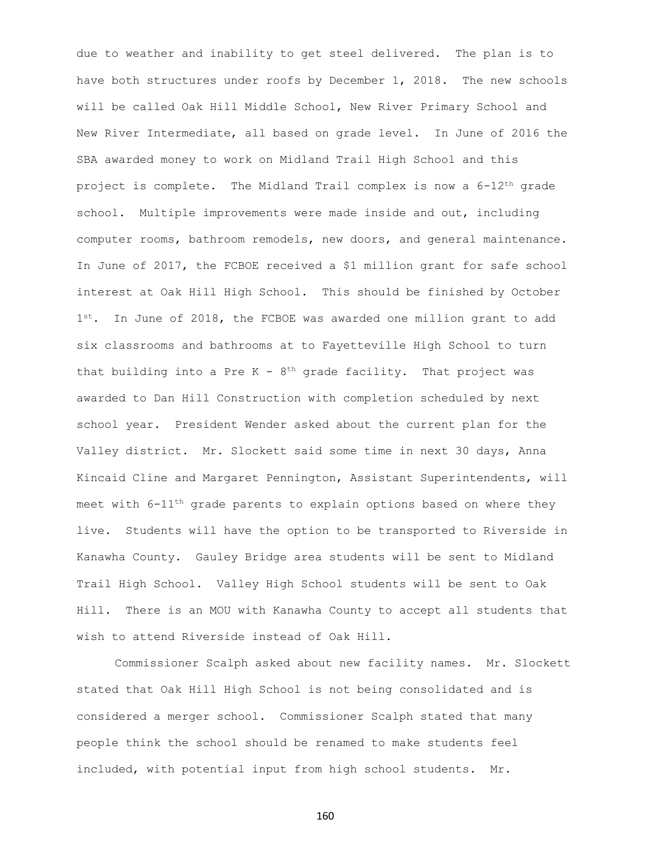due to weather and inability to get steel delivered. The plan is to have both structures under roofs by December 1, 2018. The new schools will be called Oak Hill Middle School, New River Primary School and New River Intermediate, all based on grade level. In June of 2016 the SBA awarded money to work on Midland Trail High School and this project is complete. The Midland Trail complex is now a  $6-12$ <sup>th</sup> grade school. Multiple improvements were made inside and out, including computer rooms, bathroom remodels, new doors, and general maintenance. In June of 2017, the FCBOE received a \$1 million grant for safe school interest at Oak Hill High School. This should be finished by October 1st. In June of 2018, the FCBOE was awarded one million grant to add six classrooms and bathrooms at to Fayetteville High School to turn that building into a Pre  $K - 8$ <sup>th</sup> grade facility. That project was awarded to Dan Hill Construction with completion scheduled by next school year. President Wender asked about the current plan for the Valley district. Mr. Slockett said some time in next 30 days, Anna Kincaid Cline and Margaret Pennington, Assistant Superintendents, will meet with 6-11th grade parents to explain options based on where they live. Students will have the option to be transported to Riverside in Kanawha County. Gauley Bridge area students will be sent to Midland Trail High School. Valley High School students will be sent to Oak Hill. There is an MOU with Kanawha County to accept all students that wish to attend Riverside instead of Oak Hill.

Commissioner Scalph asked about new facility names. Mr. Slockett stated that Oak Hill High School is not being consolidated and is considered a merger school. Commissioner Scalph stated that many people think the school should be renamed to make students feel included, with potential input from high school students. Mr.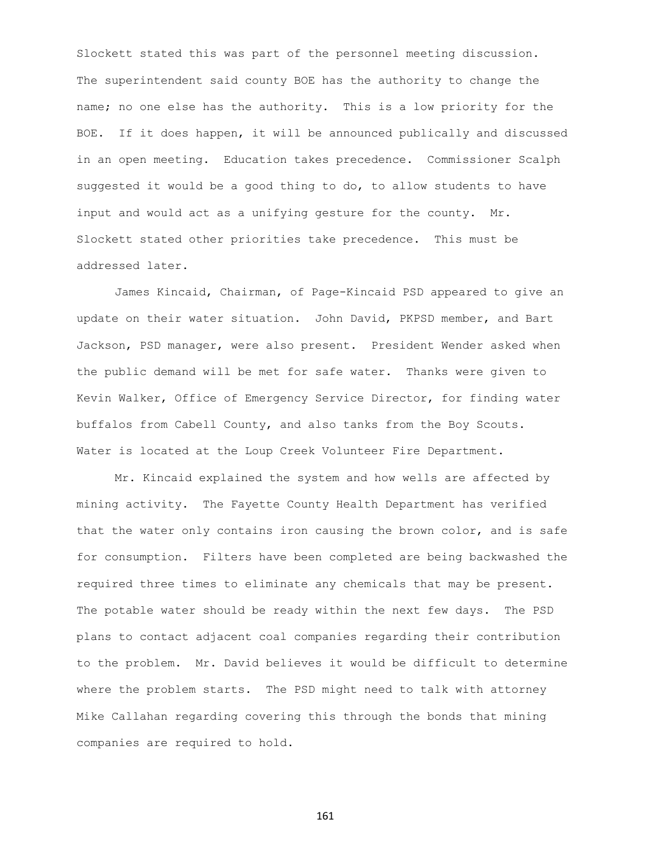Slockett stated this was part of the personnel meeting discussion. The superintendent said county BOE has the authority to change the name; no one else has the authority. This is a low priority for the BOE. If it does happen, it will be announced publically and discussed in an open meeting. Education takes precedence. Commissioner Scalph suggested it would be a good thing to do, to allow students to have input and would act as a unifying gesture for the county. Mr. Slockett stated other priorities take precedence. This must be addressed later.

James Kincaid, Chairman, of Page-Kincaid PSD appeared to give an update on their water situation. John David, PKPSD member, and Bart Jackson, PSD manager, were also present. President Wender asked when the public demand will be met for safe water. Thanks were given to Kevin Walker, Office of Emergency Service Director, for finding water buffalos from Cabell County, and also tanks from the Boy Scouts. Water is located at the Loup Creek Volunteer Fire Department.

Mr. Kincaid explained the system and how wells are affected by mining activity. The Fayette County Health Department has verified that the water only contains iron causing the brown color, and is safe for consumption. Filters have been completed are being backwashed the required three times to eliminate any chemicals that may be present. The potable water should be ready within the next few days. The PSD plans to contact adjacent coal companies regarding their contribution to the problem. Mr. David believes it would be difficult to determine where the problem starts. The PSD might need to talk with attorney Mike Callahan regarding covering this through the bonds that mining companies are required to hold.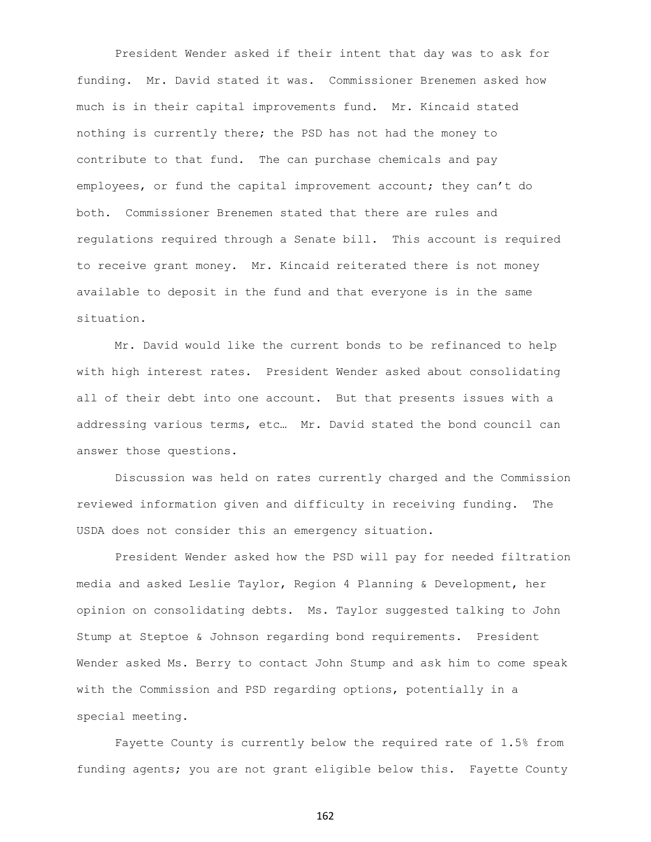President Wender asked if their intent that day was to ask for funding. Mr. David stated it was. Commissioner Brenemen asked how much is in their capital improvements fund. Mr. Kincaid stated nothing is currently there; the PSD has not had the money to contribute to that fund. The can purchase chemicals and pay employees, or fund the capital improvement account; they can't do both. Commissioner Brenemen stated that there are rules and regulations required through a Senate bill. This account is required to receive grant money. Mr. Kincaid reiterated there is not money available to deposit in the fund and that everyone is in the same situation.

Mr. David would like the current bonds to be refinanced to help with high interest rates. President Wender asked about consolidating all of their debt into one account. But that presents issues with a addressing various terms, etc… Mr. David stated the bond council can answer those questions.

Discussion was held on rates currently charged and the Commission reviewed information given and difficulty in receiving funding. The USDA does not consider this an emergency situation.

President Wender asked how the PSD will pay for needed filtration media and asked Leslie Taylor, Region 4 Planning & Development, her opinion on consolidating debts. Ms. Taylor suggested talking to John Stump at Steptoe & Johnson regarding bond requirements. President Wender asked Ms. Berry to contact John Stump and ask him to come speak with the Commission and PSD regarding options, potentially in a special meeting.

Fayette County is currently below the required rate of 1.5% from funding agents; you are not grant eligible below this. Fayette County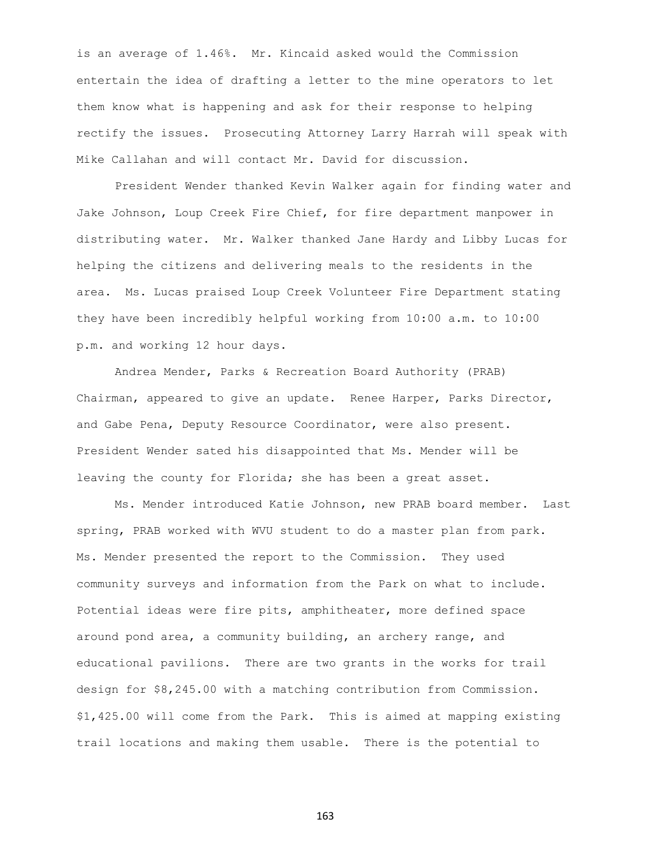is an average of 1.46%. Mr. Kincaid asked would the Commission entertain the idea of drafting a letter to the mine operators to let them know what is happening and ask for their response to helping rectify the issues. Prosecuting Attorney Larry Harrah will speak with Mike Callahan and will contact Mr. David for discussion.

President Wender thanked Kevin Walker again for finding water and Jake Johnson, Loup Creek Fire Chief, for fire department manpower in distributing water. Mr. Walker thanked Jane Hardy and Libby Lucas for helping the citizens and delivering meals to the residents in the area. Ms. Lucas praised Loup Creek Volunteer Fire Department stating they have been incredibly helpful working from 10:00 a.m. to 10:00 p.m. and working 12 hour days.

Andrea Mender, Parks & Recreation Board Authority (PRAB) Chairman, appeared to give an update. Renee Harper, Parks Director, and Gabe Pena, Deputy Resource Coordinator, were also present. President Wender sated his disappointed that Ms. Mender will be leaving the county for Florida; she has been a great asset.

Ms. Mender introduced Katie Johnson, new PRAB board member. Last spring, PRAB worked with WVU student to do a master plan from park. Ms. Mender presented the report to the Commission. They used community surveys and information from the Park on what to include. Potential ideas were fire pits, amphitheater, more defined space around pond area, a community building, an archery range, and educational pavilions. There are two grants in the works for trail design for \$8,245.00 with a matching contribution from Commission. \$1,425.00 will come from the Park. This is aimed at mapping existing trail locations and making them usable. There is the potential to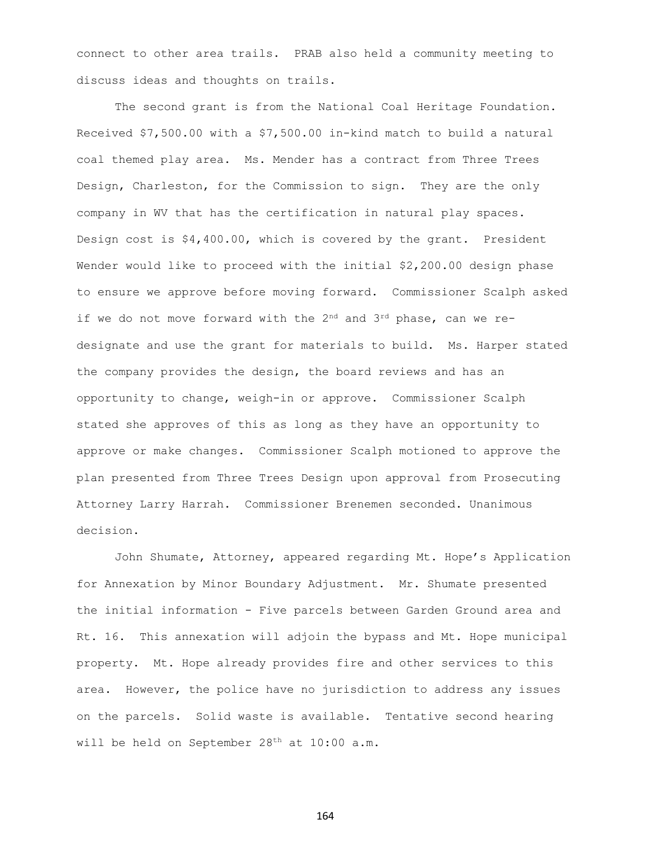connect to other area trails. PRAB also held a community meeting to discuss ideas and thoughts on trails.

The second grant is from the National Coal Heritage Foundation. Received \$7,500.00 with a \$7,500.00 in-kind match to build a natural coal themed play area. Ms. Mender has a contract from Three Trees Design, Charleston, for the Commission to sign. They are the only company in WV that has the certification in natural play spaces. Design cost is \$4,400.00, which is covered by the grant. President Wender would like to proceed with the initial \$2,200.00 design phase to ensure we approve before moving forward. Commissioner Scalph asked if we do not move forward with the  $2^{nd}$  and  $3^{rd}$  phase, can we redesignate and use the grant for materials to build. Ms. Harper stated the company provides the design, the board reviews and has an opportunity to change, weigh-in or approve. Commissioner Scalph stated she approves of this as long as they have an opportunity to approve or make changes. Commissioner Scalph motioned to approve the plan presented from Three Trees Design upon approval from Prosecuting Attorney Larry Harrah. Commissioner Brenemen seconded. Unanimous decision.

John Shumate, Attorney, appeared regarding Mt. Hope's Application for Annexation by Minor Boundary Adjustment. Mr. Shumate presented the initial information - Five parcels between Garden Ground area and Rt. 16. This annexation will adjoin the bypass and Mt. Hope municipal property. Mt. Hope already provides fire and other services to this area. However, the police have no jurisdiction to address any issues on the parcels. Solid waste is available. Tentative second hearing will be held on September 28<sup>th</sup> at 10:00 a.m.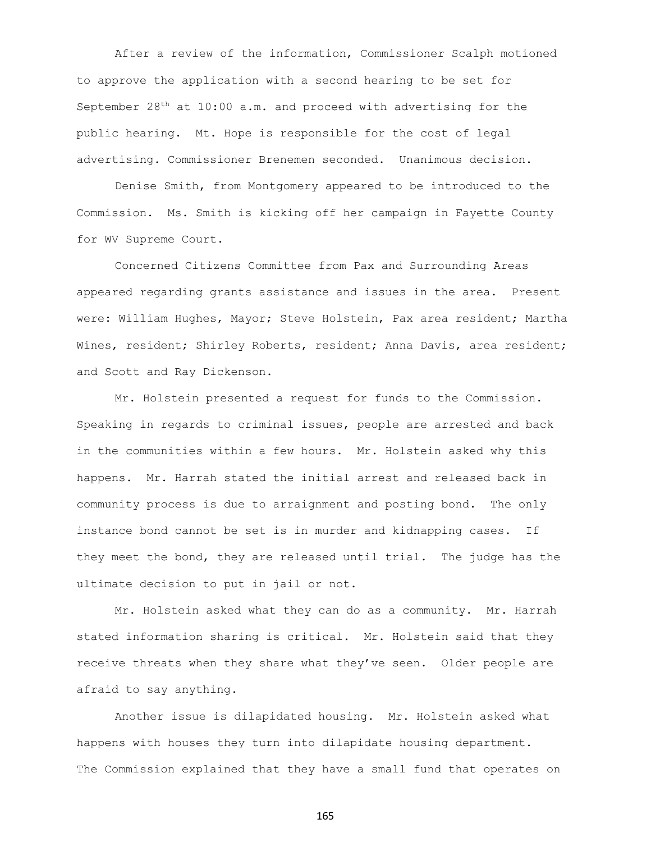After a review of the information, Commissioner Scalph motioned to approve the application with a second hearing to be set for September  $28<sup>th</sup>$  at  $10:00$  a.m. and proceed with advertising for the public hearing. Mt. Hope is responsible for the cost of legal advertising. Commissioner Brenemen seconded. Unanimous decision.

Denise Smith, from Montgomery appeared to be introduced to the Commission. Ms. Smith is kicking off her campaign in Fayette County for WV Supreme Court.

Concerned Citizens Committee from Pax and Surrounding Areas appeared regarding grants assistance and issues in the area. Present were: William Hughes, Mayor; Steve Holstein, Pax area resident; Martha Wines, resident; Shirley Roberts, resident; Anna Davis, area resident; and Scott and Ray Dickenson.

Mr. Holstein presented a request for funds to the Commission. Speaking in regards to criminal issues, people are arrested and back in the communities within a few hours. Mr. Holstein asked why this happens. Mr. Harrah stated the initial arrest and released back in community process is due to arraignment and posting bond. The only instance bond cannot be set is in murder and kidnapping cases. If they meet the bond, they are released until trial. The judge has the ultimate decision to put in jail or not.

Mr. Holstein asked what they can do as a community. Mr. Harrah stated information sharing is critical. Mr. Holstein said that they receive threats when they share what they've seen. Older people are afraid to say anything.

Another issue is dilapidated housing. Mr. Holstein asked what happens with houses they turn into dilapidate housing department. The Commission explained that they have a small fund that operates on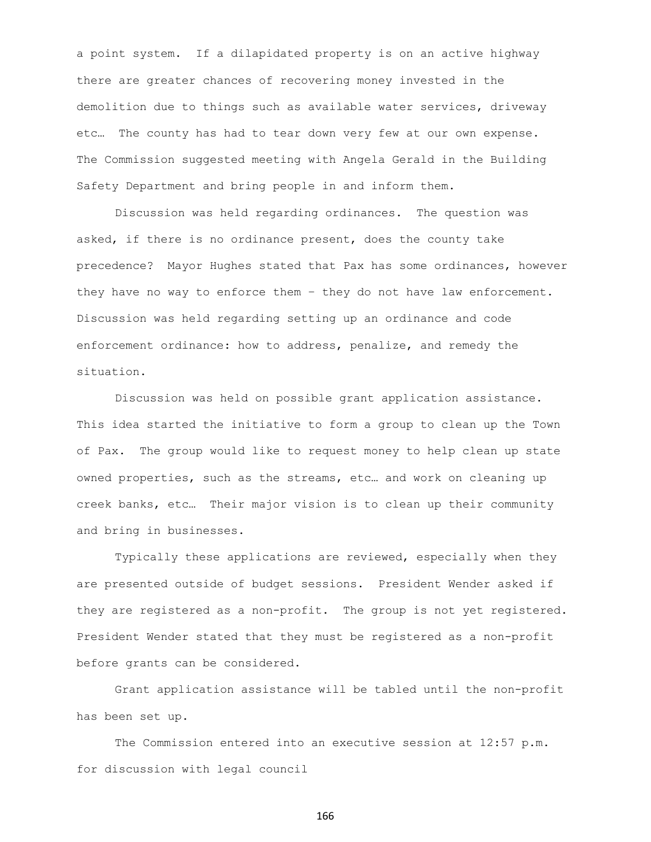a point system. If a dilapidated property is on an active highway there are greater chances of recovering money invested in the demolition due to things such as available water services, driveway etc… The county has had to tear down very few at our own expense. The Commission suggested meeting with Angela Gerald in the Building Safety Department and bring people in and inform them.

Discussion was held regarding ordinances. The question was asked, if there is no ordinance present, does the county take precedence? Mayor Hughes stated that Pax has some ordinances, however they have no way to enforce them – they do not have law enforcement. Discussion was held regarding setting up an ordinance and code enforcement ordinance: how to address, penalize, and remedy the situation.

Discussion was held on possible grant application assistance. This idea started the initiative to form a group to clean up the Town of Pax. The group would like to request money to help clean up state owned properties, such as the streams, etc… and work on cleaning up creek banks, etc… Their major vision is to clean up their community and bring in businesses.

Typically these applications are reviewed, especially when they are presented outside of budget sessions. President Wender asked if they are registered as a non-profit. The group is not yet registered. President Wender stated that they must be registered as a non-profit before grants can be considered.

Grant application assistance will be tabled until the non-profit has been set up.

The Commission entered into an executive session at 12:57 p.m. for discussion with legal council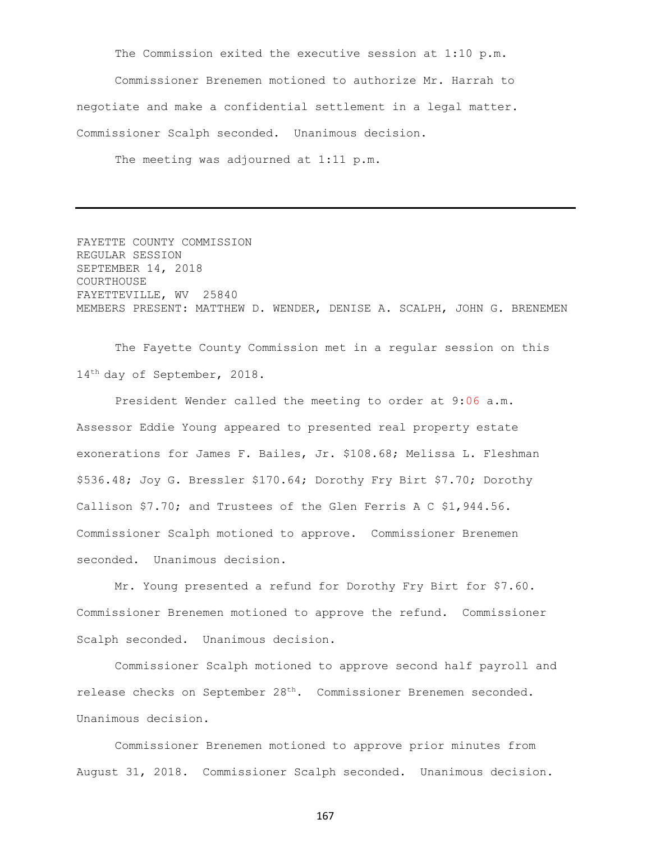The Commission exited the executive session at 1:10 p.m.

Commissioner Brenemen motioned to authorize Mr. Harrah to negotiate and make a confidential settlement in a legal matter. Commissioner Scalph seconded. Unanimous decision.

The meeting was adjourned at 1:11 p.m.

FAYETTE COUNTY COMMISSION REGULAR SESSION SEPTEMBER 14, 2018 COURTHOUSE FAYETTEVILLE, WV 25840 MEMBERS PRESENT: MATTHEW D. WENDER, DENISE A. SCALPH, JOHN G. BRENEMEN

The Fayette County Commission met in a regular session on this 14<sup>th</sup> day of September, 2018.

President Wender called the meeting to order at 9:06 a.m. Assessor Eddie Young appeared to presented real property estate exonerations for James F. Bailes, Jr. \$108.68; Melissa L. Fleshman \$536.48; Joy G. Bressler \$170.64; Dorothy Fry Birt \$7.70; Dorothy Callison \$7.70; and Trustees of the Glen Ferris A C \$1,944.56. Commissioner Scalph motioned to approve. Commissioner Brenemen seconded. Unanimous decision.

Mr. Young presented a refund for Dorothy Fry Birt for \$7.60. Commissioner Brenemen motioned to approve the refund. Commissioner Scalph seconded. Unanimous decision.

Commissioner Scalph motioned to approve second half payroll and release checks on September 28th. Commissioner Brenemen seconded. Unanimous decision.

Commissioner Brenemen motioned to approve prior minutes from August 31, 2018. Commissioner Scalph seconded. Unanimous decision.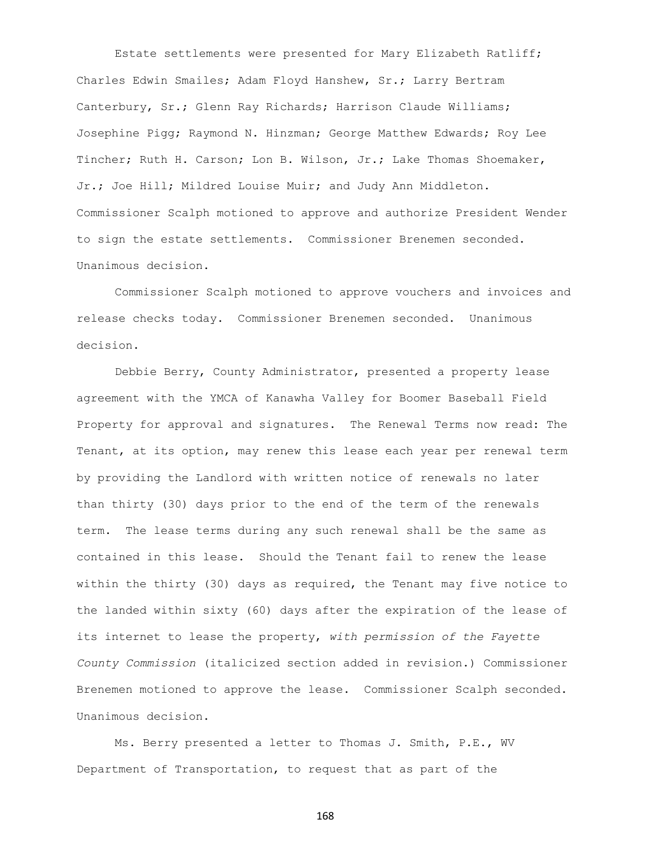Estate settlements were presented for Mary Elizabeth Ratliff; Charles Edwin Smailes; Adam Floyd Hanshew, Sr.; Larry Bertram Canterbury, Sr.; Glenn Ray Richards; Harrison Claude Williams; Josephine Pigg; Raymond N. Hinzman; George Matthew Edwards; Roy Lee Tincher; Ruth H. Carson; Lon B. Wilson, Jr.; Lake Thomas Shoemaker, Jr.; Joe Hill; Mildred Louise Muir; and Judy Ann Middleton. Commissioner Scalph motioned to approve and authorize President Wender to sign the estate settlements. Commissioner Brenemen seconded. Unanimous decision.

Commissioner Scalph motioned to approve vouchers and invoices and release checks today. Commissioner Brenemen seconded. Unanimous decision.

Debbie Berry, County Administrator, presented a property lease agreement with the YMCA of Kanawha Valley for Boomer Baseball Field Property for approval and signatures. The Renewal Terms now read: The Tenant, at its option, may renew this lease each year per renewal term by providing the Landlord with written notice of renewals no later than thirty (30) days prior to the end of the term of the renewals term. The lease terms during any such renewal shall be the same as contained in this lease. Should the Tenant fail to renew the lease within the thirty (30) days as required, the Tenant may five notice to the landed within sixty (60) days after the expiration of the lease of its internet to lease the property, *with permission of the Fayette County Commission* (italicized section added in revision.) Commissioner Brenemen motioned to approve the lease. Commissioner Scalph seconded. Unanimous decision.

Ms. Berry presented a letter to Thomas J. Smith, P.E., WV Department of Transportation, to request that as part of the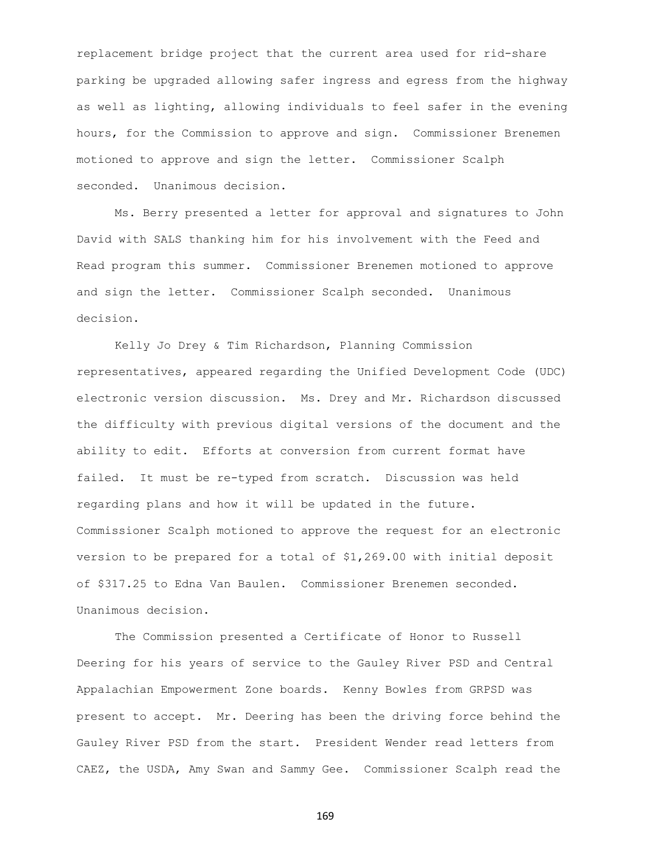replacement bridge project that the current area used for rid-share parking be upgraded allowing safer ingress and egress from the highway as well as lighting, allowing individuals to feel safer in the evening hours, for the Commission to approve and sign. Commissioner Brenemen motioned to approve and sign the letter. Commissioner Scalph seconded. Unanimous decision.

Ms. Berry presented a letter for approval and signatures to John David with SALS thanking him for his involvement with the Feed and Read program this summer. Commissioner Brenemen motioned to approve and sign the letter. Commissioner Scalph seconded. Unanimous decision.

Kelly Jo Drey & Tim Richardson, Planning Commission representatives, appeared regarding the Unified Development Code (UDC) electronic version discussion. Ms. Drey and Mr. Richardson discussed the difficulty with previous digital versions of the document and the ability to edit. Efforts at conversion from current format have failed. It must be re-typed from scratch. Discussion was held regarding plans and how it will be updated in the future. Commissioner Scalph motioned to approve the request for an electronic version to be prepared for a total of \$1,269.00 with initial deposit of \$317.25 to Edna Van Baulen. Commissioner Brenemen seconded. Unanimous decision.

The Commission presented a Certificate of Honor to Russell Deering for his years of service to the Gauley River PSD and Central Appalachian Empowerment Zone boards. Kenny Bowles from GRPSD was present to accept. Mr. Deering has been the driving force behind the Gauley River PSD from the start. President Wender read letters from CAEZ, the USDA, Amy Swan and Sammy Gee. Commissioner Scalph read the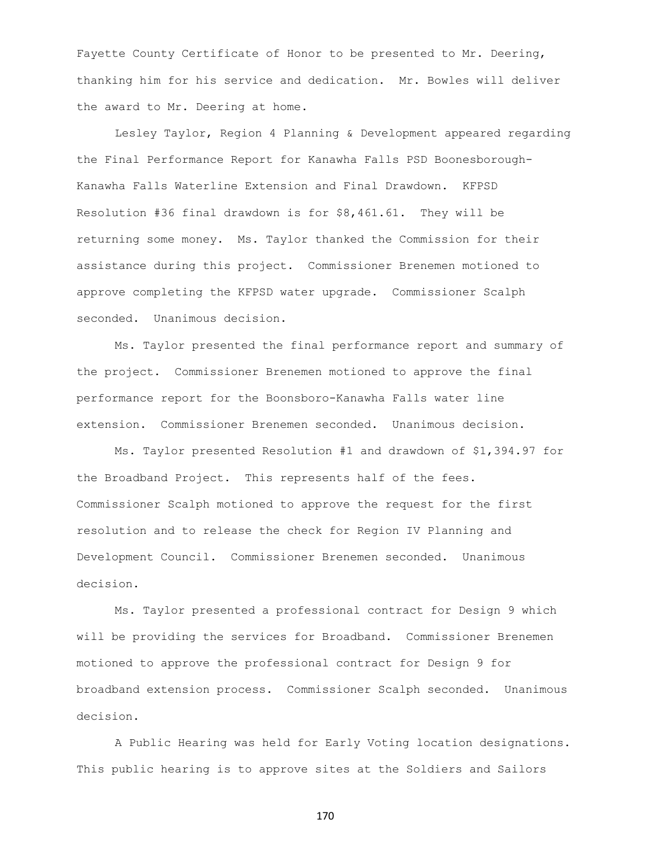Fayette County Certificate of Honor to be presented to Mr. Deering, thanking him for his service and dedication. Mr. Bowles will deliver the award to Mr. Deering at home.

Lesley Taylor, Region 4 Planning & Development appeared regarding the Final Performance Report for Kanawha Falls PSD Boonesborough-Kanawha Falls Waterline Extension and Final Drawdown. KFPSD Resolution #36 final drawdown is for \$8,461.61. They will be returning some money. Ms. Taylor thanked the Commission for their assistance during this project. Commissioner Brenemen motioned to approve completing the KFPSD water upgrade. Commissioner Scalph seconded. Unanimous decision.

Ms. Taylor presented the final performance report and summary of the project. Commissioner Brenemen motioned to approve the final performance report for the Boonsboro-Kanawha Falls water line extension. Commissioner Brenemen seconded. Unanimous decision.

Ms. Taylor presented Resolution #1 and drawdown of \$1,394.97 for the Broadband Project. This represents half of the fees. Commissioner Scalph motioned to approve the request for the first resolution and to release the check for Region IV Planning and Development Council. Commissioner Brenemen seconded. Unanimous decision.

Ms. Taylor presented a professional contract for Design 9 which will be providing the services for Broadband. Commissioner Brenemen motioned to approve the professional contract for Design 9 for broadband extension process. Commissioner Scalph seconded. Unanimous decision.

A Public Hearing was held for Early Voting location designations. This public hearing is to approve sites at the Soldiers and Sailors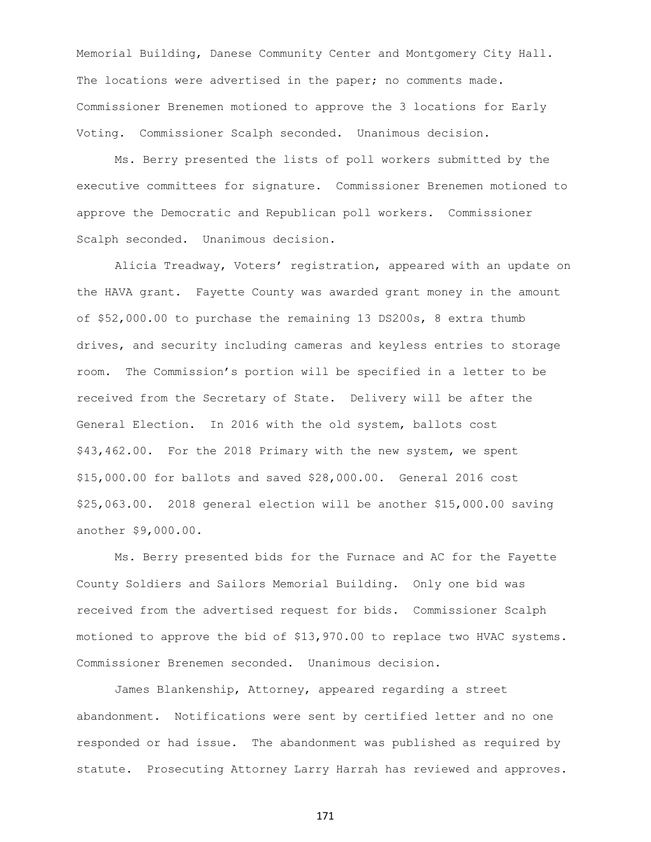Memorial Building, Danese Community Center and Montgomery City Hall. The locations were advertised in the paper; no comments made. Commissioner Brenemen motioned to approve the 3 locations for Early Voting. Commissioner Scalph seconded. Unanimous decision.

Ms. Berry presented the lists of poll workers submitted by the executive committees for signature. Commissioner Brenemen motioned to approve the Democratic and Republican poll workers. Commissioner Scalph seconded. Unanimous decision.

Alicia Treadway, Voters' registration, appeared with an update on the HAVA grant. Fayette County was awarded grant money in the amount of \$52,000.00 to purchase the remaining 13 DS200s, 8 extra thumb drives, and security including cameras and keyless entries to storage room. The Commission's portion will be specified in a letter to be received from the Secretary of State. Delivery will be after the General Election. In 2016 with the old system, ballots cost \$43,462.00. For the 2018 Primary with the new system, we spent \$15,000.00 for ballots and saved \$28,000.00. General 2016 cost \$25,063.00. 2018 general election will be another \$15,000.00 saving another \$9,000.00.

Ms. Berry presented bids for the Furnace and AC for the Fayette County Soldiers and Sailors Memorial Building. Only one bid was received from the advertised request for bids. Commissioner Scalph motioned to approve the bid of \$13,970.00 to replace two HVAC systems. Commissioner Brenemen seconded. Unanimous decision.

James Blankenship, Attorney, appeared regarding a street abandonment. Notifications were sent by certified letter and no one responded or had issue. The abandonment was published as required by statute. Prosecuting Attorney Larry Harrah has reviewed and approves.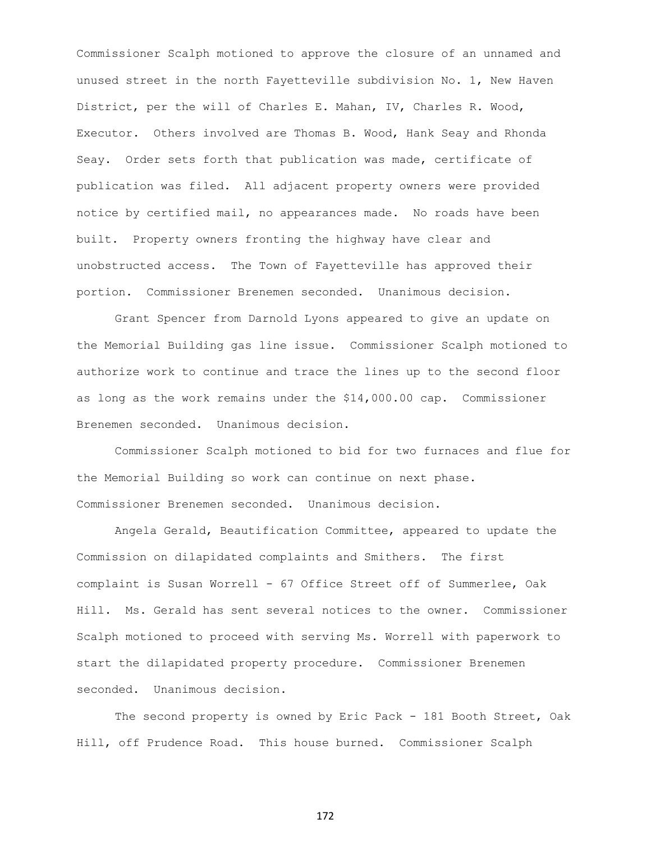Commissioner Scalph motioned to approve the closure of an unnamed and unused street in the north Fayetteville subdivision No. 1, New Haven District, per the will of Charles E. Mahan, IV, Charles R. Wood, Executor. Others involved are Thomas B. Wood, Hank Seay and Rhonda Seay. Order sets forth that publication was made, certificate of publication was filed. All adjacent property owners were provided notice by certified mail, no appearances made. No roads have been built. Property owners fronting the highway have clear and unobstructed access. The Town of Fayetteville has approved their portion. Commissioner Brenemen seconded. Unanimous decision.

Grant Spencer from Darnold Lyons appeared to give an update on the Memorial Building gas line issue. Commissioner Scalph motioned to authorize work to continue and trace the lines up to the second floor as long as the work remains under the \$14,000.00 cap. Commissioner Brenemen seconded. Unanimous decision.

Commissioner Scalph motioned to bid for two furnaces and flue for the Memorial Building so work can continue on next phase. Commissioner Brenemen seconded. Unanimous decision.

Angela Gerald, Beautification Committee, appeared to update the Commission on dilapidated complaints and Smithers. The first complaint is Susan Worrell - 67 Office Street off of Summerlee, Oak Hill. Ms. Gerald has sent several notices to the owner. Commissioner Scalph motioned to proceed with serving Ms. Worrell with paperwork to start the dilapidated property procedure. Commissioner Brenemen seconded. Unanimous decision.

The second property is owned by Eric Pack - 181 Booth Street, Oak Hill, off Prudence Road. This house burned. Commissioner Scalph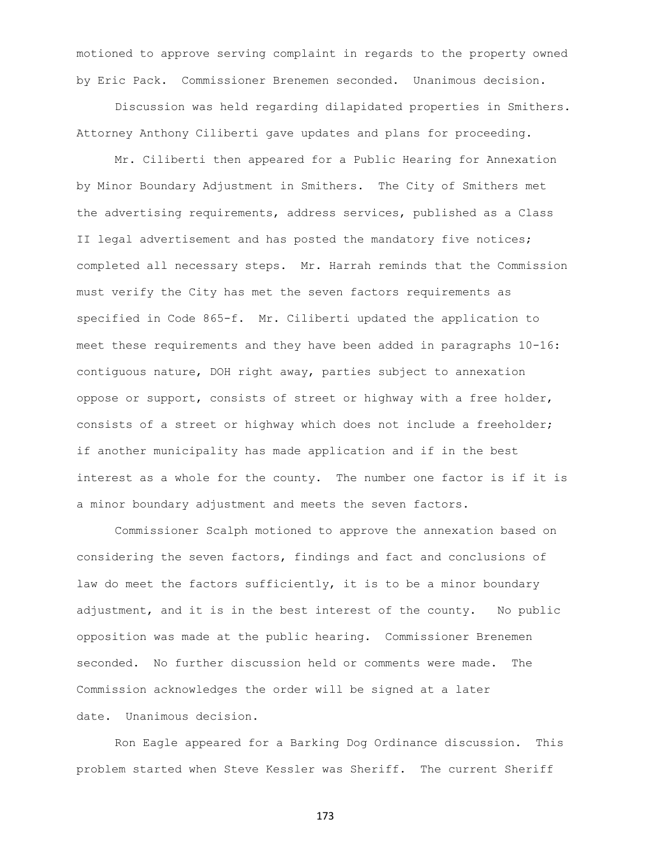motioned to approve serving complaint in regards to the property owned by Eric Pack. Commissioner Brenemen seconded. Unanimous decision.

Discussion was held regarding dilapidated properties in Smithers. Attorney Anthony Ciliberti gave updates and plans for proceeding.

Mr. Ciliberti then appeared for a Public Hearing for Annexation by Minor Boundary Adjustment in Smithers. The City of Smithers met the advertising requirements, address services, published as a Class II legal advertisement and has posted the mandatory five notices; completed all necessary steps. Mr. Harrah reminds that the Commission must verify the City has met the seven factors requirements as specified in Code 865-f. Mr. Ciliberti updated the application to meet these requirements and they have been added in paragraphs 10-16: contiguous nature, DOH right away, parties subject to annexation oppose or support, consists of street or highway with a free holder, consists of a street or highway which does not include a freeholder; if another municipality has made application and if in the best interest as a whole for the county. The number one factor is if it is a minor boundary adjustment and meets the seven factors.

Commissioner Scalph motioned to approve the annexation based on considering the seven factors, findings and fact and conclusions of law do meet the factors sufficiently, it is to be a minor boundary adjustment, and it is in the best interest of the county. No public opposition was made at the public hearing. Commissioner Brenemen seconded. No further discussion held or comments were made. The Commission acknowledges the order will be signed at a later date. Unanimous decision.

Ron Eagle appeared for a Barking Dog Ordinance discussion. This problem started when Steve Kessler was Sheriff. The current Sheriff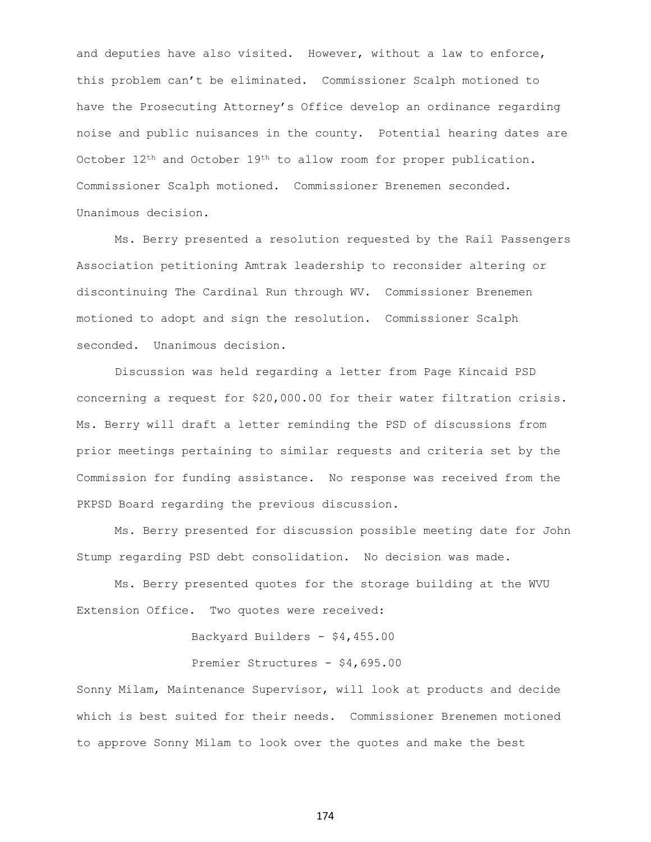and deputies have also visited. However, without a law to enforce, this problem can't be eliminated. Commissioner Scalph motioned to have the Prosecuting Attorney's Office develop an ordinance regarding noise and public nuisances in the county. Potential hearing dates are October  $12<sup>th</sup>$  and October  $19<sup>th</sup>$  to allow room for proper publication. Commissioner Scalph motioned. Commissioner Brenemen seconded. Unanimous decision.

Ms. Berry presented a resolution requested by the Rail Passengers Association petitioning Amtrak leadership to reconsider altering or discontinuing The Cardinal Run through WV. Commissioner Brenemen motioned to adopt and sign the resolution. Commissioner Scalph seconded. Unanimous decision.

Discussion was held regarding a letter from Page Kincaid PSD concerning a request for \$20,000.00 for their water filtration crisis. Ms. Berry will draft a letter reminding the PSD of discussions from prior meetings pertaining to similar requests and criteria set by the Commission for funding assistance. No response was received from the PKPSD Board regarding the previous discussion.

Ms. Berry presented for discussion possible meeting date for John Stump regarding PSD debt consolidation. No decision was made.

Ms. Berry presented quotes for the storage building at the WVU Extension Office. Two quotes were received:

Backyard Builders - \$4,455.00

Premier Structures - \$4,695.00

Sonny Milam, Maintenance Supervisor, will look at products and decide which is best suited for their needs. Commissioner Brenemen motioned to approve Sonny Milam to look over the quotes and make the best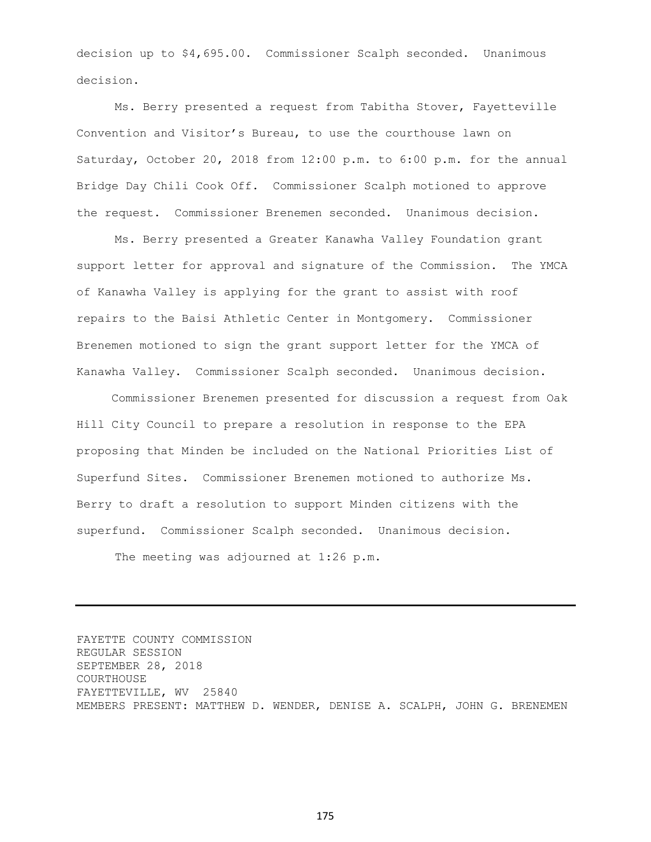decision up to \$4,695.00. Commissioner Scalph seconded. Unanimous decision.

Ms. Berry presented a request from Tabitha Stover, Fayetteville Convention and Visitor's Bureau, to use the courthouse lawn on Saturday, October 20, 2018 from 12:00 p.m. to 6:00 p.m. for the annual Bridge Day Chili Cook Off. Commissioner Scalph motioned to approve the request. Commissioner Brenemen seconded. Unanimous decision.

Ms. Berry presented a Greater Kanawha Valley Foundation grant support letter for approval and signature of the Commission. The YMCA of Kanawha Valley is applying for the grant to assist with roof repairs to the Baisi Athletic Center in Montgomery. Commissioner Brenemen motioned to sign the grant support letter for the YMCA of Kanawha Valley. Commissioner Scalph seconded. Unanimous decision.

 Commissioner Brenemen presented for discussion a request from Oak Hill City Council to prepare a resolution in response to the EPA proposing that Minden be included on the National Priorities List of Superfund Sites. Commissioner Brenemen motioned to authorize Ms. Berry to draft a resolution to support Minden citizens with the superfund. Commissioner Scalph seconded. Unanimous decision.

The meeting was adjourned at 1:26 p.m.

FAYETTE COUNTY COMMISSION REGULAR SESSION SEPTEMBER 28, 2018 COURTHOUSE FAYETTEVILLE, WV 25840 MEMBERS PRESENT: MATTHEW D. WENDER, DENISE A. SCALPH, JOHN G. BRENEMEN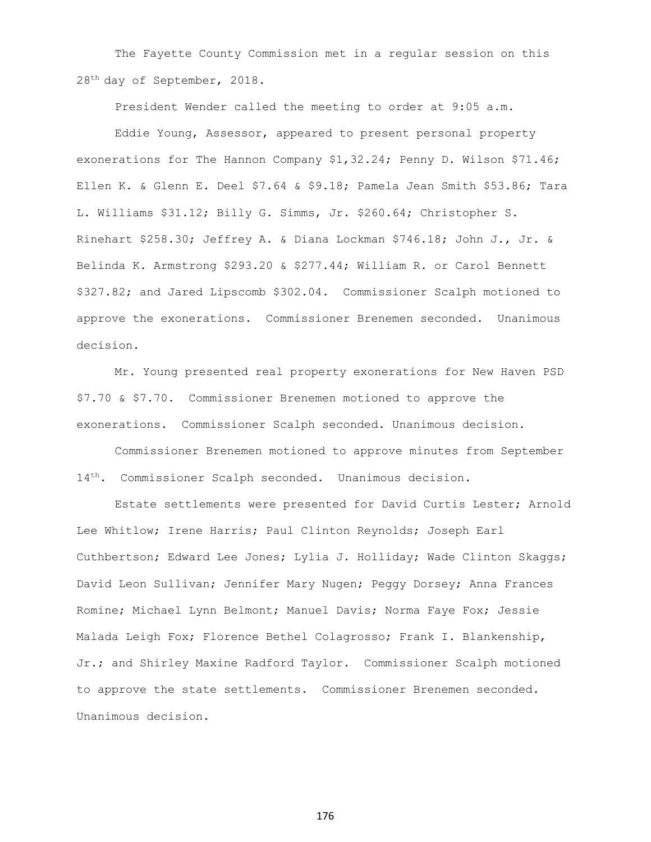The Fayette County Commission met in a regular session on this 28th day of September, 2018.

President Wender called the meeting to order at 9:05 a.m.

Eddie Young, Assessor, appeared to present personal property exonerations for The Hannon Company \$1,32.24; Penny D. Wilson \$71.46; Ellen K. & Glenn E. Deel \$7.64 & \$9.18; Pamela Jean Smith \$53.86; Tara L. Williams \$31.12; Billy G. Simms, Jr. \$260.64; Christopher S. Rinehart \$258.30; Jeffrey A. & Diana Lockman \$746.18; John J., Jr. & Belinda K. Armstrong \$293.20 & \$277.44; William R. or Carol Bennett \$327.82; and Jared Lipscomb \$302.04. Commissioner Scalph motioned to approve the exonerations. Commissioner Brenemen seconded. Unanimous decision.

Mr. Young presented real property exonerations for New Haven PSD \$7.70 & \$7.70. Commissioner Brenemen motioned to approve the exonerations. Commissioner Scalph seconded. Unanimous decision.

Commissioner Brenemen motioned to approve minutes from September 14<sup>th</sup>. Commissioner Scalph seconded. Unanimous decision.

Estate settlements were presented for David Curtis Lester; Arnold Lee Whitlow; Irene Harris; Paul Clinton Reynolds; Joseph Earl Cuthbertson; Edward Lee Jones; Lylia J. Holliday; Wade Clinton Skaggs; David Leon Sullivan; Jennifer Mary Nugen; Peggy Dorsey; Anna Frances Romine; Michael Lynn Belmont; Manuel Davis; Norma Faye Fox; Jessie Malada Leigh Fox; Florence Bethel Colagrosso; Frank I. Blankenship, Jr.; and Shirley Maxine Radford Taylor. Commissioner Scalph motioned to approve the state settlements. Commissioner Brenemen seconded. Unanimous decision.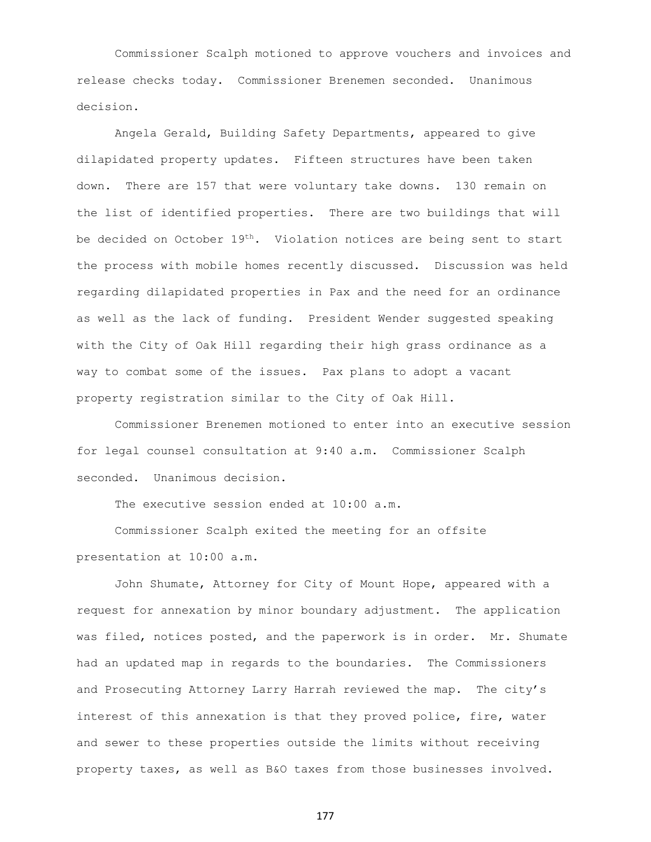Commissioner Scalph motioned to approve vouchers and invoices and release checks today. Commissioner Brenemen seconded. Unanimous decision.

Angela Gerald, Building Safety Departments, appeared to give dilapidated property updates. Fifteen structures have been taken down. There are 157 that were voluntary take downs. 130 remain on the list of identified properties. There are two buildings that will be decided on October  $19^{th}$ . Violation notices are being sent to start the process with mobile homes recently discussed. Discussion was held regarding dilapidated properties in Pax and the need for an ordinance as well as the lack of funding. President Wender suggested speaking with the City of Oak Hill regarding their high grass ordinance as a way to combat some of the issues. Pax plans to adopt a vacant property registration similar to the City of Oak Hill.

Commissioner Brenemen motioned to enter into an executive session for legal counsel consultation at 9:40 a.m. Commissioner Scalph seconded. Unanimous decision.

The executive session ended at 10:00 a.m.

Commissioner Scalph exited the meeting for an offsite presentation at 10:00 a.m.

John Shumate, Attorney for City of Mount Hope, appeared with a request for annexation by minor boundary adjustment. The application was filed, notices posted, and the paperwork is in order. Mr. Shumate had an updated map in regards to the boundaries. The Commissioners and Prosecuting Attorney Larry Harrah reviewed the map. The city's interest of this annexation is that they proved police, fire, water and sewer to these properties outside the limits without receiving property taxes, as well as B&O taxes from those businesses involved.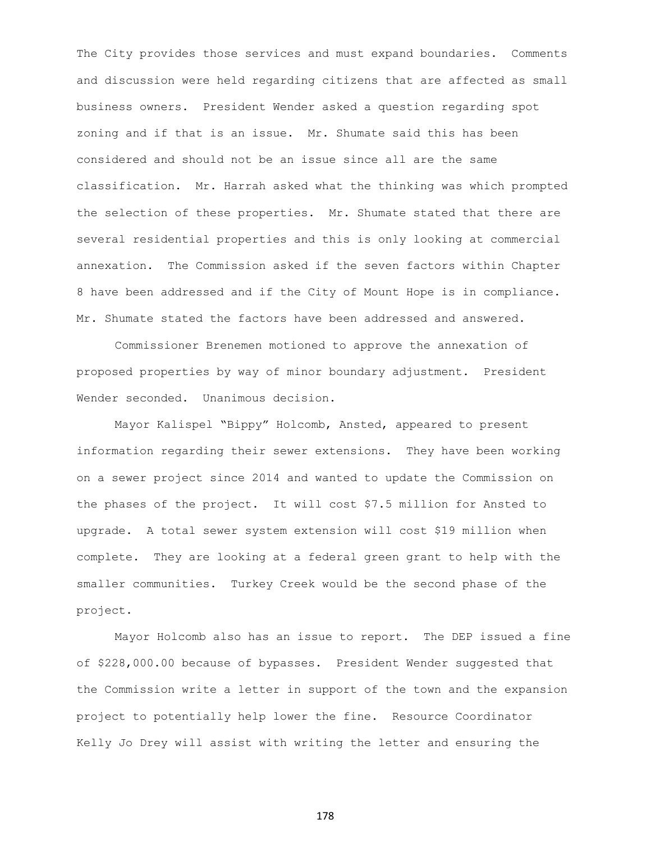The City provides those services and must expand boundaries. Comments and discussion were held regarding citizens that are affected as small business owners. President Wender asked a question regarding spot zoning and if that is an issue. Mr. Shumate said this has been considered and should not be an issue since all are the same classification. Mr. Harrah asked what the thinking was which prompted the selection of these properties. Mr. Shumate stated that there are several residential properties and this is only looking at commercial annexation. The Commission asked if the seven factors within Chapter 8 have been addressed and if the City of Mount Hope is in compliance. Mr. Shumate stated the factors have been addressed and answered.

Commissioner Brenemen motioned to approve the annexation of proposed properties by way of minor boundary adjustment. President Wender seconded. Unanimous decision.

Mayor Kalispel "Bippy" Holcomb, Ansted, appeared to present information regarding their sewer extensions. They have been working on a sewer project since 2014 and wanted to update the Commission on the phases of the project. It will cost \$7.5 million for Ansted to upgrade. A total sewer system extension will cost \$19 million when complete. They are looking at a federal green grant to help with the smaller communities. Turkey Creek would be the second phase of the project.

Mayor Holcomb also has an issue to report. The DEP issued a fine of \$228,000.00 because of bypasses. President Wender suggested that the Commission write a letter in support of the town and the expansion project to potentially help lower the fine. Resource Coordinator Kelly Jo Drey will assist with writing the letter and ensuring the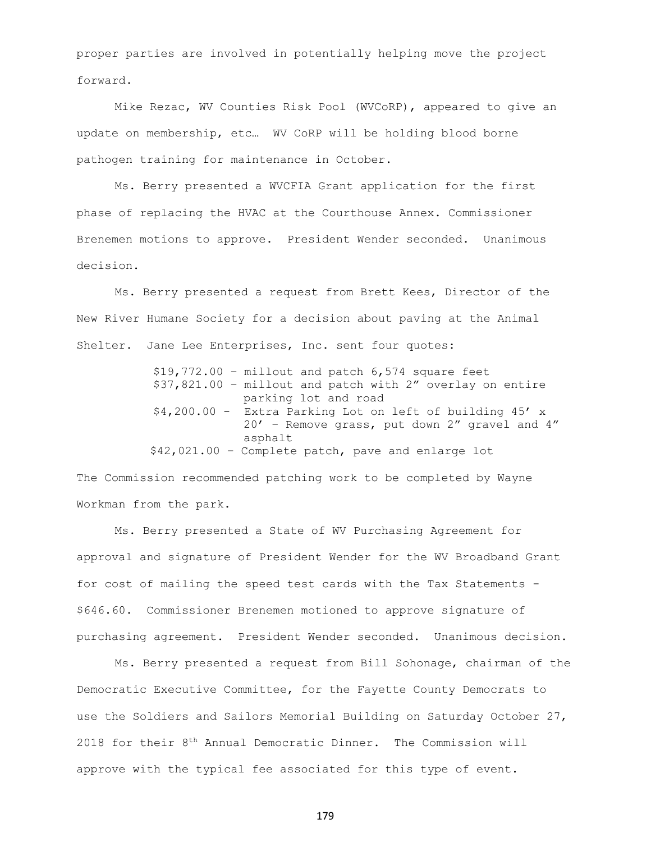proper parties are involved in potentially helping move the project forward.

Mike Rezac, WV Counties Risk Pool (WVCoRP), appeared to give an update on membership, etc… WV CoRP will be holding blood borne pathogen training for maintenance in October.

Ms. Berry presented a WVCFIA Grant application for the first phase of replacing the HVAC at the Courthouse Annex. Commissioner Brenemen motions to approve. President Wender seconded. Unanimous decision.

Ms. Berry presented a request from Brett Kees, Director of the New River Humane Society for a decision about paving at the Animal Shelter. Jane Lee Enterprises, Inc. sent four quotes:

> $$19,772.00$  - millout and patch  $6,574$  square feet \$37,821.00 – millout and patch with 2" overlay on entire parking lot and road \$4,200.00 - Extra Parking Lot on left of building 45' x 20' – Remove grass, put down 2" gravel and 4" asphalt \$42,021.00 – Complete patch, pave and enlarge lot

The Commission recommended patching work to be completed by Wayne Workman from the park.

Ms. Berry presented a State of WV Purchasing Agreement for approval and signature of President Wender for the WV Broadband Grant for cost of mailing the speed test cards with the Tax Statements - \$646.60. Commissioner Brenemen motioned to approve signature of purchasing agreement. President Wender seconded. Unanimous decision.

Ms. Berry presented a request from Bill Sohonage, chairman of the Democratic Executive Committee, for the Fayette County Democrats to use the Soldiers and Sailors Memorial Building on Saturday October 27, 2018 for their 8<sup>th</sup> Annual Democratic Dinner. The Commission will approve with the typical fee associated for this type of event.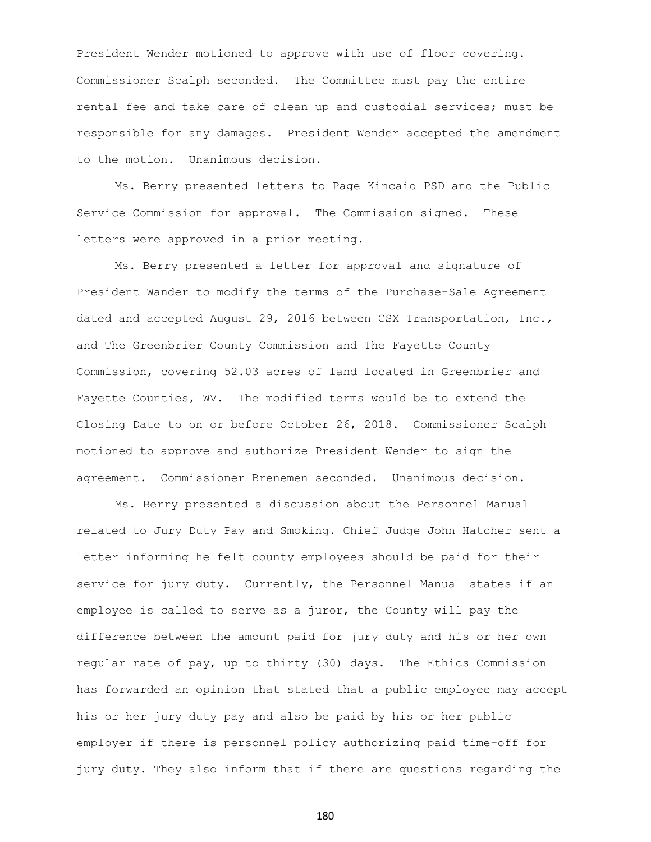President Wender motioned to approve with use of floor covering. Commissioner Scalph seconded. The Committee must pay the entire rental fee and take care of clean up and custodial services; must be responsible for any damages. President Wender accepted the amendment to the motion. Unanimous decision.

Ms. Berry presented letters to Page Kincaid PSD and the Public Service Commission for approval. The Commission signed. These letters were approved in a prior meeting.

Ms. Berry presented a letter for approval and signature of President Wander to modify the terms of the Purchase-Sale Agreement dated and accepted August 29, 2016 between CSX Transportation, Inc., and The Greenbrier County Commission and The Fayette County Commission, covering 52.03 acres of land located in Greenbrier and Fayette Counties, WV. The modified terms would be to extend the Closing Date to on or before October 26, 2018. Commissioner Scalph motioned to approve and authorize President Wender to sign the agreement. Commissioner Brenemen seconded. Unanimous decision.

Ms. Berry presented a discussion about the Personnel Manual related to Jury Duty Pay and Smoking. Chief Judge John Hatcher sent a letter informing he felt county employees should be paid for their service for jury duty. Currently, the Personnel Manual states if an employee is called to serve as a juror, the County will pay the difference between the amount paid for jury duty and his or her own regular rate of pay, up to thirty (30) days. The Ethics Commission has forwarded an opinion that stated that a public employee may accept his or her jury duty pay and also be paid by his or her public employer if there is personnel policy authorizing paid time-off for jury duty. They also inform that if there are questions regarding the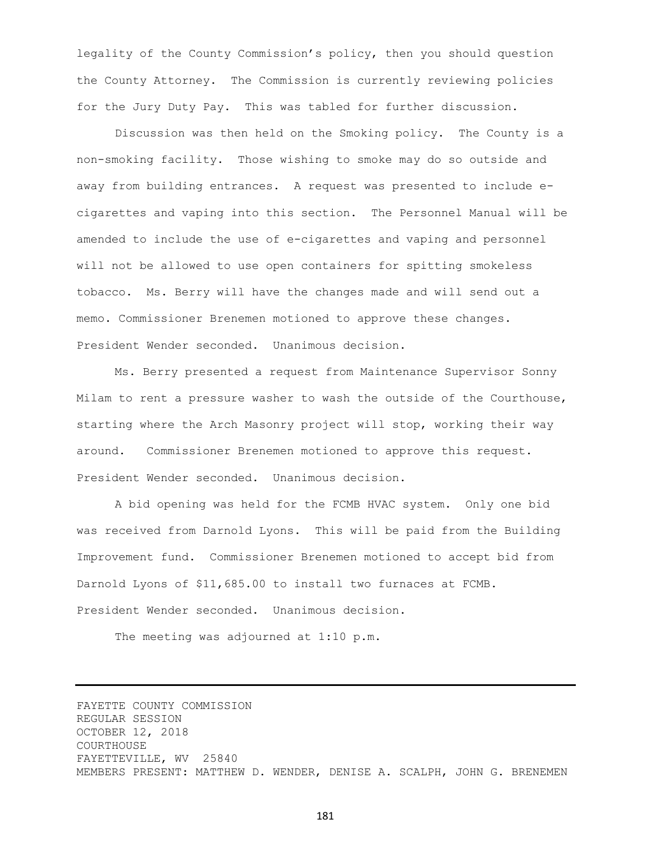legality of the County Commission's policy, then you should question the County Attorney. The Commission is currently reviewing policies for the Jury Duty Pay. This was tabled for further discussion.

Discussion was then held on the Smoking policy. The County is a non-smoking facility. Those wishing to smoke may do so outside and away from building entrances. A request was presented to include ecigarettes and vaping into this section. The Personnel Manual will be amended to include the use of e-cigarettes and vaping and personnel will not be allowed to use open containers for spitting smokeless tobacco. Ms. Berry will have the changes made and will send out a memo. Commissioner Brenemen motioned to approve these changes. President Wender seconded. Unanimous decision.

Ms. Berry presented a request from Maintenance Supervisor Sonny Milam to rent a pressure washer to wash the outside of the Courthouse, starting where the Arch Masonry project will stop, working their way around. Commissioner Brenemen motioned to approve this request. President Wender seconded. Unanimous decision.

A bid opening was held for the FCMB HVAC system. Only one bid was received from Darnold Lyons. This will be paid from the Building Improvement fund. Commissioner Brenemen motioned to accept bid from Darnold Lyons of \$11,685.00 to install two furnaces at FCMB. President Wender seconded. Unanimous decision.

The meeting was adjourned at 1:10 p.m.

FAYETTE COUNTY COMMISSION REGULAR SESSION OCTOBER 12, 2018 COURTHOUSE FAYETTEVILLE, WV 25840 MEMBERS PRESENT: MATTHEW D. WENDER, DENISE A. SCALPH, JOHN G. BRENEMEN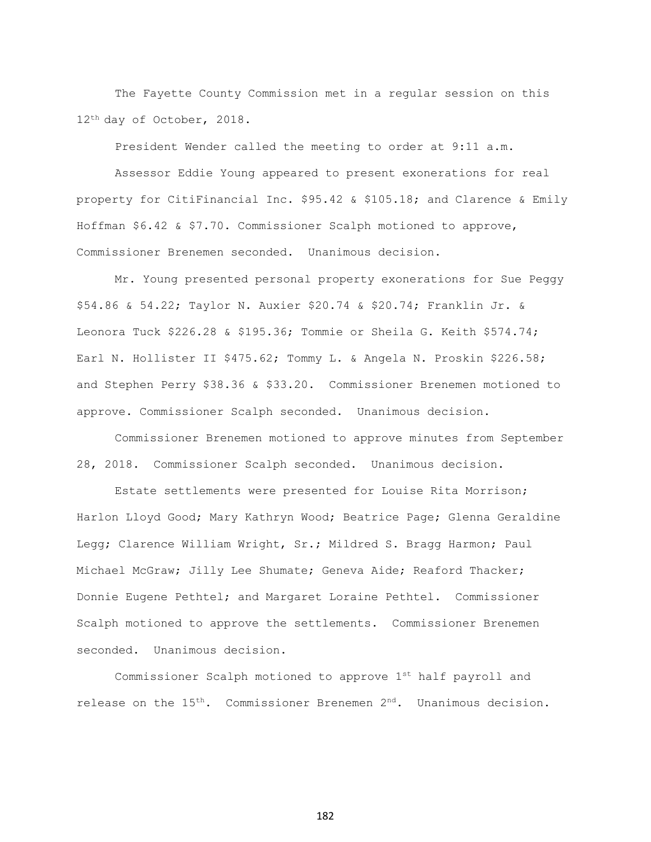The Fayette County Commission met in a regular session on this 12th day of October, 2018.

President Wender called the meeting to order at 9:11 a.m.

Assessor Eddie Young appeared to present exonerations for real property for CitiFinancial Inc. \$95.42 & \$105.18; and Clarence & Emily Hoffman \$6.42 & \$7.70. Commissioner Scalph motioned to approve, Commissioner Brenemen seconded. Unanimous decision.

Mr. Young presented personal property exonerations for Sue Peggy \$54.86 & 54.22; Taylor N. Auxier \$20.74 & \$20.74; Franklin Jr. & Leonora Tuck \$226.28 & \$195.36; Tommie or Sheila G. Keith \$574.74; Earl N. Hollister II \$475.62; Tommy L. & Angela N. Proskin \$226.58; and Stephen Perry \$38.36 & \$33.20. Commissioner Brenemen motioned to approve. Commissioner Scalph seconded. Unanimous decision.

Commissioner Brenemen motioned to approve minutes from September 28, 2018. Commissioner Scalph seconded. Unanimous decision.

Estate settlements were presented for Louise Rita Morrison; Harlon Lloyd Good; Mary Kathryn Wood; Beatrice Page; Glenna Geraldine Legg; Clarence William Wright, Sr.; Mildred S. Bragg Harmon; Paul Michael McGraw; Jilly Lee Shumate; Geneva Aide; Reaford Thacker; Donnie Eugene Pethtel; and Margaret Loraine Pethtel. Commissioner Scalph motioned to approve the settlements. Commissioner Brenemen seconded. Unanimous decision.

Commissioner Scalph motioned to approve 1st half payroll and release on the 15<sup>th</sup>. Commissioner Brenemen 2<sup>nd</sup>. Unanimous decision.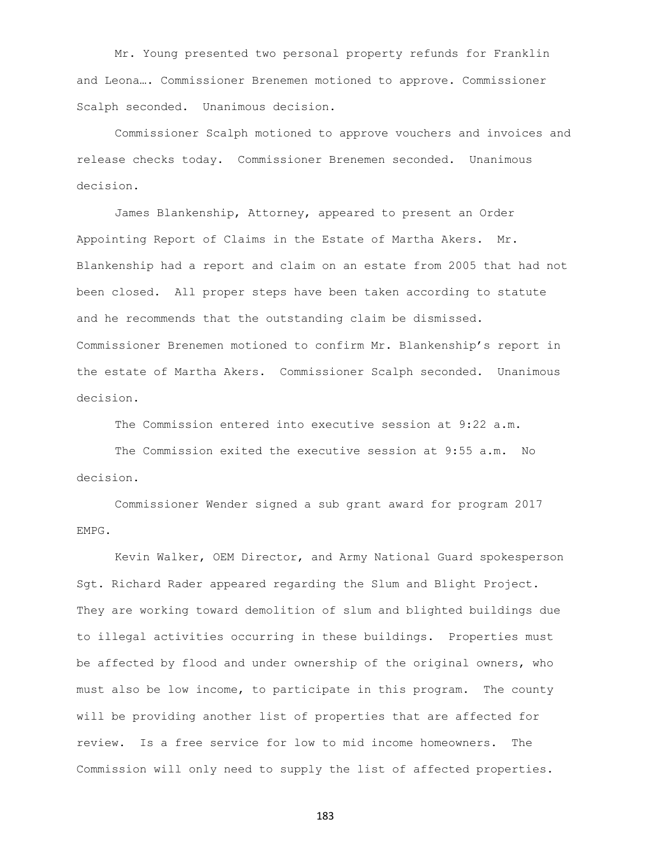Mr. Young presented two personal property refunds for Franklin and Leona…. Commissioner Brenemen motioned to approve. Commissioner Scalph seconded. Unanimous decision.

Commissioner Scalph motioned to approve vouchers and invoices and release checks today. Commissioner Brenemen seconded. Unanimous decision.

James Blankenship, Attorney, appeared to present an Order Appointing Report of Claims in the Estate of Martha Akers. Mr. Blankenship had a report and claim on an estate from 2005 that had not been closed. All proper steps have been taken according to statute and he recommends that the outstanding claim be dismissed. Commissioner Brenemen motioned to confirm Mr. Blankenship's report in the estate of Martha Akers. Commissioner Scalph seconded. Unanimous decision.

The Commission entered into executive session at 9:22 a.m.

The Commission exited the executive session at 9:55 a.m. No decision.

Commissioner Wender signed a sub grant award for program 2017 EMPG.

Kevin Walker, OEM Director, and Army National Guard spokesperson Sgt. Richard Rader appeared regarding the Slum and Blight Project. They are working toward demolition of slum and blighted buildings due to illegal activities occurring in these buildings. Properties must be affected by flood and under ownership of the original owners, who must also be low income, to participate in this program. The county will be providing another list of properties that are affected for review. Is a free service for low to mid income homeowners. The Commission will only need to supply the list of affected properties.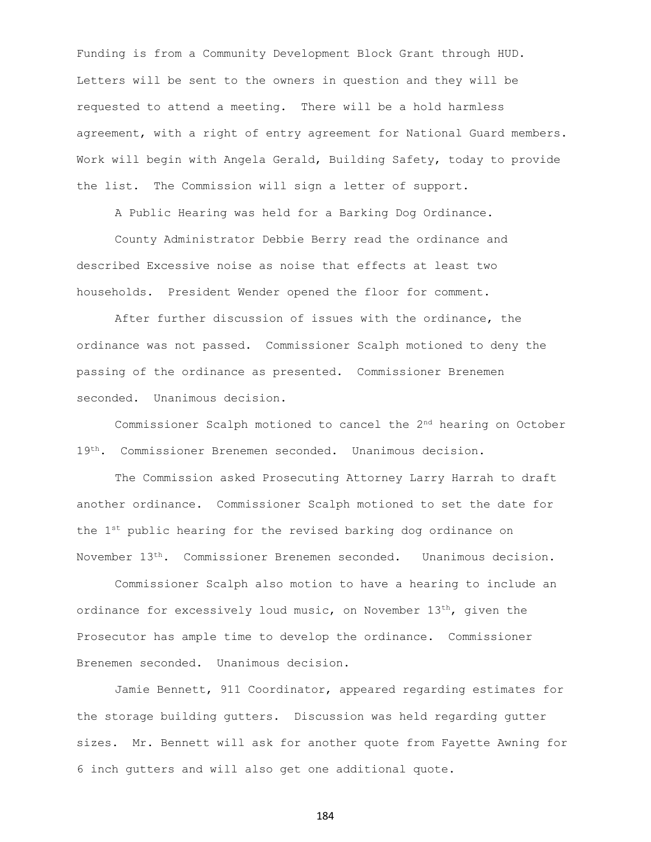Funding is from a Community Development Block Grant through HUD. Letters will be sent to the owners in question and they will be requested to attend a meeting. There will be a hold harmless agreement, with a right of entry agreement for National Guard members. Work will begin with Angela Gerald, Building Safety, today to provide the list. The Commission will sign a letter of support.

A Public Hearing was held for a Barking Dog Ordinance.

County Administrator Debbie Berry read the ordinance and described Excessive noise as noise that effects at least two households. President Wender opened the floor for comment.

After further discussion of issues with the ordinance, the ordinance was not passed. Commissioner Scalph motioned to deny the passing of the ordinance as presented. Commissioner Brenemen seconded. Unanimous decision.

Commissioner Scalph motioned to cancel the 2nd hearing on October 19th. Commissioner Brenemen seconded. Unanimous decision.

The Commission asked Prosecuting Attorney Larry Harrah to draft another ordinance. Commissioner Scalph motioned to set the date for the 1<sup>st</sup> public hearing for the revised barking dog ordinance on November 13th. Commissioner Brenemen seconded. Unanimous decision.

Commissioner Scalph also motion to have a hearing to include an ordinance for excessively loud music, on November  $13<sup>th</sup>$ , given the Prosecutor has ample time to develop the ordinance. Commissioner Brenemen seconded. Unanimous decision.

Jamie Bennett, 911 Coordinator, appeared regarding estimates for the storage building gutters. Discussion was held regarding gutter sizes. Mr. Bennett will ask for another quote from Fayette Awning for 6 inch gutters and will also get one additional quote.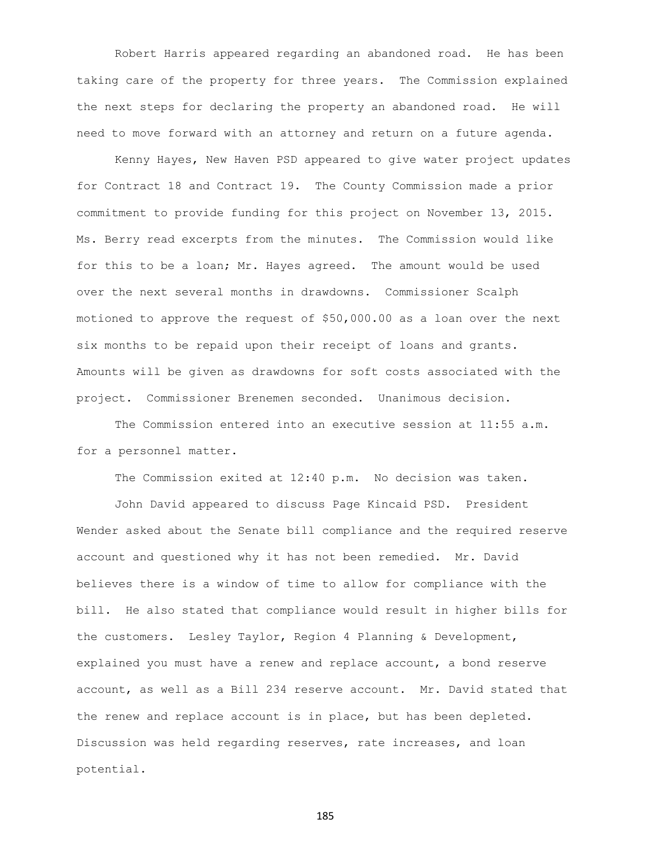Robert Harris appeared regarding an abandoned road. He has been taking care of the property for three years. The Commission explained the next steps for declaring the property an abandoned road. He will need to move forward with an attorney and return on a future agenda.

Kenny Hayes, New Haven PSD appeared to give water project updates for Contract 18 and Contract 19. The County Commission made a prior commitment to provide funding for this project on November 13, 2015. Ms. Berry read excerpts from the minutes. The Commission would like for this to be a loan; Mr. Hayes agreed. The amount would be used over the next several months in drawdowns. Commissioner Scalph motioned to approve the request of \$50,000.00 as a loan over the next six months to be repaid upon their receipt of loans and grants. Amounts will be given as drawdowns for soft costs associated with the project. Commissioner Brenemen seconded. Unanimous decision.

The Commission entered into an executive session at 11:55 a.m. for a personnel matter.

The Commission exited at 12:40 p.m. No decision was taken.

John David appeared to discuss Page Kincaid PSD. President Wender asked about the Senate bill compliance and the required reserve account and questioned why it has not been remedied. Mr. David believes there is a window of time to allow for compliance with the bill. He also stated that compliance would result in higher bills for the customers. Lesley Taylor, Region 4 Planning & Development, explained you must have a renew and replace account, a bond reserve account, as well as a Bill 234 reserve account. Mr. David stated that the renew and replace account is in place, but has been depleted. Discussion was held regarding reserves, rate increases, and loan potential.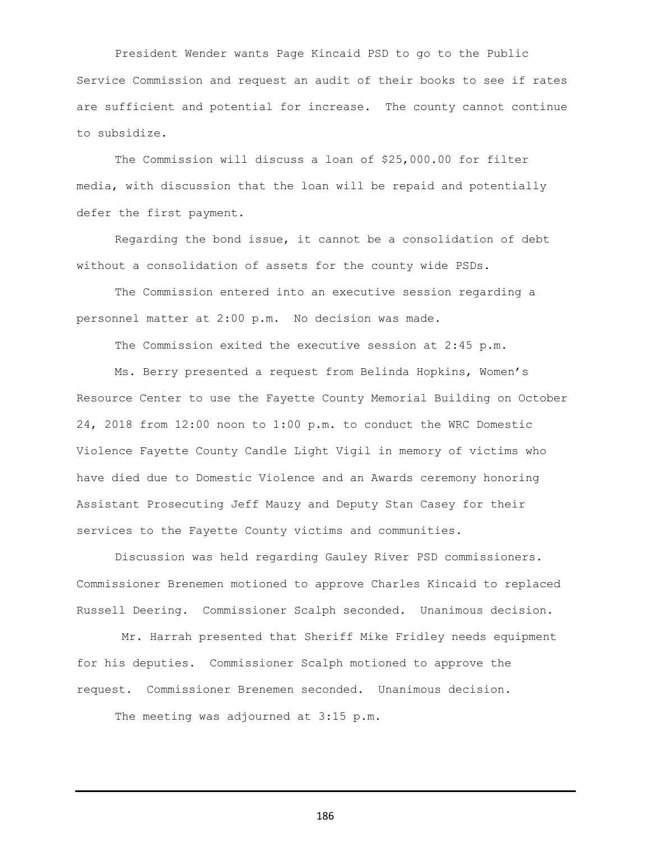President Wender wants Page Kincaid PSD to go to the Public Service Commission and request an audit of their books to see if rates are sufficient and potential for increase. The county cannot continue to subsidize.

The Commission will discuss a loan of \$25,000.00 for filter media, with discussion that the loan will be repaid and potentially defer the first payment.

Regarding the bond issue, it cannot be a consolidation of debt without a consolidation of assets for the county wide PSDs.

The Commission entered into an executive session regarding a personnel matter at 2:00 p.m. No decision was made.

The Commission exited the executive session at 2:45 p.m.

Ms. Berry presented a request from Belinda Hopkins, Women's Resource Center to use the Fayette County Memorial Building on October 24, 2018 from 12:00 noon to 1:00 p.m. to conduct the WRC Domestic Violence Fayette County Candle Light Vigil in memory of victims who have died due to Domestic Violence and an Awards ceremony honoring Assistant Prosecuting Jeff Mauzy and Deputy Stan Casey for their services to the Fayette County victims and communities.

Discussion was held regarding Gauley River PSD commissioners. Commissioner Brenemen motioned to approve Charles Kincaid to replaced Russell Deering. Commissioner Scalph seconded. Unanimous decision.

Mr. Harrah presented that Sheriff Mike Fridley needs equipment for his deputies. Commissioner Scalph motioned to approve the request. Commissioner Brenemen seconded. Unanimous decision.

The meeting was adjourned at 3:15 p.m.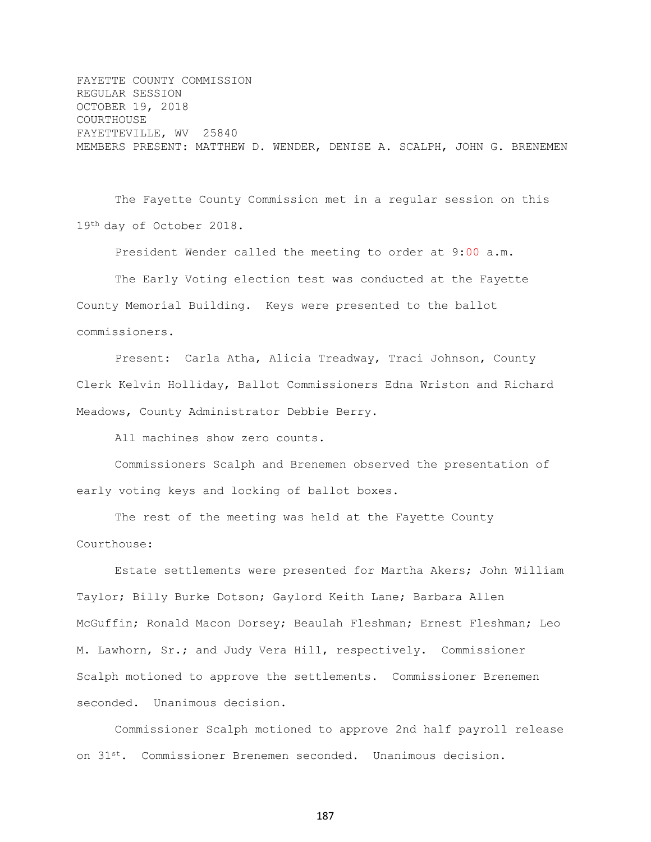FAYETTE COUNTY COMMISSION REGULAR SESSION OCTOBER 19, 2018 COURTHOUSE FAYETTEVILLE, WV 25840 MEMBERS PRESENT: MATTHEW D. WENDER, DENISE A. SCALPH, JOHN G. BRENEMEN

The Fayette County Commission met in a regular session on this 19th day of October 2018.

President Wender called the meeting to order at 9:00 a.m.

The Early Voting election test was conducted at the Fayette County Memorial Building. Keys were presented to the ballot commissioners.

Present: Carla Atha, Alicia Treadway, Traci Johnson, County Clerk Kelvin Holliday, Ballot Commissioners Edna Wriston and Richard Meadows, County Administrator Debbie Berry.

All machines show zero counts.

Commissioners Scalph and Brenemen observed the presentation of early voting keys and locking of ballot boxes.

The rest of the meeting was held at the Fayette County Courthouse:

Estate settlements were presented for Martha Akers; John William Taylor; Billy Burke Dotson; Gaylord Keith Lane; Barbara Allen McGuffin; Ronald Macon Dorsey; Beaulah Fleshman; Ernest Fleshman; Leo M. Lawhorn, Sr.; and Judy Vera Hill, respectively. Commissioner Scalph motioned to approve the settlements. Commissioner Brenemen seconded. Unanimous decision.

Commissioner Scalph motioned to approve 2nd half payroll release on 31st. Commissioner Brenemen seconded. Unanimous decision.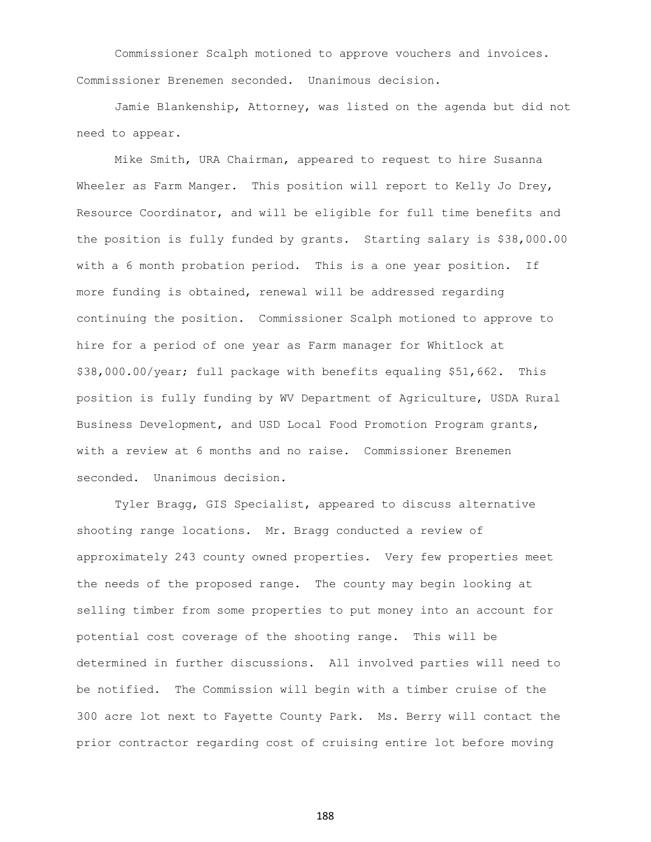Commissioner Scalph motioned to approve vouchers and invoices. Commissioner Brenemen seconded. Unanimous decision.

Jamie Blankenship, Attorney, was listed on the agenda but did not need to appear.

Mike Smith, URA Chairman, appeared to request to hire Susanna Wheeler as Farm Manger. This position will report to Kelly Jo Drey, Resource Coordinator, and will be eligible for full time benefits and the position is fully funded by grants. Starting salary is \$38,000.00 with a 6 month probation period. This is a one year position. If more funding is obtained, renewal will be addressed regarding continuing the position. Commissioner Scalph motioned to approve to hire for a period of one year as Farm manager for Whitlock at \$38,000.00/year; full package with benefits equaling \$51,662. This position is fully funding by WV Department of Agriculture, USDA Rural Business Development, and USD Local Food Promotion Program grants, with a review at 6 months and no raise. Commissioner Brenemen seconded. Unanimous decision.

Tyler Bragg, GIS Specialist, appeared to discuss alternative shooting range locations. Mr. Bragg conducted a review of approximately 243 county owned properties. Very few properties meet the needs of the proposed range. The county may begin looking at selling timber from some properties to put money into an account for potential cost coverage of the shooting range. This will be determined in further discussions. All involved parties will need to be notified. The Commission will begin with a timber cruise of the 300 acre lot next to Fayette County Park. Ms. Berry will contact the prior contractor regarding cost of cruising entire lot before moving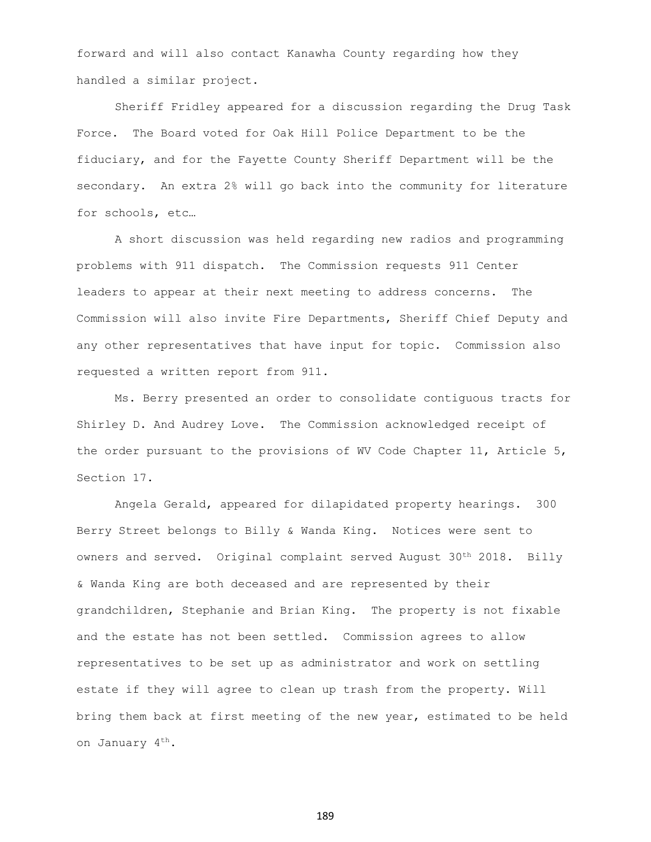forward and will also contact Kanawha County regarding how they handled a similar project.

Sheriff Fridley appeared for a discussion regarding the Drug Task Force. The Board voted for Oak Hill Police Department to be the fiduciary, and for the Fayette County Sheriff Department will be the secondary. An extra 2% will go back into the community for literature for schools, etc…

A short discussion was held regarding new radios and programming problems with 911 dispatch. The Commission requests 911 Center leaders to appear at their next meeting to address concerns. The Commission will also invite Fire Departments, Sheriff Chief Deputy and any other representatives that have input for topic. Commission also requested a written report from 911.

Ms. Berry presented an order to consolidate contiguous tracts for Shirley D. And Audrey Love. The Commission acknowledged receipt of the order pursuant to the provisions of WV Code Chapter 11, Article 5, Section 17.

Angela Gerald, appeared for dilapidated property hearings. 300 Berry Street belongs to Billy & Wanda King. Notices were sent to owners and served. Original complaint served August 30<sup>th</sup> 2018. Billy & Wanda King are both deceased and are represented by their grandchildren, Stephanie and Brian King. The property is not fixable and the estate has not been settled. Commission agrees to allow representatives to be set up as administrator and work on settling estate if they will agree to clean up trash from the property. Will bring them back at first meeting of the new year, estimated to be held on January 4th.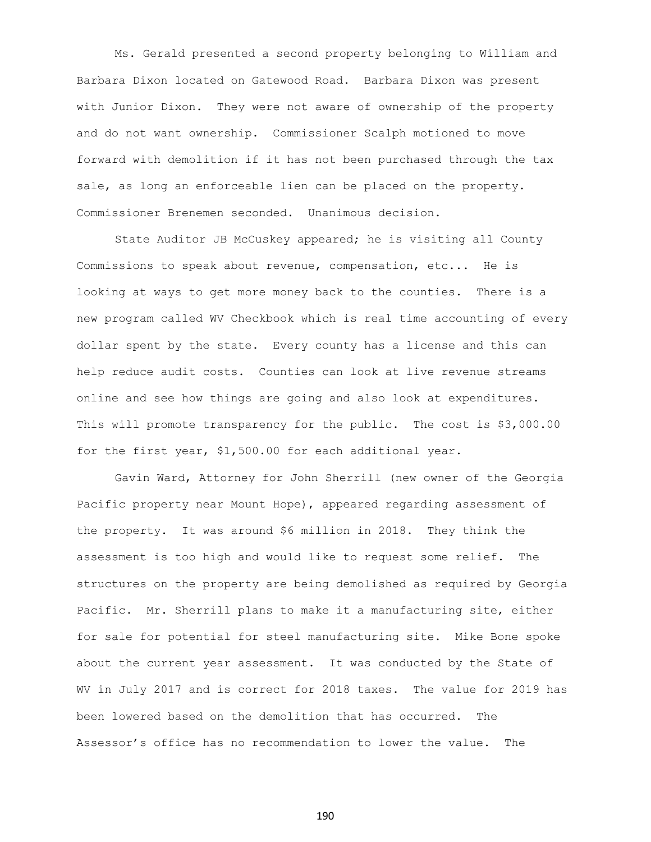Ms. Gerald presented a second property belonging to William and Barbara Dixon located on Gatewood Road. Barbara Dixon was present with Junior Dixon. They were not aware of ownership of the property and do not want ownership. Commissioner Scalph motioned to move forward with demolition if it has not been purchased through the tax sale, as long an enforceable lien can be placed on the property. Commissioner Brenemen seconded. Unanimous decision.

State Auditor JB McCuskey appeared; he is visiting all County Commissions to speak about revenue, compensation, etc... He is looking at ways to get more money back to the counties. There is a new program called WV Checkbook which is real time accounting of every dollar spent by the state. Every county has a license and this can help reduce audit costs. Counties can look at live revenue streams online and see how things are going and also look at expenditures. This will promote transparency for the public. The cost is \$3,000.00 for the first year, \$1,500.00 for each additional year.

Gavin Ward, Attorney for John Sherrill (new owner of the Georgia Pacific property near Mount Hope), appeared regarding assessment of the property. It was around \$6 million in 2018. They think the assessment is too high and would like to request some relief. The structures on the property are being demolished as required by Georgia Pacific. Mr. Sherrill plans to make it a manufacturing site, either for sale for potential for steel manufacturing site. Mike Bone spoke about the current year assessment. It was conducted by the State of WV in July 2017 and is correct for 2018 taxes. The value for 2019 has been lowered based on the demolition that has occurred. The Assessor's office has no recommendation to lower the value. The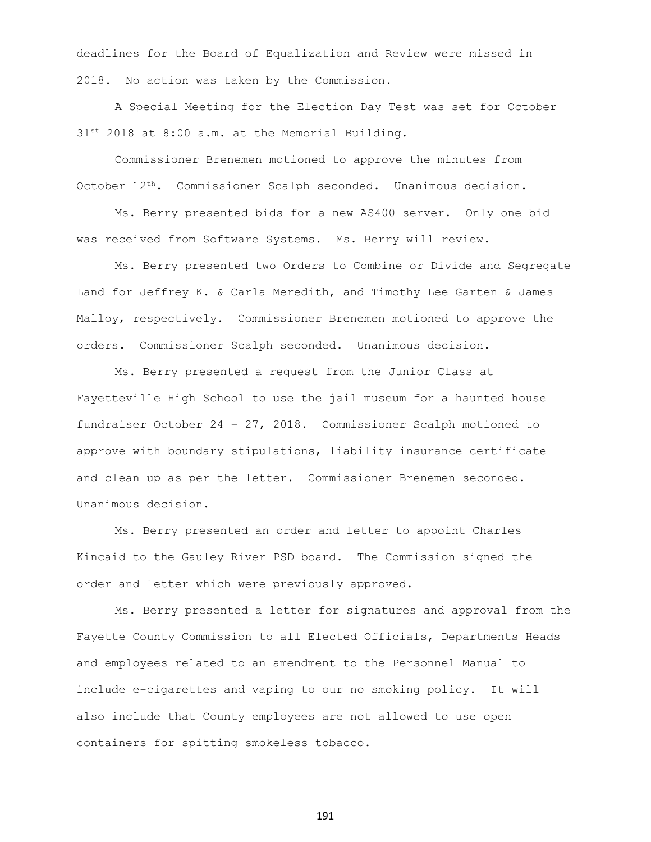deadlines for the Board of Equalization and Review were missed in 2018. No action was taken by the Commission.

A Special Meeting for the Election Day Test was set for October  $31^{st}$  2018 at 8:00 a.m. at the Memorial Building.

Commissioner Brenemen motioned to approve the minutes from October 12th. Commissioner Scalph seconded. Unanimous decision.

Ms. Berry presented bids for a new AS400 server. Only one bid was received from Software Systems. Ms. Berry will review.

Ms. Berry presented two Orders to Combine or Divide and Segregate Land for Jeffrey K. & Carla Meredith, and Timothy Lee Garten & James Malloy, respectively. Commissioner Brenemen motioned to approve the orders. Commissioner Scalph seconded. Unanimous decision.

Ms. Berry presented a request from the Junior Class at Fayetteville High School to use the jail museum for a haunted house fundraiser October 24 – 27, 2018. Commissioner Scalph motioned to approve with boundary stipulations, liability insurance certificate and clean up as per the letter. Commissioner Brenemen seconded. Unanimous decision.

Ms. Berry presented an order and letter to appoint Charles Kincaid to the Gauley River PSD board. The Commission signed the order and letter which were previously approved.

Ms. Berry presented a letter for signatures and approval from the Fayette County Commission to all Elected Officials, Departments Heads and employees related to an amendment to the Personnel Manual to include e-cigarettes and vaping to our no smoking policy. It will also include that County employees are not allowed to use open containers for spitting smokeless tobacco.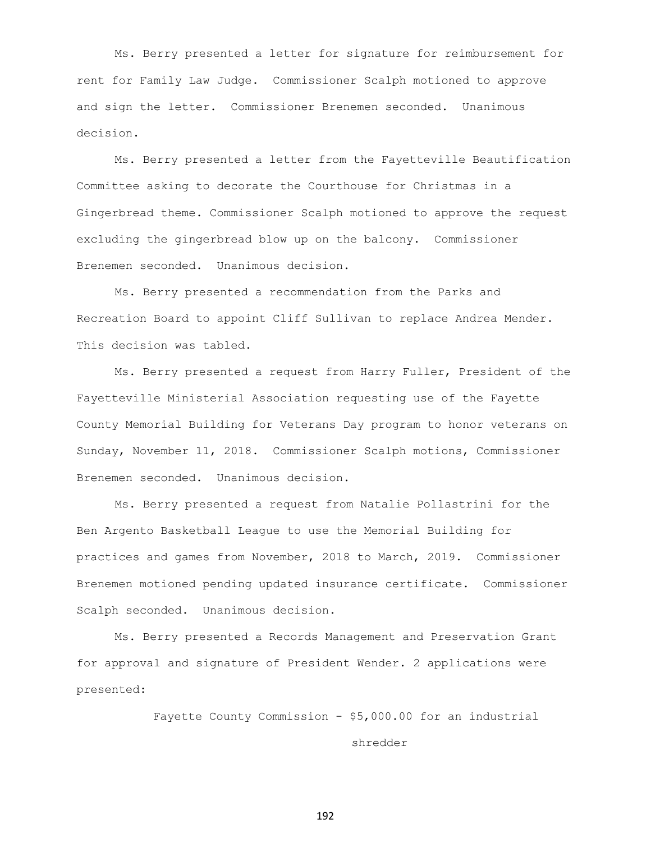Ms. Berry presented a letter for signature for reimbursement for rent for Family Law Judge. Commissioner Scalph motioned to approve and sign the letter. Commissioner Brenemen seconded. Unanimous decision.

Ms. Berry presented a letter from the Fayetteville Beautification Committee asking to decorate the Courthouse for Christmas in a Gingerbread theme. Commissioner Scalph motioned to approve the request excluding the gingerbread blow up on the balcony. Commissioner Brenemen seconded. Unanimous decision.

Ms. Berry presented a recommendation from the Parks and Recreation Board to appoint Cliff Sullivan to replace Andrea Mender. This decision was tabled.

Ms. Berry presented a request from Harry Fuller, President of the Fayetteville Ministerial Association requesting use of the Fayette County Memorial Building for Veterans Day program to honor veterans on Sunday, November 11, 2018. Commissioner Scalph motions, Commissioner Brenemen seconded. Unanimous decision.

Ms. Berry presented a request from Natalie Pollastrini for the Ben Argento Basketball League to use the Memorial Building for practices and games from November, 2018 to March, 2019. Commissioner Brenemen motioned pending updated insurance certificate. Commissioner Scalph seconded. Unanimous decision.

Ms. Berry presented a Records Management and Preservation Grant for approval and signature of President Wender. 2 applications were presented:

> Fayette County Commission - \$5,000.00 for an industrial shredder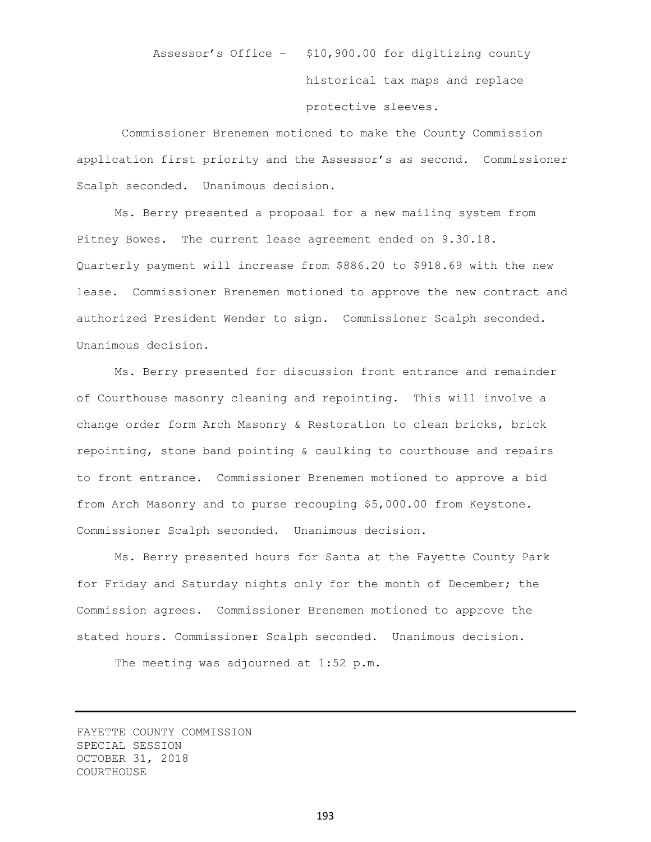Assessor's Office – \$10,900.00 for digitizing county historical tax maps and replace protective sleeves.

Commissioner Brenemen motioned to make the County Commission application first priority and the Assessor's as second. Commissioner Scalph seconded. Unanimous decision.

Ms. Berry presented a proposal for a new mailing system from Pitney Bowes. The current lease agreement ended on 9.30.18. Quarterly payment will increase from \$886.20 to \$918.69 with the new lease. Commissioner Brenemen motioned to approve the new contract and authorized President Wender to sign. Commissioner Scalph seconded. Unanimous decision.

Ms. Berry presented for discussion front entrance and remainder of Courthouse masonry cleaning and repointing. This will involve a change order form Arch Masonry & Restoration to clean bricks, brick repointing, stone band pointing & caulking to courthouse and repairs to front entrance. Commissioner Brenemen motioned to approve a bid from Arch Masonry and to purse recouping \$5,000.00 from Keystone. Commissioner Scalph seconded. Unanimous decision.

Ms. Berry presented hours for Santa at the Fayette County Park for Friday and Saturday nights only for the month of December; the Commission agrees. Commissioner Brenemen motioned to approve the stated hours. Commissioner Scalph seconded. Unanimous decision.

The meeting was adjourned at 1:52 p.m.

FAYETTE COUNTY COMMISSION SPECIAL SESSION OCTOBER 31, 2018 COURTHOUSE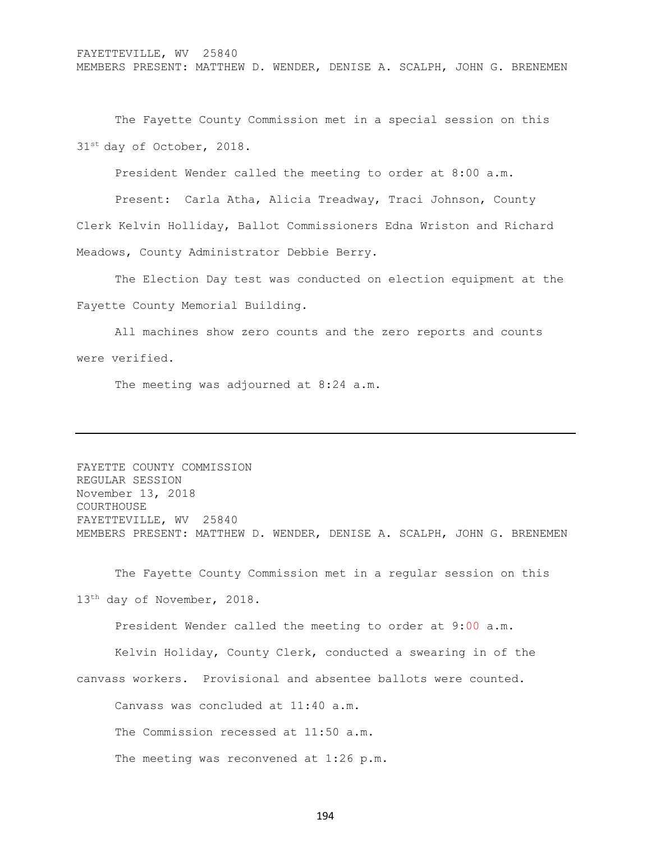FAYETTEVILLE, WV 25840 MEMBERS PRESENT: MATTHEW D. WENDER, DENISE A. SCALPH, JOHN G. BRENEMEN

The Fayette County Commission met in a special session on this 31st day of October, 2018.

President Wender called the meeting to order at 8:00 a.m.

Present: Carla Atha, Alicia Treadway, Traci Johnson, County Clerk Kelvin Holliday, Ballot Commissioners Edna Wriston and Richard Meadows, County Administrator Debbie Berry.

The Election Day test was conducted on election equipment at the Fayette County Memorial Building.

All machines show zero counts and the zero reports and counts were verified.

The meeting was adjourned at 8:24 a.m.

FAYETTE COUNTY COMMISSION REGULAR SESSION November 13, 2018 COURTHOUSE FAYETTEVILLE, WV 25840 MEMBERS PRESENT: MATTHEW D. WENDER, DENISE A. SCALPH, JOHN G. BRENEMEN

The Fayette County Commission met in a regular session on this 13<sup>th</sup> day of November, 2018.

President Wender called the meeting to order at 9:00 a.m.

Kelvin Holiday, County Clerk, conducted a swearing in of the canvass workers. Provisional and absentee ballots were counted.

Canvass was concluded at 11:40 a.m.

The Commission recessed at 11:50 a.m.

The meeting was reconvened at 1:26 p.m.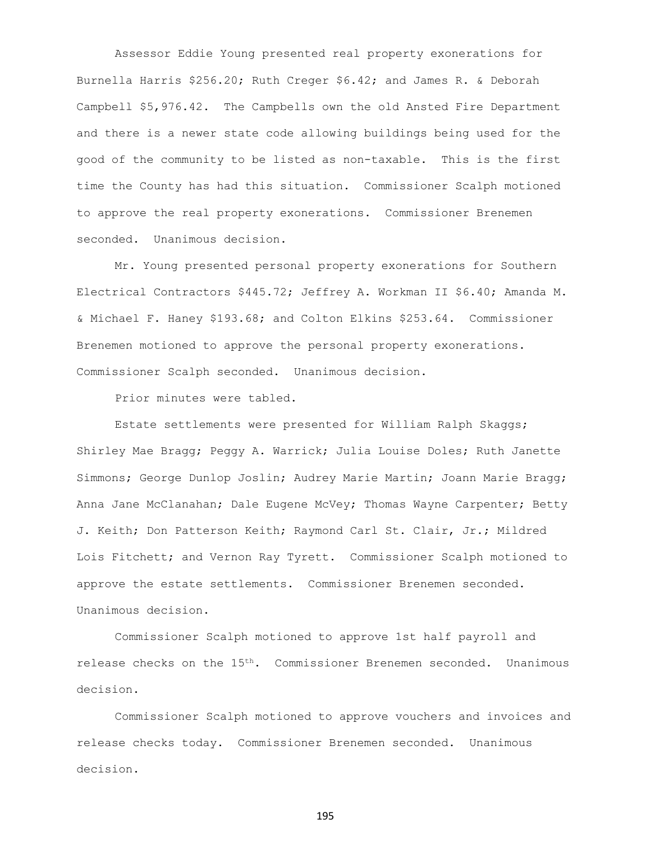Assessor Eddie Young presented real property exonerations for Burnella Harris \$256.20; Ruth Creger \$6.42; and James R. & Deborah Campbell \$5,976.42. The Campbells own the old Ansted Fire Department and there is a newer state code allowing buildings being used for the good of the community to be listed as non-taxable. This is the first time the County has had this situation. Commissioner Scalph motioned to approve the real property exonerations. Commissioner Brenemen seconded. Unanimous decision.

Mr. Young presented personal property exonerations for Southern Electrical Contractors \$445.72; Jeffrey A. Workman II \$6.40; Amanda M. & Michael F. Haney \$193.68; and Colton Elkins \$253.64. Commissioner Brenemen motioned to approve the personal property exonerations. Commissioner Scalph seconded. Unanimous decision.

Prior minutes were tabled.

Estate settlements were presented for William Ralph Skaggs; Shirley Mae Bragg; Peggy A. Warrick; Julia Louise Doles; Ruth Janette Simmons; George Dunlop Joslin; Audrey Marie Martin; Joann Marie Bragg; Anna Jane McClanahan; Dale Eugene McVey; Thomas Wayne Carpenter; Betty J. Keith; Don Patterson Keith; Raymond Carl St. Clair, Jr.; Mildred Lois Fitchett; and Vernon Ray Tyrett. Commissioner Scalph motioned to approve the estate settlements. Commissioner Brenemen seconded. Unanimous decision.

Commissioner Scalph motioned to approve 1st half payroll and release checks on the 15th. Commissioner Brenemen seconded. Unanimous decision.

Commissioner Scalph motioned to approve vouchers and invoices and release checks today. Commissioner Brenemen seconded. Unanimous decision.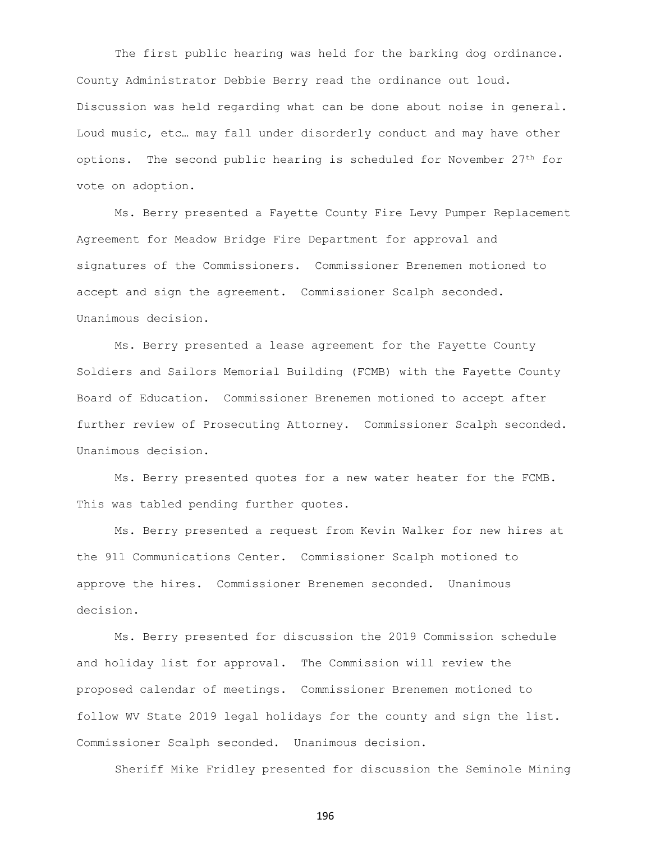The first public hearing was held for the barking dog ordinance. County Administrator Debbie Berry read the ordinance out loud. Discussion was held regarding what can be done about noise in general. Loud music, etc… may fall under disorderly conduct and may have other options. The second public hearing is scheduled for November  $27<sup>th</sup>$  for vote on adoption.

Ms. Berry presented a Fayette County Fire Levy Pumper Replacement Agreement for Meadow Bridge Fire Department for approval and signatures of the Commissioners. Commissioner Brenemen motioned to accept and sign the agreement. Commissioner Scalph seconded. Unanimous decision.

Ms. Berry presented a lease agreement for the Fayette County Soldiers and Sailors Memorial Building (FCMB) with the Fayette County Board of Education. Commissioner Brenemen motioned to accept after further review of Prosecuting Attorney. Commissioner Scalph seconded. Unanimous decision.

Ms. Berry presented quotes for a new water heater for the FCMB. This was tabled pending further quotes.

Ms. Berry presented a request from Kevin Walker for new hires at the 911 Communications Center. Commissioner Scalph motioned to approve the hires. Commissioner Brenemen seconded. Unanimous decision.

Ms. Berry presented for discussion the 2019 Commission schedule and holiday list for approval. The Commission will review the proposed calendar of meetings. Commissioner Brenemen motioned to follow WV State 2019 legal holidays for the county and sign the list. Commissioner Scalph seconded. Unanimous decision.

Sheriff Mike Fridley presented for discussion the Seminole Mining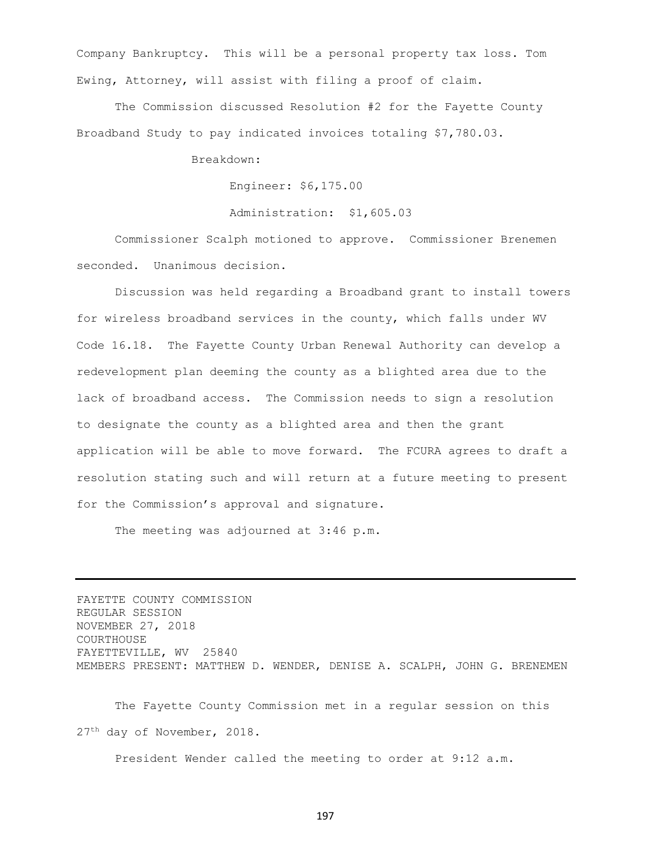Company Bankruptcy. This will be a personal property tax loss. Tom Ewing, Attorney, will assist with filing a proof of claim.

The Commission discussed Resolution #2 for the Fayette County Broadband Study to pay indicated invoices totaling \$7,780.03.

Breakdown:

Engineer: \$6,175.00

Administration: \$1,605.03

Commissioner Scalph motioned to approve. Commissioner Brenemen seconded. Unanimous decision.

Discussion was held regarding a Broadband grant to install towers for wireless broadband services in the county, which falls under WV Code 16.18. The Fayette County Urban Renewal Authority can develop a redevelopment plan deeming the county as a blighted area due to the lack of broadband access. The Commission needs to sign a resolution to designate the county as a blighted area and then the grant application will be able to move forward. The FCURA agrees to draft a resolution stating such and will return at a future meeting to present for the Commission's approval and signature.

The meeting was adjourned at 3:46 p.m.

FAYETTE COUNTY COMMISSION REGULAR SESSION NOVEMBER 27, 2018 COURTHOUSE FAYETTEVILLE, WV 25840 MEMBERS PRESENT: MATTHEW D. WENDER, DENISE A. SCALPH, JOHN G. BRENEMEN

The Fayette County Commission met in a regular session on this 27th day of November, 2018.

President Wender called the meeting to order at 9:12 a.m.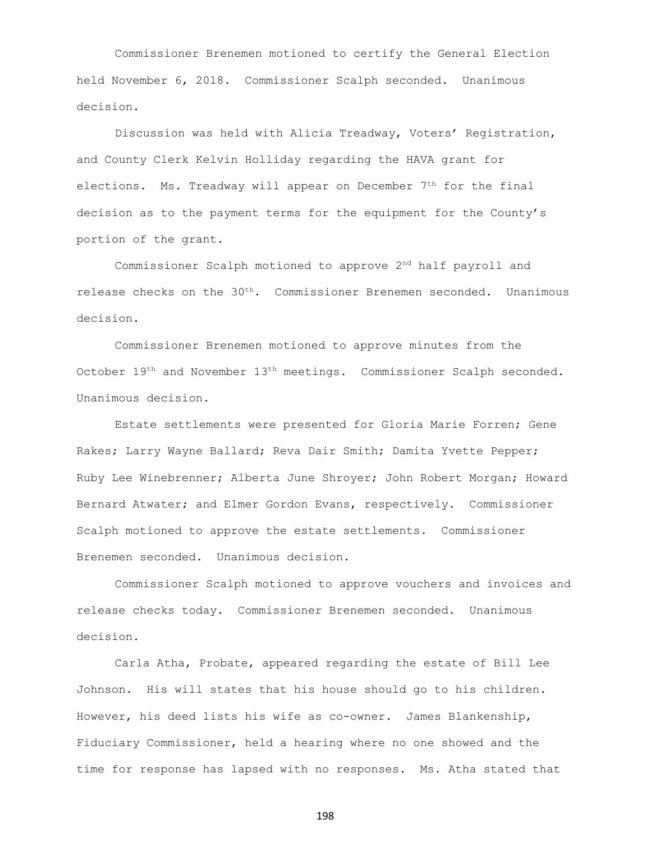Commissioner Brenemen motioned to certify the General Election held November 6, 2018. Commissioner Scalph seconded. Unanimous decision.

Discussion was held with Alicia Treadway, Voters' Registration, and County Clerk Kelvin Holliday regarding the HAVA grant for elections. Ms. Treadway will appear on December  $7<sup>th</sup>$  for the final decision as to the payment terms for the equipment for the County's portion of the grant.

Commissioner Scalph motioned to approve 2nd half payroll and release checks on the 30<sup>th</sup>. Commissioner Brenemen seconded. Unanimous decision.

Commissioner Brenemen motioned to approve minutes from the October 19th and November 13th meetings. Commissioner Scalph seconded. Unanimous decision.

Estate settlements were presented for Gloria Marie Forren; Gene Rakes; Larry Wayne Ballard; Reva Dair Smith; Damita Yvette Pepper; Ruby Lee Winebrenner; Alberta June Shroyer; John Robert Morgan; Howard Bernard Atwater; and Elmer Gordon Evans, respectively. Commissioner Scalph motioned to approve the estate settlements. Commissioner Brenemen seconded. Unanimous decision.

Commissioner Scalph motioned to approve vouchers and invoices and release checks today. Commissioner Brenemen seconded. Unanimous decision.

Carla Atha, Probate, appeared regarding the estate of Bill Lee Johnson. His will states that his house should go to his children. However, his deed lists his wife as co-owner. James Blankenship, Fiduciary Commissioner, held a hearing where no one showed and the time for response has lapsed with no responses. Ms. Atha stated that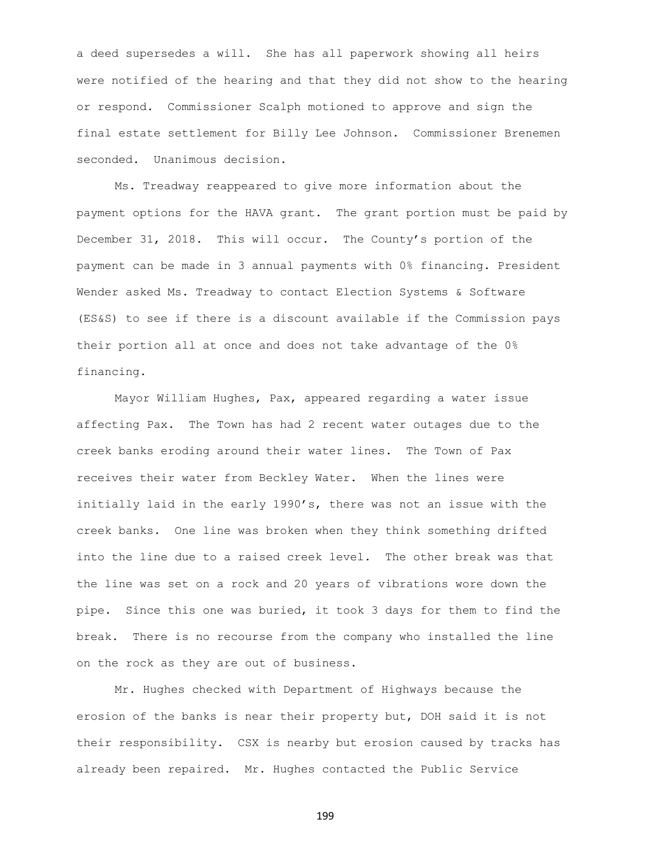a deed supersedes a will. She has all paperwork showing all heirs were notified of the hearing and that they did not show to the hearing or respond. Commissioner Scalph motioned to approve and sign the final estate settlement for Billy Lee Johnson. Commissioner Brenemen seconded. Unanimous decision.

Ms. Treadway reappeared to give more information about the payment options for the HAVA grant. The grant portion must be paid by December 31, 2018. This will occur. The County's portion of the payment can be made in 3 annual payments with 0% financing. President Wender asked Ms. Treadway to contact Election Systems & Software (ES&S) to see if there is a discount available if the Commission pays their portion all at once and does not take advantage of the 0% financing.

Mayor William Hughes, Pax, appeared regarding a water issue affecting Pax. The Town has had 2 recent water outages due to the creek banks eroding around their water lines. The Town of Pax receives their water from Beckley Water. When the lines were initially laid in the early 1990's, there was not an issue with the creek banks. One line was broken when they think something drifted into the line due to a raised creek level. The other break was that the line was set on a rock and 20 years of vibrations wore down the pipe. Since this one was buried, it took 3 days for them to find the break. There is no recourse from the company who installed the line on the rock as they are out of business.

Mr. Hughes checked with Department of Highways because the erosion of the banks is near their property but, DOH said it is not their responsibility. CSX is nearby but erosion caused by tracks has already been repaired. Mr. Hughes contacted the Public Service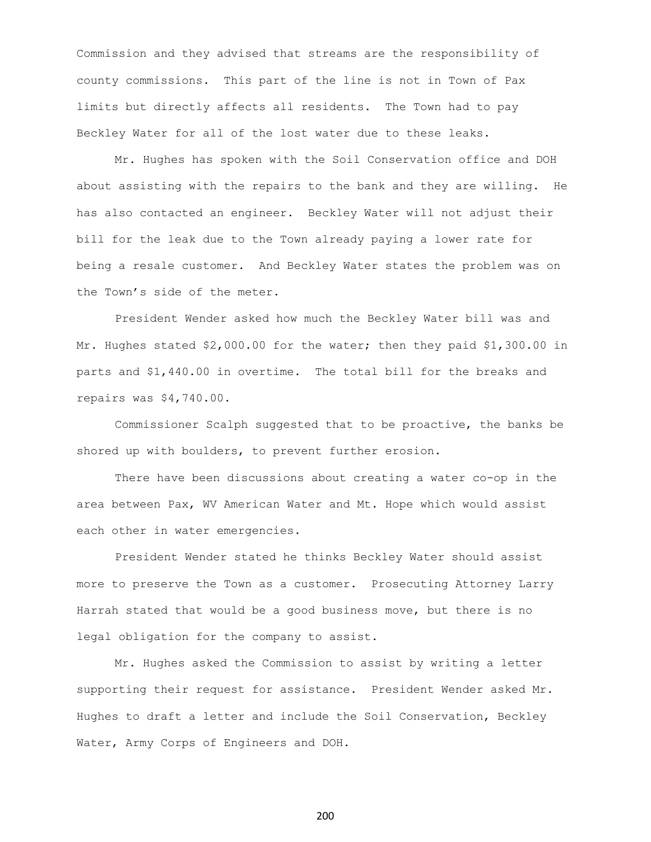Commission and they advised that streams are the responsibility of county commissions. This part of the line is not in Town of Pax limits but directly affects all residents. The Town had to pay Beckley Water for all of the lost water due to these leaks.

Mr. Hughes has spoken with the Soil Conservation office and DOH about assisting with the repairs to the bank and they are willing. He has also contacted an engineer. Beckley Water will not adjust their bill for the leak due to the Town already paying a lower rate for being a resale customer. And Beckley Water states the problem was on the Town's side of the meter.

President Wender asked how much the Beckley Water bill was and Mr. Hughes stated \$2,000.00 for the water; then they paid \$1,300.00 in parts and \$1,440.00 in overtime. The total bill for the breaks and repairs was \$4,740.00.

Commissioner Scalph suggested that to be proactive, the banks be shored up with boulders, to prevent further erosion.

There have been discussions about creating a water co-op in the area between Pax, WV American Water and Mt. Hope which would assist each other in water emergencies.

President Wender stated he thinks Beckley Water should assist more to preserve the Town as a customer. Prosecuting Attorney Larry Harrah stated that would be a good business move, but there is no legal obligation for the company to assist.

Mr. Hughes asked the Commission to assist by writing a letter supporting their request for assistance. President Wender asked Mr. Hughes to draft a letter and include the Soil Conservation, Beckley Water, Army Corps of Engineers and DOH.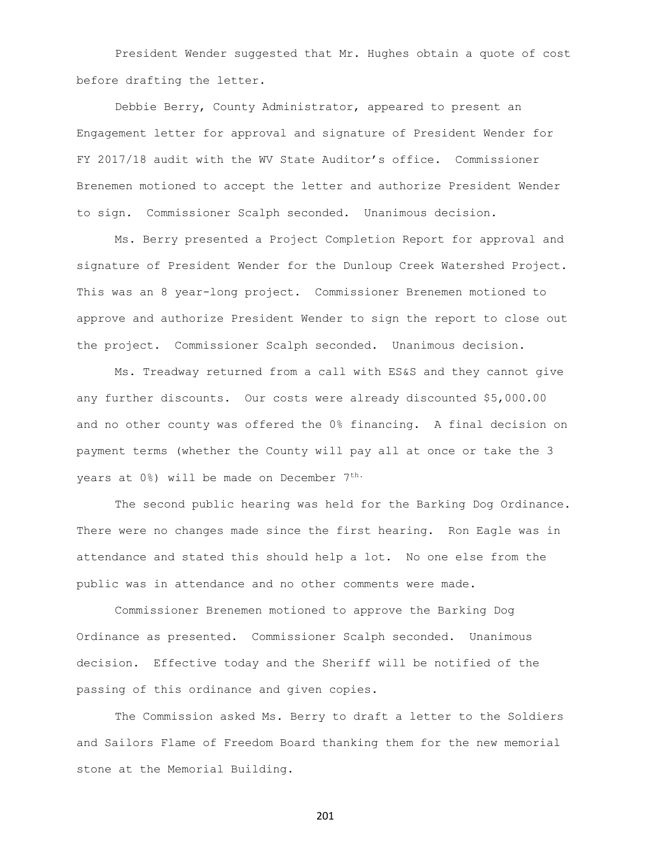President Wender suggested that Mr. Hughes obtain a quote of cost before drafting the letter.

Debbie Berry, County Administrator, appeared to present an Engagement letter for approval and signature of President Wender for FY 2017/18 audit with the WV State Auditor's office. Commissioner Brenemen motioned to accept the letter and authorize President Wender to sign. Commissioner Scalph seconded. Unanimous decision.

Ms. Berry presented a Project Completion Report for approval and signature of President Wender for the Dunloup Creek Watershed Project. This was an 8 year-long project. Commissioner Brenemen motioned to approve and authorize President Wender to sign the report to close out the project. Commissioner Scalph seconded. Unanimous decision.

Ms. Treadway returned from a call with ES&S and they cannot give any further discounts. Our costs were already discounted \$5,000.00 and no other county was offered the 0% financing. A final decision on payment terms (whether the County will pay all at once or take the 3 years at 0%) will be made on December 7<sup>th.</sup>

The second public hearing was held for the Barking Dog Ordinance. There were no changes made since the first hearing. Ron Eagle was in attendance and stated this should help a lot. No one else from the public was in attendance and no other comments were made.

Commissioner Brenemen motioned to approve the Barking Dog Ordinance as presented. Commissioner Scalph seconded. Unanimous decision. Effective today and the Sheriff will be notified of the passing of this ordinance and given copies.

The Commission asked Ms. Berry to draft a letter to the Soldiers and Sailors Flame of Freedom Board thanking them for the new memorial stone at the Memorial Building.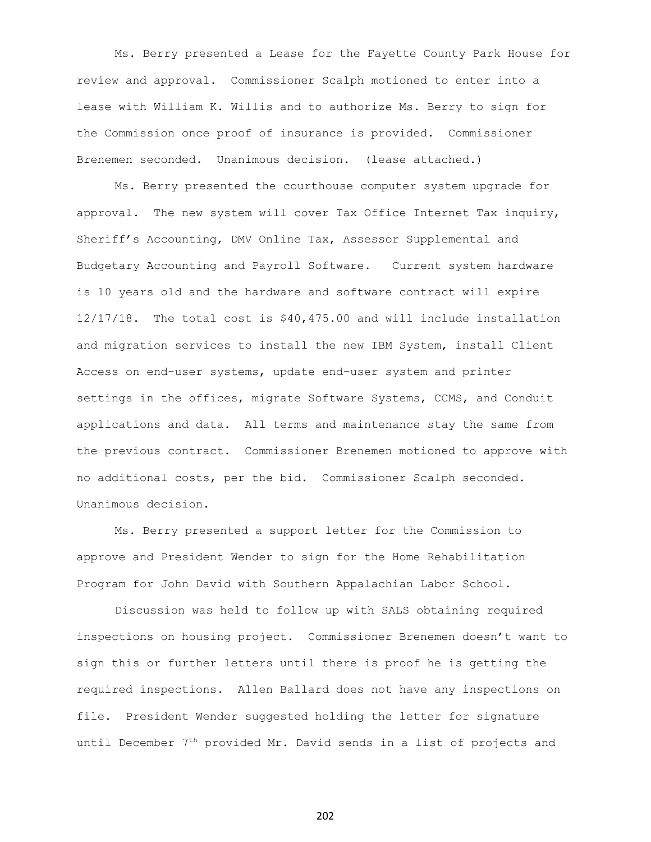Ms. Berry presented a Lease for the Fayette County Park House for review and approval. Commissioner Scalph motioned to enter into a lease with William K. Willis and to authorize Ms. Berry to sign for the Commission once proof of insurance is provided. Commissioner Brenemen seconded. Unanimous decision. (lease attached.)

Ms. Berry presented the courthouse computer system upgrade for approval. The new system will cover Tax Office Internet Tax inquiry, Sheriff's Accounting, DMV Online Tax, Assessor Supplemental and Budgetary Accounting and Payroll Software. Current system hardware is 10 years old and the hardware and software contract will expire 12/17/18. The total cost is \$40,475.00 and will include installation and migration services to install the new IBM System, install Client Access on end-user systems, update end-user system and printer settings in the offices, migrate Software Systems, CCMS, and Conduit applications and data. All terms and maintenance stay the same from the previous contract. Commissioner Brenemen motioned to approve with no additional costs, per the bid. Commissioner Scalph seconded. Unanimous decision.

Ms. Berry presented a support letter for the Commission to approve and President Wender to sign for the Home Rehabilitation Program for John David with Southern Appalachian Labor School.

Discussion was held to follow up with SALS obtaining required inspections on housing project. Commissioner Brenemen doesn't want to sign this or further letters until there is proof he is getting the required inspections. Allen Ballard does not have any inspections on file. President Wender suggested holding the letter for signature until December  $7<sup>th</sup>$  provided Mr. David sends in a list of projects and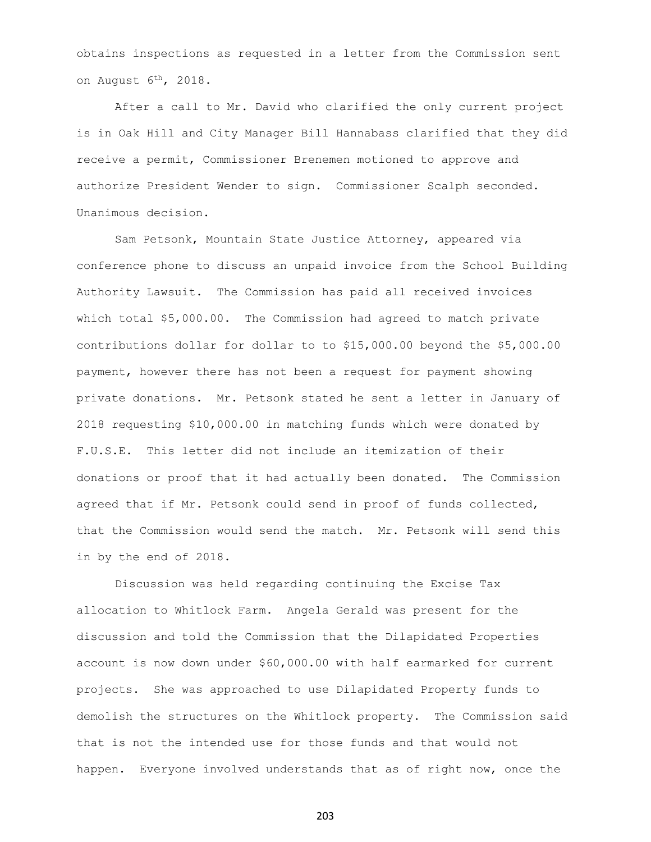obtains inspections as requested in a letter from the Commission sent on August 6<sup>th</sup>, 2018.

After a call to Mr. David who clarified the only current project is in Oak Hill and City Manager Bill Hannabass clarified that they did receive a permit, Commissioner Brenemen motioned to approve and authorize President Wender to sign. Commissioner Scalph seconded. Unanimous decision.

Sam Petsonk, Mountain State Justice Attorney, appeared via conference phone to discuss an unpaid invoice from the School Building Authority Lawsuit. The Commission has paid all received invoices which total \$5,000.00. The Commission had agreed to match private contributions dollar for dollar to to \$15,000.00 beyond the \$5,000.00 payment, however there has not been a request for payment showing private donations. Mr. Petsonk stated he sent a letter in January of 2018 requesting \$10,000.00 in matching funds which were donated by F.U.S.E. This letter did not include an itemization of their donations or proof that it had actually been donated. The Commission agreed that if Mr. Petsonk could send in proof of funds collected, that the Commission would send the match. Mr. Petsonk will send this in by the end of 2018.

Discussion was held regarding continuing the Excise Tax allocation to Whitlock Farm. Angela Gerald was present for the discussion and told the Commission that the Dilapidated Properties account is now down under \$60,000.00 with half earmarked for current projects. She was approached to use Dilapidated Property funds to demolish the structures on the Whitlock property. The Commission said that is not the intended use for those funds and that would not happen. Everyone involved understands that as of right now, once the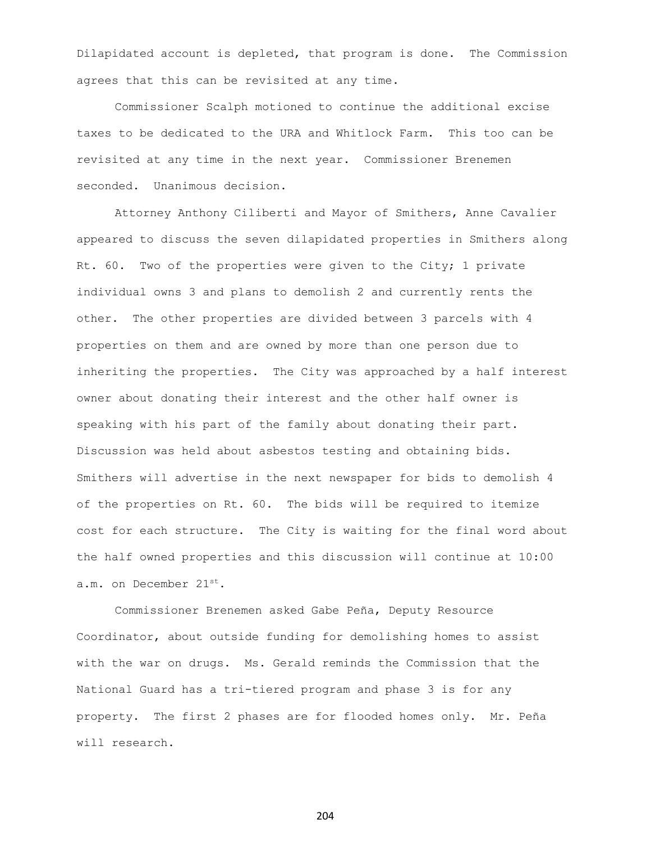Dilapidated account is depleted, that program is done. The Commission agrees that this can be revisited at any time.

Commissioner Scalph motioned to continue the additional excise taxes to be dedicated to the URA and Whitlock Farm. This too can be revisited at any time in the next year. Commissioner Brenemen seconded. Unanimous decision.

Attorney Anthony Ciliberti and Mayor of Smithers, Anne Cavalier appeared to discuss the seven dilapidated properties in Smithers along Rt. 60. Two of the properties were given to the City; 1 private individual owns 3 and plans to demolish 2 and currently rents the other. The other properties are divided between 3 parcels with 4 properties on them and are owned by more than one person due to inheriting the properties. The City was approached by a half interest owner about donating their interest and the other half owner is speaking with his part of the family about donating their part. Discussion was held about asbestos testing and obtaining bids. Smithers will advertise in the next newspaper for bids to demolish 4 of the properties on Rt. 60. The bids will be required to itemize cost for each structure. The City is waiting for the final word about the half owned properties and this discussion will continue at 10:00 a.m. on December 21st.

Commissioner Brenemen asked Gabe Peña, Deputy Resource Coordinator, about outside funding for demolishing homes to assist with the war on drugs. Ms. Gerald reminds the Commission that the National Guard has a tri-tiered program and phase 3 is for any property. The first 2 phases are for flooded homes only. Mr. Peña will research.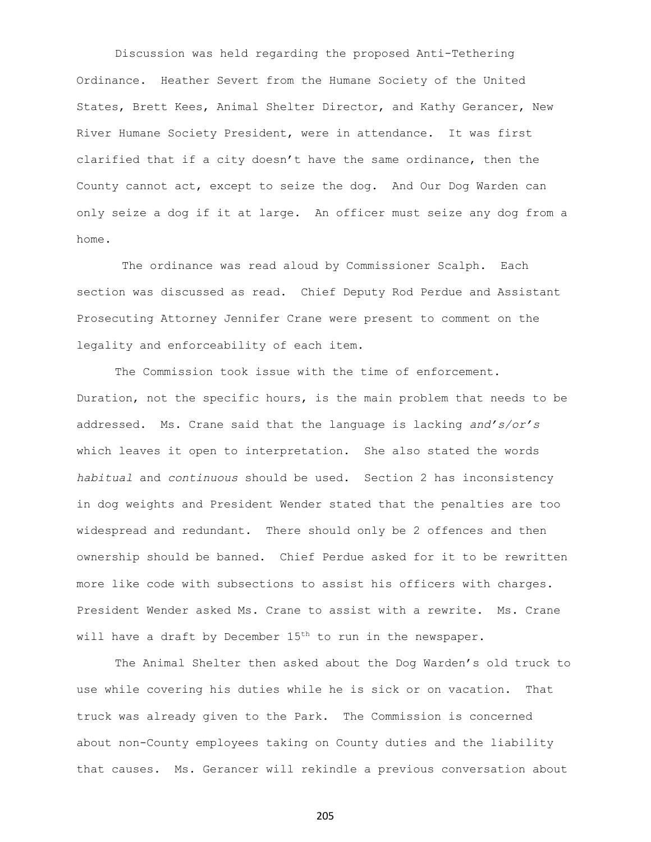Discussion was held regarding the proposed Anti-Tethering Ordinance. Heather Severt from the Humane Society of the United States, Brett Kees, Animal Shelter Director, and Kathy Gerancer, New River Humane Society President, were in attendance. It was first clarified that if a city doesn't have the same ordinance, then the County cannot act, except to seize the dog. And Our Dog Warden can only seize a dog if it at large. An officer must seize any dog from a home.

The ordinance was read aloud by Commissioner Scalph. Each section was discussed as read. Chief Deputy Rod Perdue and Assistant Prosecuting Attorney Jennifer Crane were present to comment on the legality and enforceability of each item.

The Commission took issue with the time of enforcement. Duration, not the specific hours, is the main problem that needs to be addressed. Ms. Crane said that the language is lacking *and's/or's* which leaves it open to interpretation. She also stated the words *habitual* and *continuous* should be used. Section 2 has inconsistency in dog weights and President Wender stated that the penalties are too widespread and redundant. There should only be 2 offences and then ownership should be banned. Chief Perdue asked for it to be rewritten more like code with subsections to assist his officers with charges. President Wender asked Ms. Crane to assist with a rewrite. Ms. Crane will have a draft by December  $15<sup>th</sup>$  to run in the newspaper.

The Animal Shelter then asked about the Dog Warden's old truck to use while covering his duties while he is sick or on vacation. That truck was already given to the Park. The Commission is concerned about non-County employees taking on County duties and the liability that causes. Ms. Gerancer will rekindle a previous conversation about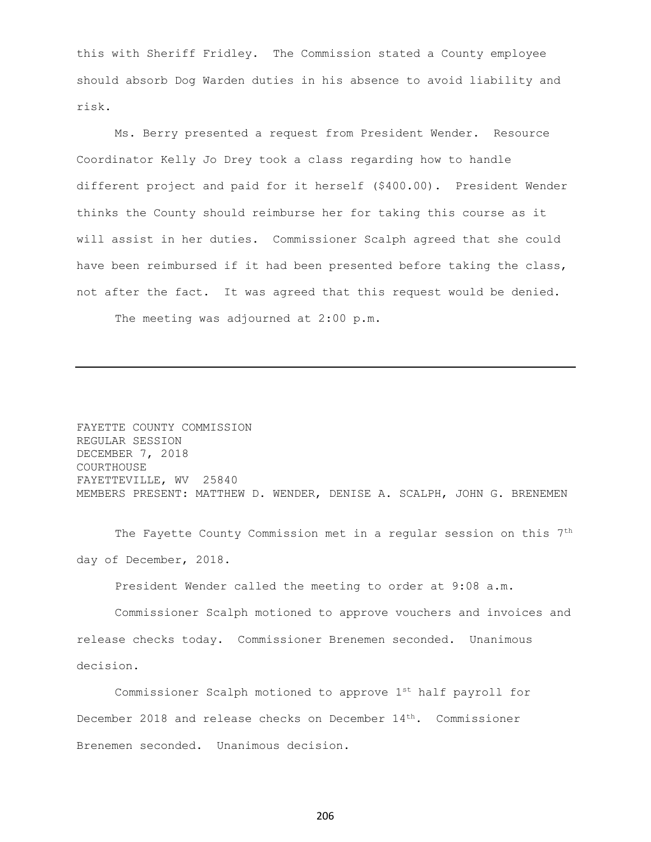this with Sheriff Fridley. The Commission stated a County employee should absorb Dog Warden duties in his absence to avoid liability and risk.

Ms. Berry presented a request from President Wender. Resource Coordinator Kelly Jo Drey took a class regarding how to handle different project and paid for it herself (\$400.00). President Wender thinks the County should reimburse her for taking this course as it will assist in her duties. Commissioner Scalph agreed that she could have been reimbursed if it had been presented before taking the class, not after the fact. It was agreed that this request would be denied.

The meeting was adjourned at 2:00 p.m.

FAYETTE COUNTY COMMISSION REGULAR SESSION DECEMBER 7, 2018 COURTHOUSE FAYETTEVILLE, WV 25840 MEMBERS PRESENT: MATTHEW D. WENDER, DENISE A. SCALPH, JOHN G. BRENEMEN

The Fayette County Commission met in a regular session on this 7th day of December, 2018.

President Wender called the meeting to order at 9:08 a.m.

Commissioner Scalph motioned to approve vouchers and invoices and release checks today. Commissioner Brenemen seconded. Unanimous decision.

Commissioner Scalph motioned to approve 1st half payroll for December 2018 and release checks on December 14<sup>th</sup>. Commissioner Brenemen seconded. Unanimous decision.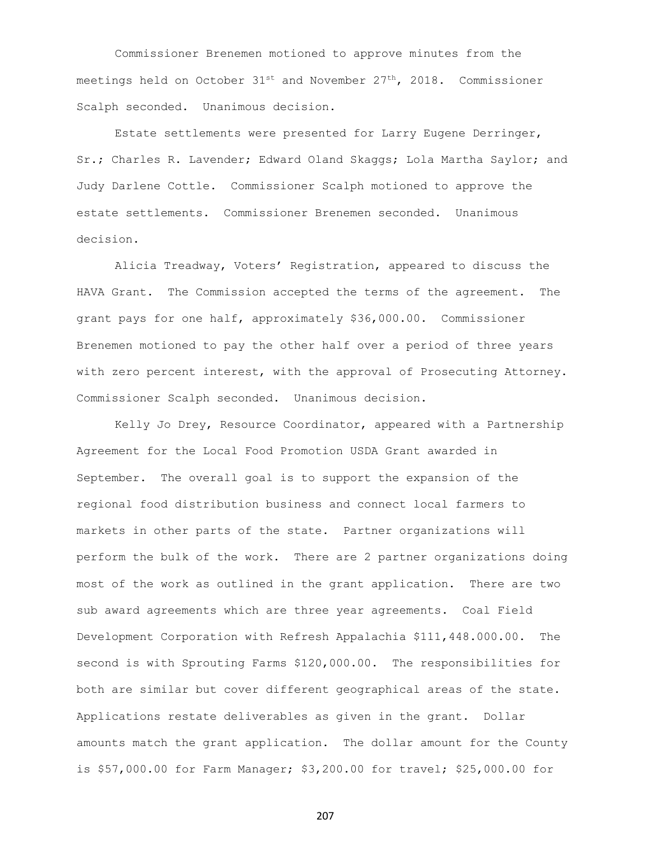Commissioner Brenemen motioned to approve minutes from the meetings held on October  $31^{st}$  and November  $27^{th}$ , 2018. Commissioner Scalph seconded. Unanimous decision.

Estate settlements were presented for Larry Eugene Derringer, Sr.; Charles R. Lavender; Edward Oland Skaggs; Lola Martha Saylor; and Judy Darlene Cottle. Commissioner Scalph motioned to approve the estate settlements. Commissioner Brenemen seconded. Unanimous decision.

Alicia Treadway, Voters' Registration, appeared to discuss the HAVA Grant. The Commission accepted the terms of the agreement. The grant pays for one half, approximately \$36,000.00. Commissioner Brenemen motioned to pay the other half over a period of three years with zero percent interest, with the approval of Prosecuting Attorney. Commissioner Scalph seconded. Unanimous decision.

Kelly Jo Drey, Resource Coordinator, appeared with a Partnership Agreement for the Local Food Promotion USDA Grant awarded in September. The overall goal is to support the expansion of the regional food distribution business and connect local farmers to markets in other parts of the state. Partner organizations will perform the bulk of the work. There are 2 partner organizations doing most of the work as outlined in the grant application. There are two sub award agreements which are three year agreements. Coal Field Development Corporation with Refresh Appalachia \$111,448.000.00. The second is with Sprouting Farms \$120,000.00. The responsibilities for both are similar but cover different geographical areas of the state. Applications restate deliverables as given in the grant. Dollar amounts match the grant application. The dollar amount for the County is \$57,000.00 for Farm Manager; \$3,200.00 for travel; \$25,000.00 for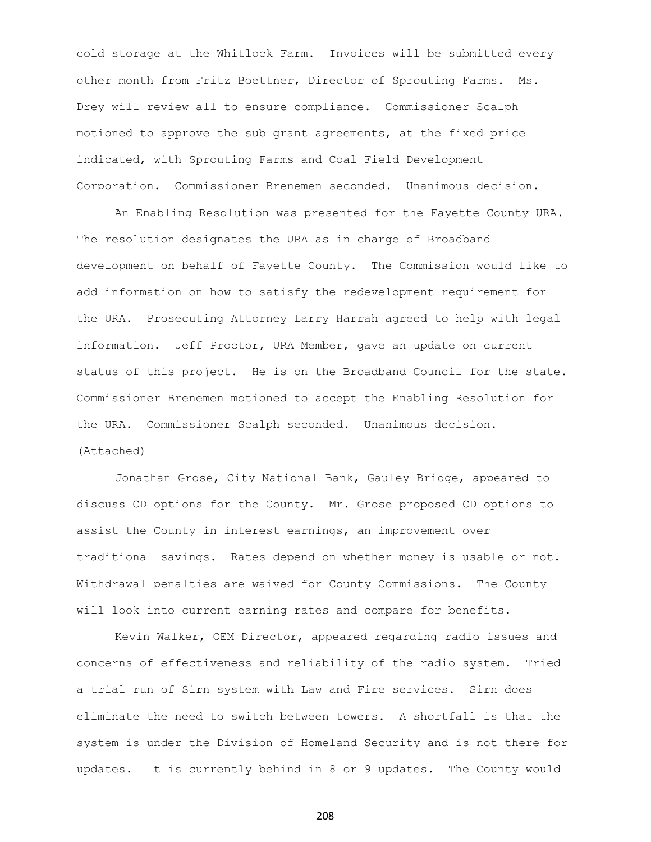cold storage at the Whitlock Farm. Invoices will be submitted every other month from Fritz Boettner, Director of Sprouting Farms. Ms. Drey will review all to ensure compliance. Commissioner Scalph motioned to approve the sub grant agreements, at the fixed price indicated, with Sprouting Farms and Coal Field Development Corporation. Commissioner Brenemen seconded. Unanimous decision.

An Enabling Resolution was presented for the Fayette County URA. The resolution designates the URA as in charge of Broadband development on behalf of Fayette County. The Commission would like to add information on how to satisfy the redevelopment requirement for the URA. Prosecuting Attorney Larry Harrah agreed to help with legal information. Jeff Proctor, URA Member, gave an update on current status of this project. He is on the Broadband Council for the state. Commissioner Brenemen motioned to accept the Enabling Resolution for the URA. Commissioner Scalph seconded. Unanimous decision. (Attached)

Jonathan Grose, City National Bank, Gauley Bridge, appeared to discuss CD options for the County. Mr. Grose proposed CD options to assist the County in interest earnings, an improvement over traditional savings. Rates depend on whether money is usable or not. Withdrawal penalties are waived for County Commissions. The County will look into current earning rates and compare for benefits.

Kevin Walker, OEM Director, appeared regarding radio issues and concerns of effectiveness and reliability of the radio system. Tried a trial run of Sirn system with Law and Fire services. Sirn does eliminate the need to switch between towers. A shortfall is that the system is under the Division of Homeland Security and is not there for updates. It is currently behind in 8 or 9 updates. The County would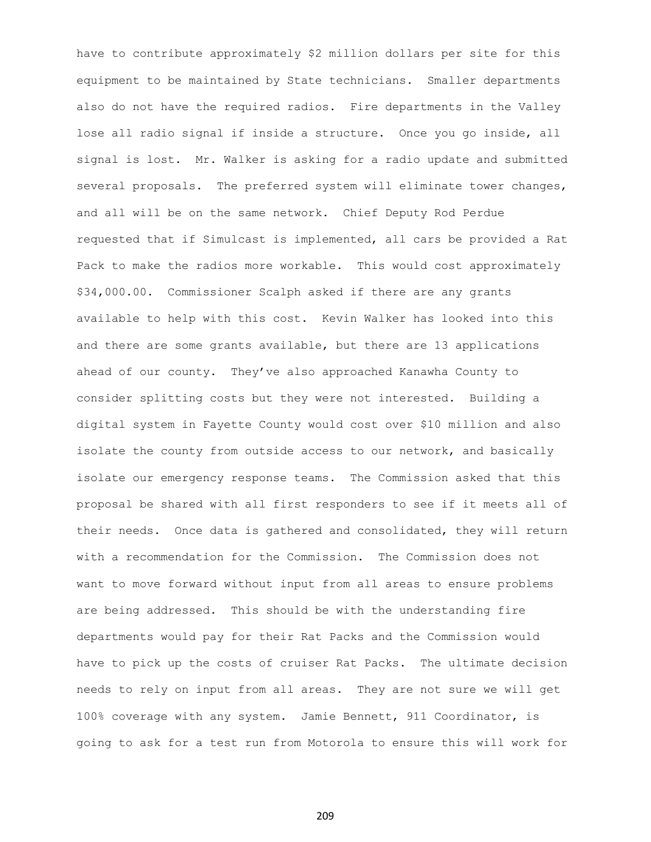have to contribute approximately \$2 million dollars per site for this equipment to be maintained by State technicians. Smaller departments also do not have the required radios. Fire departments in the Valley lose all radio signal if inside a structure. Once you go inside, all signal is lost. Mr. Walker is asking for a radio update and submitted several proposals. The preferred system will eliminate tower changes, and all will be on the same network. Chief Deputy Rod Perdue requested that if Simulcast is implemented, all cars be provided a Rat Pack to make the radios more workable. This would cost approximately \$34,000.00. Commissioner Scalph asked if there are any grants available to help with this cost. Kevin Walker has looked into this and there are some grants available, but there are 13 applications ahead of our county. They've also approached Kanawha County to consider splitting costs but they were not interested. Building a digital system in Fayette County would cost over \$10 million and also isolate the county from outside access to our network, and basically isolate our emergency response teams. The Commission asked that this proposal be shared with all first responders to see if it meets all of their needs. Once data is gathered and consolidated, they will return with a recommendation for the Commission. The Commission does not want to move forward without input from all areas to ensure problems are being addressed. This should be with the understanding fire departments would pay for their Rat Packs and the Commission would have to pick up the costs of cruiser Rat Packs. The ultimate decision needs to rely on input from all areas. They are not sure we will get 100% coverage with any system. Jamie Bennett, 911 Coordinator, is going to ask for a test run from Motorola to ensure this will work for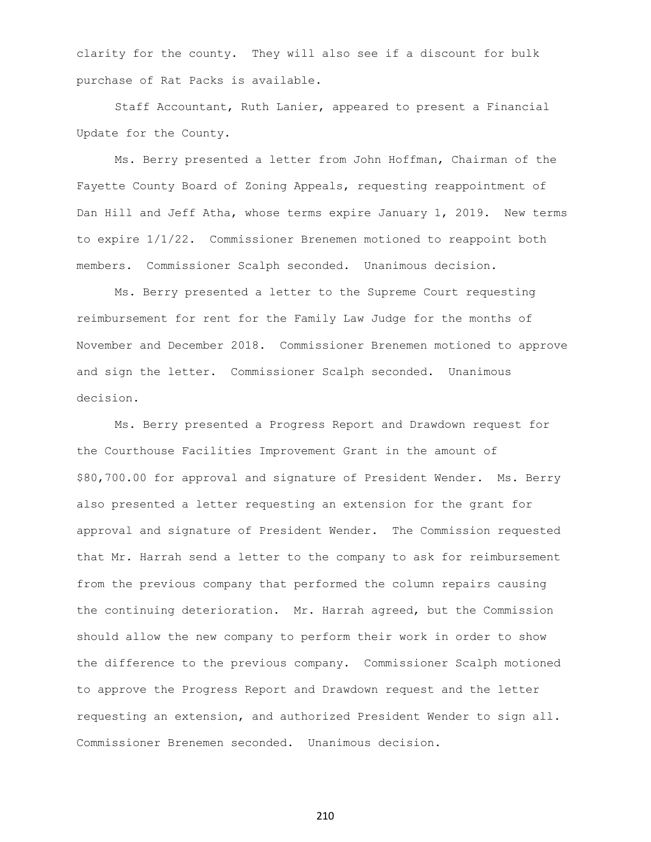clarity for the county. They will also see if a discount for bulk purchase of Rat Packs is available.

Staff Accountant, Ruth Lanier, appeared to present a Financial Update for the County.

Ms. Berry presented a letter from John Hoffman, Chairman of the Fayette County Board of Zoning Appeals, requesting reappointment of Dan Hill and Jeff Atha, whose terms expire January 1, 2019. New terms to expire 1/1/22. Commissioner Brenemen motioned to reappoint both members. Commissioner Scalph seconded. Unanimous decision.

Ms. Berry presented a letter to the Supreme Court requesting reimbursement for rent for the Family Law Judge for the months of November and December 2018. Commissioner Brenemen motioned to approve and sign the letter. Commissioner Scalph seconded. Unanimous decision.

Ms. Berry presented a Progress Report and Drawdown request for the Courthouse Facilities Improvement Grant in the amount of \$80,700.00 for approval and signature of President Wender. Ms. Berry also presented a letter requesting an extension for the grant for approval and signature of President Wender. The Commission requested that Mr. Harrah send a letter to the company to ask for reimbursement from the previous company that performed the column repairs causing the continuing deterioration. Mr. Harrah agreed, but the Commission should allow the new company to perform their work in order to show the difference to the previous company. Commissioner Scalph motioned to approve the Progress Report and Drawdown request and the letter requesting an extension, and authorized President Wender to sign all. Commissioner Brenemen seconded. Unanimous decision.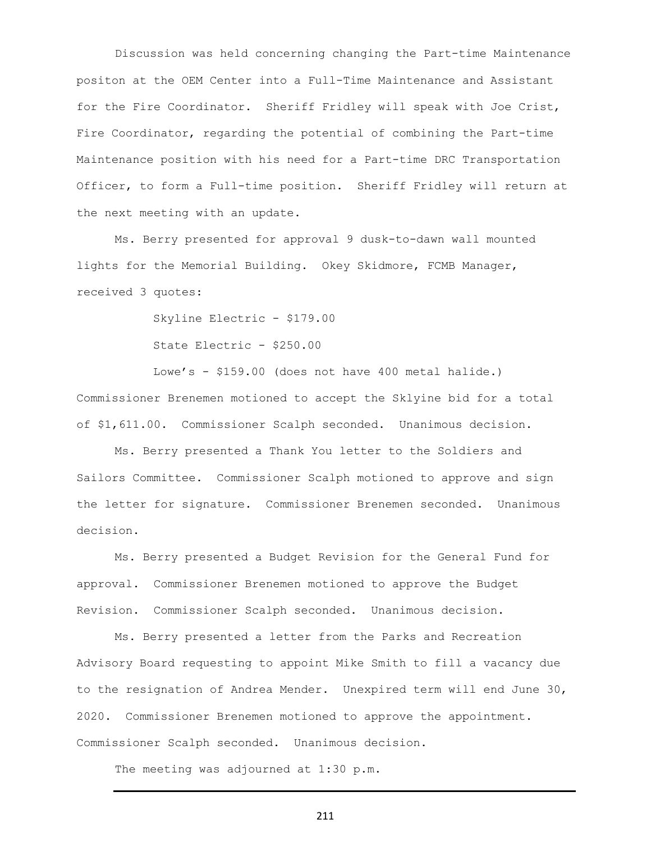Discussion was held concerning changing the Part-time Maintenance positon at the OEM Center into a Full-Time Maintenance and Assistant for the Fire Coordinator. Sheriff Fridley will speak with Joe Crist, Fire Coordinator, regarding the potential of combining the Part-time Maintenance position with his need for a Part-time DRC Transportation Officer, to form a Full-time position. Sheriff Fridley will return at the next meeting with an update.

Ms. Berry presented for approval 9 dusk-to-dawn wall mounted lights for the Memorial Building. Okey Skidmore, FCMB Manager, received 3 quotes:

> Skyline Electric - \$179.00 State Electric - \$250.00

Lowe's - \$159.00 (does not have 400 metal halide.) Commissioner Brenemen motioned to accept the Sklyine bid for a total of \$1,611.00. Commissioner Scalph seconded. Unanimous decision.

Ms. Berry presented a Thank You letter to the Soldiers and Sailors Committee. Commissioner Scalph motioned to approve and sign the letter for signature. Commissioner Brenemen seconded. Unanimous decision.

Ms. Berry presented a Budget Revision for the General Fund for approval. Commissioner Brenemen motioned to approve the Budget Revision. Commissioner Scalph seconded. Unanimous decision.

Ms. Berry presented a letter from the Parks and Recreation Advisory Board requesting to appoint Mike Smith to fill a vacancy due to the resignation of Andrea Mender. Unexpired term will end June 30, 2020. Commissioner Brenemen motioned to approve the appointment. Commissioner Scalph seconded. Unanimous decision.

The meeting was adjourned at 1:30 p.m.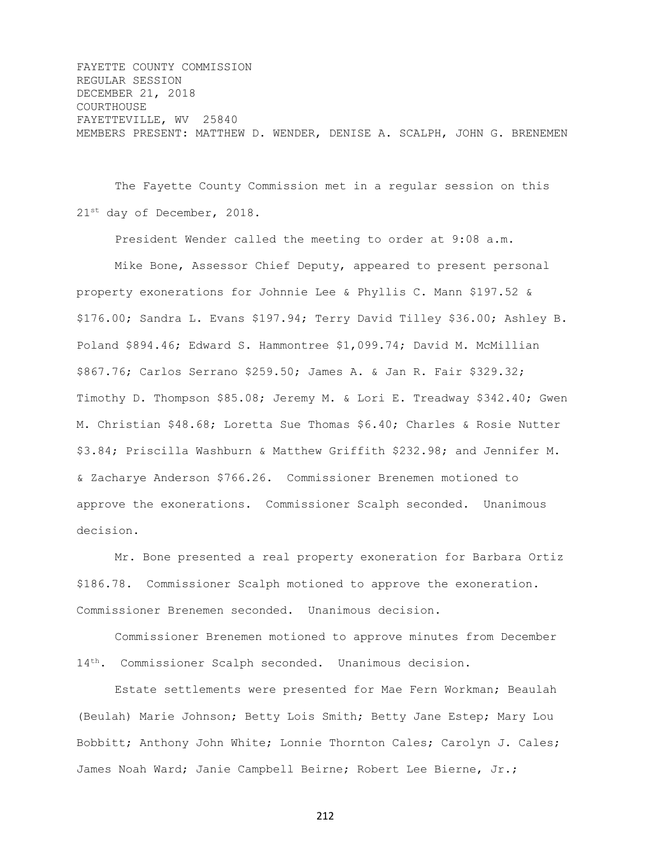FAYETTE COUNTY COMMISSION REGULAR SESSION DECEMBER 21, 2018 COURTHOUSE FAYETTEVILLE, WV 25840 MEMBERS PRESENT: MATTHEW D. WENDER, DENISE A. SCALPH, JOHN G. BRENEMEN

The Fayette County Commission met in a regular session on this 21st day of December, 2018.

President Wender called the meeting to order at 9:08 a.m.

Mike Bone, Assessor Chief Deputy, appeared to present personal property exonerations for Johnnie Lee & Phyllis C. Mann \$197.52 & \$176.00; Sandra L. Evans \$197.94; Terry David Tilley \$36.00; Ashley B. Poland \$894.46; Edward S. Hammontree \$1,099.74; David M. McMillian \$867.76; Carlos Serrano \$259.50; James A. & Jan R. Fair \$329.32; Timothy D. Thompson \$85.08; Jeremy M. & Lori E. Treadway \$342.40; Gwen M. Christian \$48.68; Loretta Sue Thomas \$6.40; Charles & Rosie Nutter \$3.84; Priscilla Washburn & Matthew Griffith \$232.98; and Jennifer M. & Zacharye Anderson \$766.26. Commissioner Brenemen motioned to approve the exonerations. Commissioner Scalph seconded. Unanimous decision.

Mr. Bone presented a real property exoneration for Barbara Ortiz \$186.78. Commissioner Scalph motioned to approve the exoneration. Commissioner Brenemen seconded. Unanimous decision.

Commissioner Brenemen motioned to approve minutes from December 14th. Commissioner Scalph seconded. Unanimous decision.

Estate settlements were presented for Mae Fern Workman; Beaulah (Beulah) Marie Johnson; Betty Lois Smith; Betty Jane Estep; Mary Lou Bobbitt; Anthony John White; Lonnie Thornton Cales; Carolyn J. Cales; James Noah Ward; Janie Campbell Beirne; Robert Lee Bierne, Jr.;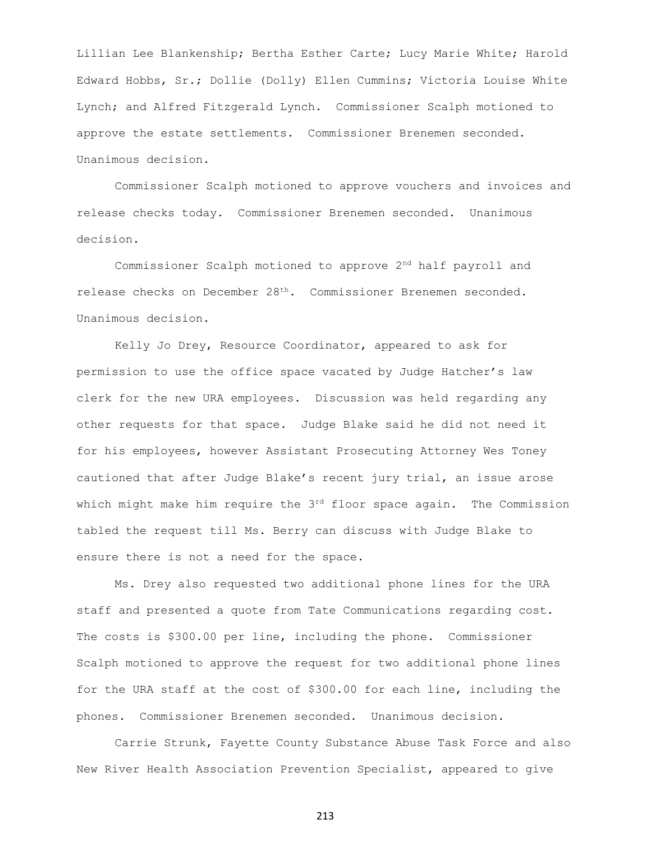Lillian Lee Blankenship; Bertha Esther Carte; Lucy Marie White; Harold Edward Hobbs, Sr.; Dollie (Dolly) Ellen Cummins; Victoria Louise White Lynch; and Alfred Fitzgerald Lynch. Commissioner Scalph motioned to approve the estate settlements. Commissioner Brenemen seconded. Unanimous decision.

Commissioner Scalph motioned to approve vouchers and invoices and release checks today. Commissioner Brenemen seconded. Unanimous decision.

Commissioner Scalph motioned to approve 2nd half payroll and release checks on December 28th. Commissioner Brenemen seconded. Unanimous decision.

Kelly Jo Drey, Resource Coordinator, appeared to ask for permission to use the office space vacated by Judge Hatcher's law clerk for the new URA employees. Discussion was held regarding any other requests for that space. Judge Blake said he did not need it for his employees, however Assistant Prosecuting Attorney Wes Toney cautioned that after Judge Blake's recent jury trial, an issue arose which might make him require the 3rd floor space again. The Commission tabled the request till Ms. Berry can discuss with Judge Blake to ensure there is not a need for the space.

Ms. Drey also requested two additional phone lines for the URA staff and presented a quote from Tate Communications regarding cost. The costs is \$300.00 per line, including the phone. Commissioner Scalph motioned to approve the request for two additional phone lines for the URA staff at the cost of \$300.00 for each line, including the phones. Commissioner Brenemen seconded. Unanimous decision.

Carrie Strunk, Fayette County Substance Abuse Task Force and also New River Health Association Prevention Specialist, appeared to give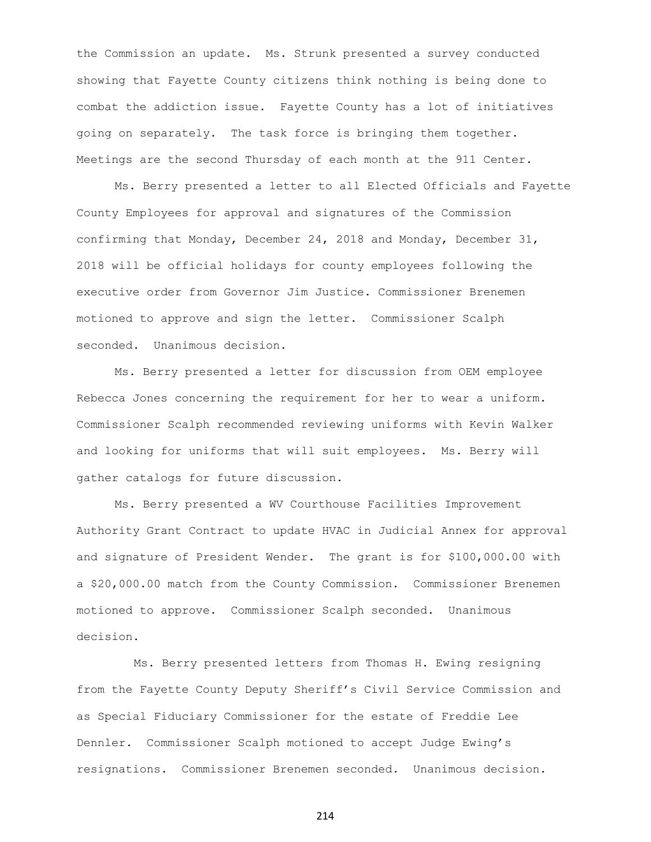the Commission an update. Ms. Strunk presented a survey conducted showing that Fayette County citizens think nothing is being done to combat the addiction issue. Fayette County has a lot of initiatives going on separately. The task force is bringing them together. Meetings are the second Thursday of each month at the 911 Center.

Ms. Berry presented a letter to all Elected Officials and Fayette County Employees for approval and signatures of the Commission confirming that Monday, December 24, 2018 and Monday, December 31, 2018 will be official holidays for county employees following the executive order from Governor Jim Justice. Commissioner Brenemen motioned to approve and sign the letter. Commissioner Scalph seconded. Unanimous decision.

Ms. Berry presented a letter for discussion from OEM employee Rebecca Jones concerning the requirement for her to wear a uniform. Commissioner Scalph recommended reviewing uniforms with Kevin Walker and looking for uniforms that will suit employees. Ms. Berry will gather catalogs for future discussion.

Ms. Berry presented a WV Courthouse Facilities Improvement Authority Grant Contract to update HVAC in Judicial Annex for approval and signature of President Wender. The grant is for \$100,000.00 with a \$20,000.00 match from the County Commission. Commissioner Brenemen motioned to approve. Commissioner Scalph seconded. Unanimous decision.

Ms. Berry presented letters from Thomas H. Ewing resigning from the Fayette County Deputy Sheriff's Civil Service Commission and as Special Fiduciary Commissioner for the estate of Freddie Lee Dennler. Commissioner Scalph motioned to accept Judge Ewing's resignations. Commissioner Brenemen seconded. Unanimous decision.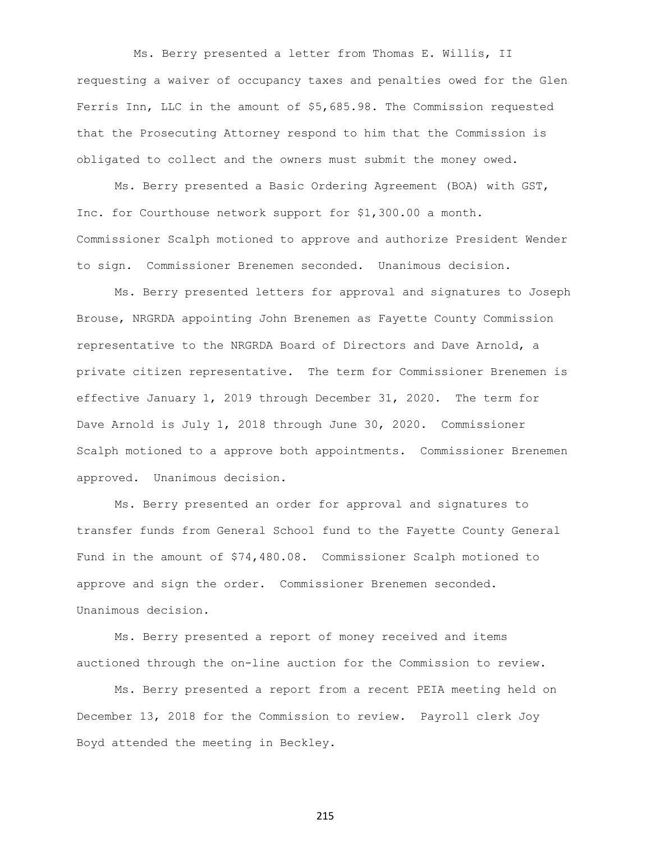Ms. Berry presented a letter from Thomas E. Willis, II requesting a waiver of occupancy taxes and penalties owed for the Glen Ferris Inn, LLC in the amount of \$5,685.98. The Commission requested that the Prosecuting Attorney respond to him that the Commission is obligated to collect and the owners must submit the money owed.

Ms. Berry presented a Basic Ordering Agreement (BOA) with GST, Inc. for Courthouse network support for \$1,300.00 a month. Commissioner Scalph motioned to approve and authorize President Wender to sign. Commissioner Brenemen seconded. Unanimous decision.

Ms. Berry presented letters for approval and signatures to Joseph Brouse, NRGRDA appointing John Brenemen as Fayette County Commission representative to the NRGRDA Board of Directors and Dave Arnold, a private citizen representative. The term for Commissioner Brenemen is effective January 1, 2019 through December 31, 2020. The term for Dave Arnold is July 1, 2018 through June 30, 2020. Commissioner Scalph motioned to a approve both appointments. Commissioner Brenemen approved. Unanimous decision.

Ms. Berry presented an order for approval and signatures to transfer funds from General School fund to the Fayette County General Fund in the amount of \$74,480.08. Commissioner Scalph motioned to approve and sign the order. Commissioner Brenemen seconded. Unanimous decision.

Ms. Berry presented a report of money received and items auctioned through the on-line auction for the Commission to review.

Ms. Berry presented a report from a recent PEIA meeting held on December 13, 2018 for the Commission to review. Payroll clerk Joy Boyd attended the meeting in Beckley.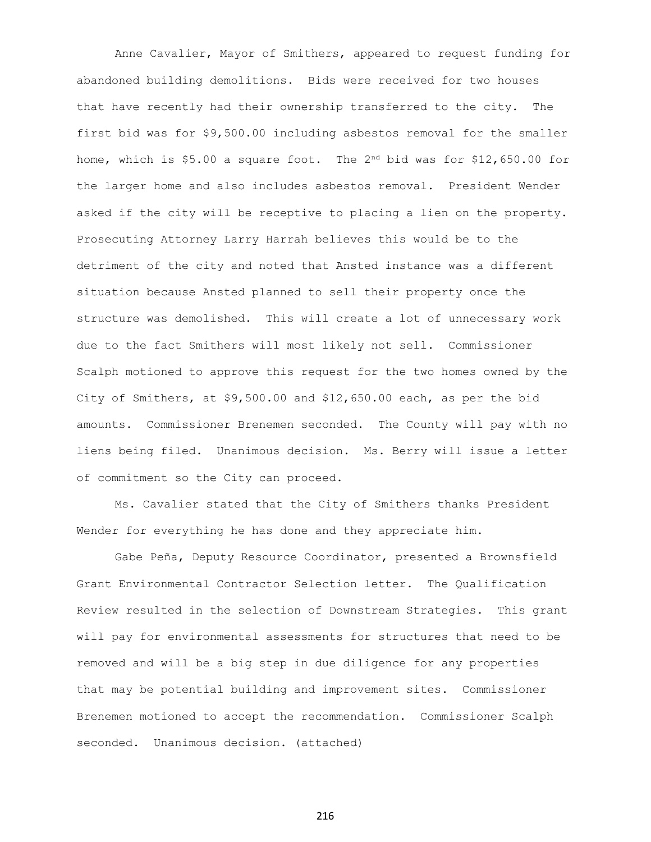Anne Cavalier, Mayor of Smithers, appeared to request funding for abandoned building demolitions. Bids were received for two houses that have recently had their ownership transferred to the city. The first bid was for \$9,500.00 including asbestos removal for the smaller home, which is  $$5.00$  a square foot. The  $2^{nd}$  bid was for  $$12,650.00$  for the larger home and also includes asbestos removal. President Wender asked if the city will be receptive to placing a lien on the property. Prosecuting Attorney Larry Harrah believes this would be to the detriment of the city and noted that Ansted instance was a different situation because Ansted planned to sell their property once the structure was demolished. This will create a lot of unnecessary work due to the fact Smithers will most likely not sell. Commissioner Scalph motioned to approve this request for the two homes owned by the City of Smithers, at \$9,500.00 and \$12,650.00 each, as per the bid amounts. Commissioner Brenemen seconded. The County will pay with no liens being filed. Unanimous decision. Ms. Berry will issue a letter of commitment so the City can proceed.

Ms. Cavalier stated that the City of Smithers thanks President Wender for everything he has done and they appreciate him.

Gabe Peña, Deputy Resource Coordinator, presented a Brownsfield Grant Environmental Contractor Selection letter. The Qualification Review resulted in the selection of Downstream Strategies. This grant will pay for environmental assessments for structures that need to be removed and will be a big step in due diligence for any properties that may be potential building and improvement sites. Commissioner Brenemen motioned to accept the recommendation. Commissioner Scalph seconded. Unanimous decision. (attached)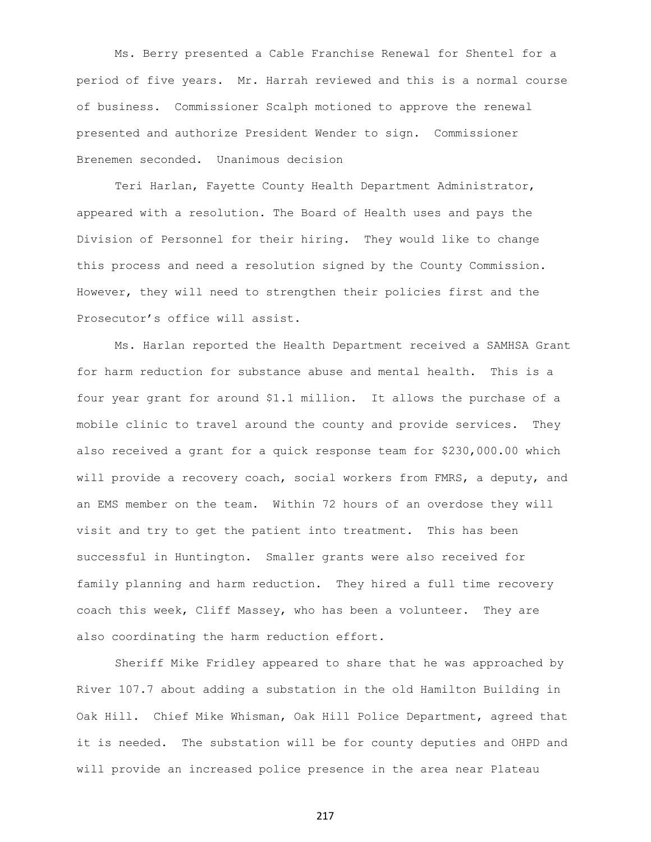Ms. Berry presented a Cable Franchise Renewal for Shentel for a period of five years. Mr. Harrah reviewed and this is a normal course of business. Commissioner Scalph motioned to approve the renewal presented and authorize President Wender to sign. Commissioner Brenemen seconded. Unanimous decision

Teri Harlan, Fayette County Health Department Administrator, appeared with a resolution. The Board of Health uses and pays the Division of Personnel for their hiring. They would like to change this process and need a resolution signed by the County Commission. However, they will need to strengthen their policies first and the Prosecutor's office will assist.

Ms. Harlan reported the Health Department received a SAMHSA Grant for harm reduction for substance abuse and mental health. This is a four year grant for around \$1.1 million. It allows the purchase of a mobile clinic to travel around the county and provide services. They also received a grant for a quick response team for \$230,000.00 which will provide a recovery coach, social workers from FMRS, a deputy, and an EMS member on the team. Within 72 hours of an overdose they will visit and try to get the patient into treatment. This has been successful in Huntington. Smaller grants were also received for family planning and harm reduction. They hired a full time recovery coach this week, Cliff Massey, who has been a volunteer. They are also coordinating the harm reduction effort.

Sheriff Mike Fridley appeared to share that he was approached by River 107.7 about adding a substation in the old Hamilton Building in Oak Hill. Chief Mike Whisman, Oak Hill Police Department, agreed that it is needed. The substation will be for county deputies and OHPD and will provide an increased police presence in the area near Plateau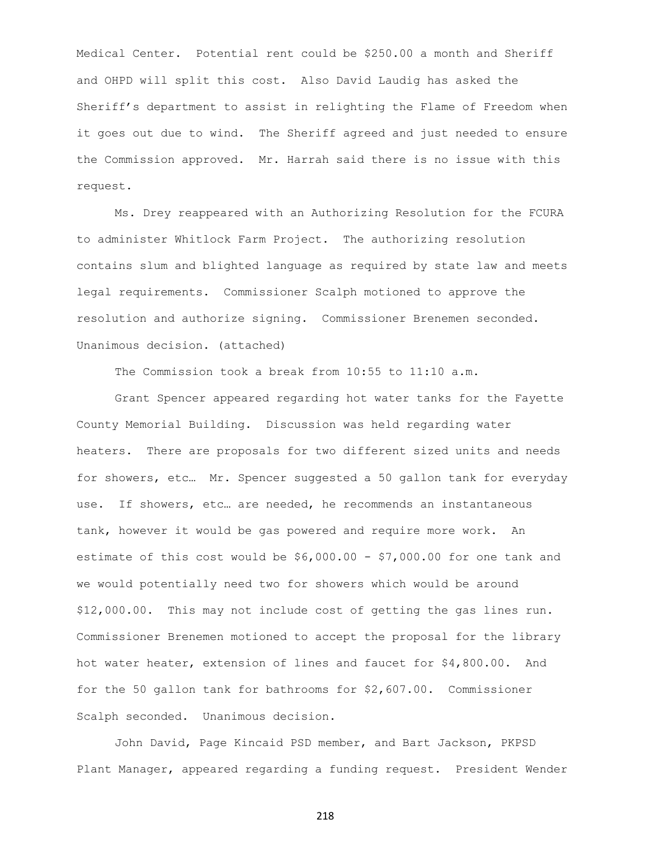Medical Center. Potential rent could be \$250.00 a month and Sheriff and OHPD will split this cost. Also David Laudig has asked the Sheriff's department to assist in relighting the Flame of Freedom when it goes out due to wind. The Sheriff agreed and just needed to ensure the Commission approved. Mr. Harrah said there is no issue with this request.

Ms. Drey reappeared with an Authorizing Resolution for the FCURA to administer Whitlock Farm Project. The authorizing resolution contains slum and blighted language as required by state law and meets legal requirements. Commissioner Scalph motioned to approve the resolution and authorize signing. Commissioner Brenemen seconded. Unanimous decision. (attached)

The Commission took a break from 10:55 to 11:10 a.m.

Grant Spencer appeared regarding hot water tanks for the Fayette County Memorial Building. Discussion was held regarding water heaters. There are proposals for two different sized units and needs for showers, etc… Mr. Spencer suggested a 50 gallon tank for everyday use. If showers, etc… are needed, he recommends an instantaneous tank, however it would be gas powered and require more work. An estimate of this cost would be  $$6,000.00 - $7,000.00$  for one tank and we would potentially need two for showers which would be around \$12,000.00. This may not include cost of getting the gas lines run. Commissioner Brenemen motioned to accept the proposal for the library hot water heater, extension of lines and faucet for \$4,800.00. And for the 50 gallon tank for bathrooms for \$2,607.00. Commissioner Scalph seconded. Unanimous decision.

John David, Page Kincaid PSD member, and Bart Jackson, PKPSD Plant Manager, appeared regarding a funding request. President Wender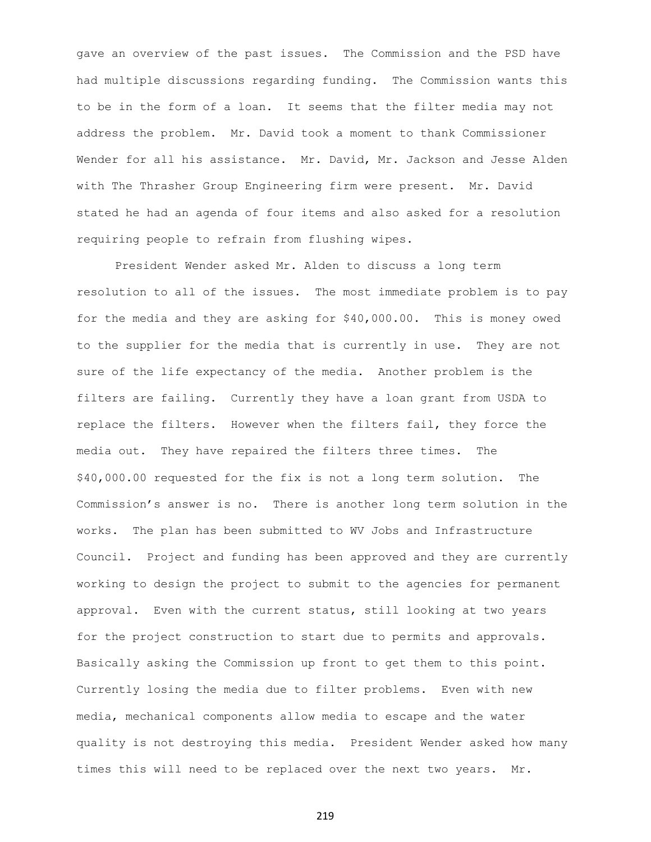gave an overview of the past issues. The Commission and the PSD have had multiple discussions regarding funding. The Commission wants this to be in the form of a loan. It seems that the filter media may not address the problem. Mr. David took a moment to thank Commissioner Wender for all his assistance. Mr. David, Mr. Jackson and Jesse Alden with The Thrasher Group Engineering firm were present. Mr. David stated he had an agenda of four items and also asked for a resolution requiring people to refrain from flushing wipes.

President Wender asked Mr. Alden to discuss a long term resolution to all of the issues. The most immediate problem is to pay for the media and they are asking for \$40,000.00. This is money owed to the supplier for the media that is currently in use. They are not sure of the life expectancy of the media. Another problem is the filters are failing. Currently they have a loan grant from USDA to replace the filters. However when the filters fail, they force the media out. They have repaired the filters three times. The \$40,000.00 requested for the fix is not a long term solution. The Commission's answer is no. There is another long term solution in the works. The plan has been submitted to WV Jobs and Infrastructure Council. Project and funding has been approved and they are currently working to design the project to submit to the agencies for permanent approval. Even with the current status, still looking at two years for the project construction to start due to permits and approvals. Basically asking the Commission up front to get them to this point. Currently losing the media due to filter problems. Even with new media, mechanical components allow media to escape and the water quality is not destroying this media. President Wender asked how many times this will need to be replaced over the next two years. Mr.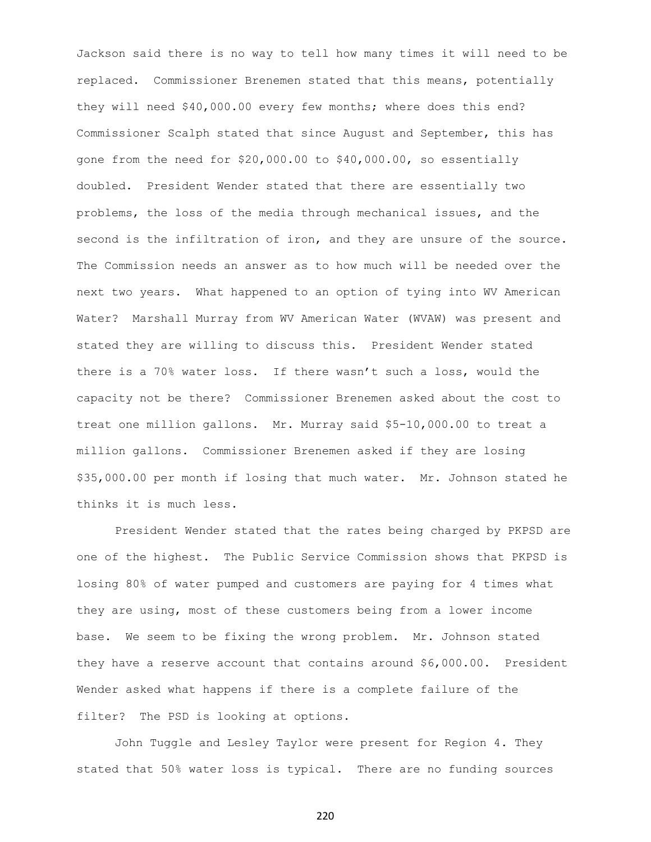Jackson said there is no way to tell how many times it will need to be replaced. Commissioner Brenemen stated that this means, potentially they will need \$40,000.00 every few months; where does this end? Commissioner Scalph stated that since August and September, this has gone from the need for \$20,000.00 to \$40,000.00, so essentially doubled. President Wender stated that there are essentially two problems, the loss of the media through mechanical issues, and the second is the infiltration of iron, and they are unsure of the source. The Commission needs an answer as to how much will be needed over the next two years. What happened to an option of tying into WV American Water? Marshall Murray from WV American Water (WVAW) was present and stated they are willing to discuss this. President Wender stated there is a 70% water loss. If there wasn't such a loss, would the capacity not be there? Commissioner Brenemen asked about the cost to treat one million gallons. Mr. Murray said \$5-10,000.00 to treat a million gallons. Commissioner Brenemen asked if they are losing \$35,000.00 per month if losing that much water. Mr. Johnson stated he thinks it is much less.

President Wender stated that the rates being charged by PKPSD are one of the highest. The Public Service Commission shows that PKPSD is losing 80% of water pumped and customers are paying for 4 times what they are using, most of these customers being from a lower income base. We seem to be fixing the wrong problem. Mr. Johnson stated they have a reserve account that contains around \$6,000.00. President Wender asked what happens if there is a complete failure of the filter? The PSD is looking at options.

John Tuggle and Lesley Taylor were present for Region 4. They stated that 50% water loss is typical. There are no funding sources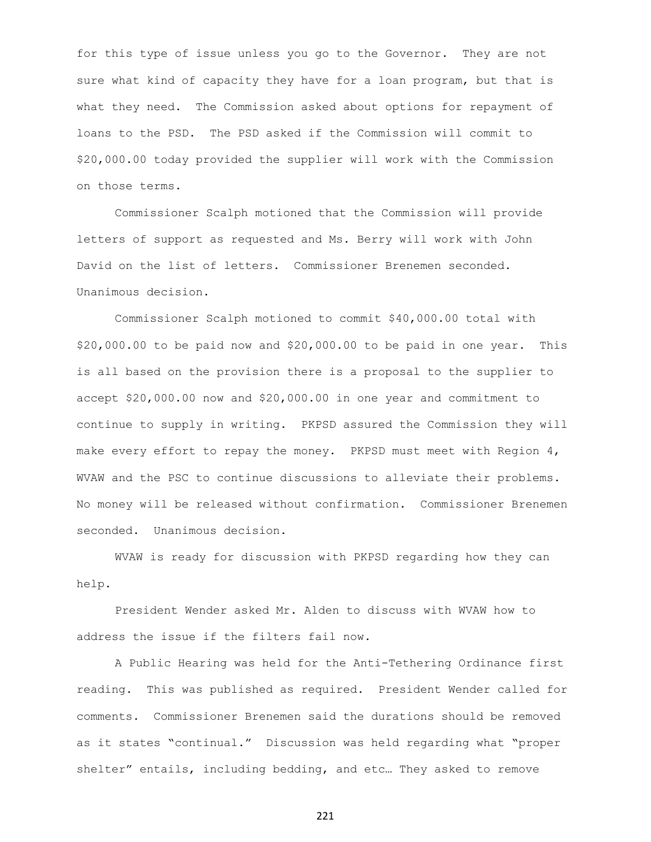for this type of issue unless you go to the Governor. They are not sure what kind of capacity they have for a loan program, but that is what they need. The Commission asked about options for repayment of loans to the PSD. The PSD asked if the Commission will commit to \$20,000.00 today provided the supplier will work with the Commission on those terms.

Commissioner Scalph motioned that the Commission will provide letters of support as requested and Ms. Berry will work with John David on the list of letters. Commissioner Brenemen seconded. Unanimous decision.

Commissioner Scalph motioned to commit \$40,000.00 total with \$20,000.00 to be paid now and \$20,000.00 to be paid in one year. This is all based on the provision there is a proposal to the supplier to accept \$20,000.00 now and \$20,000.00 in one year and commitment to continue to supply in writing. PKPSD assured the Commission they will make every effort to repay the money. PKPSD must meet with Region 4, WVAW and the PSC to continue discussions to alleviate their problems. No money will be released without confirmation. Commissioner Brenemen seconded. Unanimous decision.

WVAW is ready for discussion with PKPSD regarding how they can help.

President Wender asked Mr. Alden to discuss with WVAW how to address the issue if the filters fail now.

A Public Hearing was held for the Anti-Tethering Ordinance first reading. This was published as required. President Wender called for comments. Commissioner Brenemen said the durations should be removed as it states "continual." Discussion was held regarding what "proper shelter" entails, including bedding, and etc… They asked to remove